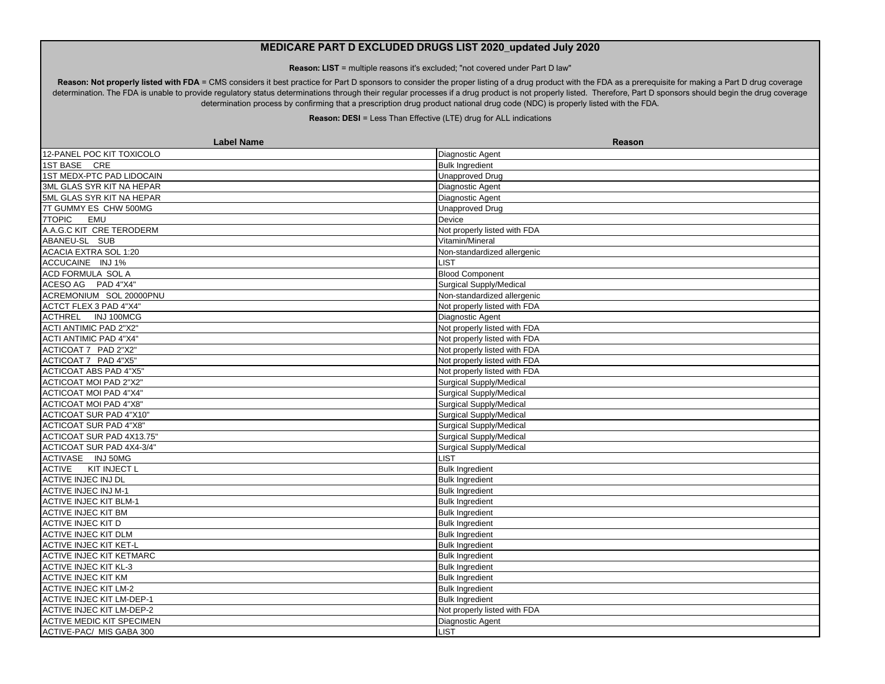**Reason: LIST** = multiple reasons it's excluded; "not covered under Part D law"

Reason: Not properly listed with FDA = CMS considers it best practice for Part D sponsors to consider the proper listing of a drug product with the FDA as a prerequisite for making a Part D drug coverage determination. The FDA is unable to provide regulatory status determinations through their regular processes if a drug product is not properly listed. Therefore, Part D sponsors should begin the drug coverage determination process by confirming that a prescription drug product national drug code (NDC) is properly listed with the FDA.

| <b>Label Name</b>                | <b>Reason</b>                |
|----------------------------------|------------------------------|
| 12-PANEL POC KIT TOXICOLO        | Diagnostic Agent             |
| 1ST BASE CRE                     | <b>Bulk Ingredient</b>       |
| 1ST MEDX-PTC PAD LIDOCAIN        | <b>Unapproved Drug</b>       |
| 3ML GLAS SYR KIT NA HEPAR        | Diagnostic Agent             |
| 5ML GLAS SYR KIT NA HEPAR        | Diagnostic Agent             |
| 7T GUMMY ES CHW 500MG            | <b>Unapproved Drug</b>       |
| 7TOPIC<br>EMU                    | Device                       |
| A.A.G.C KIT CRE TERODERM         | Not properly listed with FDA |
| ABANEU-SL SUB                    | Vitamin/Mineral              |
| ACACIA EXTRA SOL 1:20            | Non-standardized allergenic  |
| ACCUCAINE INJ 1%                 | <b>LIST</b>                  |
| ACD FORMULA SOL A                | <b>Blood Component</b>       |
| ACESO AG PAD 4"X4"               | Surgical Supply/Medical      |
| ACREMONIUM SOL 20000PNU          | Non-standardized allergenic  |
| ACTCT FLEX 3 PAD 4"X4"           | Not properly listed with FDA |
| ACTHREL INJ 100MCG               | Diagnostic Agent             |
| <b>ACTI ANTIMIC PAD 2"X2"</b>    | Not properly listed with FDA |
| ACTI ANTIMIC PAD 4"X4"           | Not properly listed with FDA |
| ACTICOAT 7 PAD 2"X2"             | Not properly listed with FDA |
| ACTICOAT 7 PAD 4"X5"             | Not properly listed with FDA |
| ACTICOAT ABS PAD 4"X5"           | Not properly listed with FDA |
| ACTICOAT MOI PAD 2"X2"           | Surgical Supply/Medical      |
| ACTICOAT MOI PAD 4"X4"           | Surgical Supply/Medical      |
| <b>ACTICOAT MOI PAD 4"X8"</b>    | Surgical Supply/Medical      |
| <b>ACTICOAT SUR PAD 4"X10"</b>   | Surgical Supply/Medical      |
| ACTICOAT SUR PAD 4"X8"           | Surgical Supply/Medical      |
| ACTICOAT SUR PAD 4X13.75"        | Surgical Supply/Medical      |
| ACTICOAT SUR PAD 4X4-3/4"        | Surgical Supply/Medical      |
| ACTIVASE INJ 50MG                | <b>LIST</b>                  |
| ACTIVE KIT INJECT L              | <b>Bulk Ingredient</b>       |
| <b>ACTIVE INJEC INJ DL</b>       | <b>Bulk Ingredient</b>       |
| <b>ACTIVE INJEC INJ M-1</b>      | <b>Bulk Ingredient</b>       |
| <b>ACTIVE INJEC KIT BLM-1</b>    | <b>Bulk Ingredient</b>       |
| <b>ACTIVE INJEC KIT BM</b>       | <b>Bulk Ingredient</b>       |
| <b>ACTIVE INJEC KIT D</b>        | <b>Bulk Ingredient</b>       |
| <b>ACTIVE INJEC KIT DLM</b>      | <b>Bulk Ingredient</b>       |
| <b>ACTIVE INJEC KIT KET-L</b>    | <b>Bulk Ingredient</b>       |
| <b>ACTIVE INJEC KIT KETMARC</b>  | <b>Bulk Ingredient</b>       |
| <b>ACTIVE INJEC KIT KL-3</b>     | <b>Bulk Ingredient</b>       |
| <b>ACTIVE INJEC KIT KM</b>       | <b>Bulk Ingredient</b>       |
| <b>ACTIVE INJEC KIT LM-2</b>     | <b>Bulk Ingredient</b>       |
| ACTIVE INJEC KIT LM-DEP-1        | <b>Bulk Ingredient</b>       |
| <b>ACTIVE INJEC KIT LM-DEP-2</b> | Not properly listed with FDA |
| <b>ACTIVE MEDIC KIT SPECIMEN</b> | Diagnostic Agent             |
| ACTIVE-PAC/ MIS GABA 300         | <b>LIST</b>                  |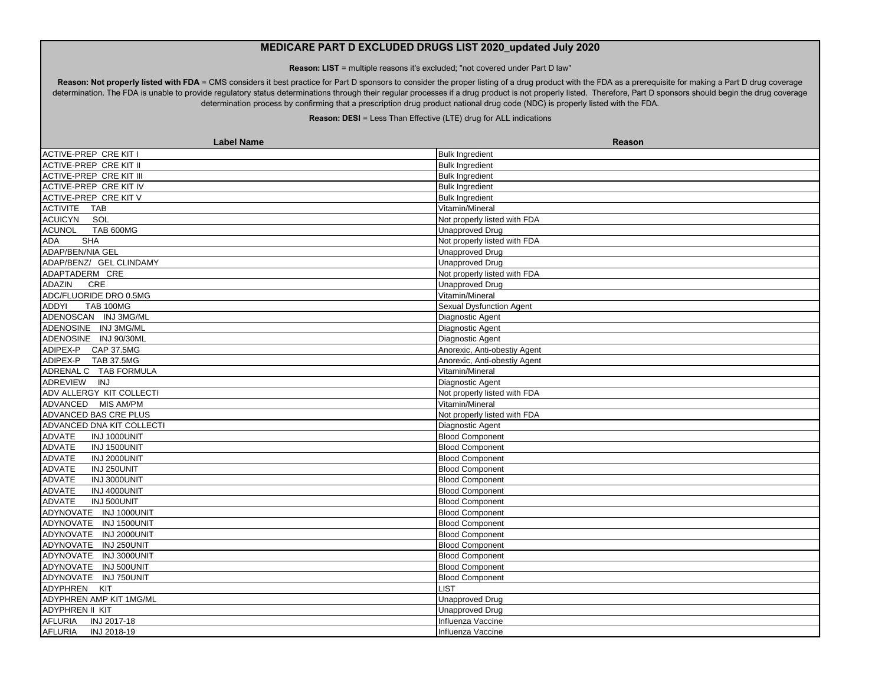**Reason: LIST** = multiple reasons it's excluded; "not covered under Part D law"

Reason: Not properly listed with FDA = CMS considers it best practice for Part D sponsors to consider the proper listing of a drug product with the FDA as a prerequisite for making a Part D drug coverage determination. The FDA is unable to provide regulatory status determinations through their regular processes if a drug product is not properly listed. Therefore, Part D sponsors should begin the drug coverage determination process by confirming that a prescription drug product national drug code (NDC) is properly listed with the FDA.

| <b>Label Name</b>                 | <b>Reason</b>                |
|-----------------------------------|------------------------------|
| ACTIVE-PREP CRE KIT I             | <b>Bulk Ingredient</b>       |
| ACTIVE-PREP CRE KIT II            | <b>Bulk Ingredient</b>       |
| <b>ACTIVE-PREP CRE KIT III</b>    | <b>Bulk Ingredient</b>       |
| ACTIVE-PREP CRE KIT IV            | <b>Bulk Ingredient</b>       |
| ACTIVE-PREP CRE KIT V             | <b>Bulk Ingredient</b>       |
| ACTIVITE TAB                      | Vitamin/Mineral              |
| ACUICYN SOL                       | Not properly listed with FDA |
| <b>ACUNOL</b><br><b>TAB 600MG</b> | <b>Unapproved Drug</b>       |
| <b>ADA</b><br><b>SHA</b>          | Not properly listed with FDA |
| <b>ADAP/BEN/NIA GEL</b>           | <b>Unapproved Drug</b>       |
| ADAP/BENZ/ GEL CLINDAMY           | <b>Unapproved Drug</b>       |
| ADAPTADERM CRE                    | Not properly listed with FDA |
| ADAZIN<br><b>CRE</b>              | <b>Unapproved Drug</b>       |
| ADC/FLUORIDE DRO 0.5MG            | Vitamin/Mineral              |
| <b>ADDYI</b><br><b>TAB 100MG</b>  | Sexual Dysfunction Agent     |
| ADENOSCAN INJ 3MG/ML              | Diagnostic Agent             |
| ADENOSINE INJ 3MG/ML              | Diagnostic Agent             |
| ADENOSINE INJ 90/30ML             | Diagnostic Agent             |
| ADIPEX-P CAP 37.5MG               | Anorexic, Anti-obestiy Agent |
| ADIPEX-P TAB 37.5MG               | Anorexic, Anti-obestiy Agent |
| ADRENAL C TAB FORMULA             | Vitamin/Mineral              |
| ADREVIEW INJ                      | Diagnostic Agent             |
| ADV ALLERGY KIT COLLECTI          | Not properly listed with FDA |
| ADVANCED MIS AM/PM                | Vitamin/Mineral              |
| ADVANCED BAS CRE PLUS             | Not properly listed with FDA |
| ADVANCED DNA KIT COLLECTI         | Diagnostic Agent             |
| INJ 1000UNIT<br>ADVATE            | <b>Blood Component</b>       |
| ADVATE<br>INJ 1500UNIT            | <b>Blood Component</b>       |
| ADVATE<br>INJ 2000UNIT            | <b>Blood Component</b>       |
| ADVATE<br>INJ 250UNIT             | <b>Blood Component</b>       |
| ADVATE<br>INJ 3000UNIT            | <b>Blood Component</b>       |
| <b>ADVATE</b><br>INJ 4000UNIT     | <b>Blood Component</b>       |
| <b>ADVATE</b><br>INJ 500UNIT      | <b>Blood Component</b>       |
| ADYNOVATE INJ 1000UNIT            | <b>Blood Component</b>       |
| ADYNOVATE INJ 1500UNIT            | <b>Blood Component</b>       |
| ADYNOVATE INJ 2000UNIT            | <b>Blood Component</b>       |
| ADYNOVATE INJ 250UNIT             | <b>Blood Component</b>       |
| ADYNOVATE<br>INJ 3000UNIT         | <b>Blood Component</b>       |
| ADYNOVATE INJ 500UNIT             | <b>Blood Component</b>       |
| ADYNOVATE INJ 750UNIT             | <b>Blood Component</b>       |
| <b>ADYPHREN</b><br>KIT            | <b>LIST</b>                  |
| ADYPHREN AMP KIT 1MG/ML           | <b>Unapproved Drug</b>       |
| <b>ADYPHREN II KIT</b>            | <b>Unapproved Drug</b>       |
| <b>AFLURIA</b><br>INJ 2017-18     | Influenza Vaccine            |
| <b>AFLURIA</b><br>INJ 2018-19     | Influenza Vaccine            |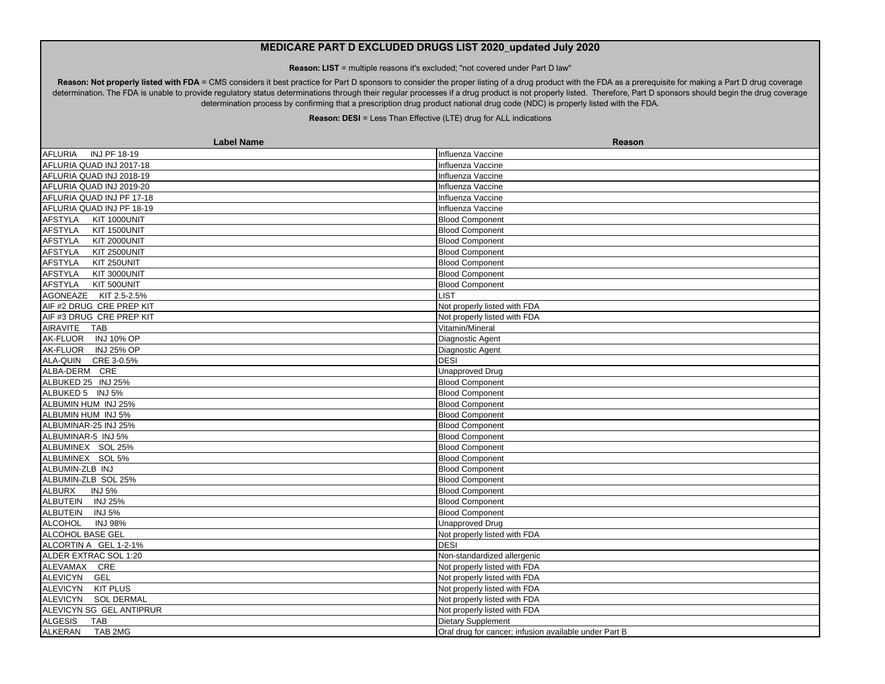**Reason: LIST** = multiple reasons it's excluded; "not covered under Part D law"

Reason: Not properly listed with FDA = CMS considers it best practice for Part D sponsors to consider the proper listing of a drug product with the FDA as a prerequisite for making a Part D drug coverage determination. The FDA is unable to provide regulatory status determinations through their regular processes if a drug product is not properly listed. Therefore, Part D sponsors should begin the drug coverage determination process by confirming that a prescription drug product national drug code (NDC) is properly listed with the FDA.

| <b>Label Name</b>                     | <b>Reason</b>                                         |
|---------------------------------------|-------------------------------------------------------|
| AFLURIA<br>INJ PF 18-19               | Influenza Vaccine                                     |
| AFLURIA QUAD INJ 2017-18              | Influenza Vaccine                                     |
| AFLURIA QUAD INJ 2018-19              | Influenza Vaccine                                     |
| AFLURIA QUAD INJ 2019-20              | Influenza Vaccine                                     |
| AFLURIA QUAD INJ PF 17-18             | Influenza Vaccine                                     |
| AFLURIA QUAD INJ PF 18-19             | Influenza Vaccine                                     |
| <b>AFSTYLA</b><br>KIT 1000UNIT        | <b>Blood Component</b>                                |
| AFSTYLA<br>KIT 1500UNIT               | <b>Blood Component</b>                                |
| <b>AFSTYLA</b><br><b>KIT 2000UNIT</b> | <b>Blood Component</b>                                |
| KIT 2500UNIT<br><b>AFSTYLA</b>        | <b>Blood Component</b>                                |
| <b>AFSTYLA</b><br>KIT 250UNIT         | <b>Blood Component</b>                                |
| <b>AFSTYLA</b><br>KIT 3000UNIT        | <b>Blood Component</b>                                |
| KIT 500UNIT<br>AFSTYLA                | <b>Blood Component</b>                                |
| AGONEAZE KIT 2.5-2.5%                 | <b>LIST</b>                                           |
| AIF #2 DRUG CRE PREP KIT              | Not properly listed with FDA                          |
| AIF #3 DRUG CRE PREP KIT              | Not properly listed with FDA                          |
| AIRAVITE TAB                          | Vitamin/Mineral                                       |
| AK-FLUOR INJ 10% OP                   | Diagnostic Agent                                      |
| AK-FLUOR INJ 25% OP                   | Diagnostic Agent                                      |
| ALA-QUIN CRE 3-0.5%                   | <b>DESI</b>                                           |
| ALBA-DERM CRE                         | <b>Unapproved Drug</b>                                |
| ALBUKED 25 INJ 25%                    | <b>Blood Component</b>                                |
| ALBUKED 5 INJ 5%                      | <b>Blood Component</b>                                |
| ALBUMIN HUM INJ 25%                   | <b>Blood Component</b>                                |
| ALBUMIN HUM INJ 5%                    | <b>Blood Component</b>                                |
| ALBUMINAR-25 INJ 25%                  | <b>Blood Component</b>                                |
| ALBUMINAR-5 INJ 5%                    | <b>Blood Component</b>                                |
| ALBUMINEX SOL 25%                     | <b>Blood Component</b>                                |
| ALBUMINEX SOL 5%                      | <b>Blood Component</b>                                |
| ALBUMIN-ZLB INJ                       | <b>Blood Component</b>                                |
| ALBUMIN-ZLB SOL 25%                   | <b>Blood Component</b>                                |
| <b>ALBURX</b><br><b>INJ 5%</b>        | <b>Blood Component</b>                                |
| ALBUTEIN INJ 25%                      | <b>Blood Component</b>                                |
| <b>INJ 5%</b><br><b>ALBUTEIN</b>      | <b>Blood Component</b>                                |
| <b>ALCOHOL</b><br><b>INJ 98%</b>      | <b>Unapproved Drug</b>                                |
| ALCOHOL BASE GEL                      | Not properly listed with FDA                          |
| ALCORTIN A GEL 1-2-1%                 | <b>DESI</b>                                           |
| ALDER EXTRAC SOL 1:20                 | Non-standardized allergenic                           |
| ALEVAMAX CRE                          | Not properly listed with FDA                          |
| ALEVICYN GEL                          | Not properly listed with FDA                          |
| ALEVICYN KIT PLUS                     | Not properly listed with FDA                          |
| ALEVICYN SOL DERMAL                   | Not properly listed with FDA                          |
| ALEVICYN SG GEL ANTIPRUR              | Not properly listed with FDA                          |
| <b>ALGESIS</b><br><b>TAB</b>          | <b>Dietary Supplement</b>                             |
| <b>ALKERAN</b><br>TAB 2MG             | Oral drug for cancer; infusion available under Part B |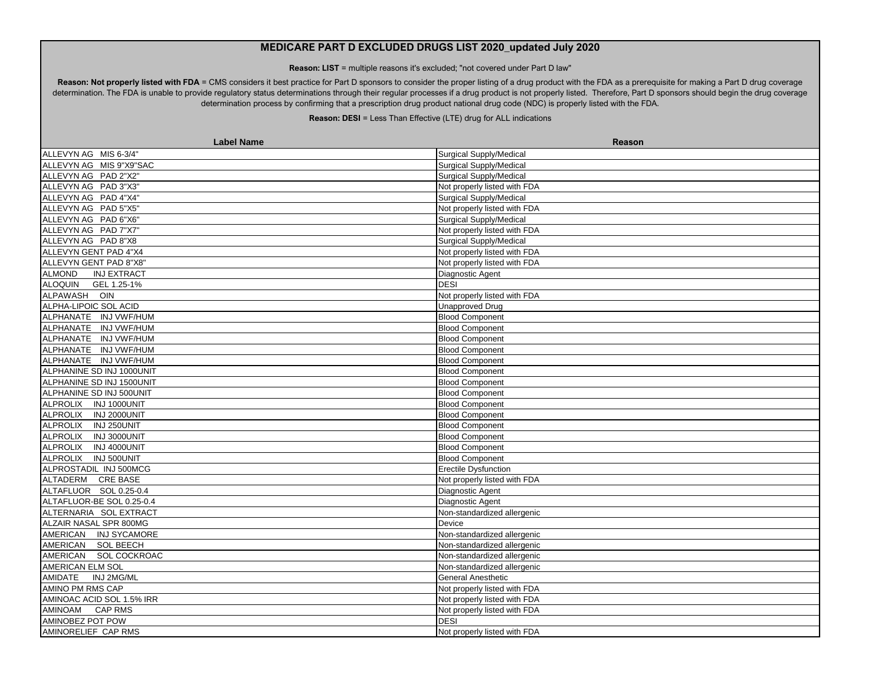**Reason: LIST** = multiple reasons it's excluded; "not covered under Part D law"

Reason: Not properly listed with FDA = CMS considers it best practice for Part D sponsors to consider the proper listing of a drug product with the FDA as a prerequisite for making a Part D drug coverage determination. The FDA is unable to provide regulatory status determinations through their regular processes if a drug product is not properly listed. Therefore, Part D sponsors should begin the drug coverage determination process by confirming that a prescription drug product national drug code (NDC) is properly listed with the FDA.

| <b>Label Name</b>                   | <b>Reason</b>                  |
|-------------------------------------|--------------------------------|
| ALLEVYN AG MIS 6-3/4"               | <b>Surgical Supply/Medical</b> |
| ALLEVYN AG MIS 9"X9"SAC             | <b>Surgical Supply/Medical</b> |
| ALLEVYN AG PAD 2"X2"                | <b>Surgical Supply/Medical</b> |
| ALLEVYN AG PAD 3"X3"                | Not properly listed with FDA   |
| ALLEVYN AG PAD 4"X4"                | <b>Surgical Supply/Medical</b> |
| ALLEVYN AG PAD 5"X5"                | Not properly listed with FDA   |
| ALLEVYN AG PAD 6"X6"                | <b>Surgical Supply/Medical</b> |
| ALLEVYN AG PAD 7"X7"                | Not properly listed with FDA   |
| ALLEVYN AG PAD 8"X8                 | <b>Surgical Supply/Medical</b> |
| ALLEVYN GENT PAD 4"X4               | Not properly listed with FDA   |
| ALLEVYN GENT PAD 8"X8"              | Not properly listed with FDA   |
| <b>ALMOND</b><br><b>INJ EXTRACT</b> | Diagnostic Agent               |
| ALOQUIN GEL 1.25-1%                 | <b>DESI</b>                    |
| ALPAWASH OIN                        | Not properly listed with FDA   |
| ALPHA-LIPOIC SOL ACID               | <b>Unapproved Drug</b>         |
| ALPHANATE INJ VWF/HUM               | <b>Blood Component</b>         |
| ALPHANATE INJ VWF/HUM               | <b>Blood Component</b>         |
| ALPHANATE INJ VWF/HUM               | <b>Blood Component</b>         |
| ALPHANATE INJ VWF/HUM               | <b>Blood Component</b>         |
| ALPHANATE INJ VWF/HUM               | <b>Blood Component</b>         |
| ALPHANINE SD INJ 1000UNIT           | <b>Blood Component</b>         |
| ALPHANINE SD INJ 1500UNIT           | <b>Blood Component</b>         |
| ALPHANINE SD INJ 500UNIT            | <b>Blood Component</b>         |
| ALPROLIX INJ 1000UNIT               | <b>Blood Component</b>         |
| ALPROLIX INJ 2000UNIT               | <b>Blood Component</b>         |
| ALPROLIX INJ 250UNIT                | <b>Blood Component</b>         |
| ALPROLIX INJ 3000UNIT               | <b>Blood Component</b>         |
| ALPROLIX INJ 4000UNIT               | <b>Blood Component</b>         |
| ALPROLIX INJ 500UNIT                | <b>Blood Component</b>         |
| ALPROSTADIL INJ 500MCG              | Erectile Dysfunction           |
| ALTADERM CRE BASE                   | Not properly listed with FDA   |
| ALTAFLUOR SOL 0.25-0.4              | Diagnostic Agent               |
| ALTAFLUOR-BE SOL 0.25-0.4           | Diagnostic Agent               |
| ALTERNARIA SOL EXTRACT              | Non-standardized allergenic    |
| ALZAIR NASAL SPR 800MG              | Device                         |
| AMERICAN INJ SYCAMORE               | Non-standardized allergenic    |
| AMERICAN SOL BEECH                  | Non-standardized allergenic    |
| AMERICAN SOL COCKROAC               | Non-standardized allergenic    |
| <b>AMERICAN ELM SOL</b>             | Non-standardized allergenic    |
| <b>AMIDATE</b><br>INJ 2MG/ML        | <b>General Anesthetic</b>      |
| AMINO PM RMS CAP                    | Not properly listed with FDA   |
| AMINOAC ACID SOL 1.5% IRR           | Not properly listed with FDA   |
| <b>AMINOAM</b><br><b>CAP RMS</b>    | Not properly listed with FDA   |
| AMINOBEZ POT POW                    | <b>DESI</b>                    |
| AMINORELIEF CAP RMS                 | Not properly listed with FDA   |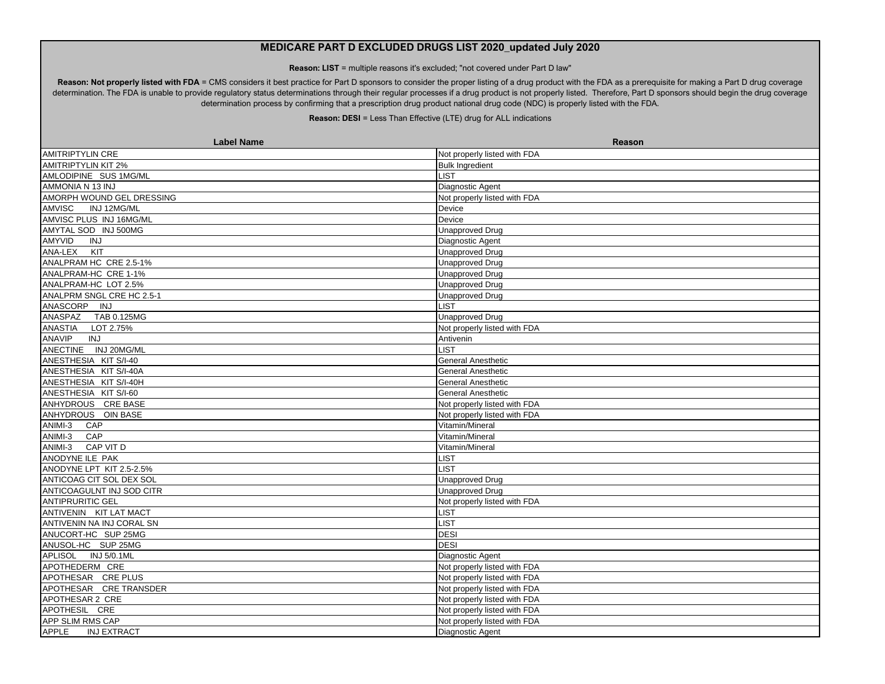**Reason: LIST** = multiple reasons it's excluded; "not covered under Part D law"

Reason: Not properly listed with FDA = CMS considers it best practice for Part D sponsors to consider the proper listing of a drug product with the FDA as a prerequisite for making a Part D drug coverage determination. The FDA is unable to provide regulatory status determinations through their regular processes if a drug product is not properly listed. Therefore, Part D sponsors should begin the drug coverage determination process by confirming that a prescription drug product national drug code (NDC) is properly listed with the FDA.

| <b>Label Name</b>                  | Reason                       |
|------------------------------------|------------------------------|
| <b>AMITRIPTYLIN CRE</b>            | Not properly listed with FDA |
| <b>AMITRIPTYLIN KIT 2%</b>         | <b>Bulk Ingredient</b>       |
| AMLODIPINE SUS 1MG/ML              | LIST                         |
| AMMONIA N 13 INJ                   | Diagnostic Agent             |
| AMORPH WOUND GEL DRESSING          | Not properly listed with FDA |
| <b>AMVISC</b><br>INJ 12MG/ML       | Device                       |
| AMVISC PLUS INJ 16MG/ML            | Device                       |
| AMYTAL SOD INJ 500MG               | <b>Unapproved Drug</b>       |
| <b>AMYVID</b><br>INJ               | Diagnostic Agent             |
| ANA-LEX<br>KIT                     | <b>Unapproved Drug</b>       |
| ANALPRAM HC CRE 2.5-1%             | <b>Unapproved Drug</b>       |
| ANALPRAM-HC CRE 1-1%               | Unapproved Drug              |
| ANALPRAM-HC LOT 2.5%               | Unapproved Drug              |
| ANALPRM SNGL CRE HC 2.5-1          | <b>Unapproved Drug</b>       |
| ANASCORP INJ                       | <b>LIST</b>                  |
| ANASPAZ TAB 0.125MG                | <b>Unapproved Drug</b>       |
| ANASTIA<br>LOT 2.75%               | Not properly listed with FDA |
| ANAVIP<br>INJ                      | Antivenin                    |
| ANECTINE INJ 20MG/ML               | <b>LIST</b>                  |
| ANESTHESIA KIT S/I-40              | <b>General Anesthetic</b>    |
| ANESTHESIA KIT S/I-40A             | <b>General Anesthetic</b>    |
| ANESTHESIA KIT S/I-40H             | <b>General Anesthetic</b>    |
| ANESTHESIA KIT S/I-60              | <b>General Anesthetic</b>    |
| ANHYDROUS CRE BASE                 | Not properly listed with FDA |
| ANHYDROUS OIN BASE                 | Not properly listed with FDA |
| ANIMI-3<br>CAP                     | Vitamin/Mineral              |
| ANIMI-3<br>CAP                     | Vitamin/Mineral              |
| $ANIMI-3$<br>CAP VIT D             | Vitamin/Mineral              |
| ANODYNE ILE PAK                    | LIST                         |
| ANODYNE LPT KIT 2.5-2.5%           | <b>IST</b>                   |
| ANTICOAG CIT SOL DEX SOL           | <b>Unapproved Drug</b>       |
| ANTICOAGULNT INJ SOD CITR          | <b>Unapproved Drug</b>       |
| <b>ANTIPRURITIC GEL</b>            | Not properly listed with FDA |
| ANTIVENIN KIT LAT MACT             | <b>IST</b>                   |
| ANTIVENIN NA INJ CORAL SN          | <b>LIST</b>                  |
| ANUCORT-HC SUP 25MG                | <b>DESI</b>                  |
| ANUSOL-HC SUP 25MG                 | <b>DESI</b>                  |
| APLISOL INJ 5/0.1ML                | Diagnostic Agent             |
| APOTHEDERM CRE                     | Not properly listed with FDA |
| APOTHESAR CREPLUS                  | Not properly listed with FDA |
| APOTHESAR CRE TRANSDER             | Not properly listed with FDA |
| APOTHESAR 2 CRE                    | Not properly listed with FDA |
| APOTHESIL CRE                      | Not properly listed with FDA |
| APP SLIM RMS CAP                   | Not properly listed with FDA |
| <b>APPLE</b><br><b>INJ EXTRACT</b> | <b>Diagnostic Agent</b>      |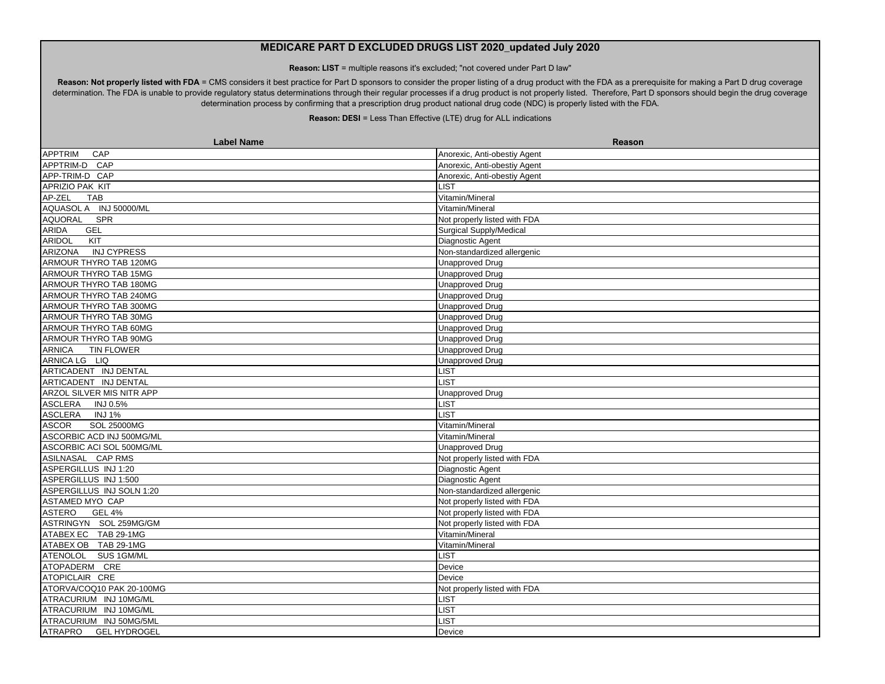**Reason: LIST** = multiple reasons it's excluded; "not covered under Part D law"

Reason: Not properly listed with FDA = CMS considers it best practice for Part D sponsors to consider the proper listing of a drug product with the FDA as a prerequisite for making a Part D drug coverage determination. The FDA is unable to provide regulatory status determinations through their regular processes if a drug product is not properly listed. Therefore, Part D sponsors should begin the drug coverage determination process by confirming that a prescription drug product national drug code (NDC) is properly listed with the FDA.

| <b>Label Name</b>                     | <b>Reason</b>                |
|---------------------------------------|------------------------------|
| CAP<br><b>APPTRIM</b>                 | Anorexic, Anti-obestiy Agent |
| APPTRIM-D CAP                         | Anorexic, Anti-obestiy Agent |
| APP-TRIM-D CAP                        | Anorexic, Anti-obestiy Agent |
| APRIZIO PAK KIT                       | LIST                         |
| AP-ZEL<br><b>TAB</b>                  | Vitamin/Mineral              |
| AQUASOL A INJ 50000/ML                | Vitamin/Mineral              |
| <b>AQUORAL</b><br>SPR                 | Not properly listed with FDA |
| <b>ARIDA</b><br><b>GEL</b>            | Surgical Supply/Medical      |
| ARIDOL<br>KIT                         | Diagnostic Agent             |
| ARIZONA INJ CYPRESS                   | Non-standardized allergenic  |
| ARMOUR THYRO TAB 120MG                | <b>Unapproved Drug</b>       |
| ARMOUR THYRO TAB 15MG                 | Unapproved Drug              |
| ARMOUR THYRO TAB 180MG                | <b>Unapproved Drug</b>       |
| ARMOUR THYRO TAB 240MG                | <b>Unapproved Drug</b>       |
| ARMOUR THYRO TAB 300MG                | <b>Unapproved Drug</b>       |
| ARMOUR THYRO TAB 30MG                 | Unapproved Drug              |
| ARMOUR THYRO TAB 60MG                 | <b>Unapproved Drug</b>       |
| ARMOUR THYRO TAB 90MG                 | <b>Unapproved Drug</b>       |
| <b>TIN FLOWER</b><br><b>ARNICA</b>    | <b>Unapproved Drug</b>       |
| ARNICA LG LIQ                         | <b>Unapproved Drug</b>       |
| ARTICADENT INJ DENTAL                 | LIST                         |
| ARTICADENT INJ DENTAL                 | LIST                         |
| ARZOL SILVER MIS NITR APP             | <b>Unapproved Drug</b>       |
| ASCLERA INJ 0.5%                      | <b>LIST</b>                  |
| ASCLERA INJ1%                         | <b>LIST</b>                  |
| <b>SOL 25000MG</b><br><b>ASCOR</b>    | Vitamin/Mineral              |
| ASCORBIC ACD INJ 500MG/ML             | Vitamin/Mineral              |
| ASCORBIC ACI SOL 500MG/ML             | <b>Unapproved Drug</b>       |
| ASILNASAL CAP RMS                     | Not properly listed with FDA |
| ASPERGILLUS INJ 1:20                  | Diagnostic Agent             |
| ASPERGILLUS INJ 1:500                 | Diagnostic Agent             |
| ASPERGILLUS INJ SOLN 1:20             | Non-standardized allergenic  |
| ASTAMED MYO CAP                       | Not properly listed with FDA |
| ASTERO<br><b>GEL 4%</b>               | Not properly listed with FDA |
| ASTRINGYN SOL 259MG/GM                | Not properly listed with FDA |
| ATABEX EC TAB 29-1MG                  | Vitamin/Mineral              |
| ATABEX OB TAB 29-1MG                  | Vitamin/Mineral              |
| ATENOLOL SUS 1GM/ML                   | <b>LIST</b>                  |
| ATOPADERM CRE                         | Device                       |
| ATOPICLAIR CRE                        | Device                       |
| ATORVA/COQ10 PAK 20-100MG             | Not properly listed with FDA |
| ATRACURIUM INJ 10MG/ML                | LIST                         |
| ATRACURIUM INJ 10MG/ML                | <b>LIST</b>                  |
| ATRACURIUM INJ 50MG/5ML               | <b>LIST</b>                  |
| <b>GEL HYDROGEL</b><br><b>ATRAPRO</b> | Device                       |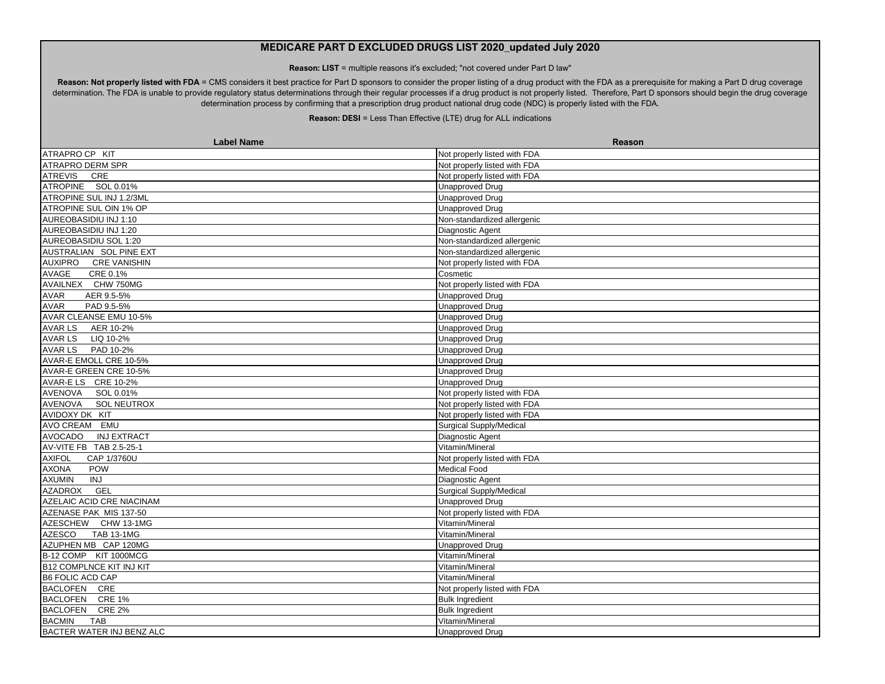**Reason: LIST** = multiple reasons it's excluded; "not covered under Part D law"

Reason: Not properly listed with FDA = CMS considers it best practice for Part D sponsors to consider the proper listing of a drug product with the FDA as a prerequisite for making a Part D drug coverage determination. The FDA is unable to provide regulatory status determinations through their regular processes if a drug product is not properly listed. Therefore, Part D sponsors should begin the drug coverage determination process by confirming that a prescription drug product national drug code (NDC) is properly listed with the FDA.

| <b>Label Name</b>                  | Reason                         |
|------------------------------------|--------------------------------|
| ATRAPRO CP KIT                     | Not properly listed with FDA   |
| ATRAPRO DERM SPR                   | Not properly listed with FDA   |
| <b>ATREVIS</b><br>CRE              | Not properly listed with FDA   |
| ATROPINE SOL 0.01%                 | <b>Unapproved Drug</b>         |
| ATROPINE SUL INJ 1.2/3ML           | <b>Unapproved Drug</b>         |
| ATROPINE SUL OIN 1% OP             | <b>Unapproved Drug</b>         |
| AUREOBASIDIU INJ 1:10              | Non-standardized allergenic    |
| AUREOBASIDIU INJ 1:20              | Diagnostic Agent               |
| AUREOBASIDIU SOL 1:20              | Non-standardized allergenic    |
| AUSTRALIAN SOL PINE EXT            | Non-standardized allergenic    |
| AUXIPRO CRE VANISHIN               | Not properly listed with FDA   |
| AVAGE<br>CRE 0.1%                  | Cosmetic                       |
| AVAILNEX CHW 750MG                 | Not properly listed with FDA   |
| AVAR<br>AER 9.5-5%                 | <b>Unapproved Drug</b>         |
| PAD 9.5-5%<br><b>AVAR</b>          | <b>Unapproved Drug</b>         |
| AVAR CLEANSE EMU 10-5%             | <b>Unapproved Drug</b>         |
| AVAR LS AER 10-2%                  | <b>Unapproved Drug</b>         |
| AVAR LS LIQ 10-2%                  | <b>Unapproved Drug</b>         |
| <b>AVAR LS</b><br>PAD 10-2%        | <b>Unapproved Drug</b>         |
| AVAR-E EMOLL CRE 10-5%             | <b>Unapproved Drug</b>         |
| AVAR-E GREEN CRE 10-5%             | <b>Unapproved Drug</b>         |
| AVAR-ELS CRE 10-2%                 | <b>Unapproved Drug</b>         |
| AVENOVA SOL 0.01%                  | Not properly listed with FDA   |
| AVENOVA SOL NEUTROX                | Not properly listed with FDA   |
| AVIDOXY DK KIT                     | Not properly listed with FDA   |
| AVO CREAM EMU                      | <b>Surgical Supply/Medical</b> |
| AVOCADO INJ EXTRACT                | Diagnostic Agent               |
| AV-VITE FB TAB 2.5-25-1            | Vitamin/Mineral                |
| <b>AXIFOL</b><br>CAP 1/3760U       | Not properly listed with FDA   |
| <b>AXONA</b><br><b>POW</b>         | Medical Food                   |
| <b>AXUMIN</b><br>INJ               | Diagnostic Agent               |
| AZADROX GEL                        | <b>Surgical Supply/Medical</b> |
| AZELAIC ACID CRE NIACINAM          | <b>Unapproved Drug</b>         |
| AZENASE PAK MIS 137-50             | Not properly listed with FDA   |
| AZESCHEW CHW 13-1MG                | Vitamin/Mineral                |
| <b>AZESCO</b><br><b>TAB 13-1MG</b> | Vitamin/Mineral                |
| AZUPHEN MB CAP 120MG               | <b>Unapproved Drug</b>         |
| B-12 COMP KIT 1000MCG              | Vitamin/Mineral                |
| <b>B12 COMPLNCE KIT INJ KIT</b>    | Vitamin/Mineral                |
| <b>B6 FOLIC ACD CAP</b>            | Vitamin/Mineral                |
| BACLOFEN CRE                       | Not properly listed with FDA   |
| BACLOFEN CRE 1%                    | <b>Bulk Ingredient</b>         |
| BACLOFEN CRE 2%                    | <b>Bulk Ingredient</b>         |
| <b>BACMIN</b><br><b>TAB</b>        | Vitamin/Mineral                |
| BACTER WATER INJ BENZ ALC          | <b>Unapproved Drug</b>         |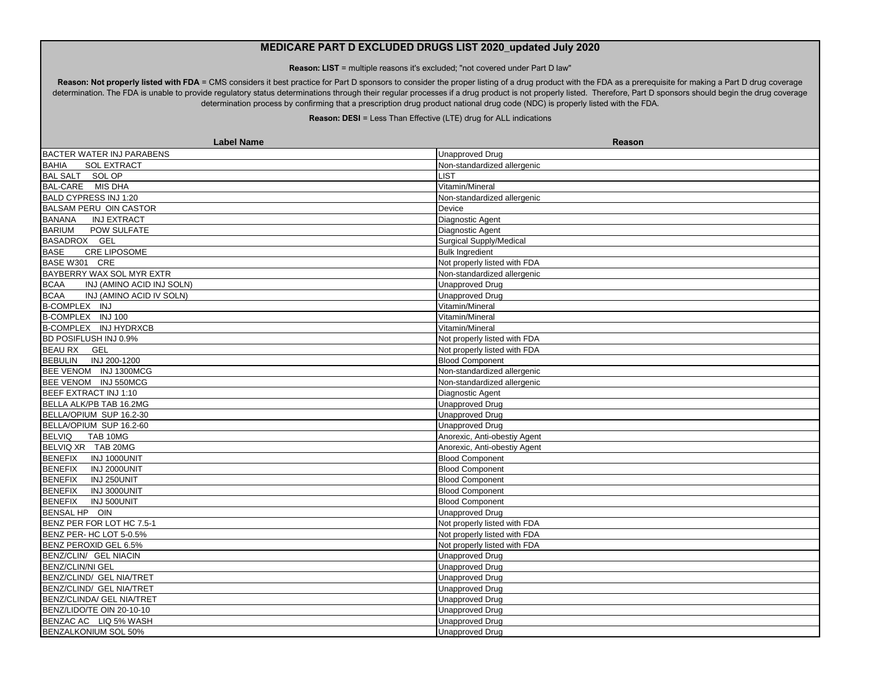**Reason: LIST** = multiple reasons it's excluded; "not covered under Part D law"

Reason: Not properly listed with FDA = CMS considers it best practice for Part D sponsors to consider the proper listing of a drug product with the FDA as a prerequisite for making a Part D drug coverage determination. The FDA is unable to provide regulatory status determinations through their regular processes if a drug product is not properly listed. Therefore, Part D sponsors should begin the drug coverage determination process by confirming that a prescription drug product national drug code (NDC) is properly listed with the FDA.

| <b>Label Name</b>                        | <b>Reason</b>                |
|------------------------------------------|------------------------------|
| <b>BACTER WATER INJ PARABENS</b>         | <b>Unapproved Drug</b>       |
| SOL EXTRACT<br><b>BAHIA</b>              | Non-standardized allergenic  |
| <b>BAL SALT</b><br>SOL OP                | <b>IST</b>                   |
| BAL-CARE MIS DHA                         | Vitamin/Mineral              |
| BALD CYPRESS INJ 1:20                    | Non-standardized allergenic  |
| <b>BALSAM PERU OIN CASTOR</b>            | Device                       |
| <b>BANANA</b><br><b>INJ EXTRACT</b>      | Diagnostic Agent             |
| <b>BARIUM</b><br>POW SULFATE             | Diagnostic Agent             |
| BASADROX GEL                             | Surgical Supply/Medical      |
| <b>BASE</b><br><b>CRE LIPOSOME</b>       | <b>Bulk Ingredient</b>       |
| BASE W301 CRE                            | Not properly listed with FDA |
| BAYBERRY WAX SOL MYR EXTR                | Non-standardized allergenic  |
| INJ (AMINO ACID INJ SOLN)<br><b>BCAA</b> | <b>Unapproved Drug</b>       |
| <b>BCAA</b><br>INJ (AMINO ACID IV SOLN)  | <b>Unapproved Drug</b>       |
| B-COMPLEX INJ                            | Vitamin/Mineral              |
| B-COMPLEX INJ 100                        | Vitamin/Mineral              |
| B-COMPLEX INJ HYDRXCB                    | Vitamin/Mineral              |
| BD POSIFLUSH INJ 0.9%                    | Not properly listed with FDA |
| <b>BEAU RX</b><br>GEL                    | Not properly listed with FDA |
| <b>BEBULIN</b><br>INJ 200-1200           | <b>Blood Component</b>       |
| BEE VENOM INJ 1300MCG                    | Non-standardized allergenic  |
| BEE VENOM INJ 550MCG                     | Non-standardized allergenic  |
| BEEF EXTRACT INJ 1:10                    | Diagnostic Agent             |
| BELLA ALK/PB TAB 16.2MG                  | <b>Unapproved Drug</b>       |
| BELLA/OPIUM SUP 16.2-30                  | <b>Unapproved Drug</b>       |
| BELLA/OPIUM SUP 16.2-60                  | <b>Unapproved Drug</b>       |
| <b>BELVIQ</b><br>TAB 10MG                | Anorexic, Anti-obestiy Agent |
| BELVIQ XR TAB 20MG                       | Anorexic, Anti-obestiy Agent |
| <b>BENEFIX</b><br>INJ 1000UNIT           | <b>Blood Component</b>       |
| <b>BENEFIX</b><br>INJ 2000UNIT           | <b>Blood Component</b>       |
| <b>BENEFIX</b><br>INJ 250UNIT            | <b>Blood Component</b>       |
| <b>BENEFIX</b><br>INJ 3000UNIT           | <b>Blood Component</b>       |
| <b>BENEFIX</b><br>INJ 500UNIT            | <b>Blood Component</b>       |
| BENSAL HP OIN                            | Unapproved Drug              |
| BENZ PER FOR LOT HC 7.5-1                | Not properly listed with FDA |
| BENZ PER- HC LOT 5-0.5%                  | Not properly listed with FDA |
| BENZ PEROXID GEL 6.5%                    | Not properly listed with FDA |
| BENZ/CLIN/ GEL NIACIN                    | Unapproved Drug              |
| <b>BENZ/CLIN/NI GEL</b>                  | <b>Unapproved Drug</b>       |
| BENZ/CLIND/ GEL NIA/TRET                 | Unapproved Drug              |
| BENZ/CLIND/ GEL NIA/TRET                 | Unapproved Drug              |
| BENZ/CLINDA/ GEL NIA/TRET                | Unapproved Drug              |
| BENZ/LIDO/TE OIN 20-10-10                | <b>Unapproved Drug</b>       |
| BENZAC AC LIQ 5% WASH                    | <b>Unapproved Drug</b>       |
| <b>BENZALKONIUM SOL 50%</b>              | Unapproved Drug              |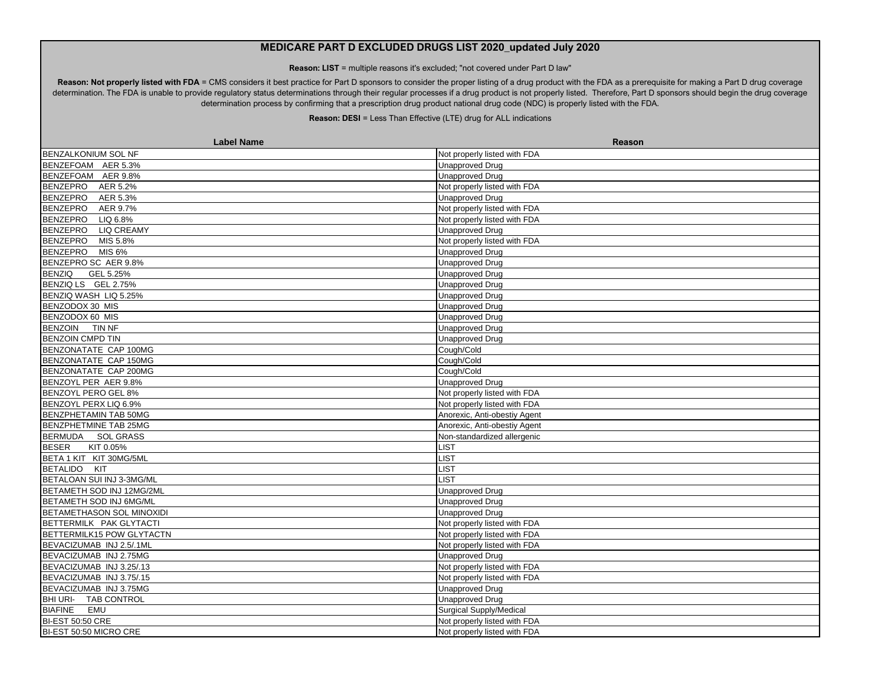**Reason: LIST** = multiple reasons it's excluded; "not covered under Part D law"

Reason: Not properly listed with FDA = CMS considers it best practice for Part D sponsors to consider the proper listing of a drug product with the FDA as a prerequisite for making a Part D drug coverage determination. The FDA is unable to provide regulatory status determinations through their regular processes if a drug product is not properly listed. Therefore, Part D sponsors should begin the drug coverage determination process by confirming that a prescription drug product national drug code (NDC) is properly listed with the FDA.

| <b>Label Name</b>              | Reason                         |
|--------------------------------|--------------------------------|
| BENZALKONIUM SOL NF            | Not properly listed with FDA   |
| BENZEFOAM AER 5.3%             | <b>Unapproved Drug</b>         |
| BENZEFOAM AER 9.8%             | Unapproved Drug                |
| <b>BENZEPRO</b><br>AER 5.2%    | Not properly listed with FDA   |
| <b>BENZEPRO</b><br>AER 5.3%    | <b>Unapproved Drug</b>         |
| <b>BENZEPRO</b><br>AER 9.7%    | Not properly listed with FDA   |
| <b>BENZEPRO</b><br>LIQ 6.8%    | Not properly listed with FDA   |
| BENZEPRO LIQ CREAMY            | <b>Unapproved Drug</b>         |
| BENZEPRO MIS 5.8%              | Not properly listed with FDA   |
| BENZEPRO MIS 6%                | <b>Unapproved Drug</b>         |
| BENZEPRO SC AER 9.8%           | <b>Unapproved Drug</b>         |
| <b>BENZIQ</b><br>GEL 5.25%     | Unapproved Drug                |
| BENZIQ LS GEL 2.75%            | <b>Unapproved Drug</b>         |
| BENZIQ WASH LIQ 5.25%          | <b>Unapproved Drug</b>         |
| BENZODOX 30 MIS                | <b>Unapproved Drug</b>         |
| BENZODOX 60 MIS                | <b>Unapproved Drug</b>         |
| BENZOIN TIN NF                 | <b>Unapproved Drug</b>         |
| <b>BENZOIN CMPD TIN</b>        | <b>Unapproved Drug</b>         |
| BENZONATATE CAP 100MG          | Cough/Cold                     |
| BENZONATATE CAP 150MG          | Cough/Cold                     |
| BENZONATATE CAP 200MG          | Cough/Cold                     |
| BENZOYL PER AER 9.8%           | <b>Unapproved Drug</b>         |
| BENZOYL PERO GEL 8%            | Not properly listed with FDA   |
| BENZOYL PERX LIQ 6.9%          | Not properly listed with FDA   |
| BENZPHETAMIN TAB 50MG          | Anorexic, Anti-obestiy Agent   |
| BENZPHETMINE TAB 25MG          | Anorexic, Anti-obestiy Agent   |
| BERMUDA SOL GRASS              | Non-standardized allergenic    |
| <b>BESER</b><br>KIT 0.05%      | LIST                           |
| BETA 1 KIT KIT 30MG/5ML        | <b>LIST</b>                    |
| BETALIDO KIT                   | <b>LIST</b>                    |
| BETALOAN SUI INJ 3-3MG/ML      | <b>LIST</b>                    |
| BETAMETH SOD INJ 12MG/2ML      | <b>Unapproved Drug</b>         |
| BETAMETH SOD INJ 6MG/ML        | Unapproved Drug                |
| BETAMETHASON SOL MINOXIDI      | <b>Unapproved Drug</b>         |
| BETTERMILK PAK GLYTACTI        | Not properly listed with FDA   |
| BETTERMILK15 POW GLYTACTN      | Not properly listed with FDA   |
| BEVACIZUMAB INJ 2.5/.1ML       | Not properly listed with FDA   |
| BEVACIZUMAB INJ 2.75MG         | <b>Unapproved Drug</b>         |
| BEVACIZUMAB INJ 3.25/.13       | Not properly listed with FDA   |
| BEVACIZUMAB INJ 3.75/.15       | Not properly listed with FDA   |
| BEVACIZUMAB INJ 3.75MG         | <b>Unapproved Drug</b>         |
| BHI URI-<br><b>TAB CONTROL</b> | <b>Unapproved Drug</b>         |
| <b>BIAFINE</b><br>EMU          | <b>Surgical Supply/Medical</b> |
| <b>BI-EST 50:50 CRE</b>        | Not properly listed with FDA   |
| BI-EST 50:50 MICRO CRE         | Not properly listed with FDA   |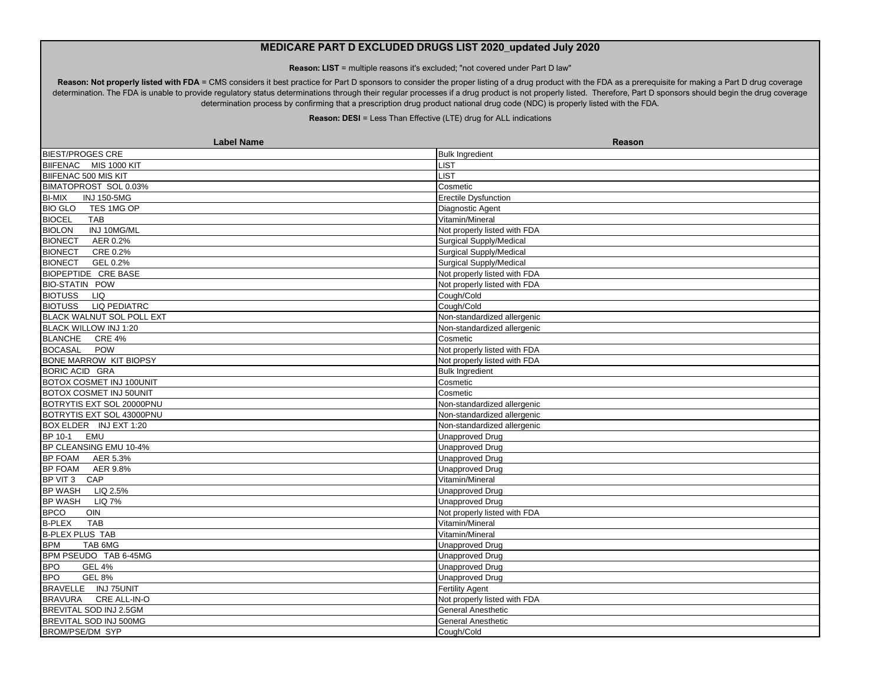**Reason: LIST** = multiple reasons it's excluded; "not covered under Part D law"

Reason: Not properly listed with FDA = CMS considers it best practice for Part D sponsors to consider the proper listing of a drug product with the FDA as a prerequisite for making a Part D drug coverage determination. The FDA is unable to provide regulatory status determinations through their regular processes if a drug product is not properly listed. Therefore, Part D sponsors should begin the drug coverage determination process by confirming that a prescription drug product national drug code (NDC) is properly listed with the FDA.

| <b>Label Name</b>                   | Reason                         |
|-------------------------------------|--------------------------------|
| <b>BIEST/PROGES CRE</b>             | <b>Bulk Ingredient</b>         |
| BIIFENAC MIS 1000 KIT               | LIST                           |
| BIIFENAC 500 MIS KIT                | <b>LIST</b>                    |
| BIMATOPROST SOL 0.03%               | Cosmetic                       |
| <b>INJ 150-5MG</b><br><b>BI-MIX</b> | Erectile Dysfunction           |
| <b>BIO GLO</b><br>TES 1MG OP        | Diagnostic Agent               |
| <b>BIOCEL</b><br>TAB                | Vitamin/Mineral                |
| INJ 10MG/ML<br><b>BIOLON</b>        | Not properly listed with FDA   |
| <b>BIONECT</b><br>AER 0.2%          | Surgical Supply/Medical        |
| <b>BIONECT</b><br>CRE 0.2%          | <b>Surgical Supply/Medical</b> |
| GEL 0.2%<br><b>BIONECT</b>          | Surgical Supply/Medical        |
| <b>BIOPEPTIDE CRE BASE</b>          | Not properly listed with FDA   |
| <b>BIO-STATIN POW</b>               | Not properly listed with FDA   |
| <b>BIOTUSS</b><br><b>LIQ</b>        | Cough/Cold                     |
| BIOTUSS LIQ PEDIATRC                | Cough/Cold                     |
| <b>BLACK WALNUT SOL POLL EXT</b>    | Non-standardized allergenic    |
| BLACK WILLOW INJ 1:20               | Non-standardized allergenic    |
| BLANCHE CRE 4%                      | Cosmetic                       |
| BOCASAL POW                         | Not properly listed with FDA   |
| <b>BONE MARROW KIT BIOPSY</b>       | Not properly listed with FDA   |
| <b>BORIC ACID GRA</b>               | <b>Bulk Ingredient</b>         |
| BOTOX COSMET INJ 100UNIT            | Cosmetic                       |
| BOTOX COSMET INJ 50UNIT             | Cosmetic                       |
| BOTRYTIS EXT SOL 20000PNU           | Non-standardized allergenic    |
| BOTRYTIS EXT SOL 43000PNU           | Non-standardized allergenic    |
| BOX ELDER INJ EXT 1:20              | Non-standardized allergenic    |
| <b>EMU</b><br>BP 10-1               | <b>Unapproved Drug</b>         |
| BP CLEANSING EMU 10-4%              | <b>Unapproved Drug</b>         |
| BP FOAM AER 5.3%                    | <b>Unapproved Drug</b>         |
| BP FOAM AER 9.8%                    | <b>Unapproved Drug</b>         |
| BP VIT 3 CAP                        | Vitamin/Mineral                |
| BP WASH LIQ 2.5%                    | <b>Unapproved Drug</b>         |
| BP WASH LIQ 7%                      | <b>Unapproved Drug</b>         |
| <b>BPCO</b><br>OIN                  | Not properly listed with FDA   |
| <b>B-PLEX</b><br><b>TAB</b>         | Vitamin/Mineral                |
| <b>B-PLEX PLUS TAB</b>              | Vitamin/Mineral                |
| <b>BPM</b><br>TAB 6MG               | <b>Unapproved Drug</b>         |
| BPM PSEUDO TAB 6-45MG               | <b>Unapproved Drug</b>         |
| <b>GEL 4%</b><br><b>BPO</b>         | <b>Unapproved Drug</b>         |
| <b>GEL 8%</b><br><b>BPO</b>         | <b>Unapproved Drug</b>         |
| BRAVELLE INJ 75UNIT                 | Fertility Agent                |
| CRE ALL-IN-O<br><b>BRAVURA</b>      | Not properly listed with FDA   |
| BREVITAL SOD INJ 2.5GM              | <b>General Anesthetic</b>      |
| BREVITAL SOD INJ 500MG              | <b>General Anesthetic</b>      |
| <b>BROM/PSE/DM SYP</b>              | Cough/Cold                     |
|                                     |                                |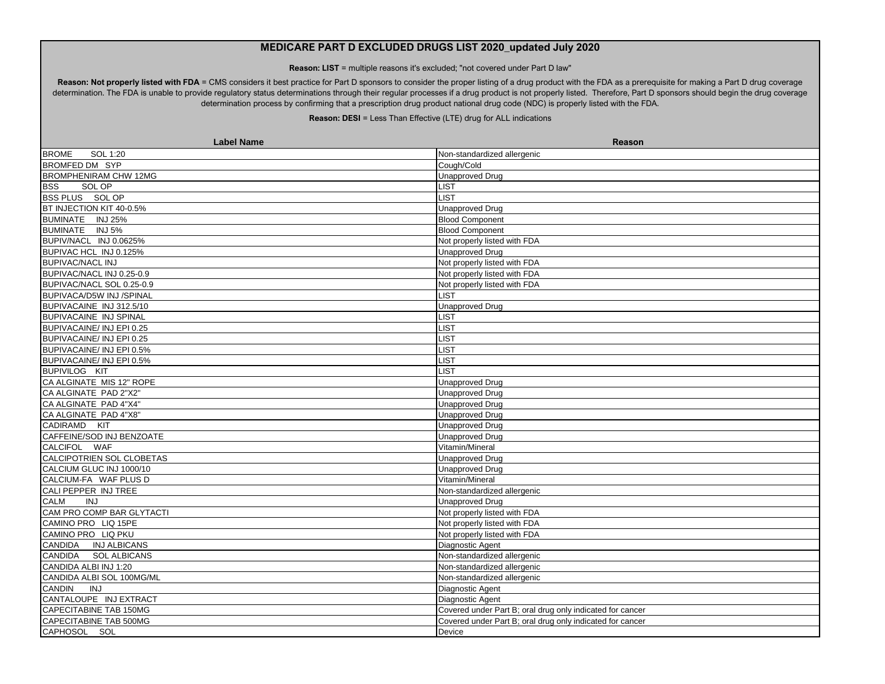**Reason: LIST** = multiple reasons it's excluded; "not covered under Part D law"

Reason: Not properly listed with FDA = CMS considers it best practice for Part D sponsors to consider the proper listing of a drug product with the FDA as a prerequisite for making a Part D drug coverage determination. The FDA is unable to provide regulatory status determinations through their regular processes if a drug product is not properly listed. Therefore, Part D sponsors should begin the drug coverage determination process by confirming that a prescription drug product national drug code (NDC) is properly listed with the FDA.

| <b>Label Name</b>             | Reason                                                    |
|-------------------------------|-----------------------------------------------------------|
| <b>BROME</b><br>SOL 1:20      | Non-standardized allergenic                               |
| <b>BROMFED DM SYP</b>         | Cough/Cold                                                |
| <b>BROMPHENIRAM CHW 12MG</b>  | <b>Unapproved Drug</b>                                    |
| <b>BSS</b><br>SOL OP          | <b>LIST</b>                                               |
| BSS PLUS SOL OP               | <b>IST</b>                                                |
| BT INJECTION KIT 40-0.5%      | <b>Unapproved Drug</b>                                    |
| BUMINATE INJ 25%              | <b>Blood Component</b>                                    |
| BUMINATE INJ 5%               | <b>Blood Component</b>                                    |
| BUPIV/NACL INJ 0.0625%        | Not properly listed with FDA                              |
| BUPIVAC HCL INJ 0.125%        | Unapproved Drug                                           |
| <b>BUPIVAC/NACL INJ</b>       | Not properly listed with FDA                              |
| BUPIVAC/NACL INJ 0.25-0.9     | Not properly listed with FDA                              |
| BUPIVAC/NACL SOL 0.25-0.9     | Not properly listed with FDA                              |
| BUPIVACA/D5W INJ /SPINAL      | _IST                                                      |
| BUPIVACAINE INJ 312.5/10      | <b>Unapproved Drug</b>                                    |
| <b>BUPIVACAINE INJ SPINAL</b> | <b>_IST</b>                                               |
| BUPIVACAINE/ INJ EPI 0.25     | <b>LIST</b>                                               |
| BUPIVACAINE/ INJ EPI 0.25     | <b>_IST</b>                                               |
| BUPIVACAINE/ INJ EPI 0.5%     | <b>IST</b>                                                |
| BUPIVACAINE/ INJ EPI 0.5%     | <b>LIST</b>                                               |
| <b>BUPIVILOG KIT</b>          | <b>IST</b>                                                |
| CA ALGINATE MIS 12" ROPE      | <b>Unapproved Drug</b>                                    |
| CA ALGINATE PAD 2"X2"         | Unapproved Drug                                           |
| CA ALGINATE PAD 4"X4"         | Unapproved Drug                                           |
| CA ALGINATE PAD 4"X8"         | <b>Unapproved Drug</b>                                    |
| CADIRAMD KIT                  | <b>Unapproved Drug</b>                                    |
| CAFFEINE/SOD INJ BENZOATE     | <b>Unapproved Drug</b>                                    |
| CALCIFOL WAF                  | Vitamin/Mineral                                           |
| CALCIPOTRIEN SOL CLOBETAS     | <b>Unapproved Drug</b>                                    |
| CALCIUM GLUC INJ 1000/10      | <b>Unapproved Drug</b>                                    |
| CALCIUM-FA WAF PLUS D         | Vitamin/Mineral                                           |
| CALI PEPPER INJ TREE          | Non-standardized allergenic                               |
| <b>CALM</b><br><b>INJ</b>     | <b>Unapproved Drug</b>                                    |
| CAM PRO COMP BAR GLYTACTI     | Not properly listed with FDA                              |
| CAMINO PRO LIQ 15PE           | Not properly listed with FDA                              |
| CAMINO PRO LIQ PKU            | Not properly listed with FDA                              |
| CANDIDA INJ ALBICANS          | Diagnostic Agent                                          |
| CANDIDA SOL ALBICANS          | Non-standardized allergenic                               |
| CANDIDA ALBI INJ 1:20         | Non-standardized allergenic                               |
| CANDIDA ALBI SOL 100MG/ML     | Non-standardized allergenic                               |
| <b>CANDIN</b><br>INJ          | Diagnostic Agent                                          |
| CANTALOUPE INJ EXTRACT        | Diagnostic Agent                                          |
| <b>CAPECITABINE TAB 150MG</b> | Covered under Part B; oral drug only indicated for cancer |
| <b>CAPECITABINE TAB 500MG</b> | Covered under Part B; oral drug only indicated for cancer |
| CAPHOSOL SOL                  | Device                                                    |
|                               |                                                           |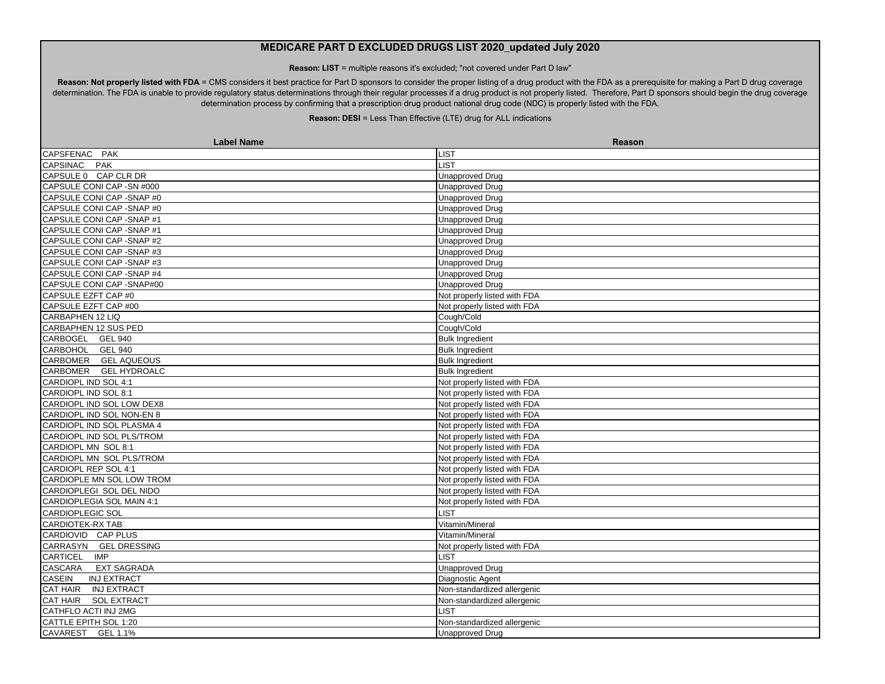**Reason: LIST** = multiple reasons it's excluded; "not covered under Part D law"

Reason: Not properly listed with FDA = CMS considers it best practice for Part D sponsors to consider the proper listing of a drug product with the FDA as a prerequisite for making a Part D drug coverage determination. The FDA is unable to provide regulatory status determinations through their regular processes if a drug product is not properly listed. Therefore, Part D sponsors should begin the drug coverage determination process by confirming that a prescription drug product national drug code (NDC) is properly listed with the FDA.

| <b>Label Name</b>            | Reason                       |
|------------------------------|------------------------------|
| CAPSFENAC PAK                | LIST                         |
| CAPSINAC PAK                 | LIST                         |
| CAPSULE 0 CAP CLR DR         | <b>Unapproved Drug</b>       |
| CAPSULE CONI CAP - SN #000   | Unapproved Drug              |
| CAPSULE CONI CAP - SNAP #0   | <b>Unapproved Drug</b>       |
| CAPSULE CONI CAP - SNAP #0   | <b>Unapproved Drug</b>       |
| CAPSULE CONI CAP - SNAP #1   | <b>Unapproved Drug</b>       |
| CAPSULE CONI CAP - SNAP #1   | <b>Unapproved Drug</b>       |
| CAPSULE CONI CAP - SNAP #2   | <b>Unapproved Drug</b>       |
| CAPSULE CONI CAP - SNAP #3   | <b>Unapproved Drug</b>       |
| CAPSULE CONI CAP - SNAP #3   | <b>Unapproved Drug</b>       |
| CAPSULE CONI CAP - SNAP #4   | <b>Unapproved Drug</b>       |
| CAPSULE CONI CAP - SNAP#00   | <b>Unapproved Drug</b>       |
| CAPSULE EZFT CAP #0          | Not properly listed with FDA |
| CAPSULE EZFT CAP #00         | Not properly listed with FDA |
| CARBAPHEN 12 LIQ             | Cough/Cold                   |
| CARBAPHEN 12 SUS PED         | Cough/Cold                   |
| CARBOGEL GEL 940             | <b>Bulk Ingredient</b>       |
| CARBOHOL GEL 940             | <b>Bulk Ingredient</b>       |
| CARBOMER GEL AQUEOUS         | <b>Bulk Ingredient</b>       |
| CARBOMER GEL HYDROALC        | <b>Bulk Ingredient</b>       |
| CARDIOPL IND SOL 4:1         | Not properly listed with FDA |
| CARDIOPL IND SOL 8:1         | Not properly listed with FDA |
| CARDIOPL IND SOL LOW DEX8    | Not properly listed with FDA |
| CARDIOPL IND SOL NON-EN 8    | Not properly listed with FDA |
| CARDIOPL IND SOL PLASMA 4    | Not properly listed with FDA |
| CARDIOPL IND SOL PLS/TROM    | Not properly listed with FDA |
| CARDIOPL MN SOL 8:1          | Not properly listed with FDA |
| CARDIOPL MN SOL PLS/TROM     | Not properly listed with FDA |
| CARDIOPL REP SOL 4:1         | Not properly listed with FDA |
| CARDIOPLE MN SOL LOW TROM    | Not properly listed with FDA |
| CARDIOPLEGI SOL DEL NIDO     | Not properly listed with FDA |
| CARDIOPLEGIA SOL MAIN 4:1    | Not properly listed with FDA |
| <b>CARDIOPLEGIC SOL</b>      | <b>LIST</b>                  |
| CARDIOTEK-RX TAB             | Vitamin/Mineral              |
| CARDIOVID CAP PLUS           | Vitamin/Mineral              |
| CARRASYN GEL DRESSING        | Not properly listed with FDA |
| CARTICEL IMP                 | LIST                         |
| CASCARA EXT SAGRADA          | <b>Unapproved Drug</b>       |
| CASEIN<br><b>INJ EXTRACT</b> | Diagnostic Agent             |
| CAT HAIR INJ EXTRACT         | Non-standardized allergenic  |
| CAT HAIR SOL EXTRACT         | Non-standardized allergenic  |
| CATHFLO ACTI INJ 2MG         | <b>IST</b>                   |
| CATTLE EPITH SOL 1:20        | Non-standardized allergenic  |
| CAVAREST GEL 1.1%            | <b>Unapproved Drug</b>       |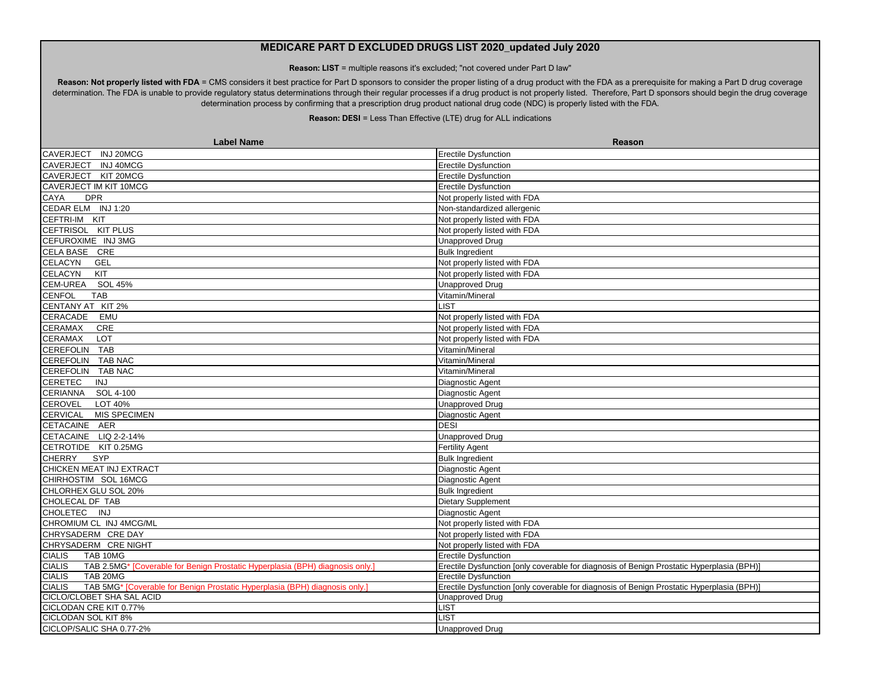**Reason: LIST** = multiple reasons it's excluded; "not covered under Part D law"

Reason: Not properly listed with FDA = CMS considers it best practice for Part D sponsors to consider the proper listing of a drug product with the FDA as a prerequisite for making a Part D drug coverage determination. The FDA is unable to provide regulatory status determinations through their regular processes if a drug product is not properly listed. Therefore, Part D sponsors should begin the drug coverage determination process by confirming that a prescription drug product national drug code (NDC) is properly listed with the FDA.

| <b>Label Name</b>                                                                             | <b>Reason</b>                                                                             |
|-----------------------------------------------------------------------------------------------|-------------------------------------------------------------------------------------------|
| CAVERJECT INJ 20MCG                                                                           | <b>Erectile Dysfunction</b>                                                               |
| CAVERJECT INJ 40MCG                                                                           | <b>Erectile Dysfunction</b>                                                               |
| CAVERJECT KIT 20MCG                                                                           | <b>Erectile Dysfunction</b>                                                               |
| CAVERJECT IM KIT 10MCG                                                                        | <b>Erectile Dysfunction</b>                                                               |
| CAYA<br><b>DPR</b>                                                                            | Not properly listed with FDA                                                              |
| CEDAR ELM INJ 1:20                                                                            | Non-standardized allergenic                                                               |
| CEFTRI-IM KIT                                                                                 | Not properly listed with FDA                                                              |
| CEFTRISOL KIT PLUS                                                                            | Not properly listed with FDA                                                              |
| CEFUROXIME INJ 3MG                                                                            | <b>Unapproved Drug</b>                                                                    |
| CELA BASE CRE                                                                                 | <b>Bulk Ingredient</b>                                                                    |
| <b>CELACYN</b><br>GEL                                                                         | Not properly listed with FDA                                                              |
| <b>CELACYN</b><br>KIT                                                                         | Not properly listed with FDA                                                              |
| CEM-UREA<br>SOL 45%                                                                           | <b>Unapproved Drug</b>                                                                    |
| <b>CENFOL</b><br><b>TAB</b>                                                                   | Vitamin/Mineral                                                                           |
| CENTANY AT KIT 2%                                                                             | <b>LIST</b>                                                                               |
| CERACADE<br>EMU                                                                               | Not properly listed with FDA                                                              |
| CRE<br><b>CERAMAX</b>                                                                         | Not properly listed with FDA                                                              |
| <b>CERAMAX</b><br><b>LOT</b>                                                                  | Not properly listed with FDA                                                              |
| CEREFOLIN TAB                                                                                 | Vitamin/Mineral                                                                           |
| CEREFOLIN TAB NAC                                                                             | Vitamin/Mineral                                                                           |
| CEREFOLIN TAB NAC                                                                             | Vitamin/Mineral                                                                           |
| <b>CERETEC</b><br><b>INJ</b>                                                                  | Diagnostic Agent                                                                          |
| CERIANNA SOL 4-100                                                                            | Diagnostic Agent                                                                          |
| <b>CEROVEL</b><br>LOT 40%                                                                     | <b>Unapproved Drug</b>                                                                    |
| CERVICAL MIS SPECIMEN                                                                         | Diagnostic Agent                                                                          |
| CETACAINE AER                                                                                 | <b>DESI</b>                                                                               |
| CETACAINE LIQ 2-2-14%                                                                         | <b>Unapproved Drug</b>                                                                    |
| CETROTIDE KIT 0.25MG                                                                          | <b>Fertility Agent</b>                                                                    |
| <b>CHERRY</b><br><b>SYP</b>                                                                   | <b>Bulk Ingredient</b>                                                                    |
| CHICKEN MEAT INJ EXTRACT                                                                      | Diagnostic Agent                                                                          |
| CHIRHOSTIM SOL 16MCG                                                                          | Diagnostic Agent                                                                          |
| CHLORHEX GLU SOL 20%                                                                          | <b>Bulk Ingredient</b>                                                                    |
| CHOLECAL DF TAB                                                                               | Dietary Supplement                                                                        |
| CHOLETEC INJ                                                                                  | Diagnostic Agent                                                                          |
| CHROMIUM CL INJ 4MCG/ML                                                                       | Not properly listed with FDA                                                              |
| CHRYSADERM CRE DAY                                                                            | Not properly listed with FDA                                                              |
| CHRYSADERM CRE NIGHT                                                                          | Not properly listed with FDA                                                              |
| <b>CIALIS</b><br>TAB 10MG                                                                     | <b>Erectile Dysfunction</b>                                                               |
| <b>CIALIS</b><br>TAB 2.5MG* [Coverable for Benign Prostatic Hyperplasia (BPH) diagnosis only. | Erectile Dysfunction [only coverable for diagnosis of Benign Prostatic Hyperplasia (BPH)] |
| TAB 20MG<br><b>CIALIS</b>                                                                     | <b>Erectile Dysfunction</b>                                                               |
| TAB 5MG* [Coverable for Benign Prostatic Hyperplasia (BPH) diagnosis only.]<br><b>CIALIS</b>  | Erectile Dysfunction [only coverable for diagnosis of Benign Prostatic Hyperplasia (BPH)] |
| CICLO/CLOBET SHA SAL ACID                                                                     | <b>Unapproved Drug</b>                                                                    |
| CICLODAN CRE KIT 0.77%                                                                        | <b>IST</b>                                                                                |
| CICLODAN SOL KIT 8%                                                                           | <b>JST</b>                                                                                |
| CICLOP/SALIC SHA 0.77-2%                                                                      | <b>Unapproved Drug</b>                                                                    |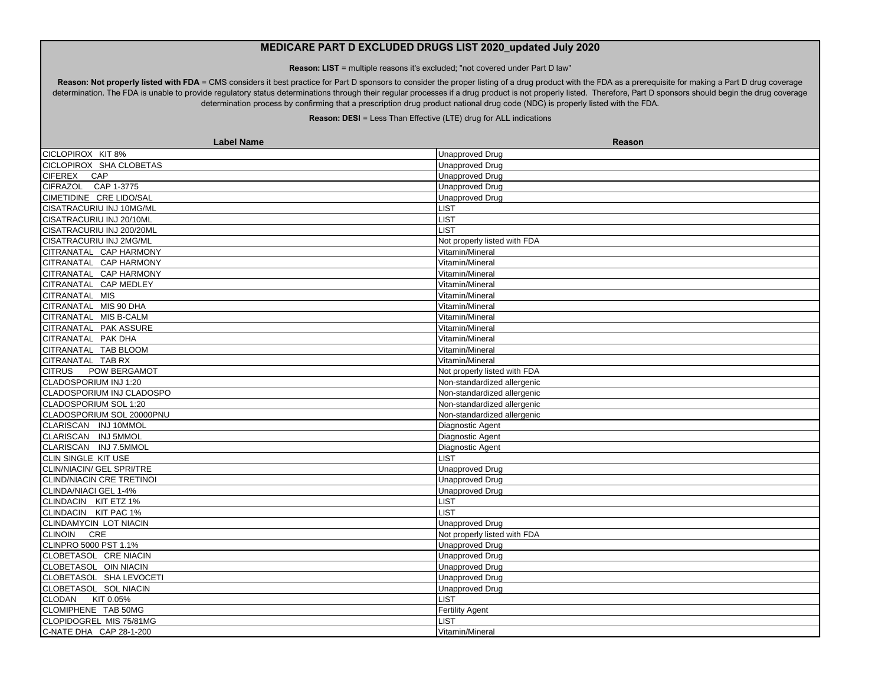**Reason: LIST** = multiple reasons it's excluded; "not covered under Part D law"

Reason: Not properly listed with FDA = CMS considers it best practice for Part D sponsors to consider the proper listing of a drug product with the FDA as a prerequisite for making a Part D drug coverage determination. The FDA is unable to provide regulatory status determinations through their regular processes if a drug product is not properly listed. Therefore, Part D sponsors should begin the drug coverage determination process by confirming that a prescription drug product national drug code (NDC) is properly listed with the FDA.

| <b>Label Name</b>                | <b>Reason</b>                |
|----------------------------------|------------------------------|
| CICLOPIROX KIT 8%                | <b>Unapproved Drug</b>       |
| CICLOPIROX SHA CLOBETAS          | <b>Unapproved Drug</b>       |
| CAP<br><b>CIFEREX</b>            | <b>Unapproved Drug</b>       |
| CIFRAZOL CAP 1-3775              | <b>Unapproved Drug</b>       |
| CIMETIDINE CRE LIDO/SAL          | <b>Unapproved Drug</b>       |
| CISATRACURIU INJ 10MG/ML         | <b>LIST</b>                  |
| CISATRACURIU INJ 20/10ML         | <b>LIST</b>                  |
| CISATRACURIU INJ 200/20ML        | LIST                         |
| CISATRACURIU INJ 2MG/ML          | Not properly listed with FDA |
| CITRANATAL CAP HARMONY           | Vitamin/Mineral              |
| CITRANATAL CAP HARMONY           | Vitamin/Mineral              |
| CITRANATAL CAP HARMONY           | Vitamin/Mineral              |
| CITRANATAL CAP MEDLEY            | Vitamin/Mineral              |
| CITRANATAL MIS                   | Vitamin/Mineral              |
| CITRANATAL MIS 90 DHA            | Vitamin/Mineral              |
| CITRANATAL MIS B-CALM            | Vitamin/Mineral              |
| CITRANATAL PAK ASSURE            | Vitamin/Mineral              |
| CITRANATAL PAK DHA               | Vitamin/Mineral              |
| CITRANATAL TAB BLOOM             | Vitamin/Mineral              |
| CITRANATAL TAB RX                | Vitamin/Mineral              |
| <b>CITRUS</b><br>POW BERGAMOT    | Not properly listed with FDA |
| CLADOSPORIUM INJ 1:20            | Non-standardized allergenic  |
| CLADOSPORIUM INJ CLADOSPO        | Non-standardized allergenic  |
| CLADOSPORIUM SOL 1:20            | Non-standardized allergenic  |
| CLADOSPORIUM SOL 20000PNU        | Non-standardized allergenic  |
| CLARISCAN INJ 10MMOL             | Diagnostic Agent             |
| CLARISCAN INJ 5MMOL              | Diagnostic Agent             |
| CLARISCAN INJ 7.5MMOL            | Diagnostic Agent             |
| CLIN SINGLE KIT USE              | <b>LIST</b>                  |
| <b>CLIN/NIACIN/ GEL SPRI/TRE</b> | <b>Unapproved Drug</b>       |
| CLIND/NIACIN CRE TRETINOI        | <b>Unapproved Drug</b>       |
| CLINDA/NIACI GEL 1-4%            | <b>Unapproved Drug</b>       |
| CLINDACIN KIT ETZ 1%             | <b>LIST</b>                  |
| CLINDACIN KIT PAC 1%             | LIST                         |
| <b>CLINDAMYCIN LOT NIACIN</b>    | <b>Unapproved Drug</b>       |
| CLINOIN CRE                      | Not properly listed with FDA |
| CLINPRO 5000 PST 1.1%            | <b>Unapproved Drug</b>       |
| CLOBETASOL CRE NIACIN            | <b>Unapproved Drug</b>       |
| CLOBETASOL OIN NIACIN            | <b>Unapproved Drug</b>       |
| CLOBETASOL SHA LEVOCETI          | <b>Unapproved Drug</b>       |
| CLOBETASOL SOL NIACIN            | <b>Unapproved Drug</b>       |
| CLODAN KIT 0.05%                 | <b>LIST</b>                  |
| CLOMIPHENE TAB 50MG              | <b>Fertility Agent</b>       |
| CLOPIDOGREL MIS 75/81MG          | LIST                         |
| C-NATE DHA CAP 28-1-200          | Vitamin/Mineral              |
|                                  |                              |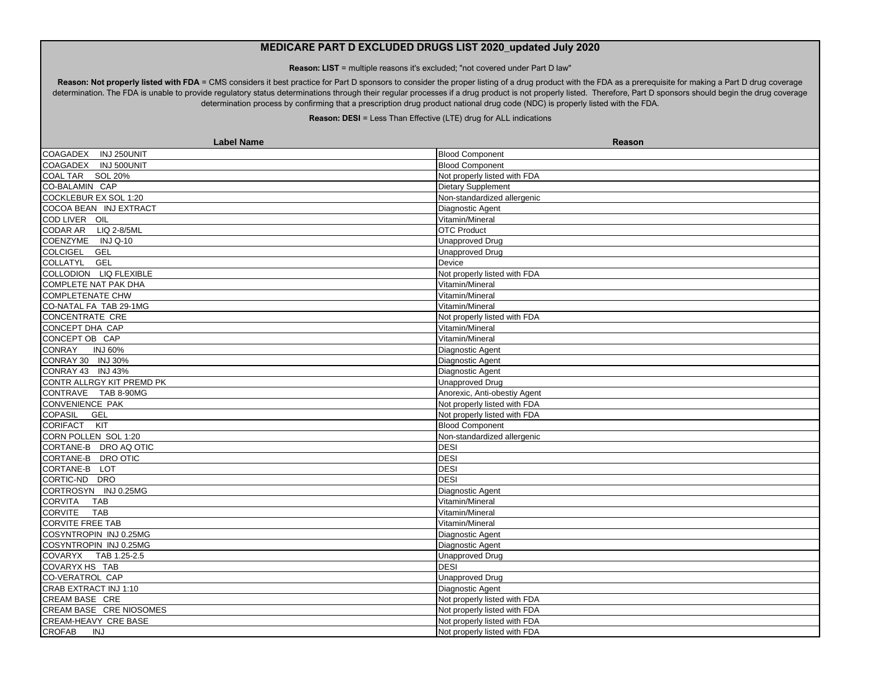**Reason: LIST** = multiple reasons it's excluded; "not covered under Part D law"

Reason: Not properly listed with FDA = CMS considers it best practice for Part D sponsors to consider the proper listing of a drug product with the FDA as a prerequisite for making a Part D drug coverage determination. The FDA is unable to provide regulatory status determinations through their regular processes if a drug product is not properly listed. Therefore, Part D sponsors should begin the drug coverage determination process by confirming that a prescription drug product national drug code (NDC) is properly listed with the FDA.

| <b>Label Name</b>            | Reason                       |
|------------------------------|------------------------------|
| INJ 250UNIT<br>COAGADEX      | <b>Blood Component</b>       |
| COAGADEX INJ 500UNIT         | <b>Blood Component</b>       |
| COAL TAR SOL 20%             | Not properly listed with FDA |
| CO-BALAMIN CAP               | Dietary Supplement           |
| COCKLEBUR EX SOL 1:20        | Non-standardized allergenic  |
| COCOA BEAN INJ EXTRACT       | Diagnostic Agent             |
| COD LIVER OIL                | Vitamin/Mineral              |
| CODAR AR LIQ 2-8/5ML         | <b>OTC Product</b>           |
| COENZYME INJ Q-10            | <b>Unapproved Drug</b>       |
| COLCIGEL GEL                 | <b>Unapproved Drug</b>       |
| COLLATYL GEL                 | Device                       |
| COLLODION LIQ FLEXIBLE       | Not properly listed with FDA |
| <b>COMPLETE NAT PAK DHA</b>  | Vitamin/Mineral              |
| <b>COMPLETENATE CHW</b>      | Vitamin/Mineral              |
| CO-NATAL FA TAB 29-1MG       | Vitamin/Mineral              |
| <b>CONCENTRATE CRE</b>       | Not properly listed with FDA |
| CONCEPT DHA CAP              | Vitamin/Mineral              |
| CONCEPT OB CAP               | Vitamin/Mineral              |
| CONRAY<br><b>INJ 60%</b>     | Diagnostic Agent             |
| CONRAY 30 INJ 30%            | Diagnostic Agent             |
| CONRAY 43 INJ 43%            | Diagnostic Agent             |
| CONTR ALLRGY KIT PREMD PK    | <b>Unapproved Drug</b>       |
| CONTRAVE TAB 8-90MG          | Anorexic, Anti-obestiy Agent |
| <b>CONVENIENCE PAK</b>       | Not properly listed with FDA |
| <b>COPASIL</b><br>GEL        | Not properly listed with FDA |
| CORIFACT KIT                 | <b>Blood Component</b>       |
| CORN POLLEN SOL 1:20         | Non-standardized allergenic  |
| CORTANE-B DRO AQ OTIC        | <b>DESI</b>                  |
| CORTANE-B DRO OTIC           | <b>DESI</b>                  |
| CORTANE-B LOT                | <b>DESI</b>                  |
| CORTIC-ND DRO                | <b>DESI</b>                  |
| CORTROSYN INJ 0.25MG         | Diagnostic Agent             |
| <b>CORVITA</b><br><b>TAB</b> | Vitamin/Mineral              |
| <b>CORVITE</b><br><b>TAB</b> | Vitamin/Mineral              |
| <b>CORVITE FREE TAB</b>      | Vitamin/Mineral              |
| COSYNTROPIN INJ 0.25MG       | Diagnostic Agent             |
| COSYNTROPIN INJ 0.25MG       | Diagnostic Agent             |
| COVARYX TAB 1.25-2.5         | <b>Unapproved Drug</b>       |
| COVARYX HS TAB               | <b>DESI</b>                  |
| <b>CO-VERATROL CAP</b>       | <b>Unapproved Drug</b>       |
| CRAB EXTRACT INJ 1:10        | Diagnostic Agent             |
| CREAM BASE CRE               | Not properly listed with FDA |
| CREAM BASE CRE NIOSOMES      | Not properly listed with FDA |
| CREAM-HEAVY CRE BASE         | Not properly listed with FDA |
| <b>CROFAB</b><br>INJ         | Not properly listed with FDA |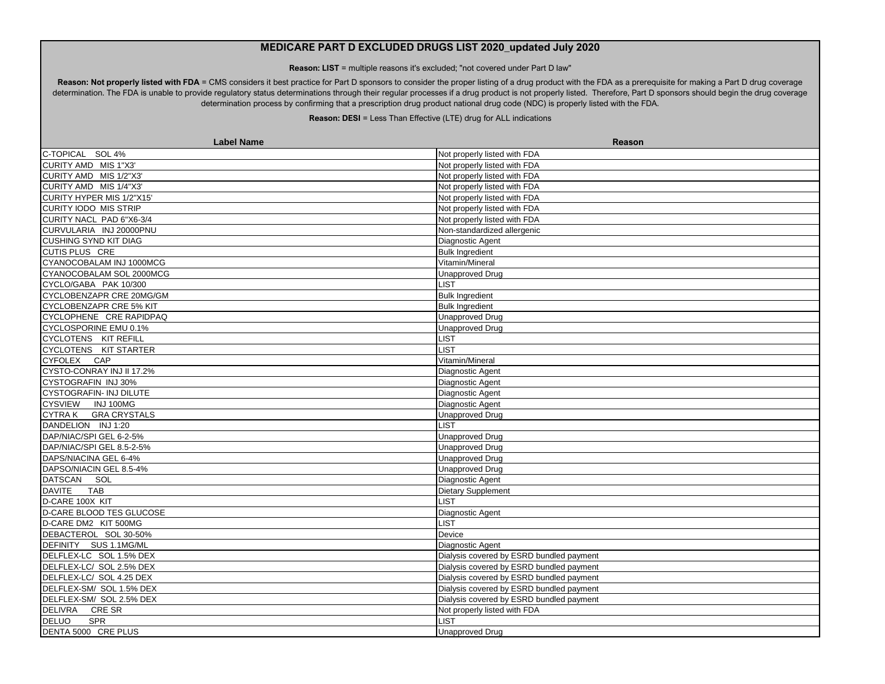**Reason: LIST** = multiple reasons it's excluded; "not covered under Part D law"

Reason: Not properly listed with FDA = CMS considers it best practice for Part D sponsors to consider the proper listing of a drug product with the FDA as a prerequisite for making a Part D drug coverage determination. The FDA is unable to provide regulatory status determinations through their regular processes if a drug product is not properly listed. Therefore, Part D sponsors should begin the drug coverage determination process by confirming that a prescription drug product national drug code (NDC) is properly listed with the FDA.

| <b>Label Name</b>              | Reason                                   |
|--------------------------------|------------------------------------------|
| C-TOPICAL SOL 4%               | Not properly listed with FDA             |
| CURITY AMD MIS 1"X3"           | Not properly listed with FDA             |
| CURITY AMD MIS 1/2"X3'         | Not properly listed with FDA             |
| CURITY AMD MIS 1/4"X3"         | Not properly listed with FDA             |
| CURITY HYPER MIS 1/2"X15'      | Not properly listed with FDA             |
| <b>CURITY IODO MIS STRIP</b>   | Not properly listed with FDA             |
| CURITY NACL PAD 6"X6-3/4       | Not properly listed with FDA             |
| CURVULARIA INJ 20000PNU        | Non-standardized allergenic              |
| <b>CUSHING SYND KIT DIAG</b>   | Diagnostic Agent                         |
| <b>CUTIS PLUS CRE</b>          | <b>Bulk Ingredient</b>                   |
| CYANOCOBALAM INJ 1000MCG       | Vitamin/Mineral                          |
| CYANOCOBALAM SOL 2000MCG       | <b>Unapproved Drug</b>                   |
| CYCLO/GABA PAK 10/300          | <b>IST</b>                               |
| CYCLOBENZAPR CRE 20MG/GM       | <b>Bulk Ingredient</b>                   |
| <b>CYCLOBENZAPR CRE 5% KIT</b> | <b>Bulk Ingredient</b>                   |
| CYCLOPHENE CRE RAPIDPAQ        | <b>Unapproved Drug</b>                   |
| CYCLOSPORINE EMU 0.1%          | <b>Unapproved Drug</b>                   |
| CYCLOTENS KIT REFILL           | <b>LIST</b>                              |
| CYCLOTENS KIT STARTER          | <b>LIST</b>                              |
| CYFOLEX CAP                    | Vitamin/Mineral                          |
| CYSTO-CONRAY INJ II 17.2%      | Diagnostic Agent                         |
| CYSTOGRAFIN INJ 30%            | Diagnostic Agent                         |
| CYSTOGRAFIN- INJ DILUTE        | Diagnostic Agent                         |
| CYSVIEW INJ 100MG              | Diagnostic Agent                         |
| CYTRA K GRA CRYSTALS           | <b>Unapproved Drug</b>                   |
| DANDELION INJ 1:20             | <b>LIST</b>                              |
| DAP/NIAC/SPI GEL 6-2-5%        | <b>Unapproved Drug</b>                   |
| DAP/NIAC/SPI GEL 8.5-2-5%      | <b>Unapproved Drug</b>                   |
| DAPS/NIACINA GEL 6-4%          | <b>Unapproved Drug</b>                   |
| DAPSO/NIACIN GEL 8.5-4%        | <b>Unapproved Drug</b>                   |
| DATSCAN SOL                    | Diagnostic Agent                         |
| <b>DAVITE</b><br><b>TAB</b>    | <b>Dietary Supplement</b>                |
| D-CARE 100X KIT                | LIST                                     |
| D-CARE BLOOD TES GLUCOSE       | Diagnostic Agent                         |
| D-CARE DM2 KIT 500MG           | <b>LIST</b>                              |
| DEBACTEROL SOL 30-50%          | Device                                   |
| DEFINITY SUS 1.1MG/ML          | Diagnostic Agent                         |
| DELFLEX-LC SOL 1.5% DEX        | Dialysis covered by ESRD bundled payment |
| DELFLEX-LC/ SOL 2.5% DEX       | Dialysis covered by ESRD bundled payment |
| DELFLEX-LC/ SOL 4.25 DEX       | Dialysis covered by ESRD bundled payment |
| DELFLEX-SM/ SOL 1.5% DEX       | Dialysis covered by ESRD bundled payment |
| DELFLEX-SM/ SOL 2.5% DEX       | Dialysis covered by ESRD bundled payment |
| <b>DELIVRA</b><br>CRE SR       | Not properly listed with FDA             |
| <b>DELUO</b><br><b>SPR</b>     | <b>IST</b>                               |
| DENTA 5000 CRE PLUS            | Unapproved Drug                          |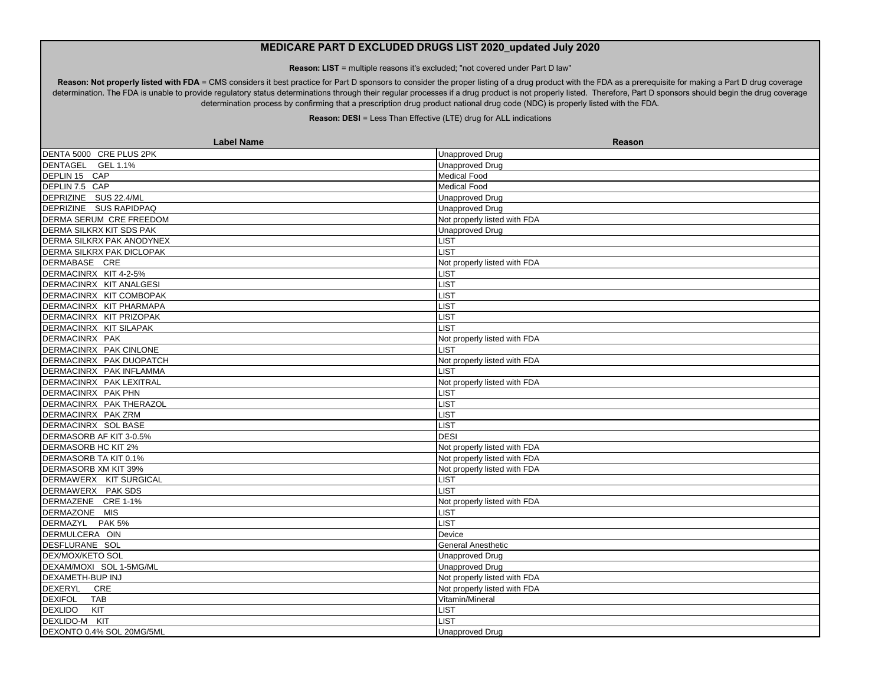**Reason: LIST** = multiple reasons it's excluded; "not covered under Part D law"

Reason: Not properly listed with FDA = CMS considers it best practice for Part D sponsors to consider the proper listing of a drug product with the FDA as a prerequisite for making a Part D drug coverage determination. The FDA is unable to provide regulatory status determinations through their regular processes if a drug product is not properly listed. Therefore, Part D sponsors should begin the drug coverage determination process by confirming that a prescription drug product national drug code (NDC) is properly listed with the FDA.

| <b>Label Name</b>                | Reason                       |
|----------------------------------|------------------------------|
| DENTA 5000 CRE PLUS 2PK          | <b>Unapproved Drug</b>       |
| DENTAGEL GEL 1.1%                | <b>Unapproved Drug</b>       |
| DEPLIN 15 CAP                    | <b>Medical Food</b>          |
| DEPLIN 7.5 CAP                   | Medical Food                 |
| DEPRIZINE SUS 22.4/ML            | <b>Unapproved Drug</b>       |
| DEPRIZINE SUS RAPIDPAQ           | <b>Unapproved Drug</b>       |
| DERMA SERUM CRE FREEDOM          | Not properly listed with FDA |
| DERMA SILKRX KIT SDS PAK         | <b>Unapproved Drug</b>       |
| DERMA SILKRX PAK ANODYNEX        | <b>IST</b>                   |
| <b>DERMA SILKRX PAK DICLOPAK</b> | <b>IST</b>                   |
| DERMABASE CRE                    | Not properly listed with FDA |
| DERMACINRX KIT 4-2-5%            | LIST                         |
| DERMACINRX KIT ANALGESI          | <b>JST</b>                   |
| DERMACINRX KIT COMBOPAK          | <b>LIST</b>                  |
| DERMACINRX KIT PHARMAPA          | <b>_IST</b>                  |
| DERMACINRX KIT PRIZOPAK          | <b>LIST</b>                  |
| DERMACINRX KIT SILAPAK           | <b>LIST</b>                  |
| DERMACINRX PAK                   | Not properly listed with FDA |
| DERMACINRX PAK CINLONE           | <b>IST</b>                   |
| DERMACINRX PAK DUOPATCH          | Not properly listed with FDA |
| DERMACINRX PAK INFLAMMA          | <b>IST</b>                   |
| DERMACINRX PAK LEXITRAL          | Not properly listed with FDA |
| DERMACINRX PAK PHN               | <b>IST</b>                   |
| DERMACINRX PAK THERAZOL          | <b>_IST</b>                  |
| DERMACINRX PAK ZRM               | <b>LIST</b>                  |
| DERMACINRX SOL BASE              | <b>LIST</b>                  |
| DERMASORB AF KIT 3-0.5%          | <b>DESI</b>                  |
| <b>DERMASORB HC KIT 2%</b>       | Not properly listed with FDA |
| DERMASORB TA KIT 0.1%            | Not properly listed with FDA |
| DERMASORB XM KIT 39%             | Not properly listed with FDA |
| DERMAWERX KIT SURGICAL           | <b>LIST</b>                  |
| DERMAWERX PAK SDS                | <b>IST</b>                   |
| DERMAZENE CRE 1-1%               | Not properly listed with FDA |
| DERMAZONE MIS                    | <b>LIST</b>                  |
| <b>DERMAZYL</b><br><b>PAK 5%</b> | <b>LIST</b>                  |
| DERMULCERA OIN                   | Device                       |
| DESFLURANE SOL                   | <b>General Anesthetic</b>    |
| DEX/MOX/KETO SOL                 | <b>Unapproved Drug</b>       |
| DEXAM/MOXI SOL 1-5MG/ML          | <b>Unapproved Drug</b>       |
| DEXAMETH-BUP INJ                 | Not properly listed with FDA |
| <b>DEXERYL</b><br>CRE            | Not properly listed with FDA |
| <b>DEXIFOL</b><br><b>TAB</b>     | Vitamin/Mineral              |
| <b>DEXLIDO</b><br>KIT            | <b>LIST</b>                  |
| DEXLIDO-M KIT                    | <b>IST</b>                   |
| DEXONTO 0.4% SOL 20MG/5ML        | Unapproved Drug              |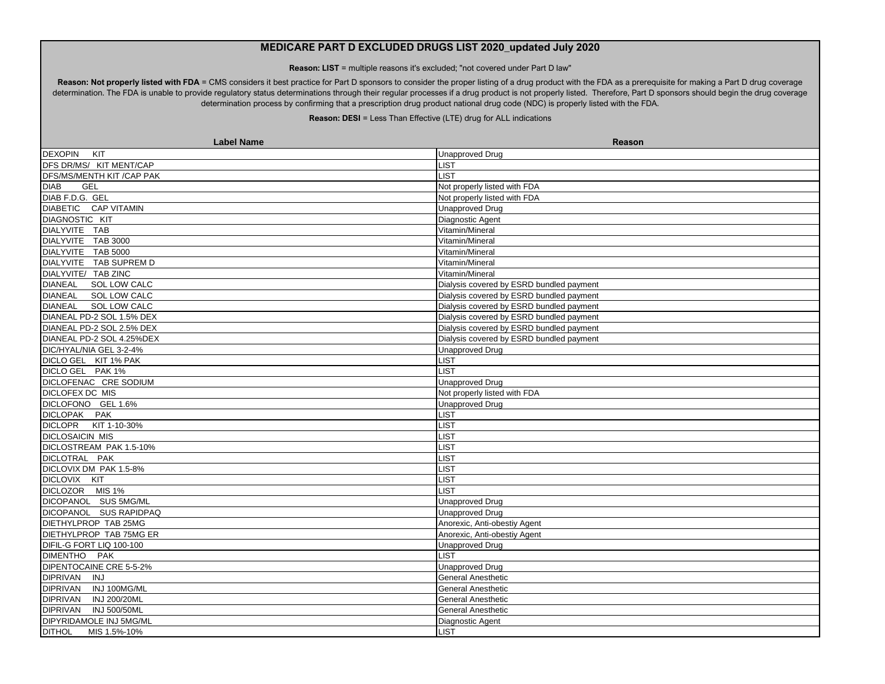**Reason: LIST** = multiple reasons it's excluded; "not covered under Part D law"

Reason: Not properly listed with FDA = CMS considers it best practice for Part D sponsors to consider the proper listing of a drug product with the FDA as a prerequisite for making a Part D drug coverage determination. The FDA is unable to provide regulatory status determinations through their regular processes if a drug product is not properly listed. Therefore, Part D sponsors should begin the drug coverage determination process by confirming that a prescription drug product national drug code (NDC) is properly listed with the FDA.

| <b>Label Name</b>              | <b>Reason</b>                            |
|--------------------------------|------------------------------------------|
| <b>DEXOPIN</b><br>KIT          | Unapproved Drug                          |
| DFS DR/MS/ KIT MENT/CAP        | <b>LIST</b>                              |
| DFS/MS/MENTH KIT / CAP PAK     | <b>LIST</b>                              |
| <b>DIAB</b><br><b>GEL</b>      | Not properly listed with FDA             |
| DIAB F.D.G. GEL                | Not properly listed with FDA             |
| <b>DIABETIC CAP VITAMIN</b>    | <b>Unapproved Drug</b>                   |
| <b>DIAGNOSTIC KIT</b>          | Diagnostic Agent                         |
| DIALYVITE TAB                  | Vitamin/Mineral                          |
| DIALYVITE TAB 3000             | Vitamin/Mineral                          |
| DIALYVITE TAB 5000             | Vitamin/Mineral                          |
| DIALYVITE TAB SUPREM D         | Vitamin/Mineral                          |
| DIALYVITE/ TAB ZINC            | Vitamin/Mineral                          |
| <b>DIANEAL</b><br>SOL LOW CALC | Dialysis covered by ESRD bundled payment |
| DIANEAL SOL LOW CALC           | Dialysis covered by ESRD bundled payment |
| <b>DIANEAL</b><br>SOL LOW CALC | Dialysis covered by ESRD bundled payment |
| DIANEAL PD-2 SOL 1.5% DEX      | Dialysis covered by ESRD bundled payment |
| DIANEAL PD-2 SOL 2.5% DEX      | Dialysis covered by ESRD bundled payment |
| DIANEAL PD-2 SOL 4.25%DEX      | Dialysis covered by ESRD bundled payment |
| DIC/HYAL/NIA GEL 3-2-4%        | <b>Unapproved Drug</b>                   |
| DICLO GEL KIT 1% PAK           | <b>LIST</b>                              |
| DICLO GEL PAK 1%               | <b>LIST</b>                              |
| DICLOFENAC CRE SODIUM          | <b>Unapproved Drug</b>                   |
| DICLOFEX DC MIS                | Not properly listed with FDA             |
| DICLOFONO GEL 1.6%             | <b>Unapproved Drug</b>                   |
| DICLOPAK PAK                   | LIST                                     |
| DICLOPR KIT 1-10-30%           | <b>LIST</b>                              |
| <b>DICLOSAICIN MIS</b>         | <b>LIST</b>                              |
| DICLOSTREAM PAK 1.5-10%        | <b>LIST</b>                              |
| DICLOTRAL PAK                  | LIST                                     |
| DICLOVIX DM PAK 1.5-8%         | LIST                                     |
| DICLOVIX KIT                   | <b>LIST</b>                              |
| DICLOZOR MIS 1%                | LIST                                     |
| DICOPANOL SUS 5MG/ML           | <b>Unapproved Drug</b>                   |
| DICOPANOL SUS RAPIDPAQ         | <b>Unapproved Drug</b>                   |
| DIETHYLPROP TAB 25MG           | Anorexic, Anti-obestiy Agent             |
| DIETHYLPROP TAB 75MG ER        | Anorexic, Anti-obestiy Agent             |
| DIFIL-G FORT LIQ 100-100       | <b>Unapproved Drug</b>                   |
| DIMENTHO PAK                   | <b>LIST</b>                              |
| DIPENTOCAINE CRE 5-5-2%        | <b>Unapproved Drug</b>                   |
| DIPRIVAN INJ                   | General Anesthetic                       |
| DIPRIVAN INJ 100MG/ML          | General Anesthetic                       |
| DIPRIVAN INJ 200/20ML          | <b>General Anesthetic</b>                |
| DIPRIVAN INJ 500/50ML          | <b>General Anesthetic</b>                |
| DIPYRIDAMOLE INJ 5MG/ML        | Diagnostic Agent                         |
| <b>DITHOL</b><br>MIS 1.5%-10%  | <b>LIST</b>                              |
|                                |                                          |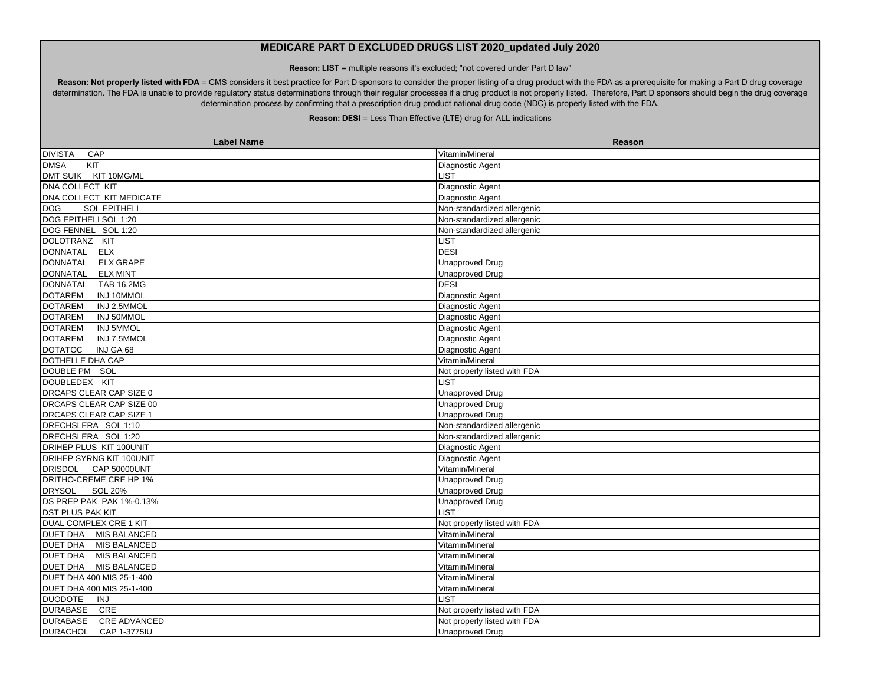**Reason: LIST** = multiple reasons it's excluded; "not covered under Part D law"

Reason: Not properly listed with FDA = CMS considers it best practice for Part D sponsors to consider the proper listing of a drug product with the FDA as a prerequisite for making a Part D drug coverage determination. The FDA is unable to provide regulatory status determinations through their regular processes if a drug product is not properly listed. Therefore, Part D sponsors should begin the drug coverage determination process by confirming that a prescription drug product national drug code (NDC) is properly listed with the FDA.

| <b>Label Name</b>                      | <b>Reason</b>                |
|----------------------------------------|------------------------------|
| <b>DIVISTA</b><br>CAP                  | Vitamin/Mineral              |
| <b>DMSA</b><br>KIT                     | Diagnostic Agent             |
| KIT 10MG/ML<br><b>DMT SUIK</b>         | LIST                         |
| <b>DNA COLLECT KIT</b>                 | Diagnostic Agent             |
| DNA COLLECT KIT MEDICATE               | Diagnostic Agent             |
| <b>SOL EPITHELI</b><br><b>DOG</b>      | Non-standardized allergenic  |
| DOG EPITHELI SOL 1:20                  | Non-standardized allergenic  |
| DOG FENNEL SOL 1:20                    | Non-standardized allergenic  |
| <b>DOLOTRANZ</b><br>KIT                | <b>_IST</b>                  |
| <b>DONNATAL</b><br><b>ELX</b>          | <b>DESI</b>                  |
| <b>ELX GRAPE</b><br><b>DONNATAL</b>    | <b>Unapproved Drug</b>       |
| <b>DONNATAL</b><br><b>ELX MINT</b>     | <b>Unapproved Drug</b>       |
| <b>DONNATAL</b><br><b>TAB 16.2MG</b>   | <b>DESI</b>                  |
| <b>DOTAREM</b><br>INJ 10MMOL           | Diagnostic Agent             |
| <b>DOTAREM</b><br>INJ 2.5MMOL          | Diagnostic Agent             |
| <b>DOTAREM</b><br>INJ 50MMOL           | Diagnostic Agent             |
| <b>DOTAREM</b><br><b>INJ 5MMOL</b>     | Diagnostic Agent             |
| <b>DOTAREM</b><br>INJ 7.5MMOL          | Diagnostic Agent             |
| INJ GA 68<br><b>DOTATOC</b>            | Diagnostic Agent             |
| DOTHELLE DHA CAP                       | Vitamin/Mineral              |
| DOUBLE PM SOL                          | Not properly listed with FDA |
| DOUBLEDEX KIT                          | <b>IST</b>                   |
| <b>DRCAPS CLEAR CAP SIZE 0</b>         | <b>Unapproved Drug</b>       |
| DRCAPS CLEAR CAP SIZE 00               | <b>Unapproved Drug</b>       |
| <b>DRCAPS CLEAR CAP SIZE 1</b>         | <b>Unapproved Drug</b>       |
| DRECHSLERA SOL 1:10                    | Non-standardized allergenic  |
| DRECHSLERA SOL 1:20                    | Non-standardized allergenic  |
| DRIHEP PLUS KIT 100UNIT                | Diagnostic Agent             |
| DRIHEP SYRNG KIT 100UNIT               | Diagnostic Agent             |
| DRISDOL CAP 50000UNT                   | Vitamin/Mineral              |
| DRITHO-CREME CRE HP 1%                 | <b>Unapproved Drug</b>       |
| <b>SOL 20%</b><br><b>DRYSOL</b>        | <b>Unapproved Drug</b>       |
| DS PREP PAK PAK 1%-0.13%               | <b>Unapproved Drug</b>       |
| <b>DST PLUS PAK KIT</b>                | <b>LIST</b>                  |
| DUAL COMPLEX CRE 1 KIT                 | Not properly listed with FDA |
| DUET DHA MIS BALANCED                  | Vitamin/Mineral              |
| DUET DHA MIS BALANCED                  | Vitamin/Mineral              |
| DUET DHA MIS BALANCED                  | Vitamin/Mineral              |
| DUET DHA MIS BALANCED                  | Vitamin/Mineral              |
| DUET DHA 400 MIS 25-1-400              | Vitamin/Mineral              |
| DUET DHA 400 MIS 25-1-400              | Vitamin/Mineral              |
| <b>DUODOTE</b><br>INJ                  | <b>LIST</b>                  |
| <b>DURABASE</b><br>CRE                 | Not properly listed with FDA |
| <b>DURABASE</b><br><b>CRE ADVANCED</b> | Not properly listed with FDA |
| <b>DURACHOL</b><br>CAP 1-3775IU        | Unapproved Drug              |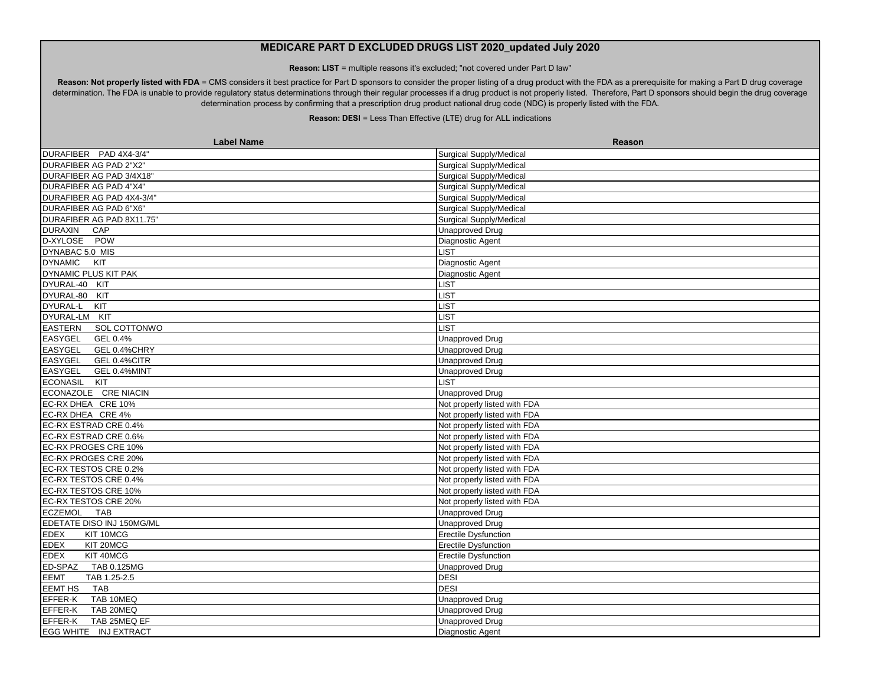**Reason: LIST** = multiple reasons it's excluded; "not covered under Part D law"

Reason: Not properly listed with FDA = CMS considers it best practice for Part D sponsors to consider the proper listing of a drug product with the FDA as a prerequisite for making a Part D drug coverage determination. The FDA is unable to provide regulatory status determinations through their regular processes if a drug product is not properly listed. Therefore, Part D sponsors should begin the drug coverage determination process by confirming that a prescription drug product national drug code (NDC) is properly listed with the FDA.

| <b>Label Name</b>              | Reason                         |
|--------------------------------|--------------------------------|
| DURAFIBER PAD 4X4-3/4"         | Surgical Supply/Medical        |
| DURAFIBER AG PAD 2"X2"         | Surgical Supply/Medical        |
| DURAFIBER AG PAD 3/4X18"       | <b>Surgical Supply/Medical</b> |
| <b>DURAFIBER AG PAD 4"X4"</b>  | <b>Surgical Supply/Medical</b> |
| DURAFIBER AG PAD 4X4-3/4"      | <b>Surgical Supply/Medical</b> |
| DURAFIBER AG PAD 6"X6"         | Surgical Supply/Medical        |
| DURAFIBER AG PAD 8X11.75"      | <b>Surgical Supply/Medical</b> |
| <b>DURAXIN</b><br><b>CAP</b>   | <b>Unapproved Drug</b>         |
| D-XYLOSE POW                   | Diagnostic Agent               |
| DYNABAC 5.0 MIS                | LIST.                          |
| DYNAMIC KIT                    | Diagnostic Agent               |
| DYNAMIC PLUS KIT PAK           | Diagnostic Agent               |
| DYURAL-40 KIT                  | LIST                           |
| DYURAL-80 KIT                  | LIST                           |
| DYURAL-L<br>KIT                | LIST                           |
| DYURAL-LM KIT                  | <b>LIST</b>                    |
| <b>EASTERN</b><br>SOL COTTONWO | LIST                           |
| EASYGEL<br>GEL 0.4%            | <b>Unapproved Drug</b>         |
| <b>EASYGEL</b><br>GEL 0.4%CHRY | <b>Unapproved Drug</b>         |
| <b>EASYGEL</b><br>GEL 0.4%CITR | <b>Unapproved Drug</b>         |
| EASYGEL<br>GEL 0.4%MINT        | <b>Unapproved Drug</b>         |
| ECONASIL KIT                   | <b>LIST</b>                    |
| ECONAZOLE CRE NIACIN           | <b>Unapproved Drug</b>         |
| EC-RX DHEA CRE 10%             | Not properly listed with FDA   |
| EC-RX DHEA CRE 4%              | Not properly listed with FDA   |
| EC-RX ESTRAD CRE 0.4%          | Not properly listed with FDA   |
| EC-RX ESTRAD CRE 0.6%          | Not properly listed with FDA   |
| EC-RX PROGES CRE 10%           | Not properly listed with FDA   |
| EC-RX PROGES CRE 20%           | Not properly listed with FDA   |
| EC-RX TESTOS CRE 0.2%          | Not properly listed with FDA   |
| EC-RX TESTOS CRE 0.4%          | Not properly listed with FDA   |
| EC-RX TESTOS CRE 10%           | Not properly listed with FDA   |
| EC-RX TESTOS CRE 20%           | Not properly listed with FDA   |
| <b>ECZEMOL</b><br><b>TAB</b>   | <b>Unapproved Drug</b>         |
| EDETATE DISO INJ 150MG/ML      | <b>Unapproved Drug</b>         |
| <b>EDEX</b><br>KIT 10MCG       | <b>Erectile Dysfunction</b>    |
| <b>EDEX</b><br>KIT 20MCG       | <b>Erectile Dysfunction</b>    |
| <b>EDEX</b><br>KIT 40MCG       | <b>Erectile Dysfunction</b>    |
| ED-SPAZ<br>TAB 0.125MG         | <b>Unapproved Drug</b>         |
| <b>EEMT</b><br>TAB 1.25-2.5    | <b>DESI</b>                    |
| EEMT HS<br><b>TAB</b>          | <b>DESI</b>                    |
| EFFER-K<br>TAB 10MEQ           | <b>Unapproved Drug</b>         |
| EFFER-K<br>TAB 20MEQ           | <b>Unapproved Drug</b>         |
| EFFER-K<br>TAB 25MEQ EF        | <b>Unapproved Drug</b>         |
| EGG WHITE INJ EXTRACT          | Diagnostic Agent               |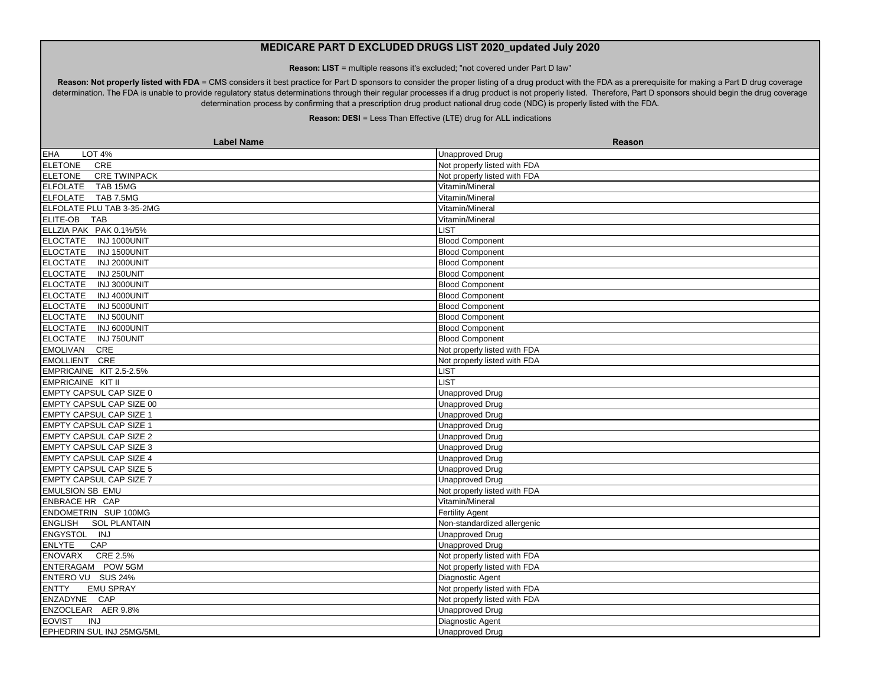**Reason: LIST** = multiple reasons it's excluded; "not covered under Part D law"

Reason: Not properly listed with FDA = CMS considers it best practice for Part D sponsors to consider the proper listing of a drug product with the FDA as a prerequisite for making a Part D drug coverage determination. The FDA is unable to provide regulatory status determinations through their regular processes if a drug product is not properly listed. Therefore, Part D sponsors should begin the drug coverage determination process by confirming that a prescription drug product national drug code (NDC) is properly listed with the FDA.

| <b>Label Name</b>                     | <b>Reason</b>                |
|---------------------------------------|------------------------------|
| <b>EHA</b><br><b>LOT 4%</b>           | <b>Unapproved Drug</b>       |
| <b>ELETONE</b><br>CRE                 | Not properly listed with FDA |
| <b>ELETONE</b><br><b>CRE TWINPACK</b> | Not properly listed with FDA |
| <b>ELFOLATE</b><br>TAB 15MG           | Vitamin/Mineral              |
| ELFOLATE TAB 7.5MG                    | Vitamin/Mineral              |
| ELFOLATE PLU TAB 3-35-2MG             | Vitamin/Mineral              |
| ELITE-OB<br><b>TAB</b>                | Vitamin/Mineral              |
| ELLZIA PAK PAK 0.1%/5%                | <b>LIST</b>                  |
| <b>ELOCTATE</b><br>INJ 1000UNIT       | <b>Blood Component</b>       |
| <b>ELOCTATE</b><br>INJ 1500UNIT       | <b>Blood Component</b>       |
| <b>ELOCTATE</b><br>INJ 2000UNIT       | <b>Blood Component</b>       |
| <b>ELOCTATE</b><br>INJ 250UNIT        | <b>Blood Component</b>       |
| <b>ELOCTATE</b><br>INJ 3000UNIT       | <b>Blood Component</b>       |
| <b>ELOCTATE</b><br>INJ 4000UNIT       | <b>Blood Component</b>       |
| <b>ELOCTATE</b><br>INJ 5000UNIT       | <b>Blood Component</b>       |
| ELOCTATE INJ 500UNIT                  | <b>Blood Component</b>       |
| ELOCTATE INJ 6000UNIT                 | <b>Blood Component</b>       |
| <b>ELOCTATE</b><br>INJ 750UNIT        | <b>Blood Component</b>       |
| EMOLIVAN CRE                          | Not properly listed with FDA |
| EMOLLIENT CRE                         | Not properly listed with FDA |
| EMPRICAINE KIT 2.5-2.5%               | <b>LIST</b>                  |
| EMPRICAINE KIT II                     | <b>LIST</b>                  |
| EMPTY CAPSUL CAP SIZE 0               | <b>Unapproved Drug</b>       |
| <b>EMPTY CAPSUL CAP SIZE 00</b>       | <b>Unapproved Drug</b>       |
| <b>EMPTY CAPSUL CAP SIZE 1</b>        | <b>Unapproved Drug</b>       |
| <b>EMPTY CAPSUL CAP SIZE 1</b>        | <b>Unapproved Drug</b>       |
| <b>EMPTY CAPSUL CAP SIZE 2</b>        | <b>Unapproved Drug</b>       |
| EMPTY CAPSUL CAP SIZE 3               | <b>Unapproved Drug</b>       |
| <b>EMPTY CAPSUL CAP SIZE 4</b>        | <b>Unapproved Drug</b>       |
| EMPTY CAPSUL CAP SIZE 5               | <b>Unapproved Drug</b>       |
| <b>EMPTY CAPSUL CAP SIZE 7</b>        | <b>Unapproved Drug</b>       |
| <b>EMULSION SB EMU</b>                | Not properly listed with FDA |
| ENBRACE HR CAP                        | Vitamin/Mineral              |
| ENDOMETRIN SUP 100MG                  | <b>Fertility Agent</b>       |
| <b>ENGLISH</b><br><b>SOL PLANTAIN</b> | Non-standardized allergenic  |
| ENGYSTOL INJ                          | <b>Unapproved Drug</b>       |
| CAP<br><b>ENLYTE</b>                  | <b>Unapproved Drug</b>       |
| <b>ENOVARX</b><br>CRE 2.5%            | Not properly listed with FDA |
| ENTERAGAM POW 5GM                     | Not properly listed with FDA |
| ENTERO VU SUS 24%                     | Diagnostic Agent             |
| <b>ENTTY</b><br><b>EMU SPRAY</b>      | Not properly listed with FDA |
| ENZADYNE CAP                          | Not properly listed with FDA |
| ENZOCLEAR AER 9.8%                    | <b>Unapproved Drug</b>       |
| <b>EOVIST</b><br><b>INJ</b>           | Diagnostic Agent             |
| EPHEDRIN SUL INJ 25MG/5ML             | <b>Unapproved Drug</b>       |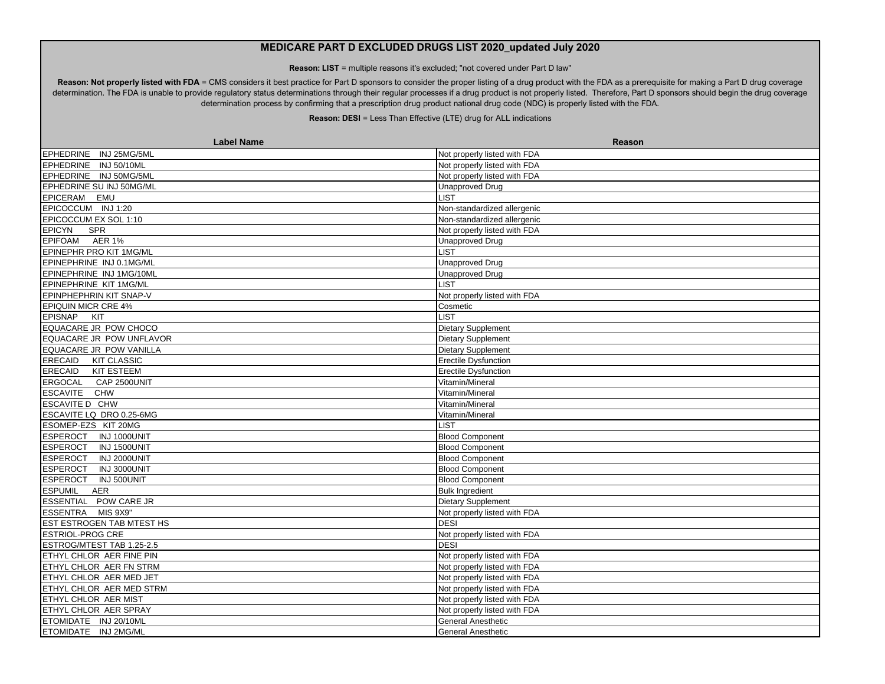**Reason: LIST** = multiple reasons it's excluded; "not covered under Part D law"

Reason: Not properly listed with FDA = CMS considers it best practice for Part D sponsors to consider the proper listing of a drug product with the FDA as a prerequisite for making a Part D drug coverage determination. The FDA is unable to provide regulatory status determinations through their regular processes if a drug product is not properly listed. Therefore, Part D sponsors should begin the drug coverage determination process by confirming that a prescription drug product national drug code (NDC) is properly listed with the FDA.

| <b>Label Name</b>                | Reason                       |
|----------------------------------|------------------------------|
| EPHEDRINE INJ 25MG/5ML           | Not properly listed with FDA |
| EPHEDRINE INJ 50/10ML            | Not properly listed with FDA |
| EPHEDRINE INJ 50MG/5ML           | Not properly listed with FDA |
| EPHEDRINE SU INJ 50MG/ML         | <b>Unapproved Drug</b>       |
| EPICERAM EMU                     | <b>LIST</b>                  |
| EPICOCCUM INJ 1:20               | Non-standardized allergenic  |
| EPICOCCUM EX SOL 1:10            | Non-standardized allergenic  |
| <b>EPICYN</b><br><b>SPR</b>      | Not properly listed with FDA |
| EPIFOAM AER 1%                   | <b>Unapproved Drug</b>       |
| EPINEPHR PRO KIT 1MG/ML          | LIST.                        |
| EPINEPHRINE INJ 0.1MG/ML         | <b>Unapproved Drug</b>       |
| EPINEPHRINE INJ 1MG/10ML         | <b>Unapproved Drug</b>       |
| <b>EPINEPHRINE KIT 1MG/ML</b>    | <b>LIST</b>                  |
| EPINPHEPHRIN KIT SNAP-V          | Not properly listed with FDA |
| <b>EPIQUIN MICR CRE 4%</b>       | Cosmetic                     |
| EPISNAP KIT                      | <b>LIST</b>                  |
| EQUACARE JR POW CHOCO            | Dietary Supplement           |
| EQUACARE JR POW UNFLAVOR         | Dietary Supplement           |
| EQUACARE JR POW VANILLA          | <b>Dietary Supplement</b>    |
| ERECAID KIT CLASSIC              | Erectile Dysfunction         |
| ERECAID KIT ESTEEM               | <b>Erectile Dysfunction</b>  |
| ERGOCAL CAP 2500UNIT             | Vitamin/Mineral              |
| ESCAVITE CHW                     | Vitamin/Mineral              |
| <b>ESCAVITE D CHW</b>            | Vitamin/Mineral              |
| ESCAVITE LQ DRO 0.25-6MG         | Vitamin/Mineral              |
| ESOMEP-EZS KIT 20MG              | <b>LIST</b>                  |
| ESPEROCT INJ 1000UNIT            | <b>Blood Component</b>       |
| <b>ESPEROCT</b><br>INJ 1500UNIT  | <b>Blood Component</b>       |
| ESPEROCT INJ 2000UNIT            | <b>Blood Component</b>       |
| ESPEROCT INJ 3000UNIT            | <b>Blood Component</b>       |
| ESPEROCT INJ 500UNIT             | <b>Blood Component</b>       |
| <b>ESPUMIL</b><br>AER            | <b>Bulk Ingredient</b>       |
| ESSENTIAL POW CARE JR            | Dietary Supplement           |
| ESSENTRA MIS 9X9"                | Not properly listed with FDA |
| <b>EST ESTROGEN TAB MTEST HS</b> | <b>DESI</b>                  |
| <b>ESTRIOL-PROG CRE</b>          | Not properly listed with FDA |
| ESTROG/MTEST TAB 1.25-2.5        | <b>DESI</b>                  |
| ETHYL CHLOR AER FINE PIN         | Not properly listed with FDA |
| ETHYL CHLOR AER FN STRM          | Not properly listed with FDA |
| ETHYL CHLOR AER MED JET          | Not properly listed with FDA |
| ETHYL CHLOR AER MED STRM         | Not properly listed with FDA |
| ETHYL CHLOR AER MIST             | Not properly listed with FDA |
| ETHYL CHLOR AER SPRAY            | Not properly listed with FDA |
| ETOMIDATE INJ 20/10ML            | <b>General Anesthetic</b>    |
| ETOMIDATE INJ 2MG/ML             | <b>General Anesthetic</b>    |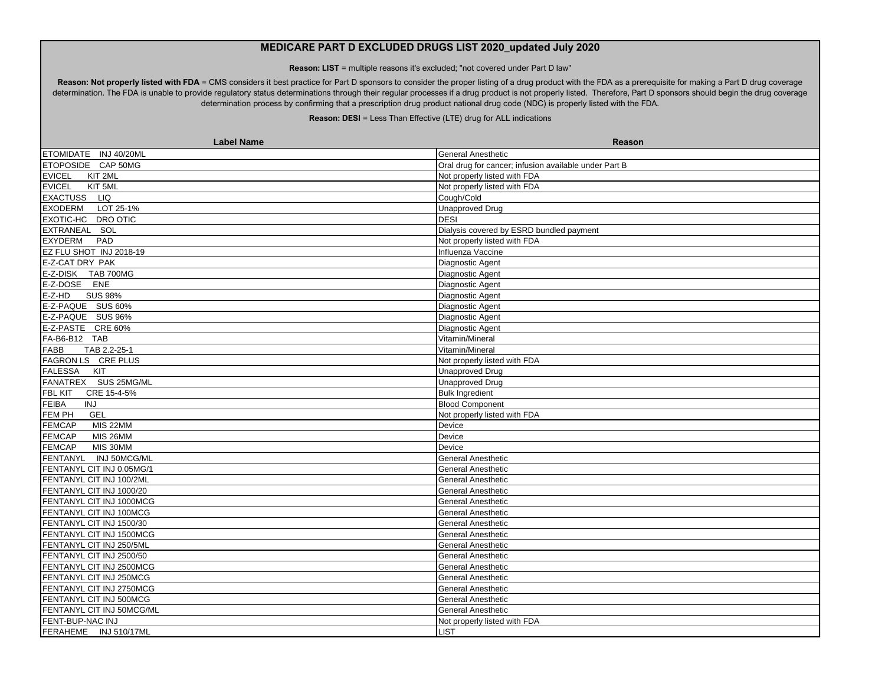**Reason: LIST** = multiple reasons it's excluded; "not covered under Part D law"

Reason: Not properly listed with FDA = CMS considers it best practice for Part D sponsors to consider the proper listing of a drug product with the FDA as a prerequisite for making a Part D drug coverage determination. The FDA is unable to provide regulatory status determinations through their regular processes if a drug product is not properly listed. Therefore, Part D sponsors should begin the drug coverage determination process by confirming that a prescription drug product national drug code (NDC) is properly listed with the FDA.

| <b>Label Name</b>           | <b>Reason</b>                                         |
|-----------------------------|-------------------------------------------------------|
| ETOMIDATE INJ 40/20ML       | <b>General Anesthetic</b>                             |
| ETOPOSIDE CAP 50MG          | Oral drug for cancer; infusion available under Part B |
| <b>EVICEL</b><br>KIT 2ML    | Not properly listed with FDA                          |
| <b>EVICEL</b><br>KIT 5ML    | Not properly listed with FDA                          |
| EXACTUSS LIQ                | Cough/Cold                                            |
| <b>EXODERM</b><br>LOT 25-1% | <b>Unapproved Drug</b>                                |
| EXOTIC-HC DRO OTIC          | <b>DESI</b>                                           |
| EXTRANEAL SOL               | Dialysis covered by ESRD bundled payment              |
| <b>EXYDERM</b><br>PAD       | Not properly listed with FDA                          |
| EZ FLU SHOT INJ 2018-19     | Influenza Vaccine                                     |
| E-Z-CAT DRY PAK             | Diagnostic Agent                                      |
| E-Z-DISK TAB 700MG          | Diagnostic Agent                                      |
| E-Z-DOSE ENE                | Diagnostic Agent                                      |
| <b>SUS 98%</b><br>E-Z-HD    | Diagnostic Agent                                      |
| E-Z-PAQUE SUS 60%           | Diagnostic Agent                                      |
| E-Z-PAQUE SUS 96%           | Diagnostic Agent                                      |
| E-Z-PASTE CRE 60%           | Diagnostic Agent                                      |
| FA-B6-B12 TAB               | Vitamin/Mineral                                       |
| FABB<br>TAB 2.2-25-1        | Vitamin/Mineral                                       |
| FAGRON LS CRE PLUS          | Not properly listed with FDA                          |
| <b>FALESSA</b><br>KIT       | <b>Unapproved Drug</b>                                |
| FANATREX SUS 25MG/ML        | <b>Unapproved Drug</b>                                |
| FBL KIT<br>CRE 15-4-5%      | <b>Bulk Ingredient</b>                                |
| FEIBA<br><b>INJ</b>         | <b>Blood Component</b>                                |
| FEM PH<br><b>GEL</b>        | Not properly listed with FDA                          |
| <b>FEMCAP</b><br>MIS 22MM   | Device                                                |
| <b>FEMCAP</b><br>MIS 26MM   | Device                                                |
| <b>FEMCAP</b><br>MIS 30MM   | Device                                                |
| FENTANYL INJ 50MCG/ML       | <b>General Anesthetic</b>                             |
| FENTANYL CIT INJ 0.05MG/1   | <b>General Anesthetic</b>                             |
| FENTANYL CIT INJ 100/2ML    | <b>General Anesthetic</b>                             |
| FENTANYL CIT INJ 1000/20    | General Anesthetic                                    |
| FENTANYL CIT INJ 1000MCG    | <b>General Anesthetic</b>                             |
| FENTANYL CIT INJ 100MCG     | <b>General Anesthetic</b>                             |
| FENTANYL CIT INJ 1500/30    | <b>General Anesthetic</b>                             |
| FENTANYL CIT INJ 1500MCG    | <b>General Anesthetic</b>                             |
| FENTANYL CIT INJ 250/5ML    | <b>General Anesthetic</b>                             |
| FENTANYL CIT INJ 2500/50    | General Anesthetic                                    |
| FENTANYL CIT INJ 2500MCG    | <b>General Anesthetic</b>                             |
| FENTANYL CIT INJ 250MCG     | General Anesthetic                                    |
| FENTANYL CIT INJ 2750MCG    | General Anesthetic                                    |
| FENTANYL CIT INJ 500MCG     | General Anesthetic                                    |
| FENTANYL CIT INJ 50MCG/ML   | <b>General Anesthetic</b>                             |
| FENT-BUP-NAC INJ            | Not properly listed with FDA                          |
| FERAHEME INJ 510/17ML       | LIST                                                  |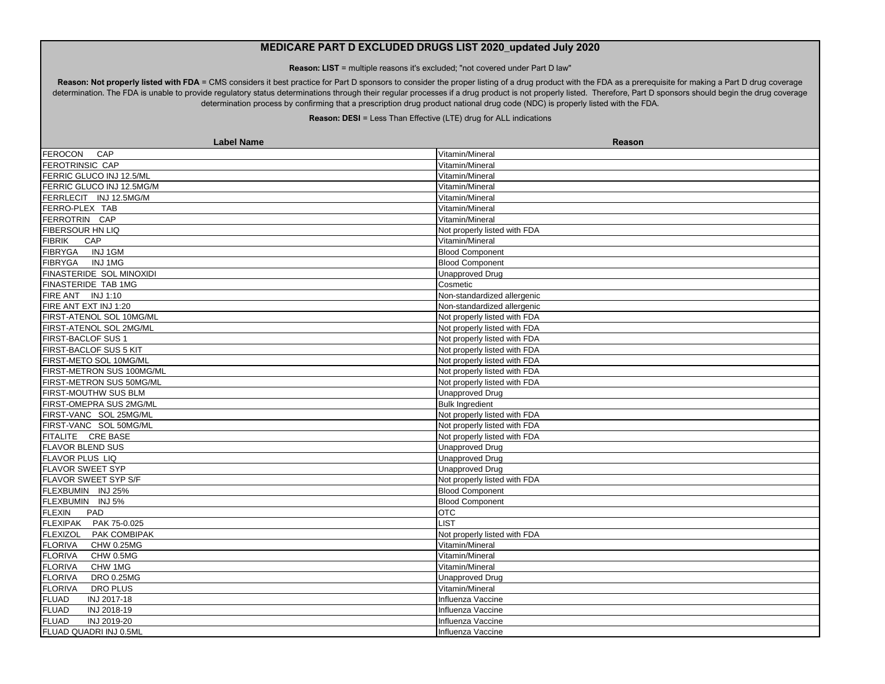**Reason: LIST** = multiple reasons it's excluded; "not covered under Part D law"

Reason: Not properly listed with FDA = CMS considers it best practice for Part D sponsors to consider the proper listing of a drug product with the FDA as a prerequisite for making a Part D drug coverage determination. The FDA is unable to provide regulatory status determinations through their regular processes if a drug product is not properly listed. Therefore, Part D sponsors should begin the drug coverage determination process by confirming that a prescription drug product national drug code (NDC) is properly listed with the FDA.

| <b>Label Name</b>                   | Reason                       |
|-------------------------------------|------------------------------|
| <b>FEROCON</b><br>CAP               | Vitamin/Mineral              |
| FEROTRINSIC CAP                     | Vitamin/Mineral              |
| FERRIC GLUCO INJ 12.5/ML            | Vitamin/Mineral              |
| FERRIC GLUCO INJ 12.5MG/M           | Vitamin/Mineral              |
| FERRLECIT INJ 12.5MG/M              | Vitamin/Mineral              |
| FERRO-PLEX TAB                      | Vitamin/Mineral              |
| FERROTRIN CAP                       | Vitamin/Mineral              |
| FIBERSOUR HN LIQ                    | Not properly listed with FDA |
| <b>FIBRIK</b><br>CAP                | Vitamin/Mineral              |
| FIBRYGA INJ1GM                      | <b>Blood Component</b>       |
| FIBRYGA INJ1MG                      | <b>Blood Component</b>       |
| FINASTERIDE SOL MINOXIDI            | <b>Unapproved Drug</b>       |
| FINASTERIDE TAB 1MG                 | Cosmetic                     |
| FIRE ANT INJ 1:10                   | Non-standardized allergenic  |
| FIRE ANT EXT INJ 1:20               | Non-standardized allergenic  |
| FIRST-ATENOL SOL 10MG/ML            | Not properly listed with FDA |
| FIRST-ATENOL SOL 2MG/ML             | Not properly listed with FDA |
| FIRST-BACLOF SUS 1                  | Not properly listed with FDA |
| FIRST-BACLOF SUS 5 KIT              | Not properly listed with FDA |
| FIRST-METO SOL 10MG/ML              | Not properly listed with FDA |
| FIRST-METRON SUS 100MG/ML           | Not properly listed with FDA |
| FIRST-METRON SUS 50MG/ML            | Not properly listed with FDA |
| FIRST-MOUTHW SUS BLM                | <b>Unapproved Drug</b>       |
| FIRST-OMEPRA SUS 2MG/ML             | <b>Bulk Ingredient</b>       |
| FIRST-VANC SOL 25MG/ML              | Not properly listed with FDA |
| FIRST-VANC SOL 50MG/ML              | Not properly listed with FDA |
| FITALITE CRE BASE                   | Not properly listed with FDA |
| <b>FLAVOR BLEND SUS</b>             | <b>Unapproved Drug</b>       |
| <b>FLAVOR PLUS LIQ</b>              | <b>Unapproved Drug</b>       |
| <b>FLAVOR SWEET SYP</b>             | <b>Unapproved Drug</b>       |
| FLAVOR SWEET SYP S/F                | Not properly listed with FDA |
| FLEXBUMIN INJ 25%                   | <b>Blood Component</b>       |
| FLEXBUMIN INJ 5%                    | <b>Blood Component</b>       |
| <b>FLEXIN</b><br>PAD                | <b>OTC</b>                   |
| FLEXIPAK PAK 75-0.025               | <b>IST</b>                   |
| <b>FLEXIZOL</b><br>PAK COMBIPAK     | Not properly listed with FDA |
| CHW 0.25MG<br><b>FLORIVA</b>        | Vitamin/Mineral              |
| <b>FLORIVA</b><br>CHW 0.5MG         | Vitamin/Mineral              |
| <b>FLORIVA</b><br>CHW 1MG           | Vitamin/Mineral              |
| <b>FLORIVA</b><br><b>DRO 0.25MG</b> | <b>Unapproved Drug</b>       |
| <b>FLORIVA</b><br>DRO PLUS          | Vitamin/Mineral              |
| INJ 2017-18<br><b>FLUAD</b>         | Influenza Vaccine            |
| <b>FLUAD</b><br>INJ 2018-19         | Influenza Vaccine            |
| <b>FLUAD</b><br>INJ 2019-20         | Influenza Vaccine            |
| FLUAD QUADRI INJ 0.5ML              | Influenza Vaccine            |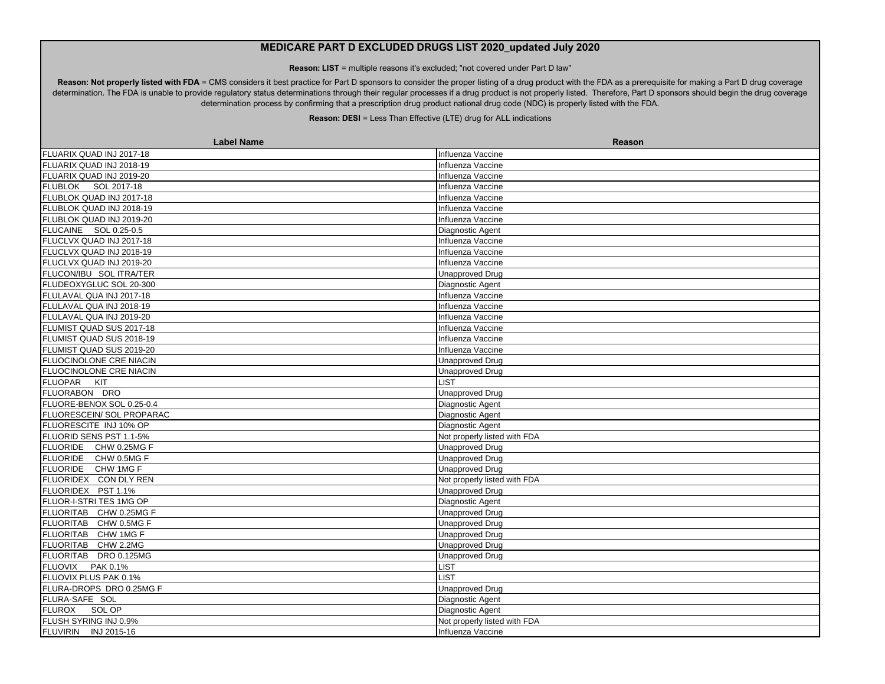**Reason: LIST** = multiple reasons it's excluded; "not covered under Part D law"

Reason: Not properly listed with FDA = CMS considers it best practice for Part D sponsors to consider the proper listing of a drug product with the FDA as a prerequisite for making a Part D drug coverage determination. The FDA is unable to provide regulatory status determinations through their regular processes if a drug product is not properly listed. Therefore, Part D sponsors should begin the drug coverage determination process by confirming that a prescription drug product national drug code (NDC) is properly listed with the FDA.

| <b>Label Name</b>         | Reason                       |
|---------------------------|------------------------------|
| FLUARIX QUAD INJ 2017-18  | Influenza Vaccine            |
| FLUARIX QUAD INJ 2018-19  | Influenza Vaccine            |
| FLUARIX QUAD INJ 2019-20  | Influenza Vaccine            |
| FLUBLOK SOL 2017-18       | Influenza Vaccine            |
| FLUBLOK QUAD INJ 2017-18  | Influenza Vaccine            |
| FLUBLOK QUAD INJ 2018-19  | Influenza Vaccine            |
| FLUBLOK QUAD INJ 2019-20  | Influenza Vaccine            |
| FLUCAINE SOL 0.25-0.5     | Diagnostic Agent             |
| FLUCLVX QUAD INJ 2017-18  | Influenza Vaccine            |
| FLUCLVX QUAD INJ 2018-19  | Influenza Vaccine            |
| FLUCLVX QUAD INJ 2019-20  | Influenza Vaccine            |
| FLUCON/IBU SOL ITRA/TER   | Unapproved Drug              |
| FLUDEOXYGLUC SOL 20-300   | Diagnostic Agent             |
| FLULAVAL QUA INJ 2017-18  | Influenza Vaccine            |
| FLULAVAL QUA INJ 2018-19  | Influenza Vaccine            |
| FLULAVAL QUA INJ 2019-20  | Influenza Vaccine            |
| FLUMIST QUAD SUS 2017-18  | Influenza Vaccine            |
| FLUMIST QUAD SUS 2018-19  | Influenza Vaccine            |
| FLUMIST QUAD SUS 2019-20  | Influenza Vaccine            |
| FLUOCINOLONE CRE NIACIN   | <b>Unapproved Drug</b>       |
| FLUOCINOLONE CRE NIACIN   | <b>Unapproved Drug</b>       |
| FLUOPAR KIT               | <b>LIST</b>                  |
| FLUORABON DRO             | <b>Unapproved Drug</b>       |
| FLUORE-BENOX SOL 0.25-0.4 | Diagnostic Agent             |
| FLUORESCEIN/ SOL PROPARAC | Diagnostic Agent             |
| FLUORESCITE INJ 10% OP    | Diagnostic Agent             |
| FLUORID SENS PST 1.1-5%   | Not properly listed with FDA |
| FLUORIDE CHW 0.25MG F     | <b>Unapproved Drug</b>       |
| FLUORIDE CHW 0.5MG F      | <b>Unapproved Drug</b>       |
| FLUORIDE CHW 1MG F        | <b>Unapproved Drug</b>       |
| FLUORIDEX CON DLY REN     | Not properly listed with FDA |
| FLUORIDEX PST 1.1%        | <b>Unapproved Drug</b>       |
| FLUOR-I-STRI TES 1MG OP   | Diagnostic Agent             |
| FLUORITAB CHW 0.25MG F    | <b>Unapproved Drug</b>       |
| FLUORITAB CHW 0.5MG F     | <b>Unapproved Drug</b>       |
| FLUORITAB CHW 1MG F       | <b>Unapproved Drug</b>       |
| FLUORITAB CHW 2.2MG       | <b>Unapproved Drug</b>       |
| FLUORITAB DRO 0.125MG     | <b>Unapproved Drug</b>       |
| FLUOVIX PAK 0.1%          | <b>LIST</b>                  |
| FLUOVIX PLUS PAK 0.1%     | LIST                         |
| FLURA-DROPS DRO 0.25MG F  | <b>Unapproved Drug</b>       |
| FLURA-SAFE SOL            | Diagnostic Agent             |
| FLUROX<br>SOL OP          | Diagnostic Agent             |
| FLUSH SYRING INJ 0.9%     | Not properly listed with FDA |
| FLUVIRIN INJ 2015-16      | Influenza Vaccine            |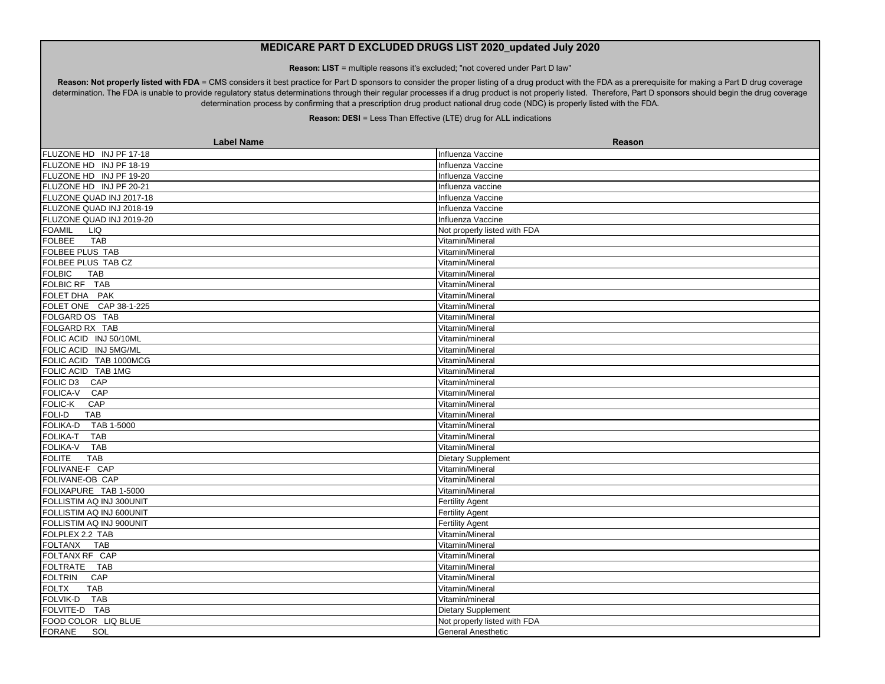**Reason: LIST** = multiple reasons it's excluded; "not covered under Part D law"

Reason: Not properly listed with FDA = CMS considers it best practice for Part D sponsors to consider the proper listing of a drug product with the FDA as a prerequisite for making a Part D drug coverage determination. The FDA is unable to provide regulatory status determinations through their regular processes if a drug product is not properly listed. Therefore, Part D sponsors should begin the drug coverage determination process by confirming that a prescription drug product national drug code (NDC) is properly listed with the FDA.

| <b>Label Name</b>             | <b>Reason</b>                |
|-------------------------------|------------------------------|
| FLUZONE HD INJ PF 17-18       | Influenza Vaccine            |
| FLUZONE HD INJ PF 18-19       | Influenza Vaccine            |
| FLUZONE HD INJ PF 19-20       | Influenza Vaccine            |
| FLUZONE HD INJ PF 20-21       | Influenza vaccine            |
| FLUZONE QUAD INJ 2017-18      | Influenza Vaccine            |
| FLUZONE QUAD INJ 2018-19      | Influenza Vaccine            |
| FLUZONE QUAD INJ 2019-20      | Influenza Vaccine            |
| <b>FOAMIL</b><br>LIQ          | Not properly listed with FDA |
| FOLBEE<br><b>TAB</b>          | Vitamin/Mineral              |
| FOLBEE PLUS TAB               | Vitamin/Mineral              |
| FOLBEE PLUS TAB CZ            | Vitamin/Mineral              |
| <b>FOLBIC</b><br><b>TAB</b>   | Vitamin/Mineral              |
| FOLBIC RF TAB                 | Vitamin/Mineral              |
| FOLET DHA PAK                 | Vitamin/Mineral              |
| FOLET ONE CAP 38-1-225        | Vitamin/Mineral              |
| FOLGARD OS TAB                | Vitamin/Mineral              |
| FOLGARD RX TAB                | Vitamin/Mineral              |
| FOLIC ACID INJ 50/10ML        | Vitamin/mineral              |
| FOLIC ACID INJ 5MG/ML         | Vitamin/Mineral              |
| FOLIC ACID TAB 1000MCG        | Vitamin/Mineral              |
| FOLIC ACID TAB 1MG            | Vitamin/Mineral              |
| FOLIC D3<br>CAP               | Vitamin/mineral              |
| FOLICA-V CAP                  | Vitamin/Mineral              |
| CAP<br>FOLIC-K                | Vitamin/Mineral              |
| <b>FOLI-D</b><br><b>TAB</b>   | Vitamin/Mineral              |
| FOLIKA-D<br>TAB 1-5000        | Vitamin/Mineral              |
| <b>FOLIKA-T</b><br><b>TAB</b> | Vitamin/Mineral              |
| <b>FOLIKA-V</b><br><b>TAB</b> | Vitamin/Mineral              |
| <b>TAB</b><br><b>FOLITE</b>   | <b>Dietary Supplement</b>    |
| FOLIVANE-F CAP                | Vitamin/Mineral              |
| FOLIVANE-OB CAP               | Vitamin/Mineral              |
| FOLIXAPURE TAB 1-5000         | Vitamin/Mineral              |
| FOLLISTIM AQ INJ 300UNIT      | <b>Fertility Agent</b>       |
| FOLLISTIM AQ INJ 600UNIT      | <b>Fertility Agent</b>       |
| FOLLISTIM AQ INJ 900UNIT      | <b>Fertility Agent</b>       |
| FOLPLEX 2.2 TAB               | Vitamin/Mineral              |
| <b>FOLTANX</b><br><b>TAB</b>  | Vitamin/Mineral              |
| FOLTANX RF CAP                | Vitamin/Mineral              |
| FOLTRATE TAB                  | Vitamin/Mineral              |
| <b>FOLTRIN</b><br>CAP         | Vitamin/Mineral              |
| <b>FOLTX</b><br><b>TAB</b>    | Vitamin/Mineral              |
| <b>TAB</b><br>FOLVIK-D        | Vitamin/mineral              |
| FOLVITE-D TAB                 | <b>Dietary Supplement</b>    |
| FOOD COLOR LIQ BLUE           | Not properly listed with FDA |
| <b>FORANE</b><br>SOL          | <b>General Anesthetic</b>    |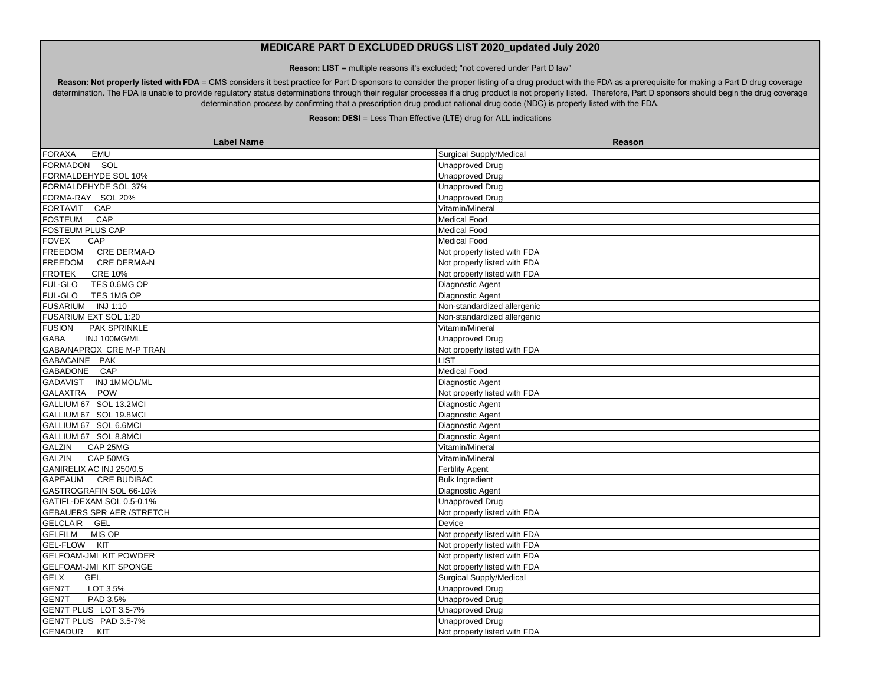**Reason: LIST** = multiple reasons it's excluded; "not covered under Part D law"

Reason: Not properly listed with FDA = CMS considers it best practice for Part D sponsors to consider the proper listing of a drug product with the FDA as a prerequisite for making a Part D drug coverage determination. The FDA is unable to provide regulatory status determinations through their regular processes if a drug product is not properly listed. Therefore, Part D sponsors should begin the drug coverage determination process by confirming that a prescription drug product national drug code (NDC) is properly listed with the FDA.

| <b>Label Name</b>                | Reason                         |
|----------------------------------|--------------------------------|
| <b>FORAXA</b><br>EMU             | Surgical Supply/Medical        |
| FORMADON SOL                     | <b>Unapproved Drug</b>         |
| FORMALDEHYDE SOL 10%             | <b>Unapproved Drug</b>         |
| FORMALDEHYDE SOL 37%             | <b>Unapproved Drug</b>         |
| FORMA-RAY SOL 20%                | <b>Unapproved Drug</b>         |
| FORTAVIT CAP                     | Vitamin/Mineral                |
| <b>FOSTEUM</b><br>CAP            | Medical Food                   |
| FOSTEUM PLUS CAP                 | <b>Medical Food</b>            |
| <b>FOVEX</b><br>CAP              | <b>Medical Food</b>            |
| <b>CRE DERMA-D</b><br>FREEDOM    | Not properly listed with FDA   |
| FREEDOM CRE DERMA-N              | Not properly listed with FDA   |
| <b>CRE 10%</b><br><b>FROTEK</b>  | Not properly listed with FDA   |
| FUL-GLO<br>TES 0.6MG OP          | Diagnostic Agent               |
| FUL-GLO<br>TES 1MG OP            | Diagnostic Agent               |
| FUSARIUM INJ 1:10                | Non-standardized allergenic    |
| FUSARIUM EXT SOL 1:20            | Non-standardized allergenic    |
| <b>FUSION</b><br>PAK SPRINKLE    | Vitamin/Mineral                |
| <b>GABA</b><br>INJ 100MG/ML      | <b>Unapproved Drug</b>         |
| GABA/NAPROX CRE M-P TRAN         | Not properly listed with FDA   |
| GABACAINE PAK                    | <b>LIST</b>                    |
| GABADONE CAP                     | <b>Medical Food</b>            |
| GADAVIST INJ 1MMOL/ML            | Diagnostic Agent               |
| GALAXTRA POW                     | Not properly listed with FDA   |
| GALLIUM 67 SOL 13.2MCI           | Diagnostic Agent               |
| GALLIUM 67 SOL 19.8MCI           | Diagnostic Agent               |
| GALLIUM 67 SOL 6.6MCI            | Diagnostic Agent               |
| GALLIUM 67 SOL 8.8MCI            | Diagnostic Agent               |
| <b>GALZIN</b><br>CAP 25MG        | Vitamin/Mineral                |
| CAP 50MG<br><b>GALZIN</b>        | Vitamin/Mineral                |
| GANIRELIX AC INJ 250/0.5         | <b>Fertility Agent</b>         |
| GAPEAUM CRE BUDIBAC              | <b>Bulk Ingredient</b>         |
| GASTROGRAFIN SOL 66-10%          | Diagnostic Agent               |
| GATIFL-DEXAM SOL 0.5-0.1%        | <b>Unapproved Drug</b>         |
| <b>GEBAUERS SPR AER /STRETCH</b> | Not properly listed with FDA   |
| GELCLAIR GEL                     | Device                         |
| GELFILM MIS OP                   | Not properly listed with FDA   |
| GEL-FLOW KIT                     | Not properly listed with FDA   |
| <b>GELFOAM-JMI KIT POWDER</b>    | Not properly listed with FDA   |
| <b>GELFOAM-JMI KIT SPONGE</b>    | Not properly listed with FDA   |
| <b>GEL</b><br><b>GELX</b>        | <b>Surgical Supply/Medical</b> |
| GEN7T<br>LOT 3.5%                | <b>Unapproved Drug</b>         |
| PAD 3.5%<br>GEN7T                | <b>Unapproved Drug</b>         |
| GEN7T PLUS LOT 3.5-7%            | <b>Unapproved Drug</b>         |
| GEN7T PLUS PAD 3.5-7%            | <b>Unapproved Drug</b>         |
| <b>GENADUR</b><br>KIT            | Not properly listed with FDA   |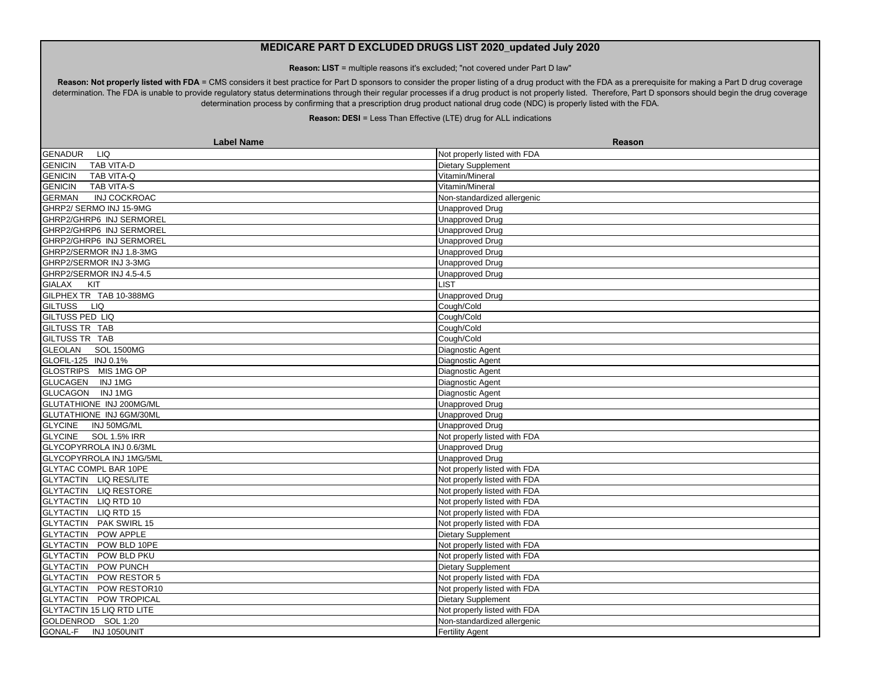**Reason: LIST** = multiple reasons it's excluded; "not covered under Part D law"

Reason: Not properly listed with FDA = CMS considers it best practice for Part D sponsors to consider the proper listing of a drug product with the FDA as a prerequisite for making a Part D drug coverage determination. The FDA is unable to provide regulatory status determinations through their regular processes if a drug product is not properly listed. Therefore, Part D sponsors should begin the drug coverage determination process by confirming that a prescription drug product national drug code (NDC) is properly listed with the FDA.

| <b>Label Name</b>                     | Reason                       |
|---------------------------------------|------------------------------|
| <b>GENADUR</b><br>LIQ                 | Not properly listed with FDA |
| <b>GENICIN</b><br>TAB VITA-D          | Dietary Supplement           |
| GENICIN<br>TAB VITA-Q                 | Vitamin/Mineral              |
| <b>GENICIN</b><br>TAB VITA-S          | Vitamin/Mineral              |
| <b>GERMAN</b><br><b>INJ COCKROAC</b>  | Non-standardized allergenic  |
| GHRP2/ SERMO INJ 15-9MG               | <b>Unapproved Drug</b>       |
| GHRP2/GHRP6 INJ SERMOREL              | <b>Unapproved Drug</b>       |
| GHRP2/GHRP6 INJ SERMOREL              | <b>Unapproved Drug</b>       |
| GHRP2/GHRP6 INJ SERMOREL              | <b>Unapproved Drug</b>       |
| GHRP2/SERMOR INJ 1.8-3MG              | <b>Unapproved Drug</b>       |
| GHRP2/SERMOR INJ 3-3MG                | <b>Unapproved Drug</b>       |
| GHRP2/SERMOR INJ 4.5-4.5              | <b>Unapproved Drug</b>       |
| GIALAX KIT                            | <b>LIST</b>                  |
| GILPHEX TR TAB 10-388MG               | <b>Unapproved Drug</b>       |
| GILTUSS LIQ                           | Cough/Cold                   |
| <b>GILTUSS PED LIQ</b>                | Cough/Cold                   |
| GILTUSS TR TAB                        | Cough/Cold                   |
| GILTUSS TR TAB                        | Cough/Cold                   |
| GLEOLAN SOL 1500MG                    | Diagnostic Agent             |
| GLOFIL-125 INJ 0.1%                   | Diagnostic Agent             |
| GLOSTRIPS MIS 1MG OP                  | Diagnostic Agent             |
| <b>GLUCAGEN</b><br>INJ1MG             | Diagnostic Agent             |
| GLUCAGON INJ1MG                       | Diagnostic Agent             |
| GLUTATHIONE INJ 200MG/ML              | <b>Unapproved Drug</b>       |
| GLUTATHIONE INJ 6GM/30ML              | <b>Unapproved Drug</b>       |
| <b>GLYCINE</b><br>INJ 50MG/ML         | <b>Unapproved Drug</b>       |
| <b>GLYCINE</b><br><b>SOL 1.5% IRR</b> | Not properly listed with FDA |
| GLYCOPYRROLA INJ 0.6/3ML              | <b>Unapproved Drug</b>       |
| GLYCOPYRROLA INJ 1MG/5ML              | <b>Unapproved Drug</b>       |
| <b>GLYTAC COMPL BAR 10PE</b>          | Not properly listed with FDA |
| GLYTACTIN LIQ RES/LITE                | Not properly listed with FDA |
| GLYTACTIN LIQ RESTORE                 | Not properly listed with FDA |
| GLYTACTIN LIQ RTD 10                  | Not properly listed with FDA |
| GLYTACTIN LIQ RTD 15                  | Not properly listed with FDA |
| <b>GLYTACTIN PAK SWIRL 15</b>         | Not properly listed with FDA |
| <b>GLYTACTIN POW APPLE</b>            | Dietary Supplement           |
| GLYTACTIN POW BLD 10PE                | Not properly listed with FDA |
| <b>GLYTACTIN POW BLD PKU</b>          | Not properly listed with FDA |
| GLYTACTIN POW PUNCH                   | <b>Dietary Supplement</b>    |
| GLYTACTIN POW RESTOR 5                | Not properly listed with FDA |
| GLYTACTIN POW RESTOR10                | Not properly listed with FDA |
| GLYTACTIN POW TROPICAL                | Dietary Supplement           |
| <b>GLYTACTIN 15 LIQ RTD LITE</b>      | Not properly listed with FDA |
| GOLDENROD SOL 1:20                    | Non-standardized allergenic  |
| <b>GONAL-F</b><br>INJ 1050UNIT        | <b>Fertility Agent</b>       |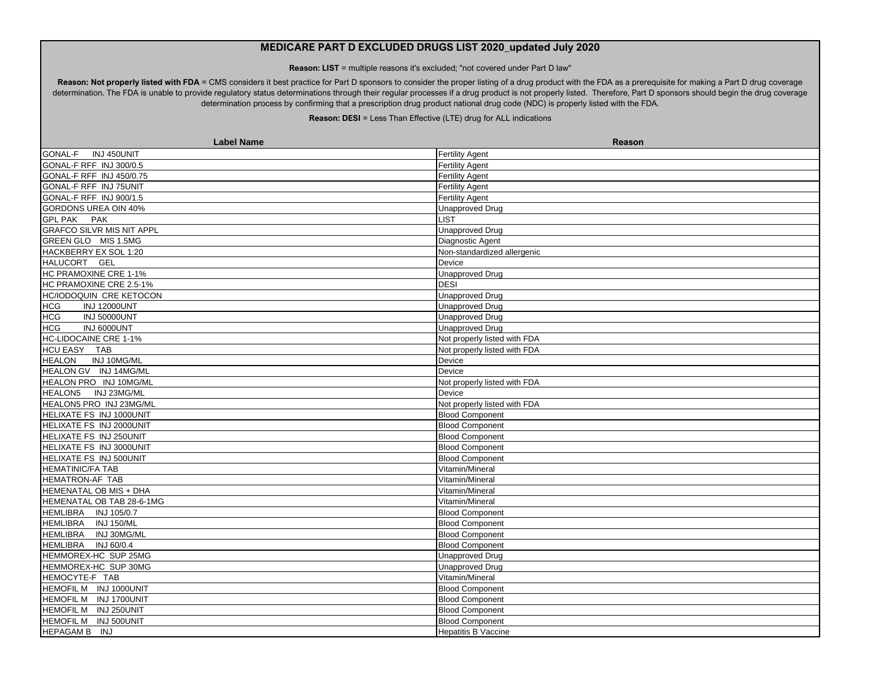**Reason: LIST** = multiple reasons it's excluded; "not covered under Part D law"

Reason: Not properly listed with FDA = CMS considers it best practice for Part D sponsors to consider the proper listing of a drug product with the FDA as a prerequisite for making a Part D drug coverage determination. The FDA is unable to provide regulatory status determinations through their regular processes if a drug product is not properly listed. Therefore, Part D sponsors should begin the drug coverage determination process by confirming that a prescription drug product national drug code (NDC) is properly listed with the FDA.

| <b>Label Name</b>                 | Reason                       |
|-----------------------------------|------------------------------|
| INJ 450UNIT<br><b>GONAL-F</b>     | <b>Fertility Agent</b>       |
| GONAL-F RFF INJ 300/0.5           | <b>Fertility Agent</b>       |
| <b>GONAL-F RFF INJ 450/0.75</b>   | <b>Fertility Agent</b>       |
| GONAL-F RFF INJ 75UNIT            | <b>Fertility Agent</b>       |
| GONAL-F RFF INJ 900/1.5           | <b>Fertility Agent</b>       |
| <b>GORDONS UREA OIN 40%</b>       | <b>Unapproved Drug</b>       |
| GPL PAK PAK                       | <b>LIST</b>                  |
| <b>GRAFCO SILVR MIS NIT APPL</b>  | <b>Unapproved Drug</b>       |
| GREEN GLO MIS 1.5MG               | Diagnostic Agent             |
| HACKBERRY EX SOL 1:20             | Non-standardized allergenic  |
| HALUCORT GEL                      | Device                       |
| HC PRAMOXINE CRE 1-1%             | <b>Unapproved Drug</b>       |
| HC PRAMOXINE CRE 2.5-1%           | <b>DESI</b>                  |
| HC/IODOQUIN CRE KETOCON           | <b>Unapproved Drug</b>       |
| <b>HCG</b><br><b>INJ 12000UNT</b> | <b>Unapproved Drug</b>       |
| <b>HCG</b><br><b>INJ 50000UNT</b> | <b>Unapproved Drug</b>       |
| <b>HCG</b><br>INJ 6000UNT         | <b>Unapproved Drug</b>       |
| <b>HC-LIDOCAINE CRE 1-1%</b>      | Not properly listed with FDA |
| HCU EASY TAB                      | Not properly listed with FDA |
| <b>HEALON</b><br>INJ 10MG/ML      | Device                       |
| HEALON GV INJ 14MG/ML             | Device                       |
| HEALON PRO INJ 10MG/ML            | Not properly listed with FDA |
| INJ 23MG/ML<br><b>HEALON5</b>     | Device                       |
| HEALON5 PRO INJ 23MG/ML           | Not properly listed with FDA |
| HELIXATE FS INJ 1000UNIT          | <b>Blood Component</b>       |
| HELIXATE FS INJ 2000UNIT          | <b>Blood Component</b>       |
| HELIXATE FS INJ 250UNIT           | <b>Blood Component</b>       |
| HELIXATE FS INJ 3000UNIT          | <b>Blood Component</b>       |
| HELIXATE FS INJ 500UNIT           | <b>Blood Component</b>       |
| <b>HEMATINIC/FA TAB</b>           | Vitamin/Mineral              |
| <b>HEMATRON-AF TAB</b>            | Vitamin/Mineral              |
| HEMENATAL OB MIS + DHA            | Vitamin/Mineral              |
| HEMENATAL OB TAB 28-6-1MG         | Vitamin/Mineral              |
| HEMLIBRA INJ 105/0.7              | <b>Blood Component</b>       |
| HEMLIBRA INJ 150/ML               | <b>Blood Component</b>       |
| HEMLIBRA INJ 30MG/ML              | <b>Blood Component</b>       |
| HEMLIBRA INJ 60/0.4               | <b>Blood Component</b>       |
| HEMMOREX-HC SUP 25MG              | Unapproved Drug              |
| HEMMOREX-HC SUP 30MG              | <b>Unapproved Drug</b>       |
| HEMOCYTE-F TAB                    | Vitamin/Mineral              |
| HEMOFIL M INJ 1000UNIT            | <b>Blood Component</b>       |
| HEMOFIL M INJ 1700UNIT            | <b>Blood Component</b>       |
| HEMOFIL M INJ 250UNIT             | <b>Blood Component</b>       |
| HEMOFIL M INJ 500UNIT             | <b>Blood Component</b>       |
| HEPAGAM B INJ                     | <b>Hepatitis B Vaccine</b>   |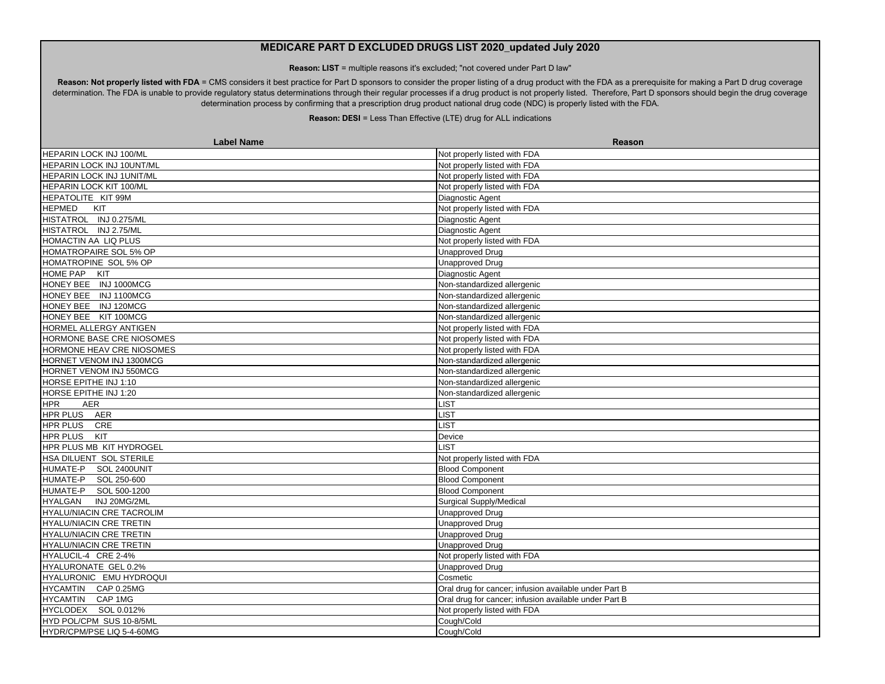**Reason: LIST** = multiple reasons it's excluded; "not covered under Part D law"

Reason: Not properly listed with FDA = CMS considers it best practice for Part D sponsors to consider the proper listing of a drug product with the FDA as a prerequisite for making a Part D drug coverage determination. The FDA is unable to provide regulatory status determinations through their regular processes if a drug product is not properly listed. Therefore, Part D sponsors should begin the drug coverage determination process by confirming that a prescription drug product national drug code (NDC) is properly listed with the FDA.

| <b>Label Name</b>                | Reason                                                |
|----------------------------------|-------------------------------------------------------|
| HEPARIN LOCK INJ 100/ML          | Not properly listed with FDA                          |
| HEPARIN LOCK INJ 10UNT/ML        | Not properly listed with FDA                          |
| HEPARIN LOCK INJ 1UNIT/ML        | Not properly listed with FDA                          |
| HEPARIN LOCK KIT 100/ML          | Not properly listed with FDA                          |
| HEPATOLITE KIT 99M               | Diagnostic Agent                                      |
| <b>HEPMED</b><br><b>KIT</b>      | Not properly listed with FDA                          |
| HISTATROL INJ 0.275/ML           | Diagnostic Agent                                      |
| HISTATROL INJ 2.75/ML            | Diagnostic Agent                                      |
| HOMACTIN AA LIQ PLUS             | Not properly listed with FDA                          |
| HOMATROPAIRE SOL 5% OP           | <b>Unapproved Drug</b>                                |
| HOMATROPINE SOL 5% OP            | <b>Unapproved Drug</b>                                |
| HOME PAP KIT                     | Diagnostic Agent                                      |
| HONEY BEE INJ 1000MCG            | Non-standardized allergenic                           |
| HONEY BEE INJ 1100MCG            | Non-standardized allergenic                           |
| HONEY BEE INJ 120MCG             | Non-standardized allergenic                           |
| HONEY BEE KIT 100MCG             | Non-standardized allergenic                           |
| HORMEL ALLERGY ANTIGEN           | Not properly listed with FDA                          |
| HORMONE BASE CRE NIOSOMES        | Not properly listed with FDA                          |
| HORMONE HEAV CRE NIOSOMES        | Not properly listed with FDA                          |
| HORNET VENOM INJ 1300MCG         | Non-standardized allergenic                           |
| HORNET VENOM INJ 550MCG          | Non-standardized allergenic                           |
| HORSE EPITHE INJ 1:10            | Non-standardized allergenic                           |
| HORSE EPITHE INJ 1:20            | Non-standardized allergenic                           |
| AER<br><b>HPR</b>                | LIST                                                  |
| HPR PLUS AER                     | <b>LIST</b>                                           |
| HPR PLUS CRE                     | <b>LIST</b>                                           |
| <b>HPR PLUS KIT</b>              | Device                                                |
| HPR PLUS MB KIT HYDROGEL         | <b>LIST</b>                                           |
| HSA DILUENT SOL STERILE          | Not properly listed with FDA                          |
| HUMATE-P SOL 2400UNIT            | <b>Blood Component</b>                                |
| HUMATE-P SOL 250-600             | <b>Blood Component</b>                                |
| HUMATE-P SOL 500-1200            | <b>Blood Component</b>                                |
| HYALGAN INJ 20MG/2ML             | <b>Surgical Supply/Medical</b>                        |
| <b>HYALU/NIACIN CRE TACROLIM</b> | <b>Unapproved Drug</b>                                |
| HYALU/NIACIN CRE TRETIN          | <b>Unapproved Drug</b>                                |
| HYALU/NIACIN CRE TRETIN          | <b>Unapproved Drug</b>                                |
| HYALU/NIACIN CRE TRETIN          | <b>Unapproved Drug</b>                                |
| HYALUCIL-4 CRE 2-4%              | Not properly listed with FDA                          |
| HYALURONATE GEL 0.2%             | <b>Unapproved Drug</b>                                |
| HYALURONIC EMU HYDROQUI          | Cosmetic                                              |
| HYCAMTIN CAP 0.25MG              | Oral drug for cancer; infusion available under Part B |
| HYCAMTIN CAP 1MG                 | Oral drug for cancer; infusion available under Part B |
| HYCLODEX SOL 0.012%              | Not properly listed with FDA                          |
| HYD POL/CPM SUS 10-8/5ML         | Cough/Cold                                            |
| HYDR/CPM/PSE LIQ 5-4-60MG        | Cough/Cold                                            |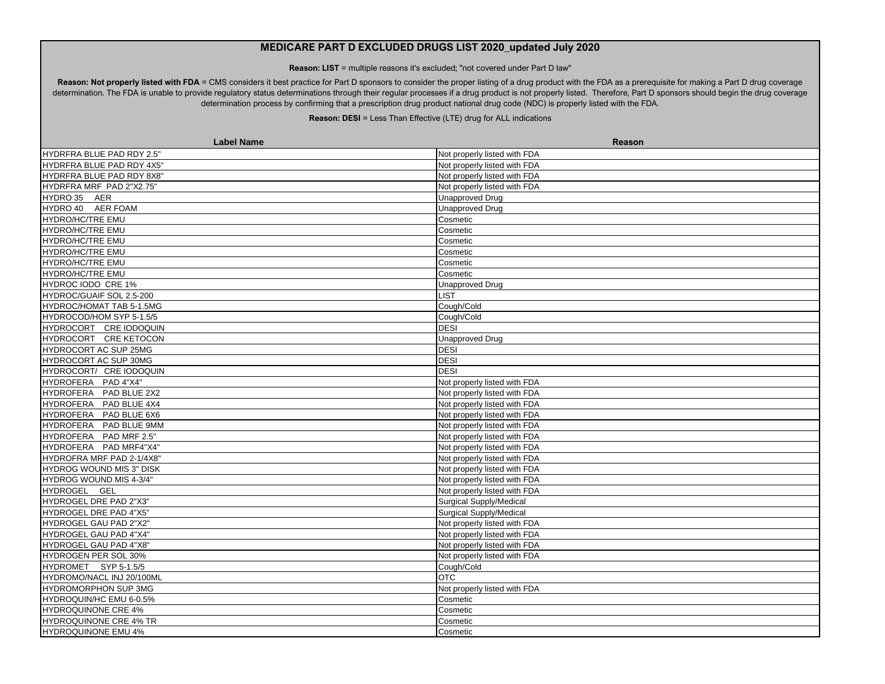**Reason: LIST** = multiple reasons it's excluded; "not covered under Part D law"

Reason: Not properly listed with FDA = CMS considers it best practice for Part D sponsors to consider the proper listing of a drug product with the FDA as a prerequisite for making a Part D drug coverage determination. The FDA is unable to provide regulatory status determinations through their regular processes if a drug product is not properly listed. Therefore, Part D sponsors should begin the drug coverage determination process by confirming that a prescription drug product national drug code (NDC) is properly listed with the FDA.

| <b>Label Name</b>                | Reason                         |
|----------------------------------|--------------------------------|
| HYDRFRA BLUE PAD RDY 2.5"        | Not properly listed with FDA   |
| HYDRFRA BLUE PAD RDY 4X5"        | Not properly listed with FDA   |
| <b>HYDRFRA BLUE PAD RDY 8X8"</b> | Not properly listed with FDA   |
| HYDRFRA MRF PAD 2"X2.75"         | Not properly listed with FDA   |
| HYDRO 35 AER                     | Unapproved Drug                |
| HYDRO 40 AER FOAM                | <b>Unapproved Drug</b>         |
| <b>HYDRO/HC/TRE EMU</b>          | Cosmetic                       |
| <b>HYDRO/HC/TRE EMU</b>          | Cosmetic                       |
| <b>HYDRO/HC/TRE EMU</b>          | Cosmetic                       |
| <b>HYDRO/HC/TRE EMU</b>          | Cosmetic                       |
| HYDRO/HC/TRE EMU                 | Cosmetic                       |
| HYDRO/HC/TRE EMU                 | Cosmetic                       |
| HYDROC IODO CRE 1%               | Unapproved Drug                |
| HYDROC/GUAIF SOL 2.5-200         | LIST                           |
| HYDROC/HOMAT TAB 5-1.5MG         | Cough/Cold                     |
| HYDROCOD/HOM SYP 5-1.5/5         | Cough/Cold                     |
| HYDROCORT CRE IODOQUIN           | <b>DESI</b>                    |
| HYDROCORT CRE KETOCON            | <b>Unapproved Drug</b>         |
| HYDROCORT AC SUP 25MG            | <b>DESI</b>                    |
| HYDROCORT AC SUP 30MG            | <b>DESI</b>                    |
| HYDROCORT/ CRE IODOQUIN          | <b>DESI</b>                    |
| HYDROFERA PAD 4"X4"              | Not properly listed with FDA   |
| HYDROFERA PAD BLUE 2X2           | Not properly listed with FDA   |
| HYDROFERA PAD BLUE 4X4           | Not properly listed with FDA   |
| HYDROFERA PAD BLUE 6X6           | Not properly listed with FDA   |
| HYDROFERA PAD BLUE 9MM           | Not properly listed with FDA   |
| HYDROFERA PAD MRF 2.5"           | Not properly listed with FDA   |
| HYDROFERA PAD MRF4"X4"           | Not properly listed with FDA   |
| HYDROFRA MRF PAD 2-1/4X8"        | Not properly listed with FDA   |
| <b>HYDROG WOUND MIS 3" DISK</b>  | Not properly listed with FDA   |
| HYDROG WOUND MIS 4-3/4"          | Not properly listed with FDA   |
| HYDROGEL GEL                     | Not properly listed with FDA   |
| HYDROGEL DRE PAD 2"X3"           | <b>Surgical Supply/Medical</b> |
| <b>HYDROGEL DRE PAD 4"X5"</b>    | <b>Surgical Supply/Medical</b> |
| HYDROGEL GAU PAD 2"X2"           | Not properly listed with FDA   |
| HYDROGEL GAU PAD 4"X4"           | Not properly listed with FDA   |
| HYDROGEL GAU PAD 4"X8"           | Not properly listed with FDA   |
| HYDROGEN PER SOL 30%             | Not properly listed with FDA   |
| HYDROMET SYP 5-1.5/5             | Cough/Cold                     |
| HYDROMO/NACL INJ 20/100ML        | <b>OTC</b>                     |
| <b>HYDROMORPHON SUP 3MG</b>      | Not properly listed with FDA   |
| HYDROQUIN/HC EMU 6-0.5%          | Cosmetic                       |
| <b>HYDROQUINONE CRE 4%</b>       | Cosmetic                       |
| <b>HYDROQUINONE CRE 4% TR</b>    | Cosmetic                       |
| <b>HYDROQUINONE EMU 4%</b>       | Cosmetic                       |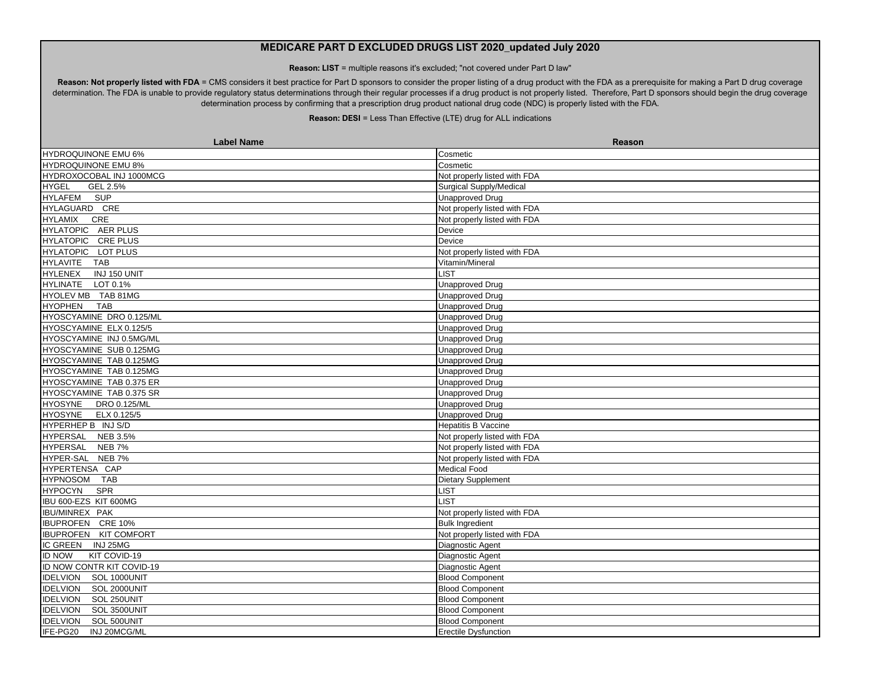**Reason: LIST** = multiple reasons it's excluded; "not covered under Part D law"

Reason: Not properly listed with FDA = CMS considers it best practice for Part D sponsors to consider the proper listing of a drug product with the FDA as a prerequisite for making a Part D drug coverage determination. The FDA is unable to provide regulatory status determinations through their regular processes if a drug product is not properly listed. Therefore, Part D sponsors should begin the drug coverage determination process by confirming that a prescription drug product national drug code (NDC) is properly listed with the FDA.

| <b>Label Name</b>               | Reason                         |
|---------------------------------|--------------------------------|
| HYDROQUINONE EMU 6%             | Cosmetic                       |
| HYDROQUINONE EMU 8%             | Cosmetic                       |
| HYDROXOCOBAL INJ 1000MCG        | Not properly listed with FDA   |
| <b>HYGEL</b><br>GEL 2.5%        | <b>Surgical Supply/Medical</b> |
| HYLAFEM SUP                     | <b>Unapproved Drug</b>         |
| HYLAGUARD CRE                   | Not properly listed with FDA   |
| <b>HYLAMIX</b><br>CRE           | Not properly listed with FDA   |
| HYLATOPIC AER PLUS              | Device                         |
| HYLATOPIC CRE PLUS              | Device                         |
| HYLATOPIC LOT PLUS              | Not properly listed with FDA   |
| HYLAVITE TAB                    | Vitamin/Mineral                |
| <b>HYLENEX</b><br>INJ 150 UNIT  | <b>LIST</b>                    |
| HYLINATE LOT 0.1%               | <b>Unapproved Drug</b>         |
| HYOLEV MB TAB 81MG              | <b>Unapproved Drug</b>         |
| <b>HYOPHEN</b><br>TAB           | <b>Unapproved Drug</b>         |
| HYOSCYAMINE DRO 0.125/ML        | Unapproved Drug                |
| HYOSCYAMINE ELX 0.125/5         | <b>Unapproved Drug</b>         |
| HYOSCYAMINE INJ 0.5MG/ML        | <b>Unapproved Drug</b>         |
| HYOSCYAMINE SUB 0.125MG         | <b>Unapproved Drug</b>         |
| HYOSCYAMINE TAB 0.125MG         | <b>Unapproved Drug</b>         |
| HYOSCYAMINE TAB 0.125MG         | <b>Unapproved Drug</b>         |
| HYOSCYAMINE TAB 0.375 ER        | <b>Unapproved Drug</b>         |
| HYOSCYAMINE TAB 0.375 SR        | <b>Unapproved Drug</b>         |
| HYOSYNE DRO 0.125/ML            | <b>Unapproved Drug</b>         |
| HYOSYNE ELX 0.125/5             | <b>Unapproved Drug</b>         |
| HYPERHEP B INJ S/D              | <b>Hepatitis B Vaccine</b>     |
| HYPERSAL NEB 3.5%               | Not properly listed with FDA   |
| HYPERSAL NEB 7%                 | Not properly listed with FDA   |
| HYPER-SAL NEB 7%                | Not properly listed with FDA   |
| HYPERTENSA CAP                  | Medical Food                   |
| HYPNOSOM TAB                    | Dietary Supplement             |
| SPR<br><b>HYPOCYN</b>           | <b>LIST</b>                    |
| IBU 600-EZS KIT 600MG           | <b>LIST</b>                    |
| IBU/MINREX PAK                  | Not properly listed with FDA   |
| <b>IBUPROFEN CRE 10%</b>        | <b>Bulk Ingredient</b>         |
| <b>IBUPROFEN KIT COMFORT</b>    | Not properly listed with FDA   |
| IC GREEN INJ 25MG               | Diagnostic Agent               |
| <b>ID NOW</b><br>KIT COVID-19   | Diagnostic Agent               |
| ID NOW CONTR KIT COVID-19       | Diagnostic Agent               |
| IDELVION SOL 1000UNIT           | <b>Blood Component</b>         |
| IDELVION SOL 2000UNIT           | <b>Blood Component</b>         |
| <b>IDELVION</b><br>SOL 250UNIT  | <b>Blood Component</b>         |
| <b>IDELVION</b><br>SOL 3500UNIT | <b>Blood Component</b>         |
| <b>IDELVION</b><br>SOL 500UNIT  | <b>Blood Component</b>         |
| IFE-PG20<br>INJ 20MCG/ML        | <b>Erectile Dysfunction</b>    |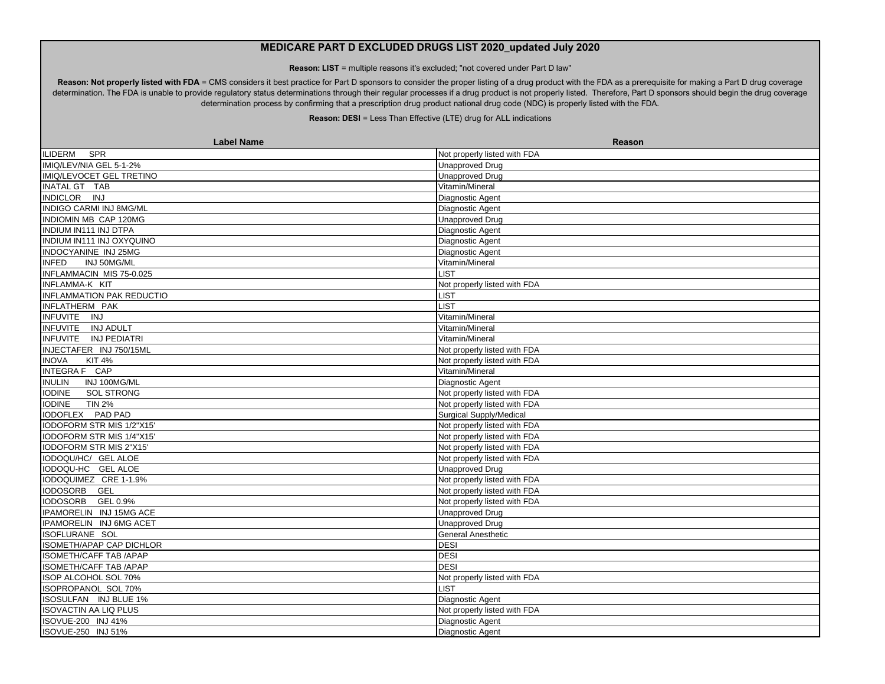**Reason: LIST** = multiple reasons it's excluded; "not covered under Part D law"

Reason: Not properly listed with FDA = CMS considers it best practice for Part D sponsors to consider the proper listing of a drug product with the FDA as a prerequisite for making a Part D drug coverage determination. The FDA is unable to provide regulatory status determinations through their regular processes if a drug product is not properly listed. Therefore, Part D sponsors should begin the drug coverage determination process by confirming that a prescription drug product national drug code (NDC) is properly listed with the FDA.

| <b>Label Name</b>                  | Reason                         |
|------------------------------------|--------------------------------|
| SPR<br><b>ILIDERM</b>              | Not properly listed with FDA   |
| IMIQ/LEV/NIA GEL 5-1-2%            | <b>Unapproved Drug</b>         |
| IMIQ/LEVOCET GEL TRETINO           | Unapproved Drug                |
| INATAL GT TAB                      | Vitamin/Mineral                |
| INDICLOR INJ                       | Diagnostic Agent               |
| INDIGO CARMI INJ 8MG/ML            | Diagnostic Agent               |
| INDIOMIN MB CAP 120MG              | <b>Unapproved Drug</b>         |
| INDIUM IN111 INJ DTPA              | Diagnostic Agent               |
| INDIUM IN111 INJ OXYQUINO          | Diagnostic Agent               |
| INDOCYANINE INJ 25MG               | <b>Diagnostic Agent</b>        |
| INJ 50MG/ML<br><b>INFED</b>        | Vitamin/Mineral                |
| <b>INFLAMMACIN MIS 75-0.025</b>    | <b>LIST</b>                    |
| INFLAMMA-K KIT                     | Not properly listed with FDA   |
| <b>INFLAMMATION PAK REDUCTIO</b>   | LIST                           |
| INFLATHERM PAK                     | <b>LIST</b>                    |
| INFUVITE INJ                       | Vitamin/Mineral                |
| INFUVITE INJ ADULT                 | Vitamin/Mineral                |
| INFUVITE INJ PEDIATRI              | Vitamin/Mineral                |
| INJECTAFER INJ 750/15ML            | Not properly listed with FDA   |
| <b>INOVA</b><br><b>KIT 4%</b>      | Not properly listed with FDA   |
| INTEGRA F CAP                      | Vitamin/Mineral                |
| INJ 100MG/ML<br><b>INULIN</b>      | Diagnostic Agent               |
| <b>SOL STRONG</b><br><b>IODINE</b> | Not properly listed with FDA   |
| <b>IODINE</b><br><b>TIN 2%</b>     | Not properly listed with FDA   |
| IODOFLEX PAD PAD                   | <b>Surgical Supply/Medical</b> |
| IODOFORM STR MIS 1/2"X15'          | Not properly listed with FDA   |
| IODOFORM STR MIS 1/4"X15"          | Not properly listed with FDA   |
| IODOFORM STR MIS 2"X15"            | Not properly listed with FDA   |
| IODOQU/HC/ GEL ALOE                | Not properly listed with FDA   |
| IODOQU-HC GEL ALOE                 | <b>Unapproved Drug</b>         |
| IODOQUIMEZ CRE 1-1.9%              | Not properly listed with FDA   |
| IODOSORB GEL                       | Not properly listed with FDA   |
| IODOSORB GEL 0.9%                  | Not properly listed with FDA   |
| IPAMORELIN INJ 15MG ACE            | Unapproved Drug                |
| IPAMORELIN INJ 6MG ACET            | <b>Unapproved Drug</b>         |
| ISOFLURANE SOL                     | <b>General Anesthetic</b>      |
| <b>ISOMETH/APAP CAP DICHLOR</b>    | <b>DESI</b>                    |
| <b>ISOMETH/CAFF TAB /APAP</b>      | <b>DESI</b>                    |
| <b>ISOMETH/CAFF TAB /APAP</b>      | <b>DESI</b>                    |
| ISOP ALCOHOL SOL 70%               | Not properly listed with FDA   |
| ISOPROPANOL SOL 70%                | LIST.                          |
| ISOSULFAN INJ BLUE 1%              | Diagnostic Agent               |
| <b>ISOVACTIN AA LIQ PLUS</b>       | Not properly listed with FDA   |
| ISOVUE-200 INJ 41%                 | Diagnostic Agent               |
| ISOVUE-250 INJ 51%                 | <b>Diagnostic Agent</b>        |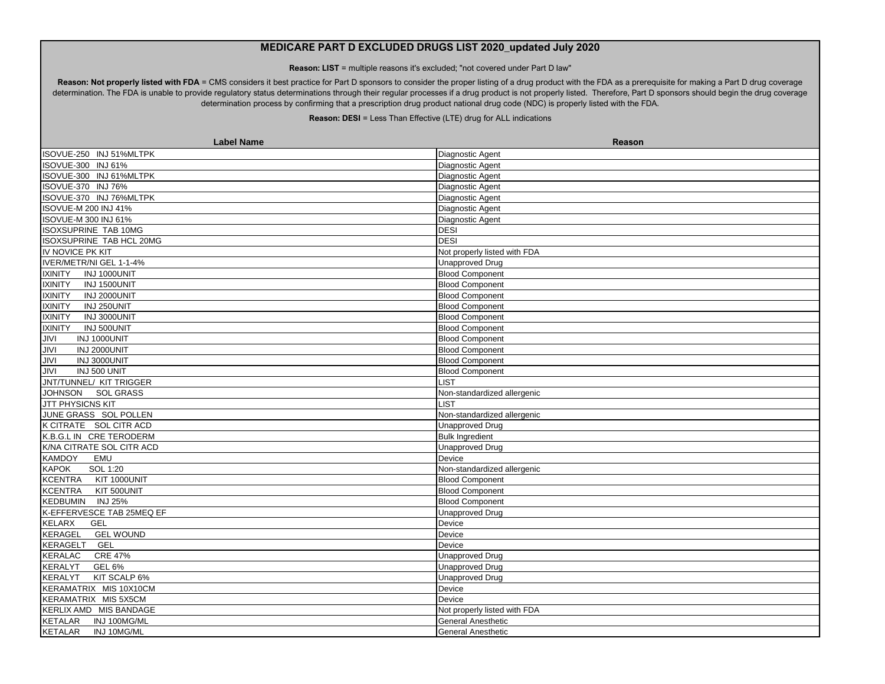**Reason: LIST** = multiple reasons it's excluded; "not covered under Part D law"

Reason: Not properly listed with FDA = CMS considers it best practice for Part D sponsors to consider the proper listing of a drug product with the FDA as a prerequisite for making a Part D drug coverage determination. The FDA is unable to provide regulatory status determinations through their regular processes if a drug product is not properly listed. Therefore, Part D sponsors should begin the drug coverage determination process by confirming that a prescription drug product national drug code (NDC) is properly listed with the FDA.

| ISOVUE-250 INJ 51%MLTPK<br>Diagnostic Agent<br>ISOVUE-300 INJ 61%<br>Diagnostic Agent<br>ISOVUE-300 INJ 61%MLTPK<br>Diagnostic Agent<br>ISOVUE-370 INJ 76%<br>Diagnostic Agent<br>ISOVUE-370 INJ 76%MLTPK<br>Diagnostic Agent<br>ISOVUE-M 200 INJ 41%<br>Diagnostic Agent<br>ISOVUE-M 300 INJ 61%<br>Diagnostic Agent<br><b>DESI</b><br><b>ISOXSUPRINE TAB 10MG</b><br><b>DESI</b><br>ISOXSUPRINE TAB HCL 20MG<br>Not properly listed with FDA<br>IV NOVICE PK KIT<br>IVER/METR/NI GEL 1-1-4%<br><b>Unapproved Drug</b><br><b>Blood Component</b><br><b>IXINITY</b><br>INJ 1000UNIT<br>INJ 1500UNIT<br><b>Blood Component</b><br><b>IXINITY</b><br><b>IXINITY</b><br>INJ 2000UNIT<br><b>Blood Component</b><br>INJ 250UNIT<br><b>Blood Component</b><br><b>IXINITY</b><br><b>IXINITY</b><br>INJ 3000UNIT<br><b>Blood Component</b><br>INJ 500UNIT<br><b>Blood Component</b><br><b>IXINITY</b><br><b>JIVI</b><br>INJ 1000UNIT<br><b>Blood Component</b><br><b>JIVI</b><br>INJ 2000UNIT<br><b>Blood Component</b><br><b>JIVI</b><br><b>Blood Component</b><br>INJ 3000UNIT<br><b>JIVI</b><br>INJ 500 UNIT<br><b>Blood Component</b><br>JNT/TUNNEL/ KIT TRIGGER<br><b>LIST</b><br>JOHNSON SOL GRASS<br>Non-standardized allergenic<br>JTT PHYSICNS KIT<br>LIST<br>JUNE GRASS SOL POLLEN<br>Non-standardized allergenic<br>K CITRATE SOL CITR ACD<br><b>Unapproved Drug</b><br>K.B.G.L IN CRE TERODERM<br><b>Bulk Ingredient</b><br>K/NA CITRATE SOL CITR ACD<br><b>Unapproved Drug</b><br>Device<br><b>KAMDOY</b><br>EMU<br><b>KAPOK</b><br>SOL 1:20<br>Non-standardized allergenic<br><b>KCENTRA</b><br>KIT 1000UNIT<br><b>Blood Component</b><br><b>KCENTRA</b><br>KIT 500UNIT<br><b>Blood Component</b><br>KEDBUMIN INJ 25%<br><b>Blood Component</b><br>K-EFFERVESCE TAB 25MEQ EF<br><b>Unapproved Drug</b><br><b>KELARX</b><br><b>GEL</b><br>Device<br>KERAGEL<br><b>GEL WOUND</b><br>Device<br>GEL<br>Device<br>KERAGELT<br><b>CRE 47%</b><br>KERALAC<br><b>Unapproved Drug</b><br><b>GEL 6%</b><br><b>Unapproved Drug</b><br><b>KERALYT</b><br>KIT SCALP 6%<br><b>KERALYT</b><br><b>Unapproved Drug</b><br>KERAMATRIX MIS 10X10CM<br>Device<br>KERAMATRIX MIS 5X5CM<br>Device<br>KERLIX AMD MIS BANDAGE<br>Not properly listed with FDA<br>INJ 100MG/ML<br>KETALAR<br>General Anesthetic<br><b>KETALAR</b><br>INJ 10MG/ML<br>General Anesthetic | <b>Label Name</b> | Reason |
|-----------------------------------------------------------------------------------------------------------------------------------------------------------------------------------------------------------------------------------------------------------------------------------------------------------------------------------------------------------------------------------------------------------------------------------------------------------------------------------------------------------------------------------------------------------------------------------------------------------------------------------------------------------------------------------------------------------------------------------------------------------------------------------------------------------------------------------------------------------------------------------------------------------------------------------------------------------------------------------------------------------------------------------------------------------------------------------------------------------------------------------------------------------------------------------------------------------------------------------------------------------------------------------------------------------------------------------------------------------------------------------------------------------------------------------------------------------------------------------------------------------------------------------------------------------------------------------------------------------------------------------------------------------------------------------------------------------------------------------------------------------------------------------------------------------------------------------------------------------------------------------------------------------------------------------------------------------------------------------------------------------------------------------------------------------------------------------------------------------------------------------------------------------------------------------------------------------------------------------------------------------------------------------------------------------------------------------------------------|-------------------|--------|
|                                                                                                                                                                                                                                                                                                                                                                                                                                                                                                                                                                                                                                                                                                                                                                                                                                                                                                                                                                                                                                                                                                                                                                                                                                                                                                                                                                                                                                                                                                                                                                                                                                                                                                                                                                                                                                                                                                                                                                                                                                                                                                                                                                                                                                                                                                                                                     |                   |        |
|                                                                                                                                                                                                                                                                                                                                                                                                                                                                                                                                                                                                                                                                                                                                                                                                                                                                                                                                                                                                                                                                                                                                                                                                                                                                                                                                                                                                                                                                                                                                                                                                                                                                                                                                                                                                                                                                                                                                                                                                                                                                                                                                                                                                                                                                                                                                                     |                   |        |
|                                                                                                                                                                                                                                                                                                                                                                                                                                                                                                                                                                                                                                                                                                                                                                                                                                                                                                                                                                                                                                                                                                                                                                                                                                                                                                                                                                                                                                                                                                                                                                                                                                                                                                                                                                                                                                                                                                                                                                                                                                                                                                                                                                                                                                                                                                                                                     |                   |        |
|                                                                                                                                                                                                                                                                                                                                                                                                                                                                                                                                                                                                                                                                                                                                                                                                                                                                                                                                                                                                                                                                                                                                                                                                                                                                                                                                                                                                                                                                                                                                                                                                                                                                                                                                                                                                                                                                                                                                                                                                                                                                                                                                                                                                                                                                                                                                                     |                   |        |
|                                                                                                                                                                                                                                                                                                                                                                                                                                                                                                                                                                                                                                                                                                                                                                                                                                                                                                                                                                                                                                                                                                                                                                                                                                                                                                                                                                                                                                                                                                                                                                                                                                                                                                                                                                                                                                                                                                                                                                                                                                                                                                                                                                                                                                                                                                                                                     |                   |        |
|                                                                                                                                                                                                                                                                                                                                                                                                                                                                                                                                                                                                                                                                                                                                                                                                                                                                                                                                                                                                                                                                                                                                                                                                                                                                                                                                                                                                                                                                                                                                                                                                                                                                                                                                                                                                                                                                                                                                                                                                                                                                                                                                                                                                                                                                                                                                                     |                   |        |
|                                                                                                                                                                                                                                                                                                                                                                                                                                                                                                                                                                                                                                                                                                                                                                                                                                                                                                                                                                                                                                                                                                                                                                                                                                                                                                                                                                                                                                                                                                                                                                                                                                                                                                                                                                                                                                                                                                                                                                                                                                                                                                                                                                                                                                                                                                                                                     |                   |        |
|                                                                                                                                                                                                                                                                                                                                                                                                                                                                                                                                                                                                                                                                                                                                                                                                                                                                                                                                                                                                                                                                                                                                                                                                                                                                                                                                                                                                                                                                                                                                                                                                                                                                                                                                                                                                                                                                                                                                                                                                                                                                                                                                                                                                                                                                                                                                                     |                   |        |
|                                                                                                                                                                                                                                                                                                                                                                                                                                                                                                                                                                                                                                                                                                                                                                                                                                                                                                                                                                                                                                                                                                                                                                                                                                                                                                                                                                                                                                                                                                                                                                                                                                                                                                                                                                                                                                                                                                                                                                                                                                                                                                                                                                                                                                                                                                                                                     |                   |        |
|                                                                                                                                                                                                                                                                                                                                                                                                                                                                                                                                                                                                                                                                                                                                                                                                                                                                                                                                                                                                                                                                                                                                                                                                                                                                                                                                                                                                                                                                                                                                                                                                                                                                                                                                                                                                                                                                                                                                                                                                                                                                                                                                                                                                                                                                                                                                                     |                   |        |
|                                                                                                                                                                                                                                                                                                                                                                                                                                                                                                                                                                                                                                                                                                                                                                                                                                                                                                                                                                                                                                                                                                                                                                                                                                                                                                                                                                                                                                                                                                                                                                                                                                                                                                                                                                                                                                                                                                                                                                                                                                                                                                                                                                                                                                                                                                                                                     |                   |        |
|                                                                                                                                                                                                                                                                                                                                                                                                                                                                                                                                                                                                                                                                                                                                                                                                                                                                                                                                                                                                                                                                                                                                                                                                                                                                                                                                                                                                                                                                                                                                                                                                                                                                                                                                                                                                                                                                                                                                                                                                                                                                                                                                                                                                                                                                                                                                                     |                   |        |
|                                                                                                                                                                                                                                                                                                                                                                                                                                                                                                                                                                                                                                                                                                                                                                                                                                                                                                                                                                                                                                                                                                                                                                                                                                                                                                                                                                                                                                                                                                                                                                                                                                                                                                                                                                                                                                                                                                                                                                                                                                                                                                                                                                                                                                                                                                                                                     |                   |        |
|                                                                                                                                                                                                                                                                                                                                                                                                                                                                                                                                                                                                                                                                                                                                                                                                                                                                                                                                                                                                                                                                                                                                                                                                                                                                                                                                                                                                                                                                                                                                                                                                                                                                                                                                                                                                                                                                                                                                                                                                                                                                                                                                                                                                                                                                                                                                                     |                   |        |
|                                                                                                                                                                                                                                                                                                                                                                                                                                                                                                                                                                                                                                                                                                                                                                                                                                                                                                                                                                                                                                                                                                                                                                                                                                                                                                                                                                                                                                                                                                                                                                                                                                                                                                                                                                                                                                                                                                                                                                                                                                                                                                                                                                                                                                                                                                                                                     |                   |        |
|                                                                                                                                                                                                                                                                                                                                                                                                                                                                                                                                                                                                                                                                                                                                                                                                                                                                                                                                                                                                                                                                                                                                                                                                                                                                                                                                                                                                                                                                                                                                                                                                                                                                                                                                                                                                                                                                                                                                                                                                                                                                                                                                                                                                                                                                                                                                                     |                   |        |
|                                                                                                                                                                                                                                                                                                                                                                                                                                                                                                                                                                                                                                                                                                                                                                                                                                                                                                                                                                                                                                                                                                                                                                                                                                                                                                                                                                                                                                                                                                                                                                                                                                                                                                                                                                                                                                                                                                                                                                                                                                                                                                                                                                                                                                                                                                                                                     |                   |        |
|                                                                                                                                                                                                                                                                                                                                                                                                                                                                                                                                                                                                                                                                                                                                                                                                                                                                                                                                                                                                                                                                                                                                                                                                                                                                                                                                                                                                                                                                                                                                                                                                                                                                                                                                                                                                                                                                                                                                                                                                                                                                                                                                                                                                                                                                                                                                                     |                   |        |
|                                                                                                                                                                                                                                                                                                                                                                                                                                                                                                                                                                                                                                                                                                                                                                                                                                                                                                                                                                                                                                                                                                                                                                                                                                                                                                                                                                                                                                                                                                                                                                                                                                                                                                                                                                                                                                                                                                                                                                                                                                                                                                                                                                                                                                                                                                                                                     |                   |        |
|                                                                                                                                                                                                                                                                                                                                                                                                                                                                                                                                                                                                                                                                                                                                                                                                                                                                                                                                                                                                                                                                                                                                                                                                                                                                                                                                                                                                                                                                                                                                                                                                                                                                                                                                                                                                                                                                                                                                                                                                                                                                                                                                                                                                                                                                                                                                                     |                   |        |
|                                                                                                                                                                                                                                                                                                                                                                                                                                                                                                                                                                                                                                                                                                                                                                                                                                                                                                                                                                                                                                                                                                                                                                                                                                                                                                                                                                                                                                                                                                                                                                                                                                                                                                                                                                                                                                                                                                                                                                                                                                                                                                                                                                                                                                                                                                                                                     |                   |        |
|                                                                                                                                                                                                                                                                                                                                                                                                                                                                                                                                                                                                                                                                                                                                                                                                                                                                                                                                                                                                                                                                                                                                                                                                                                                                                                                                                                                                                                                                                                                                                                                                                                                                                                                                                                                                                                                                                                                                                                                                                                                                                                                                                                                                                                                                                                                                                     |                   |        |
|                                                                                                                                                                                                                                                                                                                                                                                                                                                                                                                                                                                                                                                                                                                                                                                                                                                                                                                                                                                                                                                                                                                                                                                                                                                                                                                                                                                                                                                                                                                                                                                                                                                                                                                                                                                                                                                                                                                                                                                                                                                                                                                                                                                                                                                                                                                                                     |                   |        |
|                                                                                                                                                                                                                                                                                                                                                                                                                                                                                                                                                                                                                                                                                                                                                                                                                                                                                                                                                                                                                                                                                                                                                                                                                                                                                                                                                                                                                                                                                                                                                                                                                                                                                                                                                                                                                                                                                                                                                                                                                                                                                                                                                                                                                                                                                                                                                     |                   |        |
|                                                                                                                                                                                                                                                                                                                                                                                                                                                                                                                                                                                                                                                                                                                                                                                                                                                                                                                                                                                                                                                                                                                                                                                                                                                                                                                                                                                                                                                                                                                                                                                                                                                                                                                                                                                                                                                                                                                                                                                                                                                                                                                                                                                                                                                                                                                                                     |                   |        |
|                                                                                                                                                                                                                                                                                                                                                                                                                                                                                                                                                                                                                                                                                                                                                                                                                                                                                                                                                                                                                                                                                                                                                                                                                                                                                                                                                                                                                                                                                                                                                                                                                                                                                                                                                                                                                                                                                                                                                                                                                                                                                                                                                                                                                                                                                                                                                     |                   |        |
|                                                                                                                                                                                                                                                                                                                                                                                                                                                                                                                                                                                                                                                                                                                                                                                                                                                                                                                                                                                                                                                                                                                                                                                                                                                                                                                                                                                                                                                                                                                                                                                                                                                                                                                                                                                                                                                                                                                                                                                                                                                                                                                                                                                                                                                                                                                                                     |                   |        |
|                                                                                                                                                                                                                                                                                                                                                                                                                                                                                                                                                                                                                                                                                                                                                                                                                                                                                                                                                                                                                                                                                                                                                                                                                                                                                                                                                                                                                                                                                                                                                                                                                                                                                                                                                                                                                                                                                                                                                                                                                                                                                                                                                                                                                                                                                                                                                     |                   |        |
|                                                                                                                                                                                                                                                                                                                                                                                                                                                                                                                                                                                                                                                                                                                                                                                                                                                                                                                                                                                                                                                                                                                                                                                                                                                                                                                                                                                                                                                                                                                                                                                                                                                                                                                                                                                                                                                                                                                                                                                                                                                                                                                                                                                                                                                                                                                                                     |                   |        |
|                                                                                                                                                                                                                                                                                                                                                                                                                                                                                                                                                                                                                                                                                                                                                                                                                                                                                                                                                                                                                                                                                                                                                                                                                                                                                                                                                                                                                                                                                                                                                                                                                                                                                                                                                                                                                                                                                                                                                                                                                                                                                                                                                                                                                                                                                                                                                     |                   |        |
|                                                                                                                                                                                                                                                                                                                                                                                                                                                                                                                                                                                                                                                                                                                                                                                                                                                                                                                                                                                                                                                                                                                                                                                                                                                                                                                                                                                                                                                                                                                                                                                                                                                                                                                                                                                                                                                                                                                                                                                                                                                                                                                                                                                                                                                                                                                                                     |                   |        |
|                                                                                                                                                                                                                                                                                                                                                                                                                                                                                                                                                                                                                                                                                                                                                                                                                                                                                                                                                                                                                                                                                                                                                                                                                                                                                                                                                                                                                                                                                                                                                                                                                                                                                                                                                                                                                                                                                                                                                                                                                                                                                                                                                                                                                                                                                                                                                     |                   |        |
|                                                                                                                                                                                                                                                                                                                                                                                                                                                                                                                                                                                                                                                                                                                                                                                                                                                                                                                                                                                                                                                                                                                                                                                                                                                                                                                                                                                                                                                                                                                                                                                                                                                                                                                                                                                                                                                                                                                                                                                                                                                                                                                                                                                                                                                                                                                                                     |                   |        |
|                                                                                                                                                                                                                                                                                                                                                                                                                                                                                                                                                                                                                                                                                                                                                                                                                                                                                                                                                                                                                                                                                                                                                                                                                                                                                                                                                                                                                                                                                                                                                                                                                                                                                                                                                                                                                                                                                                                                                                                                                                                                                                                                                                                                                                                                                                                                                     |                   |        |
|                                                                                                                                                                                                                                                                                                                                                                                                                                                                                                                                                                                                                                                                                                                                                                                                                                                                                                                                                                                                                                                                                                                                                                                                                                                                                                                                                                                                                                                                                                                                                                                                                                                                                                                                                                                                                                                                                                                                                                                                                                                                                                                                                                                                                                                                                                                                                     |                   |        |
|                                                                                                                                                                                                                                                                                                                                                                                                                                                                                                                                                                                                                                                                                                                                                                                                                                                                                                                                                                                                                                                                                                                                                                                                                                                                                                                                                                                                                                                                                                                                                                                                                                                                                                                                                                                                                                                                                                                                                                                                                                                                                                                                                                                                                                                                                                                                                     |                   |        |
|                                                                                                                                                                                                                                                                                                                                                                                                                                                                                                                                                                                                                                                                                                                                                                                                                                                                                                                                                                                                                                                                                                                                                                                                                                                                                                                                                                                                                                                                                                                                                                                                                                                                                                                                                                                                                                                                                                                                                                                                                                                                                                                                                                                                                                                                                                                                                     |                   |        |
|                                                                                                                                                                                                                                                                                                                                                                                                                                                                                                                                                                                                                                                                                                                                                                                                                                                                                                                                                                                                                                                                                                                                                                                                                                                                                                                                                                                                                                                                                                                                                                                                                                                                                                                                                                                                                                                                                                                                                                                                                                                                                                                                                                                                                                                                                                                                                     |                   |        |
|                                                                                                                                                                                                                                                                                                                                                                                                                                                                                                                                                                                                                                                                                                                                                                                                                                                                                                                                                                                                                                                                                                                                                                                                                                                                                                                                                                                                                                                                                                                                                                                                                                                                                                                                                                                                                                                                                                                                                                                                                                                                                                                                                                                                                                                                                                                                                     |                   |        |
|                                                                                                                                                                                                                                                                                                                                                                                                                                                                                                                                                                                                                                                                                                                                                                                                                                                                                                                                                                                                                                                                                                                                                                                                                                                                                                                                                                                                                                                                                                                                                                                                                                                                                                                                                                                                                                                                                                                                                                                                                                                                                                                                                                                                                                                                                                                                                     |                   |        |
|                                                                                                                                                                                                                                                                                                                                                                                                                                                                                                                                                                                                                                                                                                                                                                                                                                                                                                                                                                                                                                                                                                                                                                                                                                                                                                                                                                                                                                                                                                                                                                                                                                                                                                                                                                                                                                                                                                                                                                                                                                                                                                                                                                                                                                                                                                                                                     |                   |        |
|                                                                                                                                                                                                                                                                                                                                                                                                                                                                                                                                                                                                                                                                                                                                                                                                                                                                                                                                                                                                                                                                                                                                                                                                                                                                                                                                                                                                                                                                                                                                                                                                                                                                                                                                                                                                                                                                                                                                                                                                                                                                                                                                                                                                                                                                                                                                                     |                   |        |
|                                                                                                                                                                                                                                                                                                                                                                                                                                                                                                                                                                                                                                                                                                                                                                                                                                                                                                                                                                                                                                                                                                                                                                                                                                                                                                                                                                                                                                                                                                                                                                                                                                                                                                                                                                                                                                                                                                                                                                                                                                                                                                                                                                                                                                                                                                                                                     |                   |        |
|                                                                                                                                                                                                                                                                                                                                                                                                                                                                                                                                                                                                                                                                                                                                                                                                                                                                                                                                                                                                                                                                                                                                                                                                                                                                                                                                                                                                                                                                                                                                                                                                                                                                                                                                                                                                                                                                                                                                                                                                                                                                                                                                                                                                                                                                                                                                                     |                   |        |
|                                                                                                                                                                                                                                                                                                                                                                                                                                                                                                                                                                                                                                                                                                                                                                                                                                                                                                                                                                                                                                                                                                                                                                                                                                                                                                                                                                                                                                                                                                                                                                                                                                                                                                                                                                                                                                                                                                                                                                                                                                                                                                                                                                                                                                                                                                                                                     |                   |        |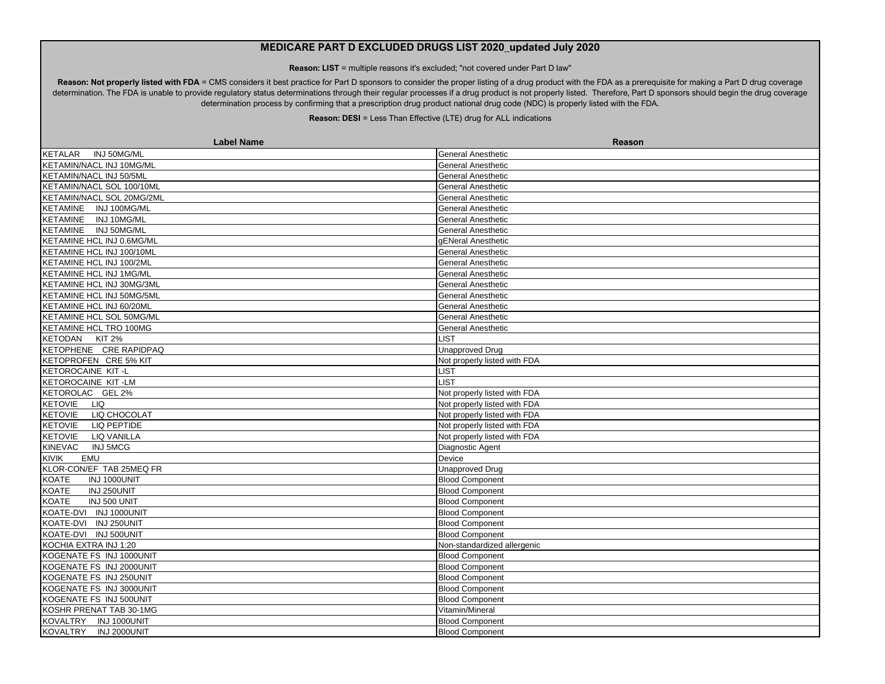**Reason: LIST** = multiple reasons it's excluded; "not covered under Part D law"

Reason: Not properly listed with FDA = CMS considers it best practice for Part D sponsors to consider the proper listing of a drug product with the FDA as a prerequisite for making a Part D drug coverage determination. The FDA is unable to provide regulatory status determinations through their regular processes if a drug product is not properly listed. Therefore, Part D sponsors should begin the drug coverage determination process by confirming that a prescription drug product national drug code (NDC) is properly listed with the FDA.

| <b>Label Name</b>                    | <b>Reason</b>                |
|--------------------------------------|------------------------------|
| KETALAR<br>INJ 50MG/ML               | <b>General Anesthetic</b>    |
| KETAMIN/NACL INJ 10MG/ML             | General Anesthetic           |
| KETAMIN/NACL INJ 50/5ML              | <b>General Anesthetic</b>    |
| KETAMIN/NACL SOL 100/10ML            | <b>General Anesthetic</b>    |
| KETAMIN/NACL SOL 20MG/2ML            | <b>General Anesthetic</b>    |
| KETAMINE INJ 100MG/ML                | <b>General Anesthetic</b>    |
| KETAMINE INJ 10MG/ML                 | <b>General Anesthetic</b>    |
| KETAMINE INJ 50MG/ML                 | <b>General Anesthetic</b>    |
| KETAMINE HCL INJ 0.6MG/ML            | gENeral Anesthetic           |
| KETAMINE HCL INJ 100/10ML            | <b>General Anesthetic</b>    |
| KETAMINE HCL INJ 100/2ML             | <b>General Anesthetic</b>    |
| KETAMINE HCL INJ 1MG/ML              | <b>General Anesthetic</b>    |
| KETAMINE HCL INJ 30MG/3ML            | <b>General Anesthetic</b>    |
| <b>KETAMINE HCL INJ 50MG/5ML</b>     | <b>General Anesthetic</b>    |
| KETAMINE HCL INJ 60/20ML             | General Anesthetic           |
| KETAMINE HCL SOL 50MG/ML             | <b>General Anesthetic</b>    |
| KETAMINE HCL TRO 100MG               | <b>General Anesthetic</b>    |
| KETODAN KIT 2%                       | <b>LIST</b>                  |
| KETOPHENE CRE RAPIDPAQ               | <b>Unapproved Drug</b>       |
| KETOPROFEN CRE 5% KIT                | Not properly listed with FDA |
| KETOROCAINE KIT-L                    | <b>LIST</b>                  |
| KETOROCAINE KIT-LM                   | <b>LIST</b>                  |
| KETOROLAC GEL 2%                     | Not properly listed with FDA |
| <b>KETOVIE</b><br><b>LIQ</b>         | Not properly listed with FDA |
| KETOVIE<br>LIQ CHOCOLAT              | Not properly listed with FDA |
| KETOVIE<br><b>LIQ PEPTIDE</b>        | Not properly listed with FDA |
| <b>KETOVIE</b><br><b>LIQ VANILLA</b> | Not properly listed with FDA |
| KINEVAC<br><b>INJ 5MCG</b>           | Diagnostic Agent             |
| KIVIK<br>EMU                         | Device                       |
| KLOR-CON/EF TAB 25MEQ FR             | <b>Unapproved Drug</b>       |
| <b>KOATE</b><br>INJ 1000UNIT         | <b>Blood Component</b>       |
| INJ 250UNIT<br><b>KOATE</b>          | <b>Blood Component</b>       |
| INJ 500 UNIT<br><b>KOATE</b>         | <b>Blood Component</b>       |
| KOATE-DVI INJ 1000UNIT               | <b>Blood Component</b>       |
| KOATE-DVI INJ 250UNIT                | <b>Blood Component</b>       |
| KOATE-DVI INJ 500UNIT                | <b>Blood Component</b>       |
| KOCHIA EXTRA INJ 1:20                | Non-standardized allergenic  |
| KOGENATE FS INJ 1000UNIT             | <b>Blood Component</b>       |
| KOGENATE FS INJ 2000UNIT             | <b>Blood Component</b>       |
| KOGENATE FS INJ 250UNIT              | <b>Blood Component</b>       |
| KOGENATE FS INJ 3000UNIT             | <b>Blood Component</b>       |
| KOGENATE FS INJ 500UNIT              | <b>Blood Component</b>       |
| KOSHR PRENAT TAB 30-1MG              | Vitamin/Mineral              |
| KOVALTRY INJ 1000UNIT                | <b>Blood Component</b>       |
| KOVALTRY INJ 2000UNIT                | <b>Blood Component</b>       |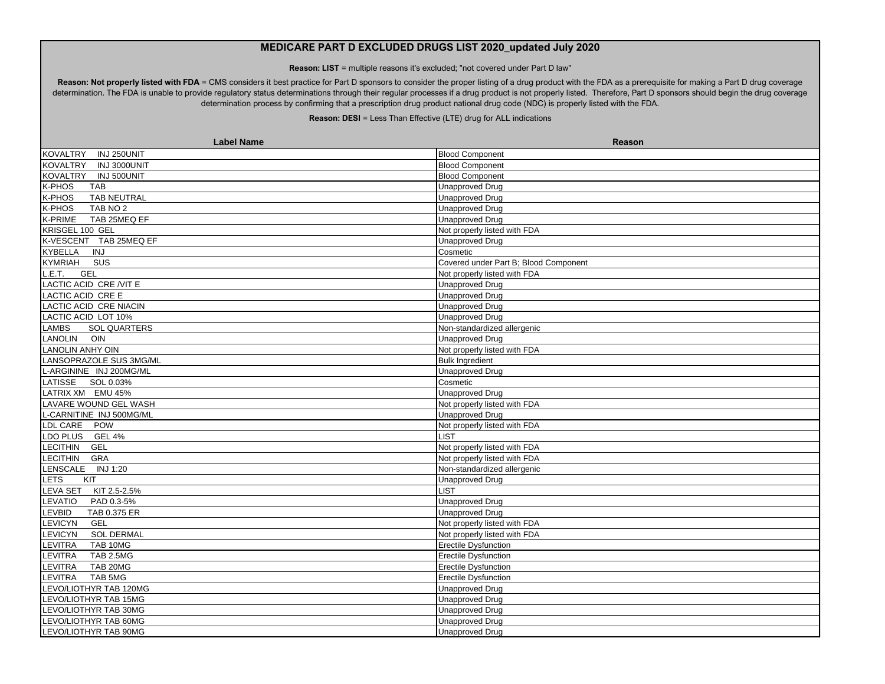**Reason: LIST** = multiple reasons it's excluded; "not covered under Part D law"

Reason: Not properly listed with FDA = CMS considers it best practice for Part D sponsors to consider the proper listing of a drug product with the FDA as a prerequisite for making a Part D drug coverage determination. The FDA is unable to provide regulatory status determinations through their regular processes if a drug product is not properly listed. Therefore, Part D sponsors should begin the drug coverage determination process by confirming that a prescription drug product national drug code (NDC) is properly listed with the FDA.

| <b>Label Name</b>                   | Reason                                |
|-------------------------------------|---------------------------------------|
| INJ 250UNIT<br><b>KOVALTRY</b>      | <b>Blood Component</b>                |
| INJ 3000UNIT<br>KOVALTRY            | <b>Blood Component</b>                |
| KOVALTRY INJ 500UNIT                | <b>Blood Component</b>                |
| K-PHOS<br>TAB                       | <b>Unapproved Drug</b>                |
| K-PHOS<br>TAB NEUTRAL               | <b>Unapproved Drug</b>                |
| K-PHOS<br>TAB NO <sub>2</sub>       | <b>Unapproved Drug</b>                |
| K-PRIME<br>TAB 25MEQ EF             | <b>Unapproved Drug</b>                |
| KRISGEL 100 GEL                     | Not properly listed with FDA          |
| K-VESCENT TAB 25MEQ EF              | Unapproved Drug                       |
| <b>KYBELLA</b><br><b>INJ</b>        | Cosmetic                              |
| <b>KYMRIAH</b><br>SUS               | Covered under Part B; Blood Component |
| <b>GEL</b><br>.E.T.                 | Not properly listed with FDA          |
| LACTIC ACID CRE/VIT E               | <b>Unapproved Drug</b>                |
| LACTIC ACID CRE E                   | <b>Unapproved Drug</b>                |
| LACTIC ACID CRE NIACIN              | <b>Unapproved Drug</b>                |
| LACTIC ACID LOT 10%                 | Unapproved Drug                       |
| LAMBS<br><b>SOL QUARTERS</b>        | Non-standardized allergenic           |
| <b>LANOLIN</b><br>OIN               | <b>Unapproved Drug</b>                |
| <b>LANOLIN ANHY OIN</b>             | Not properly listed with FDA          |
| LANSOPRAZOLE SUS 3MG/ML             | <b>Bulk Ingredient</b>                |
| L-ARGININE INJ 200MG/ML             | <b>Unapproved Drug</b>                |
| SOL 0.03%<br>LATISSE                | Cosmetic                              |
| LATRIX XM EMU 45%                   | <b>Unapproved Drug</b>                |
| LAVARE WOUND GEL WASH               | Not properly listed with FDA          |
| -CARNITINE INJ 500MG/ML             | <b>Unapproved Drug</b>                |
| LDL CARE POW                        | Not properly listed with FDA          |
| LDO PLUS<br><b>GEL 4%</b>           | LIST                                  |
| <b>LECITHIN</b><br>GEL              | Not properly listed with FDA          |
| <b>LECITHIN</b><br>GRA              | Not properly listed with FDA          |
| LENSCALE INJ 1:20                   | Non-standardized allergenic           |
| KIT<br>LETS                         | <b>Unapproved Drug</b>                |
| LEVA SET<br>KIT 2.5-2.5%            | LIST                                  |
| LEVATIO<br>PAD 0.3-5%               | <b>Unapproved Drug</b>                |
| LEVBID<br>TAB 0.375 ER              | <b>Unapproved Drug</b>                |
| <b>LEVICYN</b><br>GEL               | Not properly listed with FDA          |
| <b>LEVICYN</b><br><b>SOL DERMAL</b> | Not properly listed with FDA          |
| LEVITRA<br>TAB 10MG                 | <b>Erectile Dysfunction</b>           |
| TAB 2.5MG<br>LEVITRA                | <b>Erectile Dysfunction</b>           |
| TAB 20MG<br><b>LEVITRA</b>          | <b>Erectile Dysfunction</b>           |
| TAB 5MG<br><b>LEVITRA</b>           | <b>Erectile Dysfunction</b>           |
| LEVO/LIOTHYR TAB 120MG              | <b>Unapproved Drug</b>                |
| LEVO/LIOTHYR TAB 15MG               | Unapproved Drug                       |
| LEVO/LIOTHYR TAB 30MG               | <b>Unapproved Drug</b>                |
| LEVO/LIOTHYR TAB 60MG               | <b>Unapproved Drug</b>                |
| LEVO/LIOTHYR TAB 90MG               | <b>Unapproved Drug</b>                |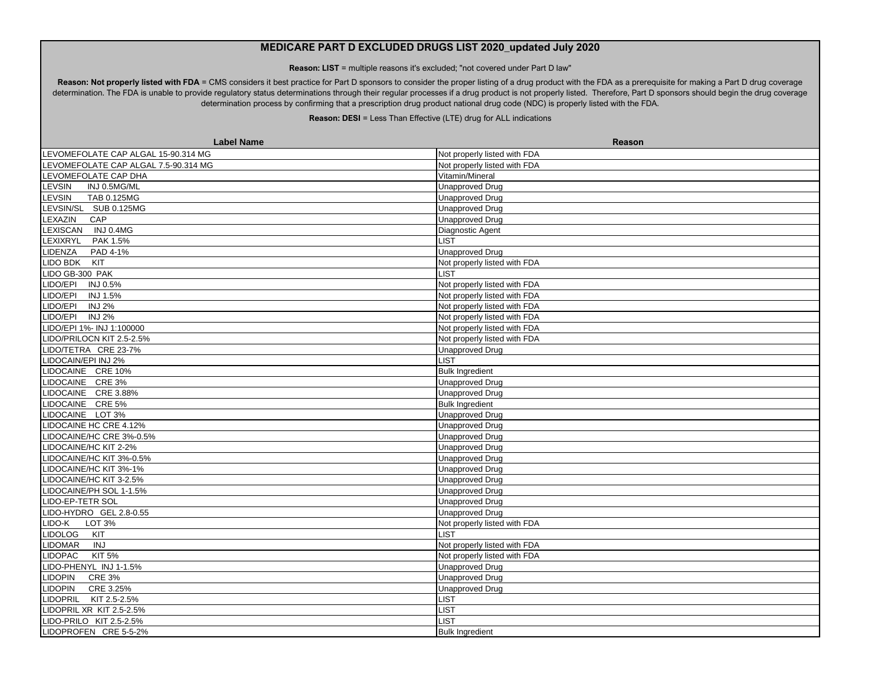**Reason: LIST** = multiple reasons it's excluded; "not covered under Part D law"

Reason: Not properly listed with FDA = CMS considers it best practice for Part D sponsors to consider the proper listing of a drug product with the FDA as a prerequisite for making a Part D drug coverage determination. The FDA is unable to provide regulatory status determinations through their regular processes if a drug product is not properly listed. Therefore, Part D sponsors should begin the drug coverage determination process by confirming that a prescription drug product national drug code (NDC) is properly listed with the FDA.

| <b>Label Name</b>                    | Reason                       |
|--------------------------------------|------------------------------|
| LEVOMEFOLATE CAP ALGAL 15-90.314 MG  | Not properly listed with FDA |
| LEVOMEFOLATE CAP ALGAL 7.5-90.314 MG | Not properly listed with FDA |
| LEVOMEFOLATE CAP DHA                 | Vitamin/Mineral              |
| LEVSIN<br>INJ 0.5MG/ML               | <b>Unapproved Drug</b>       |
| TAB 0.125MG<br>LEVSIN                | <b>Unapproved Drug</b>       |
| LEVSIN/SL SUB 0.125MG                | <b>Unapproved Drug</b>       |
| LEXAZIN<br>CAP                       | <b>Unapproved Drug</b>       |
| LEXISCAN INJ 0.4MG                   | Diagnostic Agent             |
| LEXIXRYL<br>PAK 1.5%                 | <b>LIST</b>                  |
| PAD 4-1%<br>LIDENZA                  | <b>Unapproved Drug</b>       |
| LIDO BDK KIT                         | Not properly listed with FDA |
| LIDO GB-300 PAK                      | <b>LIST</b>                  |
| LIDO/EPI<br>INJ 0.5%                 | Not properly listed with FDA |
| LIDO/EPI<br><b>INJ 1.5%</b>          | Not properly listed with FDA |
| <b>IDO/EPI</b><br><b>INJ 2%</b>      | Not properly listed with FDA |
| $LIDO/EPI INJ2\%$                    | Not properly listed with FDA |
| LIDO/EPI 1%- INJ 1:100000            | Not properly listed with FDA |
| LIDO/PRILOCN KIT 2.5-2.5%            | Not properly listed with FDA |
| LIDO/TETRA CRE 23-7%                 | <b>Unapproved Drug</b>       |
| IDOCAIN/EPI INJ 2%                   | <b>LIST</b>                  |
| LIDOCAINE CRE 10%                    | <b>Bulk Ingredient</b>       |
| LIDOCAINE CRE3%                      | <b>Unapproved Drug</b>       |
| LIDOCAINE CRE 3.88%                  | <b>Unapproved Drug</b>       |
| LIDOCAINE CRE 5%                     | <b>Bulk Ingredient</b>       |
| LIDOCAINE LOT 3%                     | <b>Unapproved Drug</b>       |
| LIDOCAINE HC CRE 4.12%               | <b>Unapproved Drug</b>       |
| LIDOCAINE/HC CRE 3%-0.5%             | <b>Unapproved Drug</b>       |
| LIDOCAINE/HC KIT 2-2%                | <b>Unapproved Drug</b>       |
| LIDOCAINE/HC KIT 3%-0.5%             | <b>Unapproved Drug</b>       |
| LIDOCAINE/HC KIT 3%-1%               | <b>Unapproved Drug</b>       |
| <b>IDOCAINE/HC KIT 3-2.5%</b>        | <b>Unapproved Drug</b>       |
| LIDOCAINE/PH SOL 1-1.5%              | <b>Unapproved Drug</b>       |
| LIDO-EP-TETR SOL                     | Unapproved Drug              |
| LIDO-HYDRO GEL 2.8-0.55              | <b>Unapproved Drug</b>       |
| LIDO-K<br>LOT 3%                     | Not properly listed with FDA |
| <b>LIDOLOG</b><br>KIT                | <b>LIST</b>                  |
| LIDOMAR<br><b>INJ</b>                | Not properly listed with FDA |
| <b>LIDOPAC</b><br><b>KIT 5%</b>      | Not properly listed with FDA |
| LIDO-PHENYL INJ 1-1.5%               | <b>Unapproved Drug</b>       |
| <b>LIDOPIN</b><br><b>CRE 3%</b>      | <b>Unapproved Drug</b>       |
| <b>LIDOPIN</b><br>CRE 3.25%          | <b>Unapproved Drug</b>       |
| LIDOPRIL<br>KIT 2.5-2.5%             | <b>LIST</b>                  |
| LIDOPRIL XR KIT 2.5-2.5%             | <b>LIST</b>                  |
| LIDO-PRILO KIT 2.5-2.5%              | <b>LIST</b>                  |
| LIDOPROFEN CRE 5-5-2%                | <b>Bulk Ingredient</b>       |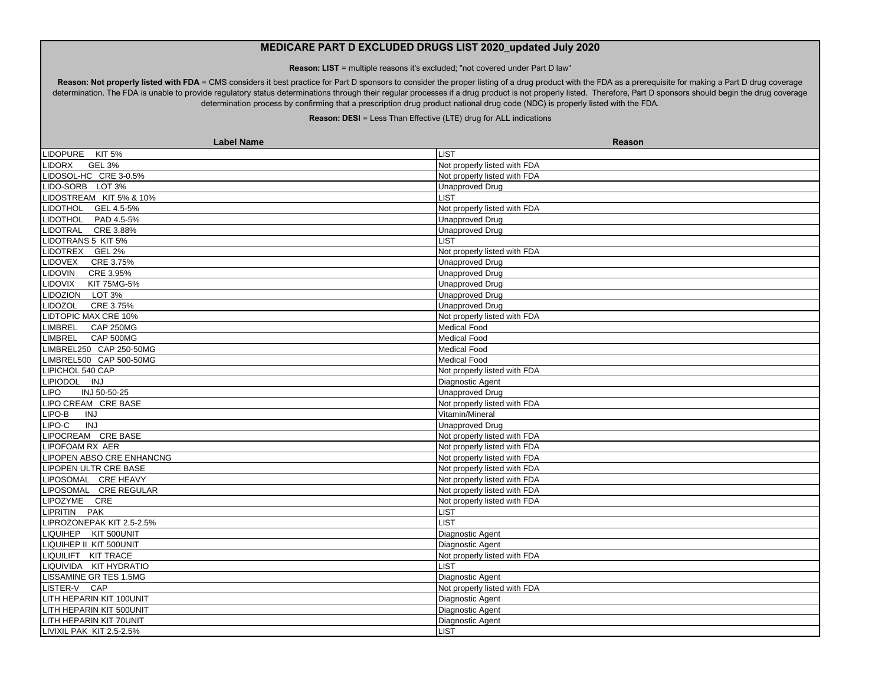**Reason: LIST** = multiple reasons it's excluded; "not covered under Part D law"

Reason: Not properly listed with FDA = CMS considers it best practice for Part D sponsors to consider the proper listing of a drug product with the FDA as a prerequisite for making a Part D drug coverage determination. The FDA is unable to provide regulatory status determinations through their regular processes if a drug product is not properly listed. Therefore, Part D sponsors should begin the drug coverage determination process by confirming that a prescription drug product national drug code (NDC) is properly listed with the FDA.

| <b>Label Name</b>              | Reason                       |
|--------------------------------|------------------------------|
| LIDOPURE KIT 5%                | <b>LIST</b>                  |
| <b>LIDORX</b><br><b>GEL 3%</b> | Not properly listed with FDA |
| LIDOSOL-HC CRE 3-0.5%          | Not properly listed with FDA |
| LIDO-SORB LOT 3%               | <b>Unapproved Drug</b>       |
| LIDOSTREAM KIT 5% & 10%        | <b>LIST</b>                  |
| LIDOTHOL GEL 4.5-5%            | Not properly listed with FDA |
| LIDOTHOL PAD 4.5-5%            | <b>Unapproved Drug</b>       |
| LIDOTRAL CRE 3.88%             | <b>Unapproved Drug</b>       |
| LIDOTRANS 5 KIT 5%             | <b>IST</b>                   |
| LIDOTREX GEL 2%                | Not properly listed with FDA |
| LIDOVEX CRE 3.75%              | <b>Unapproved Drug</b>       |
| LIDOVIN<br>CRE 3.95%           | Unapproved Drug              |
| KIT 75MG-5%<br><b>LIDOVIX</b>  | <b>Unapproved Drug</b>       |
| LIDOZION LOT 3%                | <b>Unapproved Drug</b>       |
| CRE 3.75%<br><b>LIDOZOL</b>    | <b>Unapproved Drug</b>       |
| LIDTOPIC MAX CRE 10%           | Not properly listed with FDA |
| <b>CAP 250MG</b><br>LIMBREL    | <b>Medical Food</b>          |
| LIMBREL CAP 500MG              | <b>Medical Food</b>          |
| LIMBREL250 CAP 250-50MG        | <b>Medical Food</b>          |
| LIMBREL500 CAP 500-50MG        | <b>Medical Food</b>          |
| LIPICHOL 540 CAP               | Not properly listed with FDA |
| LIPIODOL INJ                   | Diagnostic Agent             |
| <b>LIPO</b><br>INJ 50-50-25    | <b>Unapproved Drug</b>       |
| LIPO CREAM CRE BASE            | Not properly listed with FDA |
| LIPO-B<br><b>INJ</b>           | Vitamin/Mineral              |
| INJ<br>LIPO-C                  | <b>Unapproved Drug</b>       |
| LIPOCREAM CRE BASE             | Not properly listed with FDA |
| LIPOFOAM RX AER                | Not properly listed with FDA |
| LIPOPEN ABSO CRE ENHANCNG      | Not properly listed with FDA |
| LIPOPEN ULTR CRE BASE          | Not properly listed with FDA |
| LIPOSOMAL CRE HEAVY            | Not properly listed with FDA |
| LIPOSOMAL CRE REGULAR          | Not properly listed with FDA |
| LIPOZYME CRE                   | Not properly listed with FDA |
| LIPRITIN PAK                   | <b>LIST</b>                  |
| LIPROZONEPAK KIT 2.5-2.5%      | <b>LIST</b>                  |
| LIQUIHEP KIT 500UNIT           | Diagnostic Agent             |
| LIQUIHEP II KIT 500UNIT        | Diagnostic Agent             |
| LIQUILIFT KIT TRACE            | Not properly listed with FDA |
| LIQUIVIDA KIT HYDRATIO         | <b>IST</b>                   |
| LISSAMINE GR TES 1.5MG         | Diagnostic Agent             |
| LISTER-V CAP                   | Not properly listed with FDA |
| LITH HEPARIN KIT 100UNIT       | Diagnostic Agent             |
| LITH HEPARIN KIT 500UNIT       | Diagnostic Agent             |
| LITH HEPARIN KIT 70UNIT        | Diagnostic Agent             |
| LIVIXIL PAK_KIT 2.5-2.5%       | LIST                         |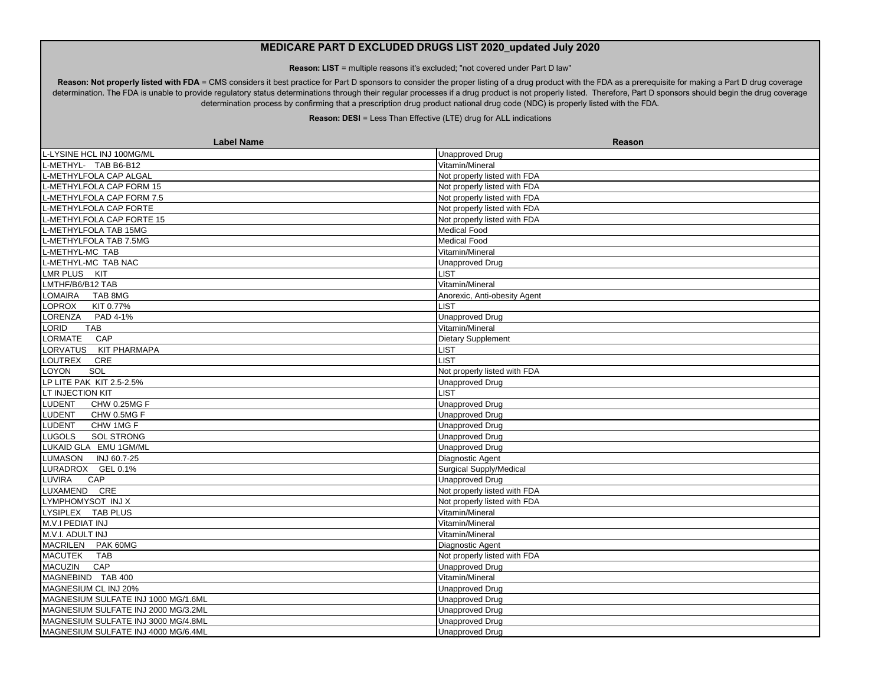**Reason: LIST** = multiple reasons it's excluded; "not covered under Part D law"

Reason: Not properly listed with FDA = CMS considers it best practice for Part D sponsors to consider the proper listing of a drug product with the FDA as a prerequisite for making a Part D drug coverage determination. The FDA is unable to provide regulatory status determinations through their regular processes if a drug product is not properly listed. Therefore, Part D sponsors should begin the drug coverage determination process by confirming that a prescription drug product national drug code (NDC) is properly listed with the FDA.

| <b>Label Name</b>                   | Reason                         |
|-------------------------------------|--------------------------------|
| L-LYSINE HCL INJ 100MG/ML           | <b>Unapproved Drug</b>         |
| L-METHYL- TAB B6-B12                | Vitamin/Mineral                |
| L-METHYLFOLA CAP ALGAL              | Not properly listed with FDA   |
| -METHYLFOLA CAP FORM 15             | Not properly listed with FDA   |
| -METHYLFOLA CAP FORM 7.5            | Not properly listed with FDA   |
| L-METHYLFOLA CAP FORTE              | Not properly listed with FDA   |
| L-METHYLFOLA CAP FORTE 15           | Not properly listed with FDA   |
| -METHYLFOLA TAB 15MG                | Medical Food                   |
| L-METHYLFOLA TAB 7.5MG              | Medical Food                   |
| L-METHYL-MC TAB                     | Vitamin/Mineral                |
| L-METHYL-MC TAB NAC                 | <b>Unapproved Drug</b>         |
| LMR PLUS KIT                        | <b>LIST</b>                    |
| LMTHF/B6/B12 TAB                    | Vitamin/Mineral                |
| <b>OMAIRA</b><br>TAB 8MG            | Anorexic, Anti-obesity Agent   |
| KIT 0.77%<br>LOPROX                 | LIST                           |
| LORENZA<br>PAD 4-1%                 | <b>Unapproved Drug</b>         |
| LORID<br><b>TAB</b>                 | Vitamin/Mineral                |
| LORMATE<br>CAP                      | <b>Dietary Supplement</b>      |
| LORVATUS KIT PHARMAPA               | <b>LIST</b>                    |
| LOUTREX<br>CRE                      | <b>LIST</b>                    |
| SOL<br>LOYON                        | Not properly listed with FDA   |
| LP LITE PAK KIT 2.5-2.5%            | <b>Unapproved Drug</b>         |
| LT INJECTION KIT                    | LIST                           |
| <b>LUDENT</b><br>CHW 0.25MG F       | <b>Unapproved Drug</b>         |
| <b>LUDENT</b><br>CHW 0.5MG F        | <b>Unapproved Drug</b>         |
| <b>LUDENT</b><br>CHW 1MG F          | <b>Unapproved Drug</b>         |
| <b>LUGOLS</b><br><b>SOL STRONG</b>  | <b>Unapproved Drug</b>         |
| LUKAID GLA EMU 1GM/ML               | <b>Unapproved Drug</b>         |
| LUMASON INJ 60.7-25                 | Diagnostic Agent               |
| LURADROX GEL 0.1%                   | <b>Surgical Supply/Medical</b> |
| LUVIRA<br>CAP                       | <b>Unapproved Drug</b>         |
| LUXAMEND CRE                        | Not properly listed with FDA   |
| LYMPHOMYSOT INJ X                   | Not properly listed with FDA   |
| LYSIPLEX TAB PLUS                   | Vitamin/Mineral                |
| M.V.I PEDIAT INJ                    | Vitamin/Mineral                |
| M.V.I. ADULT INJ                    | Vitamin/Mineral                |
| MACRILEN PAK 60MG                   | Diagnostic Agent               |
| MACUTEK TAB                         | Not properly listed with FDA   |
| <b>MACUZIN</b><br>CAP               | <b>Unapproved Drug</b>         |
| MAGNEBIND TAB 400                   | Vitamin/Mineral                |
| MAGNESIUM CL INJ 20%                | <b>Unapproved Drug</b>         |
| MAGNESIUM SULFATE INJ 1000 MG/1.6ML | Unapproved Drug                |
| MAGNESIUM SULFATE INJ 2000 MG/3.2ML | Unapproved Drug                |
| MAGNESIUM SULFATE INJ 3000 MG/4.8ML | <b>Unapproved Drug</b>         |
| MAGNESIUM SULFATE INJ 4000 MG/6.4ML | <b>Unapproved Drug</b>         |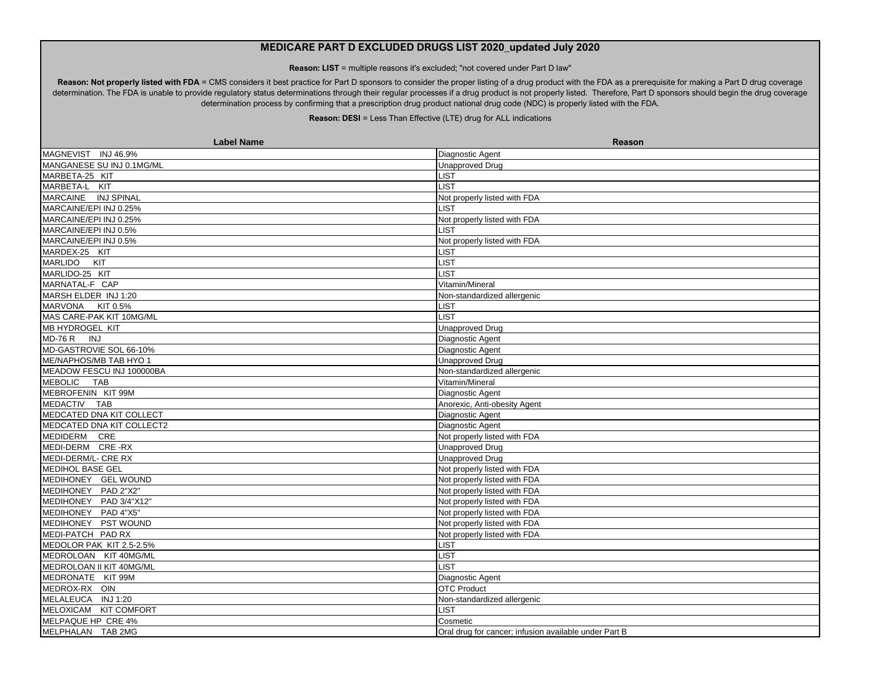**Reason: LIST** = multiple reasons it's excluded; "not covered under Part D law"

Reason: Not properly listed with FDA = CMS considers it best practice for Part D sponsors to consider the proper listing of a drug product with the FDA as a prerequisite for making a Part D drug coverage determination. The FDA is unable to provide regulatory status determinations through their regular processes if a drug product is not properly listed. Therefore, Part D sponsors should begin the drug coverage determination process by confirming that a prescription drug product national drug code (NDC) is properly listed with the FDA.

| <b>Label Name</b>         | Reason                                                |
|---------------------------|-------------------------------------------------------|
| MAGNEVIST INJ 46.9%       | Diagnostic Agent                                      |
| MANGANESE SU INJ 0.1MG/ML | <b>Unapproved Drug</b>                                |
| MARBETA-25 KIT            | <b>LIST</b>                                           |
| MARBETA-L KIT             | <b>LIST</b>                                           |
| MARCAINE INJ SPINAL       | Not properly listed with FDA                          |
| MARCAINE/EPI INJ 0.25%    | <b>LIST</b>                                           |
| MARCAINE/EPI INJ 0.25%    | Not properly listed with FDA                          |
| MARCAINE/EPI INJ 0.5%     | <b>LIST</b>                                           |
| MARCAINE/EPI INJ 0.5%     | Not properly listed with FDA                          |
| MARDEX-25 KIT             | <b>LIST</b>                                           |
| MARLIDO KIT               | LIST                                                  |
| MARLIDO-25 KIT            | <b>LIST</b>                                           |
| MARNATAL-F CAP            | Vitamin/Mineral                                       |
| MARSH ELDER INJ 1:20      | Non-standardized allergenic                           |
| MARVONA KIT 0.5%          | <b>LIST</b>                                           |
| MAS CARE-PAK KIT 10MG/ML  | <b>LIST</b>                                           |
| MB HYDROGEL KIT           | <b>Unapproved Drug</b>                                |
| MD-76 R INJ               | Diagnostic Agent                                      |
| MD-GASTROVIE SOL 66-10%   | Diagnostic Agent                                      |
| ME/NAPHOS/MB TAB HYO 1    | <b>Unapproved Drug</b>                                |
| MEADOW FESCU INJ 100000BA | Non-standardized allergenic                           |
| MEBOLIC TAB               | Vitamin/Mineral                                       |
| MEBROFENIN KIT 99M        | Diagnostic Agent                                      |
| MEDACTIV TAB              | Anorexic, Anti-obesity Agent                          |
| MEDCATED DNA KIT COLLECT  | Diagnostic Agent                                      |
| MEDCATED DNA KIT COLLECT2 | Diagnostic Agent                                      |
| MEDIDERM CRE              | Not properly listed with FDA                          |
| MEDI-DERM CRE-RX          | <b>Unapproved Drug</b>                                |
| MEDI-DERM/L- CRE RX       | <b>Unapproved Drug</b>                                |
| <b>MEDIHOL BASE GEL</b>   | Not properly listed with FDA                          |
| MEDIHONEY GEL WOUND       | Not properly listed with FDA                          |
| MEDIHONEY PAD 2"X2"       | Not properly listed with FDA                          |
| MEDIHONEY PAD 3/4"X12"    | Not properly listed with FDA                          |
| MEDIHONEY PAD 4"X5"       | Not properly listed with FDA                          |
| MEDIHONEY PST WOUND       | Not properly listed with FDA                          |
| MEDI-PATCH PAD RX         | Not properly listed with FDA                          |
| MEDOLOR PAK KIT 2.5-2.5%  | <b>LIST</b>                                           |
| MEDROLOAN KIT 40MG/ML     | LIST                                                  |
| MEDROLOAN II KIT 40MG/ML  | LIST                                                  |
| MEDRONATE KIT 99M         | Diagnostic Agent                                      |
| MEDROX-RX OIN             | <b>OTC</b> Product                                    |
| MELALEUCA INJ 1:20        | Non-standardized allergenic                           |
| MELOXICAM KIT COMFORT     | <b>LIST</b>                                           |
| MELPAQUE HP CRE 4%        | Cosmetic                                              |
| MELPHALAN TAB 2MG         | Oral drug for cancer; infusion available under Part B |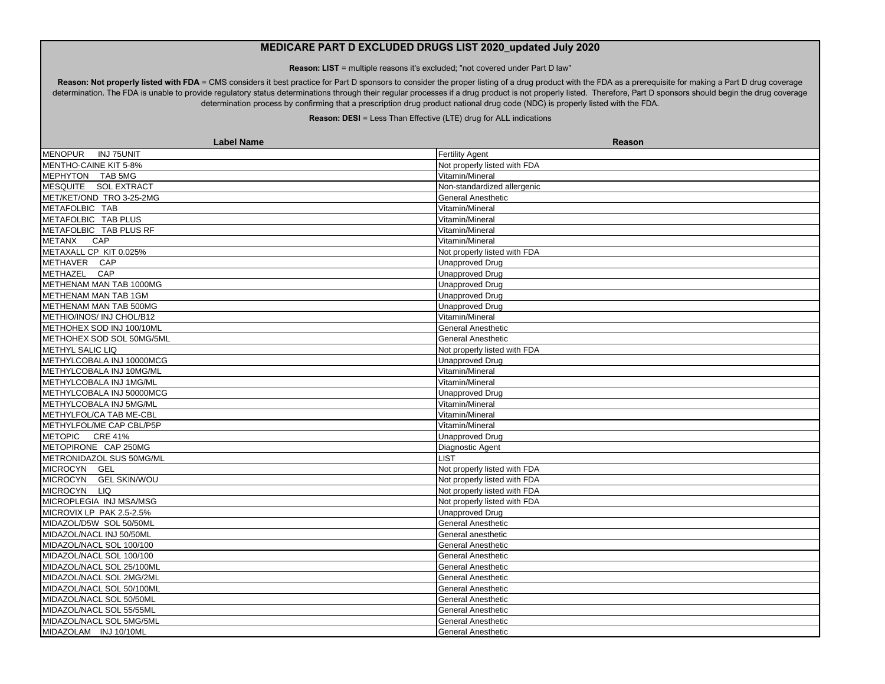**Reason: LIST** = multiple reasons it's excluded; "not covered under Part D law"

Reason: Not properly listed with FDA = CMS considers it best practice for Part D sponsors to consider the proper listing of a drug product with the FDA as a prerequisite for making a Part D drug coverage determination. The FDA is unable to provide regulatory status determinations through their regular processes if a drug product is not properly listed. Therefore, Part D sponsors should begin the drug coverage determination process by confirming that a prescription drug product national drug code (NDC) is properly listed with the FDA.

| <b>Label Name</b>            | Reason                       |
|------------------------------|------------------------------|
| MENOPUR<br><b>INJ 75UNIT</b> | <b>Fertility Agent</b>       |
| MENTHO-CAINE KIT 5-8%        | Not properly listed with FDA |
| MEPHYTON TAB 5MG             | Vitamin/Mineral              |
| MESQUITE SOL EXTRACT         | Non-standardized allergenic  |
| MET/KET/OND TRO 3-25-2MG     | <b>General Anesthetic</b>    |
| METAFOLBIC TAB               | Vitamin/Mineral              |
| METAFOLBIC TAB PLUS          | Vitamin/Mineral              |
| METAFOLBIC TAB PLUS RF       | Vitamin/Mineral              |
| METANX CAP                   | Vitamin/Mineral              |
| METAXALL CP KIT 0.025%       | Not properly listed with FDA |
| METHAVER CAP                 | <b>Unapproved Drug</b>       |
| METHAZEL CAP                 | <b>Unapproved Drug</b>       |
| METHENAM MAN TAB 1000MG      | <b>Unapproved Drug</b>       |
| METHENAM MAN TAB 1GM         | <b>Unapproved Drug</b>       |
| METHENAM MAN TAB 500MG       | <b>Unapproved Drug</b>       |
| METHIO/INOS/ INJ CHOL/B12    | Vitamin/Mineral              |
| METHOHEX SOD INJ 100/10ML    | <b>General Anesthetic</b>    |
| METHOHEX SOD SOL 50MG/5ML    | <b>General Anesthetic</b>    |
| <b>METHYL SALIC LIQ</b>      | Not properly listed with FDA |
| METHYLCOBALA INJ 10000MCG    | Unapproved Drug              |
| METHYLCOBALA INJ 10MG/ML     | Vitamin/Mineral              |
| METHYLCOBALA INJ 1MG/ML      | Vitamin/Mineral              |
| METHYLCOBALA INJ 50000MCG    | <b>Unapproved Drug</b>       |
| METHYLCOBALA INJ 5MG/ML      | Vitamin/Mineral              |
| METHYLFOL/CA TAB ME-CBL      | Vitamin/Mineral              |
| METHYLFOL/ME CAP CBL/P5P     | Vitamin/Mineral              |
| METOPIC CRE 41%              | <b>Unapproved Drug</b>       |
| METOPIRONE CAP 250MG         | Diagnostic Agent             |
| METRONIDAZOL SUS 50MG/ML     | <b>LIST</b>                  |
| MICROCYN GEL                 | Not properly listed with FDA |
| MICROCYN GEL SKIN/WOU        | Not properly listed with FDA |
| MICROCYN LIQ                 | Not properly listed with FDA |
| MICROPLEGIA INJ MSA/MSG      | Not properly listed with FDA |
| MICROVIX LP PAK 2.5-2.5%     | <b>Unapproved Drug</b>       |
| MIDAZOL/D5W SOL 50/50ML      | <b>General Anesthetic</b>    |
| MIDAZOL/NACL INJ 50/50ML     | General anesthetic           |
| MIDAZOL/NACL SOL 100/100     | <b>General Anesthetic</b>    |
| MIDAZOL/NACL SOL 100/100     | <b>General Anesthetic</b>    |
| MIDAZOL/NACL SOL 25/100ML    | General Anesthetic           |
| MIDAZOL/NACL SOL 2MG/2ML     | General Anesthetic           |
| MIDAZOL/NACL SOL 50/100ML    | <b>General Anesthetic</b>    |
| MIDAZOL/NACL SOL 50/50ML     | <b>General Anesthetic</b>    |
| MIDAZOL/NACL SOL 55/55ML     | <b>General Anesthetic</b>    |
| MIDAZOL/NACL SOL 5MG/5ML     | General Anesthetic           |
| MIDAZOLAM INJ 10/10ML        | General Anesthetic           |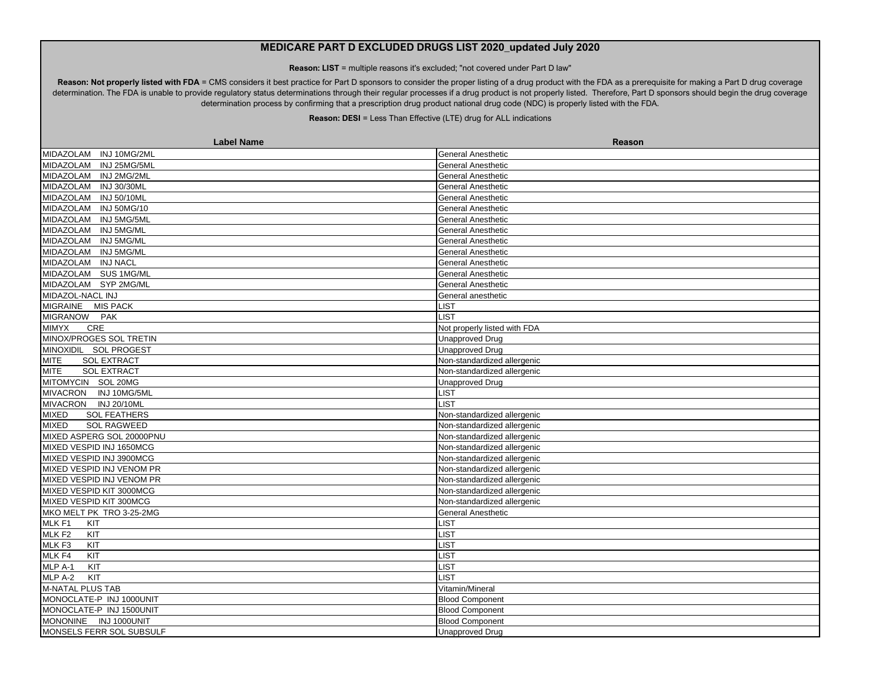**Reason: LIST** = multiple reasons it's excluded; "not covered under Part D law"

Reason: Not properly listed with FDA = CMS considers it best practice for Part D sponsors to consider the proper listing of a drug product with the FDA as a prerequisite for making a Part D drug coverage determination. The FDA is unable to provide regulatory status determinations through their regular processes if a drug product is not properly listed. Therefore, Part D sponsors should begin the drug coverage determination process by confirming that a prescription drug product national drug code (NDC) is properly listed with the FDA.

| <b>Label Name</b>                   | Reason                       |
|-------------------------------------|------------------------------|
| MIDAZOLAM INJ 10MG/2ML              | <b>General Anesthetic</b>    |
| MIDAZOLAM<br>INJ 25MG/5ML           | <b>General Anesthetic</b>    |
| MIDAZOLAM INJ 2MG/2ML               | <b>General Anesthetic</b>    |
| MIDAZOLAM<br>INJ 30/30ML            | <b>General Anesthetic</b>    |
| MIDAZOLAM INJ 50/10ML               | <b>General Anesthetic</b>    |
| <b>INJ 50MG/10</b><br>MIDAZOLAM     | General Anesthetic           |
| MIDAZOLAM INJ 5MG/5ML               | <b>General Anesthetic</b>    |
| MIDAZOLAM INJ 5MG/ML                | <b>General Anesthetic</b>    |
| MIDAZOLAM INJ 5MG/ML                | <b>General Anesthetic</b>    |
| MIDAZOLAM<br><b>INJ 5MG/ML</b>      | <b>General Anesthetic</b>    |
| MIDAZOLAM INJ NACL                  | <b>General Anesthetic</b>    |
| MIDAZOLAM SUS 1MG/ML                | <b>General Anesthetic</b>    |
| MIDAZOLAM SYP 2MG/ML                | <b>General Anesthetic</b>    |
| MIDAZOL-NACL INJ                    | General anesthetic           |
| MIGRAINE MIS PACK                   | <b>LIST</b>                  |
| MIGRANOW PAK                        | <b>LIST</b>                  |
| CRE<br><b>MIMYX</b>                 | Not properly listed with FDA |
| MINOX/PROGES SOL TRETIN             | <b>Unapproved Drug</b>       |
| MINOXIDIL SOL PROGEST               | <b>Unapproved Drug</b>       |
| <b>MITE</b><br><b>SOL EXTRACT</b>   | Non-standardized allergenic  |
| <b>MITE</b><br><b>SOL EXTRACT</b>   | Non-standardized allergenic  |
| MITOMYCIN SOL 20MG                  | <b>Unapproved Drug</b>       |
| MIVACRON INJ 10MG/5ML               | LIST                         |
| MIVACRON INJ 20/10ML                | LIST                         |
| <b>MIXED</b><br><b>SOL FEATHERS</b> | Non-standardized allergenic  |
| <b>MIXED</b><br><b>SOL RAGWEED</b>  | Non-standardized allergenic  |
| MIXED ASPERG SOL 20000PNU           | Non-standardized allergenic  |
| MIXED VESPID INJ 1650MCG            | Non-standardized allergenic  |
| MIXED VESPID INJ 3900MCG            | Non-standardized allergenic  |
| MIXED VESPID INJ VENOM PR           | Non-standardized allergenic  |
| MIXED VESPID INJ VENOM PR           | Non-standardized allergenic  |
| MIXED VESPID KIT 3000MCG            | Non-standardized allergenic  |
| MIXED VESPID KIT 300MCG             | Non-standardized allergenic  |
| MKO MELT PK TRO 3-25-2MG            | <b>General Anesthetic</b>    |
| MLK <sub>F1</sub><br>KIT            | <b>LIST</b>                  |
| MLK <sub>F2</sub><br>KIT            | LIST                         |
| MLK F3<br>KIT                       | LIST                         |
| MLK F4<br>KIT                       | LIST                         |
| MLP A-1<br>KIT                      | <b>LIST</b>                  |
| KIT<br>MLP A-2                      | <b>LIST</b>                  |
| M-NATAL PLUS TAB                    | Vitamin/Mineral              |
| MONOCLATE-P INJ 1000UNIT            | <b>Blood Component</b>       |
| MONOCLATE-P INJ 1500UNIT            | <b>Blood Component</b>       |
| MONONINE INJ 1000UNIT               | <b>Blood Component</b>       |
| MONSELS FERR SOL SUBSULF            | <b>Unapproved Drug</b>       |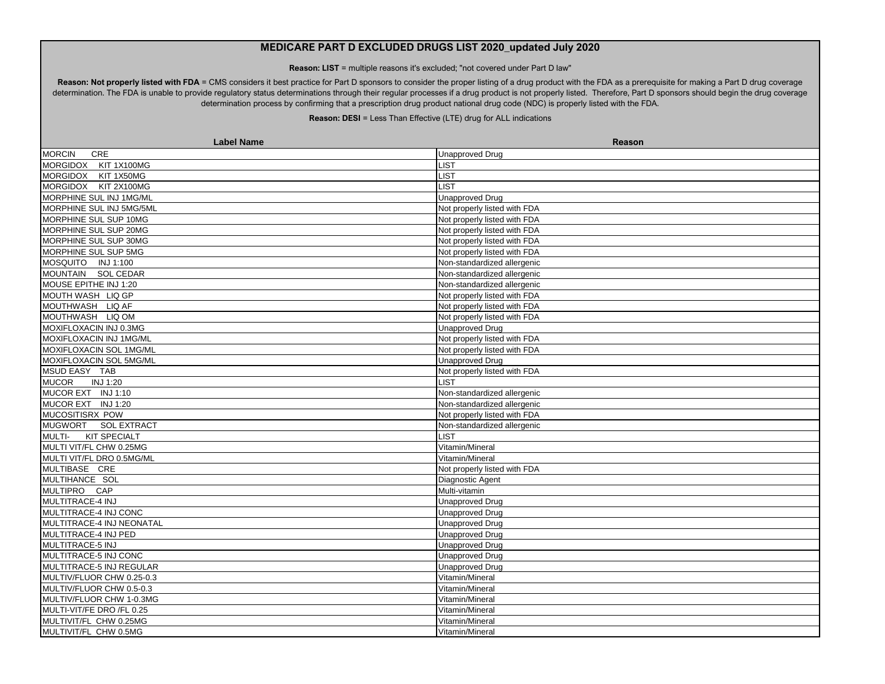**Reason: LIST** = multiple reasons it's excluded; "not covered under Part D law"

Reason: Not properly listed with FDA = CMS considers it best practice for Part D sponsors to consider the proper listing of a drug product with the FDA as a prerequisite for making a Part D drug coverage determination. The FDA is unable to provide regulatory status determinations through their regular processes if a drug product is not properly listed. Therefore, Part D sponsors should begin the drug coverage determination process by confirming that a prescription drug product national drug code (NDC) is properly listed with the FDA.

| <b>Label Name</b>                    | Reason                       |
|--------------------------------------|------------------------------|
| CRE<br><b>MORCIN</b>                 | <b>Unapproved Drug</b>       |
| MORGIDOX KIT 1X100MG                 | LIST                         |
| MORGIDOX<br>KIT 1X50MG               | <b>LIST</b>                  |
| MORGIDOX KIT 2X100MG                 | <b>LIST</b>                  |
| MORPHINE SUL INJ 1MG/ML              | <b>Unapproved Drug</b>       |
| MORPHINE SUL INJ 5MG/5ML             | Not properly listed with FDA |
| MORPHINE SUL SUP 10MG                | Not properly listed with FDA |
| MORPHINE SUL SUP 20MG                | Not properly listed with FDA |
| MORPHINE SUL SUP 30MG                | Not properly listed with FDA |
| MORPHINE SUL SUP 5MG                 | Not properly listed with FDA |
| MOSQUITO INJ 1:100                   | Non-standardized allergenic  |
| MOUNTAIN SOL CEDAR                   | Non-standardized allergenic  |
| MOUSE EPITHE INJ 1:20                | Non-standardized allergenic  |
| MOUTH WASH LIQ GP                    | Not properly listed with FDA |
| MOUTHWASH LIQ AF                     | Not properly listed with FDA |
| MOUTHWASH LIQ OM                     | Not properly listed with FDA |
| MOXIFLOXACIN INJ 0.3MG               | <b>Unapproved Drug</b>       |
| MOXIFLOXACIN INJ 1MG/ML              | Not properly listed with FDA |
| MOXIFLOXACIN SOL 1MG/ML              | Not properly listed with FDA |
| MOXIFLOXACIN SOL 5MG/ML              | <b>Unapproved Drug</b>       |
| MSUD EASY TAB                        | Not properly listed with FDA |
| INJ 1:20<br><b>MUCOR</b>             | <b>LIST</b>                  |
| MUCOR EXT INJ 1:10                   | Non-standardized allergenic  |
| MUCOR EXT INJ 1:20                   | Non-standardized allergenic  |
| <b>MUCOSITISRX POW</b>               | Not properly listed with FDA |
| MUGWORT SOL EXTRACT                  | Non-standardized allergenic  |
| <b>KIT SPECIALT</b><br><b>MULTI-</b> | <b>LIST</b>                  |
| MULTI VIT/FL CHW 0.25MG              | Vitamin/Mineral              |
| MULTI VIT/FL DRO 0.5MG/ML            | Vitamin/Mineral              |
| MULTIBASE CRE                        | Not properly listed with FDA |
| MULTIHANCE SOL                       | Diagnostic Agent             |
| MULTIPRO CAP                         | Multi-vitamin                |
| MULTITRACE-4 INJ                     | Unapproved Drug              |
| MULTITRACE-4 INJ CONC                | <b>Unapproved Drug</b>       |
| MULTITRACE-4 INJ NEONATAL            | <b>Unapproved Drug</b>       |
| MULTITRACE-4 INJ PED                 | <b>Unapproved Drug</b>       |
| MULTITRACE-5 INJ                     | <b>Unapproved Drug</b>       |
| MULTITRACE-5 INJ CONC                | <b>Unapproved Drug</b>       |
| MULTITRACE-5 INJ REGULAR             | <b>Unapproved Drug</b>       |
| MULTIV/FLUOR CHW 0.25-0.3            | Vitamin/Mineral              |
| MULTIV/FLUOR CHW 0.5-0.3             | Vitamin/Mineral              |
| MULTIV/FLUOR CHW 1-0.3MG             | Vitamin/Mineral              |
| MULTI-VIT/FE DRO/FL 0.25             | Vitamin/Mineral              |
| MULTIVIT/FL CHW 0.25MG               | Vitamin/Mineral              |
| MULTIVIT/FL CHW 0.5MG                | Vitamin/Mineral              |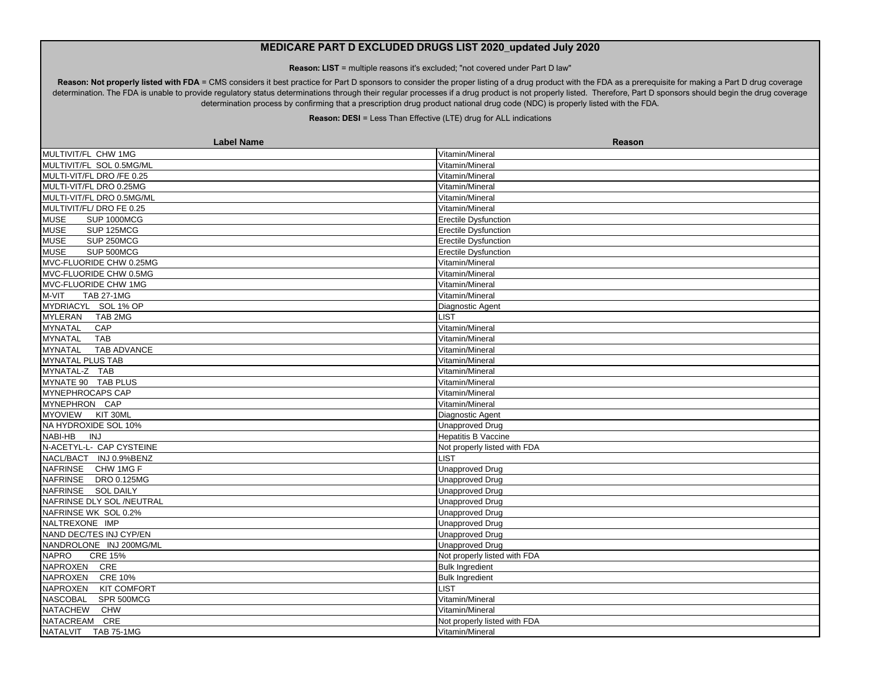**Reason: LIST** = multiple reasons it's excluded; "not covered under Part D law"

Reason: Not properly listed with FDA = CMS considers it best practice for Part D sponsors to consider the proper listing of a drug product with the FDA as a prerequisite for making a Part D drug coverage determination. The FDA is unable to provide regulatory status determinations through their regular processes if a drug product is not properly listed. Therefore, Part D sponsors should begin the drug coverage determination process by confirming that a prescription drug product national drug code (NDC) is properly listed with the FDA.

| MULTIVIT/FL CHW 1MG<br>Vitamin/Mineral<br>MULTIVIT/FL SOL 0.5MG/ML<br>Vitamin/Mineral<br>MULTI-VIT/FL DRO /FE 0.25<br>Vitamin/Mineral<br>MULTI-VIT/FL DRO 0.25MG<br>Vitamin/Mineral<br>MULTI-VIT/FL DRO 0.5MG/ML<br>Vitamin/Mineral<br>MULTIVIT/FL/ DRO FE 0.25<br>Vitamin/Mineral<br><b>MUSE</b><br><b>SUP 1000MCG</b><br><b>Erectile Dysfunction</b><br><b>MUSE</b><br>SUP 125MCG<br><b>Erectile Dysfunction</b><br>SUP 250MCG<br><b>MUSE</b><br><b>Erectile Dysfunction</b><br><b>MUSE</b><br>SUP 500MCG<br><b>Erectile Dysfunction</b><br>MVC-FLUORIDE CHW 0.25MG<br>Vitamin/Mineral<br>MVC-FLUORIDE CHW 0.5MG<br>Vitamin/Mineral<br>MVC-FLUORIDE CHW 1MG<br>Vitamin/Mineral<br><b>TAB 27-1MG</b><br>M-VIT<br>Vitamin/Mineral<br>MYDRIACYL SOL 1% OP<br>Diagnostic Agent<br><b>MYLERAN</b><br>TAB 2MG<br>LIST<br><b>MYNATAL</b><br>CAP<br>Vitamin/Mineral<br><b>MYNATAL</b><br><b>TAB</b><br>Vitamin/Mineral<br><b>TAB ADVANCE</b><br><b>MYNATAL</b><br>Vitamin/Mineral |
|-----------------------------------------------------------------------------------------------------------------------------------------------------------------------------------------------------------------------------------------------------------------------------------------------------------------------------------------------------------------------------------------------------------------------------------------------------------------------------------------------------------------------------------------------------------------------------------------------------------------------------------------------------------------------------------------------------------------------------------------------------------------------------------------------------------------------------------------------------------------------------------------------------------------------------------------------------------------------------|
|                                                                                                                                                                                                                                                                                                                                                                                                                                                                                                                                                                                                                                                                                                                                                                                                                                                                                                                                                                             |
|                                                                                                                                                                                                                                                                                                                                                                                                                                                                                                                                                                                                                                                                                                                                                                                                                                                                                                                                                                             |
|                                                                                                                                                                                                                                                                                                                                                                                                                                                                                                                                                                                                                                                                                                                                                                                                                                                                                                                                                                             |
|                                                                                                                                                                                                                                                                                                                                                                                                                                                                                                                                                                                                                                                                                                                                                                                                                                                                                                                                                                             |
|                                                                                                                                                                                                                                                                                                                                                                                                                                                                                                                                                                                                                                                                                                                                                                                                                                                                                                                                                                             |
|                                                                                                                                                                                                                                                                                                                                                                                                                                                                                                                                                                                                                                                                                                                                                                                                                                                                                                                                                                             |
|                                                                                                                                                                                                                                                                                                                                                                                                                                                                                                                                                                                                                                                                                                                                                                                                                                                                                                                                                                             |
|                                                                                                                                                                                                                                                                                                                                                                                                                                                                                                                                                                                                                                                                                                                                                                                                                                                                                                                                                                             |
|                                                                                                                                                                                                                                                                                                                                                                                                                                                                                                                                                                                                                                                                                                                                                                                                                                                                                                                                                                             |
|                                                                                                                                                                                                                                                                                                                                                                                                                                                                                                                                                                                                                                                                                                                                                                                                                                                                                                                                                                             |
|                                                                                                                                                                                                                                                                                                                                                                                                                                                                                                                                                                                                                                                                                                                                                                                                                                                                                                                                                                             |
|                                                                                                                                                                                                                                                                                                                                                                                                                                                                                                                                                                                                                                                                                                                                                                                                                                                                                                                                                                             |
|                                                                                                                                                                                                                                                                                                                                                                                                                                                                                                                                                                                                                                                                                                                                                                                                                                                                                                                                                                             |
|                                                                                                                                                                                                                                                                                                                                                                                                                                                                                                                                                                                                                                                                                                                                                                                                                                                                                                                                                                             |
|                                                                                                                                                                                                                                                                                                                                                                                                                                                                                                                                                                                                                                                                                                                                                                                                                                                                                                                                                                             |
|                                                                                                                                                                                                                                                                                                                                                                                                                                                                                                                                                                                                                                                                                                                                                                                                                                                                                                                                                                             |
|                                                                                                                                                                                                                                                                                                                                                                                                                                                                                                                                                                                                                                                                                                                                                                                                                                                                                                                                                                             |
|                                                                                                                                                                                                                                                                                                                                                                                                                                                                                                                                                                                                                                                                                                                                                                                                                                                                                                                                                                             |
|                                                                                                                                                                                                                                                                                                                                                                                                                                                                                                                                                                                                                                                                                                                                                                                                                                                                                                                                                                             |
| <b>MYNATAL PLUS TAB</b><br>Vitamin/Mineral                                                                                                                                                                                                                                                                                                                                                                                                                                                                                                                                                                                                                                                                                                                                                                                                                                                                                                                                  |
| MYNATAL-Z TAB<br>Vitamin/Mineral                                                                                                                                                                                                                                                                                                                                                                                                                                                                                                                                                                                                                                                                                                                                                                                                                                                                                                                                            |
| MYNATE 90 TAB PLUS<br>Vitamin/Mineral                                                                                                                                                                                                                                                                                                                                                                                                                                                                                                                                                                                                                                                                                                                                                                                                                                                                                                                                       |
| <b>MYNEPHROCAPS CAP</b><br>Vitamin/Mineral                                                                                                                                                                                                                                                                                                                                                                                                                                                                                                                                                                                                                                                                                                                                                                                                                                                                                                                                  |
| MYNEPHRON CAP<br>Vitamin/Mineral                                                                                                                                                                                                                                                                                                                                                                                                                                                                                                                                                                                                                                                                                                                                                                                                                                                                                                                                            |
| MYOVIEW KIT 30ML<br>Diagnostic Agent                                                                                                                                                                                                                                                                                                                                                                                                                                                                                                                                                                                                                                                                                                                                                                                                                                                                                                                                        |
| NA HYDROXIDE SOL 10%<br><b>Unapproved Drug</b>                                                                                                                                                                                                                                                                                                                                                                                                                                                                                                                                                                                                                                                                                                                                                                                                                                                                                                                              |
| NABI-HB<br>INJ<br><b>Hepatitis B Vaccine</b>                                                                                                                                                                                                                                                                                                                                                                                                                                                                                                                                                                                                                                                                                                                                                                                                                                                                                                                                |
| N-ACETYL-L- CAP CYSTEINE<br>Not properly listed with FDA                                                                                                                                                                                                                                                                                                                                                                                                                                                                                                                                                                                                                                                                                                                                                                                                                                                                                                                    |
| NACL/BACT INJ 0.9%BENZ<br><b>LIST</b>                                                                                                                                                                                                                                                                                                                                                                                                                                                                                                                                                                                                                                                                                                                                                                                                                                                                                                                                       |
| NAFRINSE CHW 1MG F<br><b>Unapproved Drug</b>                                                                                                                                                                                                                                                                                                                                                                                                                                                                                                                                                                                                                                                                                                                                                                                                                                                                                                                                |
| NAFRINSE DRO 0.125MG<br>Unapproved Drug                                                                                                                                                                                                                                                                                                                                                                                                                                                                                                                                                                                                                                                                                                                                                                                                                                                                                                                                     |
| NAFRINSE SOL DAILY<br><b>Unapproved Drug</b>                                                                                                                                                                                                                                                                                                                                                                                                                                                                                                                                                                                                                                                                                                                                                                                                                                                                                                                                |
| NAFRINSE DLY SOL /NEUTRAL<br><b>Unapproved Drug</b>                                                                                                                                                                                                                                                                                                                                                                                                                                                                                                                                                                                                                                                                                                                                                                                                                                                                                                                         |
| NAFRINSE WK SOL 0.2%<br><b>Unapproved Drug</b>                                                                                                                                                                                                                                                                                                                                                                                                                                                                                                                                                                                                                                                                                                                                                                                                                                                                                                                              |
| NALTREXONE IMP<br>Unapproved Drug                                                                                                                                                                                                                                                                                                                                                                                                                                                                                                                                                                                                                                                                                                                                                                                                                                                                                                                                           |
| NAND DEC/TES INJ CYP/EN<br><b>Unapproved Drug</b>                                                                                                                                                                                                                                                                                                                                                                                                                                                                                                                                                                                                                                                                                                                                                                                                                                                                                                                           |
| NANDROLONE INJ 200MG/ML<br><b>Unapproved Drug</b>                                                                                                                                                                                                                                                                                                                                                                                                                                                                                                                                                                                                                                                                                                                                                                                                                                                                                                                           |
| <b>NAPRO</b><br><b>CRE 15%</b><br>Not properly listed with FDA                                                                                                                                                                                                                                                                                                                                                                                                                                                                                                                                                                                                                                                                                                                                                                                                                                                                                                              |
| NAPROXEN CRE<br><b>Bulk Ingredient</b>                                                                                                                                                                                                                                                                                                                                                                                                                                                                                                                                                                                                                                                                                                                                                                                                                                                                                                                                      |
| <b>NAPROXEN</b><br><b>CRE 10%</b><br><b>Bulk Ingredient</b>                                                                                                                                                                                                                                                                                                                                                                                                                                                                                                                                                                                                                                                                                                                                                                                                                                                                                                                 |
| NAPROXEN<br><b>LIST</b><br><b>KIT COMFORT</b>                                                                                                                                                                                                                                                                                                                                                                                                                                                                                                                                                                                                                                                                                                                                                                                                                                                                                                                               |
| NASCOBAL<br>SPR 500MCG<br>Vitamin/Mineral                                                                                                                                                                                                                                                                                                                                                                                                                                                                                                                                                                                                                                                                                                                                                                                                                                                                                                                                   |
| <b>NATACHEW</b><br><b>CHW</b><br>Vitamin/Mineral                                                                                                                                                                                                                                                                                                                                                                                                                                                                                                                                                                                                                                                                                                                                                                                                                                                                                                                            |
| NATACREAM CRE<br>Not properly listed with FDA                                                                                                                                                                                                                                                                                                                                                                                                                                                                                                                                                                                                                                                                                                                                                                                                                                                                                                                               |
| NATALVIT TAB 75-1MG<br>Vitamin/Mineral                                                                                                                                                                                                                                                                                                                                                                                                                                                                                                                                                                                                                                                                                                                                                                                                                                                                                                                                      |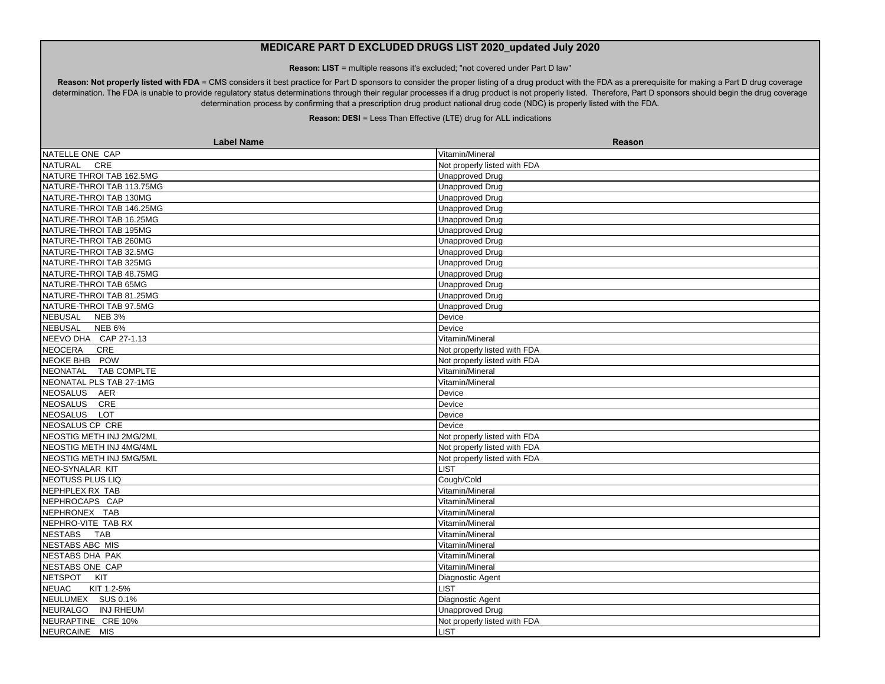**Reason: LIST** = multiple reasons it's excluded; "not covered under Part D law"

Reason: Not properly listed with FDA = CMS considers it best practice for Part D sponsors to consider the proper listing of a drug product with the FDA as a prerequisite for making a Part D drug coverage determination. The FDA is unable to provide regulatory status determinations through their regular processes if a drug product is not properly listed. Therefore, Part D sponsors should begin the drug coverage determination process by confirming that a prescription drug product national drug code (NDC) is properly listed with the FDA.

| <b>Label Name</b>                   | <b>Reason</b>                |
|-------------------------------------|------------------------------|
| NATELLE ONE CAP                     | Vitamin/Mineral              |
| NATURAL<br>CRE                      | Not properly listed with FDA |
| NATURE THROI TAB 162.5MG            | <b>Unapproved Drug</b>       |
| NATURE-THROI TAB 113.75MG           | <b>Unapproved Drug</b>       |
| NATURE-THROI TAB 130MG              | <b>Unapproved Drug</b>       |
| NATURE-THROI TAB 146.25MG           | <b>Unapproved Drug</b>       |
| NATURE-THROI TAB 16.25MG            | <b>Unapproved Drug</b>       |
| NATURE-THROI TAB 195MG              | <b>Unapproved Drug</b>       |
| NATURE-THROI TAB 260MG              | <b>Unapproved Drug</b>       |
| NATURE-THROI TAB 32.5MG             | <b>Unapproved Drug</b>       |
| NATURE-THROI TAB 325MG              | <b>Unapproved Drug</b>       |
| NATURE-THROI TAB 48.75MG            | <b>Unapproved Drug</b>       |
| NATURE-THROI TAB 65MG               | <b>Unapproved Drug</b>       |
| NATURE-THROI TAB 81.25MG            | <b>Unapproved Drug</b>       |
| NATURE-THROI TAB 97.5MG             | <b>Unapproved Drug</b>       |
| NEBUSAL NEB 3%                      | Device                       |
| NEBUSAL NEB 6%                      | Device                       |
| NEEVO DHA CAP 27-1.13               | Vitamin/Mineral              |
| <b>NEOCERA</b><br>CRE               | Not properly listed with FDA |
| NEOKE BHB POW                       | Not properly listed with FDA |
| NEONATAL TAB COMPLTE                | Vitamin/Mineral              |
| NEONATAL PLS TAB 27-1MG             | Vitamin/Mineral              |
| NEOSALUS AER                        | Device                       |
| NEOSALUS CRE                        | Device                       |
| <b>NEOSALUS</b><br><b>LOT</b>       | Device                       |
| NEOSALUS CP CRE                     | Device                       |
| NEOSTIG METH INJ 2MG/2ML            | Not properly listed with FDA |
| NEOSTIG METH INJ 4MG/4ML            | Not properly listed with FDA |
| NEOSTIG METH INJ 5MG/5ML            | Not properly listed with FDA |
| NEO-SYNALAR KIT                     | <b>LIST</b>                  |
| NEOTUSS PLUS LIQ                    | Cough/Cold                   |
| NEPHPLEX RX TAB                     | Vitamin/Mineral              |
| NEPHROCAPS CAP                      | Vitamin/Mineral              |
| NEPHRONEX TAB                       | Vitamin/Mineral              |
| NEPHRO-VITE TAB RX                  | Vitamin/Mineral              |
| NESTABS TAB                         | Vitamin/Mineral              |
| NESTABS ABC MIS                     | Vitamin/Mineral              |
| NESTABS DHA PAK                     | Vitamin/Mineral              |
| NESTABS ONE CAP                     | Vitamin/Mineral              |
| <b>NETSPOT</b><br>KIT               | Diagnostic Agent             |
| <b>NEUAC</b><br>KIT 1.2-5%          | LIST                         |
| NEULUMEX SUS 0.1%                   | Diagnostic Agent             |
| <b>NEURALGO</b><br><b>INJ RHEUM</b> | <b>Unapproved Drug</b>       |
| NEURAPTINE CRE 10%                  | Not properly listed with FDA |
| NEURCAINE MIS                       | <b>LIST</b>                  |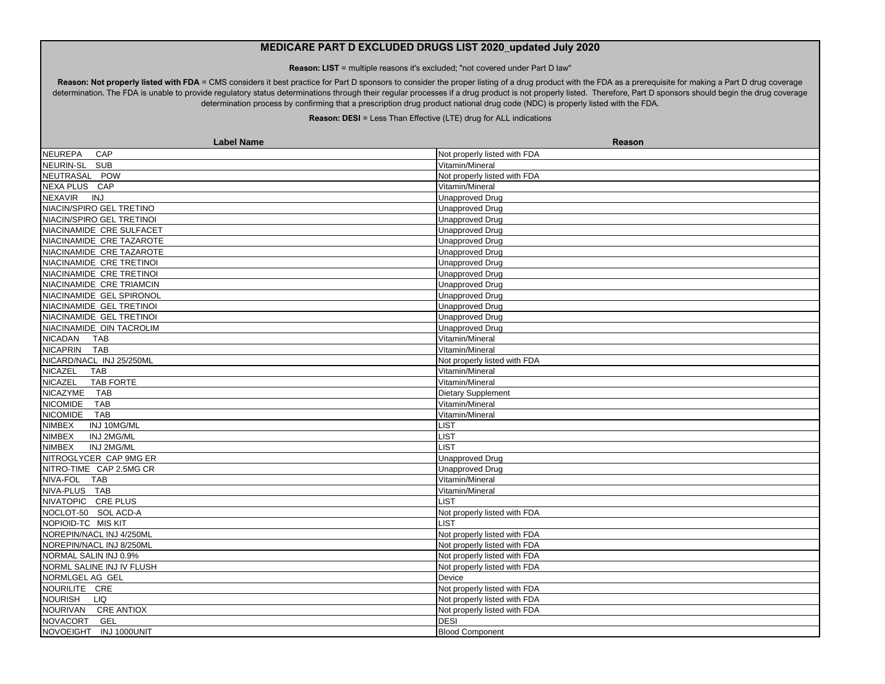**Reason: LIST** = multiple reasons it's excluded; "not covered under Part D law"

Reason: Not properly listed with FDA = CMS considers it best practice for Part D sponsors to consider the proper listing of a drug product with the FDA as a prerequisite for making a Part D drug coverage determination. The FDA is unable to provide regulatory status determinations through their regular processes if a drug product is not properly listed. Therefore, Part D sponsors should begin the drug coverage determination process by confirming that a prescription drug product national drug code (NDC) is properly listed with the FDA.

| <b>Label Name</b>                | Reason                       |
|----------------------------------|------------------------------|
| <b>NEUREPA</b><br>CAP            | Not properly listed with FDA |
| NEURIN-SL SUB                    | Vitamin/Mineral              |
| NEUTRASAL POW                    | Not properly listed with FDA |
| NEXA PLUS CAP                    | Vitamin/Mineral              |
| <b>INJ</b><br><b>NEXAVIR</b>     | <b>Unapproved Drug</b>       |
| NIACIN/SPIRO GEL TRETINO         | <b>Unapproved Drug</b>       |
| NIACIN/SPIRO GEL TRETINOI        | <b>Unapproved Drug</b>       |
| NIACINAMIDE CRE SULFACET         | <b>Unapproved Drug</b>       |
| NIACINAMIDE CRE TAZAROTE         | <b>Unapproved Drug</b>       |
| NIACINAMIDE CRE TAZAROTE         | <b>Unapproved Drug</b>       |
| NIACINAMIDE CRE TRETINOI         | <b>Unapproved Drug</b>       |
| NIACINAMIDE CRE TRETINOI         | Unapproved Drug              |
| NIACINAMIDE CRE TRIAMCIN         | <b>Unapproved Drug</b>       |
| NIACINAMIDE GEL SPIRONOL         | <b>Unapproved Drug</b>       |
| NIACINAMIDE GEL TRETINOI         | <b>Unapproved Drug</b>       |
| NIACINAMIDE GEL TRETINOI         | <b>Unapproved Drug</b>       |
| NIACINAMIDE OIN TACROLIM         | <b>Unapproved Drug</b>       |
| <b>NICADAN</b><br><b>TAB</b>     | Vitamin/Mineral              |
| NICAPRIN TAB                     | Vitamin/Mineral              |
| NICARD/NACL INJ 25/250ML         | Not properly listed with FDA |
| <b>NICAZEL</b><br><b>TAB</b>     | Vitamin/Mineral              |
| <b>NICAZEL</b><br>TAB FORTE      | Vitamin/Mineral              |
| <b>NICAZYME</b><br><b>TAB</b>    | Dietary Supplement           |
| <b>TAB</b><br><b>NICOMIDE</b>    | Vitamin/Mineral              |
| <b>NICOMIDE</b><br><b>TAB</b>    | Vitamin/Mineral              |
| NIMBEX<br>INJ 10MG/ML            | LIST                         |
| <b>NIMBEX</b><br>INJ 2MG/ML      | <b>LIST</b>                  |
| NIMBEX<br>INJ 2MG/ML             | <b>LIST</b>                  |
| NITROGLYCER CAP 9MG ER           | <b>Unapproved Drug</b>       |
| NITRO-TIME CAP 2.5MG CR          | <b>Unapproved Drug</b>       |
| NIVA-FOL TAB                     | Vitamin/Mineral              |
| NIVA-PLUS TAB                    | Vitamin/Mineral              |
| NIVATOPIC CRE PLUS               | <b>LIST</b>                  |
| NOCLOT-50 SOL ACD-A              | Not properly listed with FDA |
| NOPIOID-TC MIS KIT               | <b>LIST</b>                  |
| NOREPIN/NACL INJ 4/250ML         | Not properly listed with FDA |
| NOREPIN/NACL INJ 8/250ML         | Not properly listed with FDA |
| NORMAL SALIN INJ 0.9%            | Not properly listed with FDA |
| NORML SALINE INJ IV FLUSH        | Not properly listed with FDA |
| NORMLGEL AG GEL                  | Device                       |
| NOURILITE CRE                    | Not properly listed with FDA |
| NOURISH LIQ                      | Not properly listed with FDA |
| NOURIVAN CREANTIOX               | Not properly listed with FDA |
| <b>NOVACORT</b><br>GEL           | <b>DESI</b>                  |
| <b>NOVOEIGHT</b><br>INJ 1000UNIT | <b>Blood Component</b>       |
|                                  |                              |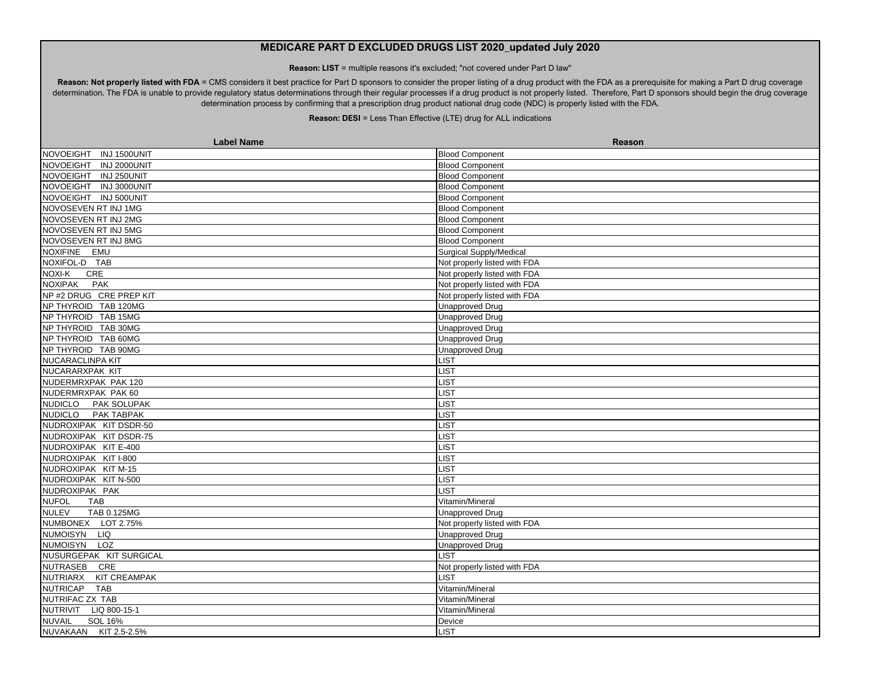**Reason: LIST** = multiple reasons it's excluded; "not covered under Part D law"

Reason: Not properly listed with FDA = CMS considers it best practice for Part D sponsors to consider the proper listing of a drug product with the FDA as a prerequisite for making a Part D drug coverage determination. The FDA is unable to provide regulatory status determinations through their regular processes if a drug product is not properly listed. Therefore, Part D sponsors should begin the drug coverage determination process by confirming that a prescription drug product national drug code (NDC) is properly listed with the FDA.

| <b>Label Name</b>                      | Reason                       |
|----------------------------------------|------------------------------|
| INJ 1500UNIT<br><b>NOVOEIGHT</b>       | <b>Blood Component</b>       |
| NOVOEIGHT INJ 2000UNIT                 | <b>Blood Component</b>       |
| INJ 250UNIT<br><b>NOVOEIGHT</b>        | <b>Blood Component</b>       |
| <b>NOVOEIGHT</b><br>INJ 3000UNIT       | <b>Blood Component</b>       |
| NOVOEIGHT INJ 500UNIT                  | <b>Blood Component</b>       |
| NOVOSEVEN RT INJ 1MG                   | <b>Blood Component</b>       |
| NOVOSEVEN RT INJ 2MG                   | <b>Blood Component</b>       |
| NOVOSEVEN RT INJ 5MG                   | <b>Blood Component</b>       |
| NOVOSEVEN RT INJ 8MG                   | <b>Blood Component</b>       |
| NOXIFINE EMU                           | Surgical Supply/Medical      |
| NOXIFOL-D TAB                          | Not properly listed with FDA |
| NOXI-K<br>CRE                          | Not properly listed with FDA |
| <b>NOXIPAK</b><br><b>PAK</b>           | Not properly listed with FDA |
| NP #2 DRUG CRE PREP KIT                | Not properly listed with FDA |
| NP THYROID TAB 120MG                   | <b>Unapproved Drug</b>       |
| NP THYROID TAB 15MG                    | <b>Unapproved Drug</b>       |
| NP THYROID TAB 30MG                    | <b>Unapproved Drug</b>       |
| NP THYROID TAB 60MG                    | <b>Unapproved Drug</b>       |
| NP THYROID TAB 90MG                    | <b>Unapproved Drug</b>       |
| <b>NUCARACLINPA KIT</b>                | <b>LIST</b>                  |
| NUCARARXPAK KIT                        | <b>LIST</b>                  |
| NUDERMRXPAK PAK 120                    | <b>LIST</b>                  |
| NUDERMRXPAK PAK 60                     | <b>LIST</b>                  |
| NUDICLO PAK SOLUPAK                    | <b>LIST</b>                  |
| NUDICLO PAK TABPAK                     | LIST                         |
| NUDROXIPAK KIT DSDR-50                 | <b>LIST</b>                  |
| NUDROXIPAK KIT DSDR-75                 | <b>LIST</b>                  |
| NUDROXIPAK KIT E-400                   | <b>LIST</b>                  |
| NUDROXIPAK KIT I-800                   | <b>LIST</b>                  |
| NUDROXIPAK KIT M-15                    | LIST                         |
| NUDROXIPAK KIT N-500                   | LIST                         |
| NUDROXIPAK PAK                         | <b>LIST</b>                  |
| <b>NUFOL</b><br><b>TAB</b>             | Vitamin/Mineral              |
| <b>NULEV</b><br>TAB 0.125MG            | <b>Unapproved Drug</b>       |
| NUMBONEX LOT 2.75%                     | Not properly listed with FDA |
| NUMOISYN<br><b>LIQ</b>                 | <b>Unapproved Drug</b>       |
| NUMOISYN LOZ                           | <b>Unapproved Drug</b>       |
| NUSURGEPAK KIT SURGICAL                | <b>LIST</b>                  |
| NUTRASEB CRE                           | Not properly listed with FDA |
| <b>KIT CREAMPAK</b><br><b>NUTRIARX</b> | <b>LIST</b>                  |
| <b>NUTRICAP</b><br><b>TAB</b>          | Vitamin/Mineral              |
| NUTRIFAC ZX TAB                        | Vitamin/Mineral              |
| NUTRIVIT LIQ 800-15-1                  | Vitamin/Mineral              |
| <b>SOL 16%</b><br><b>NUVAIL</b>        | Device                       |
| NUVAKAAN KIT 2.5-2.5%                  | <b>LIST</b>                  |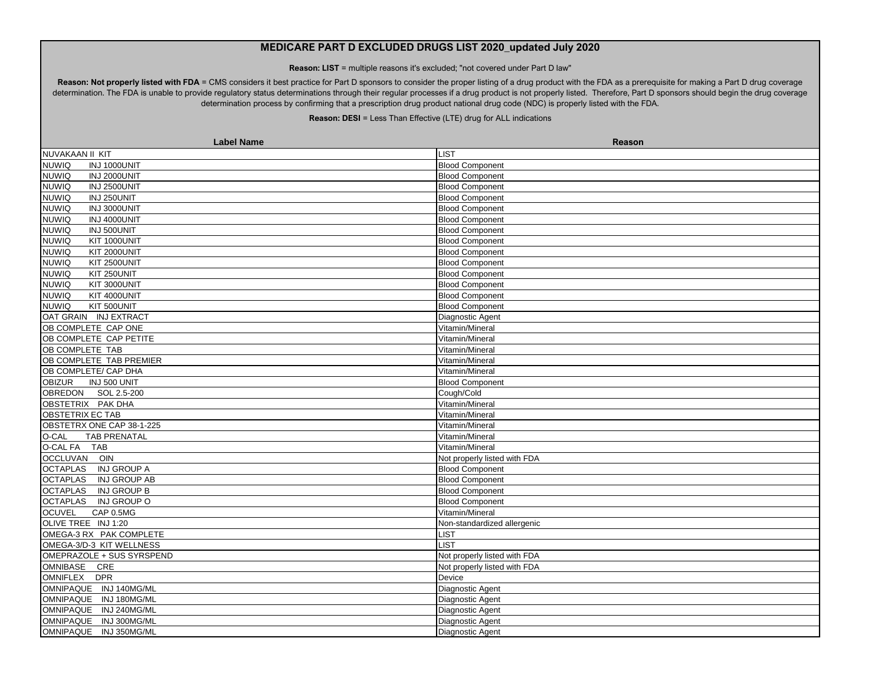**Reason: LIST** = multiple reasons it's excluded; "not covered under Part D law"

Reason: Not properly listed with FDA = CMS considers it best practice for Part D sponsors to consider the proper listing of a drug product with the FDA as a prerequisite for making a Part D drug coverage determination. The FDA is unable to provide regulatory status determinations through their regular processes if a drug product is not properly listed. Therefore, Part D sponsors should begin the drug coverage determination process by confirming that a prescription drug product national drug code (NDC) is properly listed with the FDA.

| <b>Label Name</b>                     | Reason                       |
|---------------------------------------|------------------------------|
| NUVAKAAN II KIT                       | <b>LIST</b>                  |
| <b>NUWIQ</b><br>INJ 1000UNIT          | <b>Blood Component</b>       |
| <b>NUWIQ</b><br>INJ 2000UNIT          | <b>Blood Component</b>       |
| <b>NUWIQ</b><br>INJ 2500UNIT          | <b>Blood Component</b>       |
| INJ 250UNIT<br><b>NUWIQ</b>           | <b>Blood Component</b>       |
| INJ 3000UNIT<br><b>NUWIQ</b>          | <b>Blood Component</b>       |
| <b>NUWIQ</b><br>INJ 4000UNIT          | <b>Blood Component</b>       |
| <b>NUWIQ</b><br>INJ 500UNIT           | <b>Blood Component</b>       |
| <b>NUWIQ</b><br>KIT 1000UNIT          | <b>Blood Component</b>       |
| <b>NUWIQ</b><br><b>KIT 2000UNIT</b>   | <b>Blood Component</b>       |
| <b>NUWIQ</b><br>KIT 2500UNIT          | <b>Blood Component</b>       |
| <b>NUWIQ</b><br>KIT 250UNIT           | <b>Blood Component</b>       |
| KIT 3000UNIT<br><b>NUWIQ</b>          | <b>Blood Component</b>       |
| KIT 4000UNIT<br><b>NUWIQ</b>          | <b>Blood Component</b>       |
| KIT 500UNIT<br><b>NUWIQ</b>           | <b>Blood Component</b>       |
| OAT GRAIN INJ EXTRACT                 | Diagnostic Agent             |
| OB COMPLETE CAP ONE                   | Vitamin/Mineral              |
| OB COMPLETE CAP PETITE                | Vitamin/Mineral              |
| OB COMPLETE TAB                       | Vitamin/Mineral              |
| OB COMPLETE TAB PREMIER               | Vitamin/Mineral              |
| OB COMPLETE/ CAP DHA                  | Vitamin/Mineral              |
| INJ 500 UNIT<br><b>OBIZUR</b>         | <b>Blood Component</b>       |
| OBREDON SOL 2.5-200                   | Cough/Cold                   |
| OBSTETRIX PAK DHA                     | Vitamin/Mineral              |
| OBSTETRIX EC TAB                      | Vitamin/Mineral              |
| OBSTETRX ONE CAP 38-1-225             | Vitamin/Mineral              |
| <b>TAB PRENATAL</b><br>O-CAL          | Vitamin/Mineral              |
| <b>O-CAL FA</b><br><b>TAB</b>         | Vitamin/Mineral              |
| <b>OCCLUVAN</b><br>OIN                | Not properly listed with FDA |
| <b>OCTAPLAS</b><br><b>INJ GROUP A</b> | <b>Blood Component</b>       |
| <b>OCTAPLAS</b><br>INJ GROUP AB       | <b>Blood Component</b>       |
| <b>OCTAPLAS</b><br><b>INJ GROUP B</b> | <b>Blood Component</b>       |
| <b>OCTAPLAS</b><br>INJ GROUP O        | <b>Blood Component</b>       |
| CAP 0.5MG<br><b>OCUVEL</b>            | Vitamin/Mineral              |
| OLIVE TREE INJ 1:20                   | Non-standardized allergenic  |
| OMEGA-3 RX PAK COMPLETE               | <b>LIST</b>                  |
| OMEGA-3/D-3 KIT WELLNESS              | <b>LIST</b>                  |
| OMEPRAZOLE + SUS SYRSPEND             | Not properly listed with FDA |
| OMNIBASE CRE                          | Not properly listed with FDA |
| OMNIFLEX DPR                          | Device                       |
| OMNIPAQUE INJ 140MG/ML                | Diagnostic Agent             |
| <b>OMNIPAQUE</b><br>INJ 180MG/ML      | Diagnostic Agent             |
| <b>OMNIPAQUE</b><br>INJ 240MG/ML      | Diagnostic Agent             |
| <b>OMNIPAQUE</b><br>INJ 300MG/ML      | Diagnostic Agent             |
| <b>OMNIPAQUE</b><br>INJ 350MG/ML      | Diagnostic Agent             |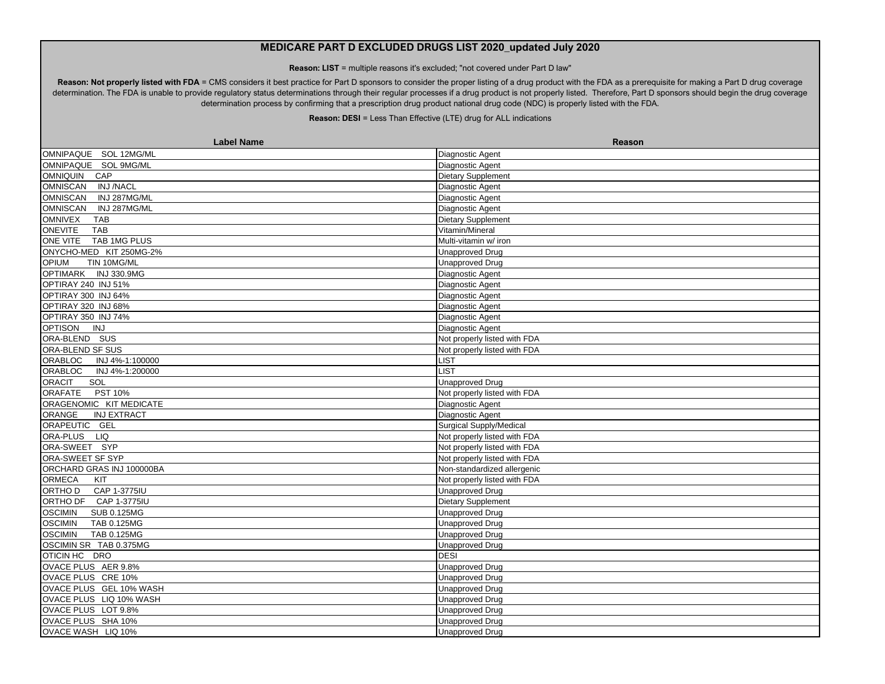**Reason: LIST** = multiple reasons it's excluded; "not covered under Part D law"

Reason: Not properly listed with FDA = CMS considers it best practice for Part D sponsors to consider the proper listing of a drug product with the FDA as a prerequisite for making a Part D drug coverage determination. The FDA is unable to provide regulatory status determinations through their regular processes if a drug product is not properly listed. Therefore, Part D sponsors should begin the drug coverage determination process by confirming that a prescription drug product national drug code (NDC) is properly listed with the FDA.

| <b>Label Name</b>                    | Reason                         |
|--------------------------------------|--------------------------------|
| OMNIPAQUE SOL 12MG/ML                | Diagnostic Agent               |
| OMNIPAQUE SOL 9MG/ML                 | Diagnostic Agent               |
| OMNIQUIN CAP                         | <b>Dietary Supplement</b>      |
| OMNISCAN<br><b>INJ/NACL</b>          | Diagnostic Agent               |
| <b>OMNISCAN</b><br>INJ 287MG/ML      | Diagnostic Agent               |
| <b>OMNISCAN</b><br>INJ 287MG/ML      | Diagnostic Agent               |
| <b>OMNIVEX</b><br>TAB                | Dietary Supplement             |
| <b>ONEVITE</b><br><b>TAB</b>         | Vitamin/Mineral                |
| ONE VITE TAB 1MG PLUS                | Multi-vitamin w/ iron          |
| ONYCHO-MED KIT 250MG-2%              | <b>Unapproved Drug</b>         |
| <b>OPIUM</b><br>TIN 10MG/ML          | Unapproved Drug                |
| OPTIMARK INJ 330.9MG                 | Diagnostic Agent               |
| OPTIRAY 240 INJ 51%                  | Diagnostic Agent               |
| OPTIRAY 300 INJ 64%                  | Diagnostic Agent               |
| OPTIRAY 320 INJ 68%                  | Diagnostic Agent               |
| OPTIRAY 350 INJ 74%                  | Diagnostic Agent               |
| OPTISON INJ                          | Diagnostic Agent               |
| ORA-BLEND SUS                        | Not properly listed with FDA   |
| ORA-BLEND SF SUS                     | Not properly listed with FDA   |
| ORABLOC INJ 4%-1:100000              | <b>LIST</b>                    |
| ORABLOC<br>INJ 4%-1:200000           | <b>LIST</b>                    |
| <b>ORACIT</b><br>SOL                 | <b>Unapproved Drug</b>         |
| <b>ORAFATE</b><br>PST 10%            | Not properly listed with FDA   |
| ORAGENOMIC KIT MEDICATE              | Diagnostic Agent               |
| ORANGE<br><b>INJ EXTRACT</b>         | Diagnostic Agent               |
| ORAPEUTIC GEL                        | <b>Surgical Supply/Medical</b> |
| ORA-PLUS LIQ                         | Not properly listed with FDA   |
| ORA-SWEET SYP                        | Not properly listed with FDA   |
| ORA-SWEET SF SYP                     | Not properly listed with FDA   |
| ORCHARD GRAS INJ 100000BA            | Non-standardized allergenic    |
| <b>ORMECA</b><br>KIT                 | Not properly listed with FDA   |
| ORTHO D<br>CAP 1-3775IU              | <b>Unapproved Drug</b>         |
| ORTHO DF CAP 1-3775IU                | <b>Dietary Supplement</b>      |
| <b>OSCIMIN</b><br><b>SUB 0.125MG</b> | <b>Unapproved Drug</b>         |
| <b>OSCIMIN</b><br>TAB 0.125MG        | Unapproved Drug                |
| <b>OSCIMIN</b><br>TAB 0.125MG        | <b>Unapproved Drug</b>         |
| OSCIMIN SR TAB 0.375MG               | <b>Unapproved Drug</b>         |
| OTICIN HC DRO                        | <b>DESI</b>                    |
| OVACE PLUS AER 9.8%                  | <b>Unapproved Drug</b>         |
| OVACE PLUS CRE 10%                   | <b>Unapproved Drug</b>         |
| OVACE PLUS GEL 10% WASH              | Unapproved Drug                |
| OVACE PLUS LIQ 10% WASH              | <b>Unapproved Drug</b>         |
| OVACE PLUS LOT 9.8%                  | <b>Unapproved Drug</b>         |
| OVACE PLUS SHA 10%                   | <b>Unapproved Drug</b>         |
| OVACE WASH LIQ 10%                   | Unapproved Drug                |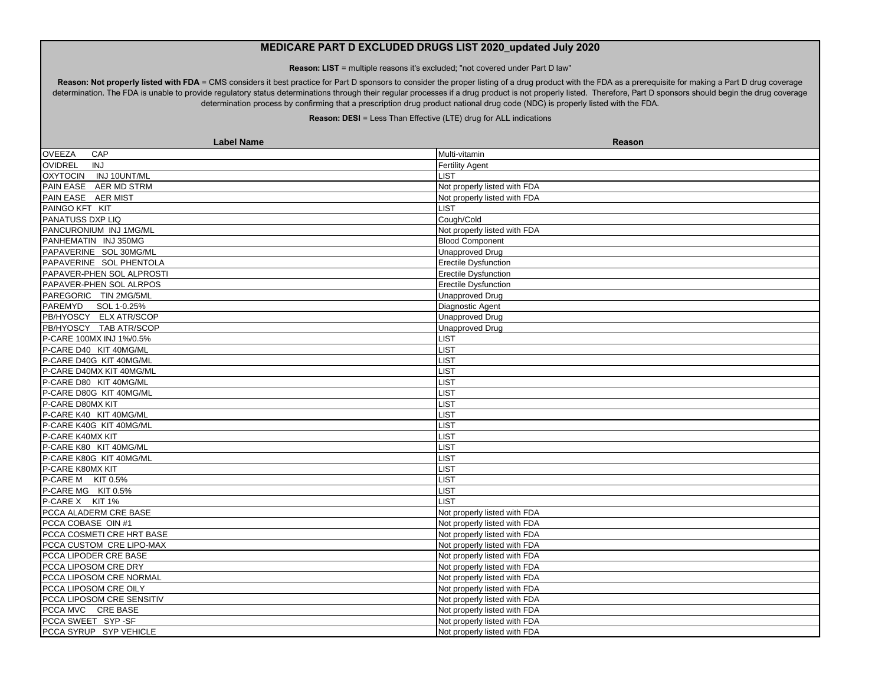**Reason: LIST** = multiple reasons it's excluded; "not covered under Part D law"

Reason: Not properly listed with FDA = CMS considers it best practice for Part D sponsors to consider the proper listing of a drug product with the FDA as a prerequisite for making a Part D drug coverage determination. The FDA is unable to provide regulatory status determinations through their regular processes if a drug product is not properly listed. Therefore, Part D sponsors should begin the drug coverage determination process by confirming that a prescription drug product national drug code (NDC) is properly listed with the FDA.

| <b>OVEEZA</b><br>CAP<br>Multi-vitamin<br><b>OVIDREL</b><br>INJ<br><b>Fertility Agent</b><br>OXYTOCIN INJ 10UNT/ML<br>LIST<br>Not properly listed with FDA<br>PAIN EASE AER MD STRM<br>PAIN EASE AER MIST<br>Not properly listed with FDA<br>PAINGO KFT KIT<br>LIST<br>Cough/Cold<br>PANCURONIUM INJ 1MG/ML<br>Not properly listed with FDA<br><b>Blood Component</b><br><b>Unapproved Drug</b><br>PAPAVERINE SOL PHENTOLA<br><b>Erectile Dysfunction</b><br>Erectile Dysfunction<br>PAPAVER-PHEN SOL ALRPOS<br><b>Erectile Dysfunction</b><br>PAREGORIC TIN 2MG/5ML<br><b>Unapproved Drug</b><br>PAREMYD SOL 1-0.25%<br>Diagnostic Agent<br>PB/HYOSCY ELX ATR/SCOP<br><b>Unapproved Drug</b><br>PB/HYOSCY TAB ATR/SCOP<br><b>Unapproved Drug</b><br><b>LIST</b><br>P-CARE 100MX INJ 1%/0.5%<br>P-CARE D40 KIT 40MG/ML<br><b>LIST</b><br><b>LIST</b><br>P-CARE D40G KIT 40MG/ML<br>P-CARE D40MX KIT 40MG/ML<br><b>LIST</b><br>P-CARE D80 KIT 40MG/ML<br><b>LIST</b><br>P-CARE D80G KIT 40MG/ML<br><b>LIST</b><br>P-CARE D80MX KIT<br><b>LIST</b><br>P-CARE K40 KIT 40MG/ML<br><b>LIST</b><br>P-CARE K40G KIT 40MG/ML<br>LIST<br>LIST<br>P-CARE K40MX KIT<br>P-CARE K80 KIT 40MG/ML<br>LIST<br>P-CARE K80G KIT 40MG/ML<br><b>LIST</b><br>P-CARE K80MX KIT<br><b>IST</b><br>P-CARE M KIT 0.5%<br><b>_IST</b><br>P-CARE MG KIT 0.5%<br><b>LIST</b><br><b>LIST</b><br>PCCA ALADERM CRE BASE<br>Not properly listed with FDA<br>PCCA COBASE OIN #1<br>Not properly listed with FDA<br>PCCA COSMETI CRE HRT BASE<br>Not properly listed with FDA<br>Not properly listed with FDA<br>PCCA CUSTOM CRE LIPO-MAX<br>Not properly listed with FDA<br>PCCA LIPOSOM CRE DRY<br>Not properly listed with FDA<br>PCCA LIPOSOM CRE NORMAL<br>Not properly listed with FDA<br>PCCA LIPOSOM CRE OILY<br>Not properly listed with FDA<br>PCCA LIPOSOM CRE SENSITIV<br>Not properly listed with FDA<br>PCCA MVC CRE BASE<br>Not properly listed with FDA<br>PCCA SWEET SYP-SF<br>Not properly listed with FDA<br>Not properly listed with FDA | <b>Label Name</b>         | <b>Reason</b> |
|--------------------------------------------------------------------------------------------------------------------------------------------------------------------------------------------------------------------------------------------------------------------------------------------------------------------------------------------------------------------------------------------------------------------------------------------------------------------------------------------------------------------------------------------------------------------------------------------------------------------------------------------------------------------------------------------------------------------------------------------------------------------------------------------------------------------------------------------------------------------------------------------------------------------------------------------------------------------------------------------------------------------------------------------------------------------------------------------------------------------------------------------------------------------------------------------------------------------------------------------------------------------------------------------------------------------------------------------------------------------------------------------------------------------------------------------------------------------------------------------------------------------------------------------------------------------------------------------------------------------------------------------------------------------------------------------------------------------------------------------------------------------------------------------------------------------------------------------------------------------------------------------------------------------------------------------------------------------------------------------------------------------------|---------------------------|---------------|
|                                                                                                                                                                                                                                                                                                                                                                                                                                                                                                                                                                                                                                                                                                                                                                                                                                                                                                                                                                                                                                                                                                                                                                                                                                                                                                                                                                                                                                                                                                                                                                                                                                                                                                                                                                                                                                                                                                                                                                                                                          |                           |               |
|                                                                                                                                                                                                                                                                                                                                                                                                                                                                                                                                                                                                                                                                                                                                                                                                                                                                                                                                                                                                                                                                                                                                                                                                                                                                                                                                                                                                                                                                                                                                                                                                                                                                                                                                                                                                                                                                                                                                                                                                                          |                           |               |
|                                                                                                                                                                                                                                                                                                                                                                                                                                                                                                                                                                                                                                                                                                                                                                                                                                                                                                                                                                                                                                                                                                                                                                                                                                                                                                                                                                                                                                                                                                                                                                                                                                                                                                                                                                                                                                                                                                                                                                                                                          |                           |               |
|                                                                                                                                                                                                                                                                                                                                                                                                                                                                                                                                                                                                                                                                                                                                                                                                                                                                                                                                                                                                                                                                                                                                                                                                                                                                                                                                                                                                                                                                                                                                                                                                                                                                                                                                                                                                                                                                                                                                                                                                                          |                           |               |
|                                                                                                                                                                                                                                                                                                                                                                                                                                                                                                                                                                                                                                                                                                                                                                                                                                                                                                                                                                                                                                                                                                                                                                                                                                                                                                                                                                                                                                                                                                                                                                                                                                                                                                                                                                                                                                                                                                                                                                                                                          |                           |               |
|                                                                                                                                                                                                                                                                                                                                                                                                                                                                                                                                                                                                                                                                                                                                                                                                                                                                                                                                                                                                                                                                                                                                                                                                                                                                                                                                                                                                                                                                                                                                                                                                                                                                                                                                                                                                                                                                                                                                                                                                                          |                           |               |
|                                                                                                                                                                                                                                                                                                                                                                                                                                                                                                                                                                                                                                                                                                                                                                                                                                                                                                                                                                                                                                                                                                                                                                                                                                                                                                                                                                                                                                                                                                                                                                                                                                                                                                                                                                                                                                                                                                                                                                                                                          | PANATUSS DXP LIQ          |               |
|                                                                                                                                                                                                                                                                                                                                                                                                                                                                                                                                                                                                                                                                                                                                                                                                                                                                                                                                                                                                                                                                                                                                                                                                                                                                                                                                                                                                                                                                                                                                                                                                                                                                                                                                                                                                                                                                                                                                                                                                                          |                           |               |
|                                                                                                                                                                                                                                                                                                                                                                                                                                                                                                                                                                                                                                                                                                                                                                                                                                                                                                                                                                                                                                                                                                                                                                                                                                                                                                                                                                                                                                                                                                                                                                                                                                                                                                                                                                                                                                                                                                                                                                                                                          | PANHEMATIN INJ 350MG      |               |
|                                                                                                                                                                                                                                                                                                                                                                                                                                                                                                                                                                                                                                                                                                                                                                                                                                                                                                                                                                                                                                                                                                                                                                                                                                                                                                                                                                                                                                                                                                                                                                                                                                                                                                                                                                                                                                                                                                                                                                                                                          | PAPAVERINE SOL 30MG/ML    |               |
|                                                                                                                                                                                                                                                                                                                                                                                                                                                                                                                                                                                                                                                                                                                                                                                                                                                                                                                                                                                                                                                                                                                                                                                                                                                                                                                                                                                                                                                                                                                                                                                                                                                                                                                                                                                                                                                                                                                                                                                                                          |                           |               |
|                                                                                                                                                                                                                                                                                                                                                                                                                                                                                                                                                                                                                                                                                                                                                                                                                                                                                                                                                                                                                                                                                                                                                                                                                                                                                                                                                                                                                                                                                                                                                                                                                                                                                                                                                                                                                                                                                                                                                                                                                          | PAPAVER-PHEN SOL ALPROSTI |               |
|                                                                                                                                                                                                                                                                                                                                                                                                                                                                                                                                                                                                                                                                                                                                                                                                                                                                                                                                                                                                                                                                                                                                                                                                                                                                                                                                                                                                                                                                                                                                                                                                                                                                                                                                                                                                                                                                                                                                                                                                                          |                           |               |
|                                                                                                                                                                                                                                                                                                                                                                                                                                                                                                                                                                                                                                                                                                                                                                                                                                                                                                                                                                                                                                                                                                                                                                                                                                                                                                                                                                                                                                                                                                                                                                                                                                                                                                                                                                                                                                                                                                                                                                                                                          |                           |               |
|                                                                                                                                                                                                                                                                                                                                                                                                                                                                                                                                                                                                                                                                                                                                                                                                                                                                                                                                                                                                                                                                                                                                                                                                                                                                                                                                                                                                                                                                                                                                                                                                                                                                                                                                                                                                                                                                                                                                                                                                                          |                           |               |
|                                                                                                                                                                                                                                                                                                                                                                                                                                                                                                                                                                                                                                                                                                                                                                                                                                                                                                                                                                                                                                                                                                                                                                                                                                                                                                                                                                                                                                                                                                                                                                                                                                                                                                                                                                                                                                                                                                                                                                                                                          |                           |               |
|                                                                                                                                                                                                                                                                                                                                                                                                                                                                                                                                                                                                                                                                                                                                                                                                                                                                                                                                                                                                                                                                                                                                                                                                                                                                                                                                                                                                                                                                                                                                                                                                                                                                                                                                                                                                                                                                                                                                                                                                                          |                           |               |
|                                                                                                                                                                                                                                                                                                                                                                                                                                                                                                                                                                                                                                                                                                                                                                                                                                                                                                                                                                                                                                                                                                                                                                                                                                                                                                                                                                                                                                                                                                                                                                                                                                                                                                                                                                                                                                                                                                                                                                                                                          |                           |               |
|                                                                                                                                                                                                                                                                                                                                                                                                                                                                                                                                                                                                                                                                                                                                                                                                                                                                                                                                                                                                                                                                                                                                                                                                                                                                                                                                                                                                                                                                                                                                                                                                                                                                                                                                                                                                                                                                                                                                                                                                                          |                           |               |
|                                                                                                                                                                                                                                                                                                                                                                                                                                                                                                                                                                                                                                                                                                                                                                                                                                                                                                                                                                                                                                                                                                                                                                                                                                                                                                                                                                                                                                                                                                                                                                                                                                                                                                                                                                                                                                                                                                                                                                                                                          |                           |               |
|                                                                                                                                                                                                                                                                                                                                                                                                                                                                                                                                                                                                                                                                                                                                                                                                                                                                                                                                                                                                                                                                                                                                                                                                                                                                                                                                                                                                                                                                                                                                                                                                                                                                                                                                                                                                                                                                                                                                                                                                                          |                           |               |
|                                                                                                                                                                                                                                                                                                                                                                                                                                                                                                                                                                                                                                                                                                                                                                                                                                                                                                                                                                                                                                                                                                                                                                                                                                                                                                                                                                                                                                                                                                                                                                                                                                                                                                                                                                                                                                                                                                                                                                                                                          |                           |               |
|                                                                                                                                                                                                                                                                                                                                                                                                                                                                                                                                                                                                                                                                                                                                                                                                                                                                                                                                                                                                                                                                                                                                                                                                                                                                                                                                                                                                                                                                                                                                                                                                                                                                                                                                                                                                                                                                                                                                                                                                                          |                           |               |
|                                                                                                                                                                                                                                                                                                                                                                                                                                                                                                                                                                                                                                                                                                                                                                                                                                                                                                                                                                                                                                                                                                                                                                                                                                                                                                                                                                                                                                                                                                                                                                                                                                                                                                                                                                                                                                                                                                                                                                                                                          |                           |               |
|                                                                                                                                                                                                                                                                                                                                                                                                                                                                                                                                                                                                                                                                                                                                                                                                                                                                                                                                                                                                                                                                                                                                                                                                                                                                                                                                                                                                                                                                                                                                                                                                                                                                                                                                                                                                                                                                                                                                                                                                                          |                           |               |
|                                                                                                                                                                                                                                                                                                                                                                                                                                                                                                                                                                                                                                                                                                                                                                                                                                                                                                                                                                                                                                                                                                                                                                                                                                                                                                                                                                                                                                                                                                                                                                                                                                                                                                                                                                                                                                                                                                                                                                                                                          |                           |               |
|                                                                                                                                                                                                                                                                                                                                                                                                                                                                                                                                                                                                                                                                                                                                                                                                                                                                                                                                                                                                                                                                                                                                                                                                                                                                                                                                                                                                                                                                                                                                                                                                                                                                                                                                                                                                                                                                                                                                                                                                                          |                           |               |
|                                                                                                                                                                                                                                                                                                                                                                                                                                                                                                                                                                                                                                                                                                                                                                                                                                                                                                                                                                                                                                                                                                                                                                                                                                                                                                                                                                                                                                                                                                                                                                                                                                                                                                                                                                                                                                                                                                                                                                                                                          |                           |               |
|                                                                                                                                                                                                                                                                                                                                                                                                                                                                                                                                                                                                                                                                                                                                                                                                                                                                                                                                                                                                                                                                                                                                                                                                                                                                                                                                                                                                                                                                                                                                                                                                                                                                                                                                                                                                                                                                                                                                                                                                                          |                           |               |
|                                                                                                                                                                                                                                                                                                                                                                                                                                                                                                                                                                                                                                                                                                                                                                                                                                                                                                                                                                                                                                                                                                                                                                                                                                                                                                                                                                                                                                                                                                                                                                                                                                                                                                                                                                                                                                                                                                                                                                                                                          |                           |               |
|                                                                                                                                                                                                                                                                                                                                                                                                                                                                                                                                                                                                                                                                                                                                                                                                                                                                                                                                                                                                                                                                                                                                                                                                                                                                                                                                                                                                                                                                                                                                                                                                                                                                                                                                                                                                                                                                                                                                                                                                                          |                           |               |
|                                                                                                                                                                                                                                                                                                                                                                                                                                                                                                                                                                                                                                                                                                                                                                                                                                                                                                                                                                                                                                                                                                                                                                                                                                                                                                                                                                                                                                                                                                                                                                                                                                                                                                                                                                                                                                                                                                                                                                                                                          |                           |               |
|                                                                                                                                                                                                                                                                                                                                                                                                                                                                                                                                                                                                                                                                                                                                                                                                                                                                                                                                                                                                                                                                                                                                                                                                                                                                                                                                                                                                                                                                                                                                                                                                                                                                                                                                                                                                                                                                                                                                                                                                                          | P-CARE X KIT 1%           |               |
|                                                                                                                                                                                                                                                                                                                                                                                                                                                                                                                                                                                                                                                                                                                                                                                                                                                                                                                                                                                                                                                                                                                                                                                                                                                                                                                                                                                                                                                                                                                                                                                                                                                                                                                                                                                                                                                                                                                                                                                                                          |                           |               |
|                                                                                                                                                                                                                                                                                                                                                                                                                                                                                                                                                                                                                                                                                                                                                                                                                                                                                                                                                                                                                                                                                                                                                                                                                                                                                                                                                                                                                                                                                                                                                                                                                                                                                                                                                                                                                                                                                                                                                                                                                          |                           |               |
|                                                                                                                                                                                                                                                                                                                                                                                                                                                                                                                                                                                                                                                                                                                                                                                                                                                                                                                                                                                                                                                                                                                                                                                                                                                                                                                                                                                                                                                                                                                                                                                                                                                                                                                                                                                                                                                                                                                                                                                                                          |                           |               |
|                                                                                                                                                                                                                                                                                                                                                                                                                                                                                                                                                                                                                                                                                                                                                                                                                                                                                                                                                                                                                                                                                                                                                                                                                                                                                                                                                                                                                                                                                                                                                                                                                                                                                                                                                                                                                                                                                                                                                                                                                          |                           |               |
|                                                                                                                                                                                                                                                                                                                                                                                                                                                                                                                                                                                                                                                                                                                                                                                                                                                                                                                                                                                                                                                                                                                                                                                                                                                                                                                                                                                                                                                                                                                                                                                                                                                                                                                                                                                                                                                                                                                                                                                                                          | PCCA LIPODER CRE BASE     |               |
|                                                                                                                                                                                                                                                                                                                                                                                                                                                                                                                                                                                                                                                                                                                                                                                                                                                                                                                                                                                                                                                                                                                                                                                                                                                                                                                                                                                                                                                                                                                                                                                                                                                                                                                                                                                                                                                                                                                                                                                                                          |                           |               |
|                                                                                                                                                                                                                                                                                                                                                                                                                                                                                                                                                                                                                                                                                                                                                                                                                                                                                                                                                                                                                                                                                                                                                                                                                                                                                                                                                                                                                                                                                                                                                                                                                                                                                                                                                                                                                                                                                                                                                                                                                          |                           |               |
|                                                                                                                                                                                                                                                                                                                                                                                                                                                                                                                                                                                                                                                                                                                                                                                                                                                                                                                                                                                                                                                                                                                                                                                                                                                                                                                                                                                                                                                                                                                                                                                                                                                                                                                                                                                                                                                                                                                                                                                                                          |                           |               |
|                                                                                                                                                                                                                                                                                                                                                                                                                                                                                                                                                                                                                                                                                                                                                                                                                                                                                                                                                                                                                                                                                                                                                                                                                                                                                                                                                                                                                                                                                                                                                                                                                                                                                                                                                                                                                                                                                                                                                                                                                          |                           |               |
|                                                                                                                                                                                                                                                                                                                                                                                                                                                                                                                                                                                                                                                                                                                                                                                                                                                                                                                                                                                                                                                                                                                                                                                                                                                                                                                                                                                                                                                                                                                                                                                                                                                                                                                                                                                                                                                                                                                                                                                                                          |                           |               |
|                                                                                                                                                                                                                                                                                                                                                                                                                                                                                                                                                                                                                                                                                                                                                                                                                                                                                                                                                                                                                                                                                                                                                                                                                                                                                                                                                                                                                                                                                                                                                                                                                                                                                                                                                                                                                                                                                                                                                                                                                          |                           |               |
|                                                                                                                                                                                                                                                                                                                                                                                                                                                                                                                                                                                                                                                                                                                                                                                                                                                                                                                                                                                                                                                                                                                                                                                                                                                                                                                                                                                                                                                                                                                                                                                                                                                                                                                                                                                                                                                                                                                                                                                                                          | PCCA SYRUP SYP VEHICLE    |               |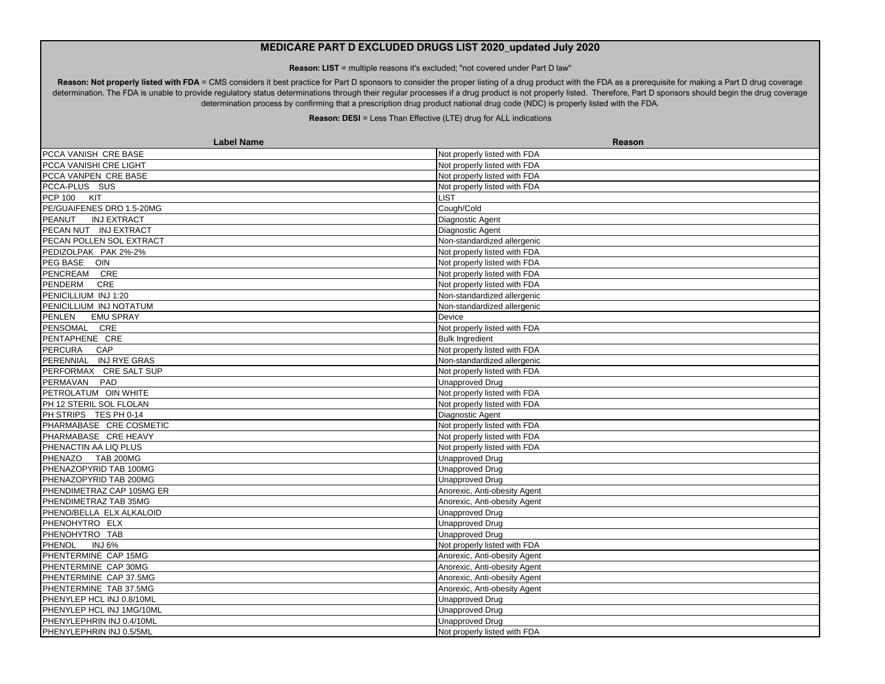**Reason: LIST** = multiple reasons it's excluded; "not covered under Part D law"

Reason: Not properly listed with FDA = CMS considers it best practice for Part D sponsors to consider the proper listing of a drug product with the FDA as a prerequisite for making a Part D drug coverage determination. The FDA is unable to provide regulatory status determinations through their regular processes if a drug product is not properly listed. Therefore, Part D sponsors should begin the drug coverage determination process by confirming that a prescription drug product national drug code (NDC) is properly listed with the FDA.

| <b>Label Name</b>            | Reason                       |
|------------------------------|------------------------------|
| PCCA VANISH CRE BASE         | Not properly listed with FDA |
| PCCA VANISHI CRE LIGHT       | Not properly listed with FDA |
| PCCA VANPEN CRE BASE         | Not properly listed with FDA |
| PCCA-PLUS SUS                | Not properly listed with FDA |
| PCP 100 KIT                  | <b>LIST</b>                  |
| PE/GUAIFENES DRO 1.5-20MG    | Cough/Cold                   |
| PEANUT<br><b>INJ EXTRACT</b> | Diagnostic Agent             |
| PECAN NUT INJ EXTRACT        | Diagnostic Agent             |
| PECAN POLLEN SOL EXTRACT     | Non-standardized allergenic  |
| PEDIZOLPAK PAK 2%-2%         | Not properly listed with FDA |
| PEG BASE OIN                 | Not properly listed with FDA |
| PENCREAM CRE                 | Not properly listed with FDA |
| PENDERM<br><b>CRE</b>        | Not properly listed with FDA |
| PENICILLIUM INJ 1:20         | Non-standardized allergenic  |
| PENICILLIUM INJ NOTATUM      | Non-standardized allergenic  |
| PENLEN<br><b>EMU SPRAY</b>   | Device                       |
| PENSOMAL CRE                 | Not properly listed with FDA |
| PENTAPHENE CRE               | <b>Bulk Ingredient</b>       |
| PERCURA CAP                  | Not properly listed with FDA |
| PERENNIAL INJ RYE GRAS       | Non-standardized allergenic  |
| PERFORMAX CRE SALT SUP       | Not properly listed with FDA |
| PERMAVAN PAD                 | <b>Unapproved Drug</b>       |
| PETROLATUM OIN WHITE         | Not properly listed with FDA |
| PH 12 STERIL SOL FLOLAN      | Not properly listed with FDA |
| PH STRIPS TES PH 0-14        | Diagnostic Agent             |
| PHARMABASE CRE COSMETIC      | Not properly listed with FDA |
| PHARMABASE CRE HEAVY         | Not properly listed with FDA |
| PHENACTIN AA LIQ PLUS        | Not properly listed with FDA |
| PHENAZO TAB 200MG            | <b>Unapproved Drug</b>       |
| PHENAZOPYRID TAB 100MG       | <b>Unapproved Drug</b>       |
| PHENAZOPYRID TAB 200MG       | <b>Unapproved Drug</b>       |
| PHENDIMETRAZ CAP 105MG ER    | Anorexic, Anti-obesity Agent |
| PHENDIMETRAZ TAB 35MG        | Anorexic, Anti-obesity Agent |
| PHENO/BELLA ELX ALKALOID     | <b>Unapproved Drug</b>       |
| PHENOHYTRO ELX               | <b>Unapproved Drug</b>       |
| PHENOHYTRO TAB               | <b>Unapproved Drug</b>       |
| PHENOL<br><b>INJ 6%</b>      | Not properly listed with FDA |
| PHENTERMINE CAP 15MG         | Anorexic, Anti-obesity Agent |
| PHENTERMINE CAP 30MG         | Anorexic, Anti-obesity Agent |
| PHENTERMINE CAP 37.5MG       | Anorexic, Anti-obesity Agent |
| PHENTERMINE TAB 37.5MG       | Anorexic, Anti-obesity Agent |
| PHENYLEP HCL INJ 0.8/10ML    | <b>Unapproved Drug</b>       |
| PHENYLEP HCL INJ 1MG/10ML    | <b>Unapproved Drug</b>       |
| PHENYLEPHRIN INJ 0.4/10ML    | <b>Unapproved Drug</b>       |
| PHENYLEPHRIN INJ 0.5/5ML     | Not properly listed with FDA |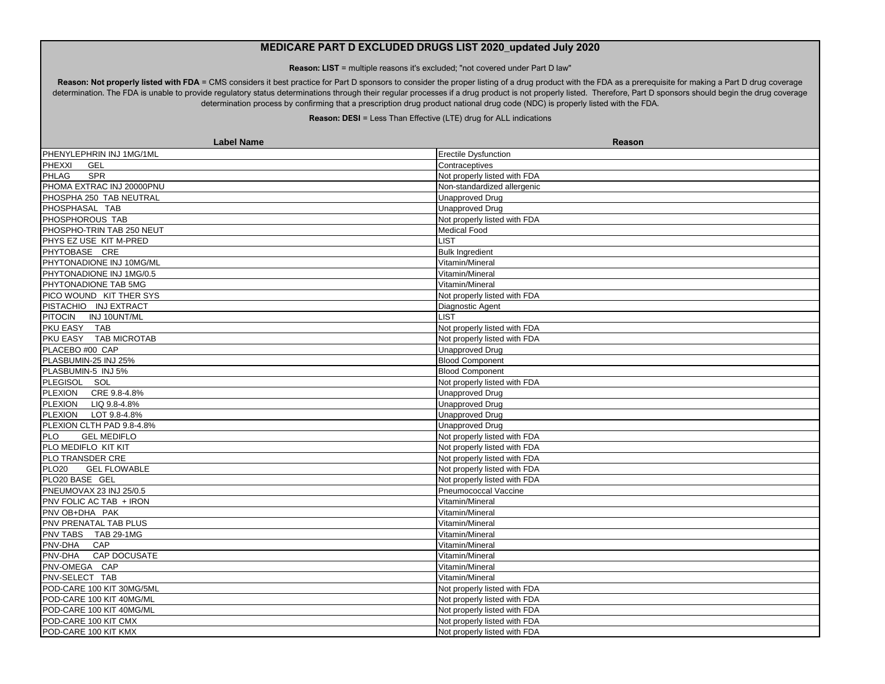**Reason: LIST** = multiple reasons it's excluded; "not covered under Part D law"

Reason: Not properly listed with FDA = CMS considers it best practice for Part D sponsors to consider the proper listing of a drug product with the FDA as a prerequisite for making a Part D drug coverage determination. The FDA is unable to provide regulatory status determinations through their regular processes if a drug product is not properly listed. Therefore, Part D sponsors should begin the drug coverage determination process by confirming that a prescription drug product national drug code (NDC) is properly listed with the FDA.

| PHENYLEPHRIN INJ 1MG/1ML<br><b>Erectile Dysfunction</b><br>PHEXXI<br><b>GEL</b><br>Contraceptives<br>PHLAG<br>SPR<br>Not properly listed with FDA<br>PHOMA EXTRAC INJ 20000PNU<br>Non-standardized allergenic<br>PHOSPHA 250 TAB NEUTRAL<br><b>Unapproved Drug</b><br>PHOSPHASAL TAB<br><b>Unapproved Drug</b><br>PHOSPHOROUS TAB<br>Not properly listed with FDA<br>PHOSPHO-TRIN TAB 250 NEUT<br>Medical Food<br>PHYS EZ USE KIT M-PRED<br><b>LIST</b><br>PHYTOBASE CRE<br><b>Bulk Ingredient</b><br>PHYTONADIONE INJ 10MG/ML<br>Vitamin/Mineral<br>PHYTONADIONE INJ 1MG/0.5<br>Vitamin/Mineral<br>PHYTONADIONE TAB 5MG<br>Vitamin/Mineral<br>PICO WOUND KIT THER SYS<br>Not properly listed with FDA<br>PISTACHIO INJ EXTRACT<br>Diagnostic Agent<br>PITOCIN INJ 10UNT/ML<br><b>LIST</b><br>PKU EASY TAB<br>Not properly listed with FDA<br>PKU EASY TAB MICROTAB<br>Not properly listed with FDA<br>PLACEBO #00 CAP<br><b>Unapproved Drug</b><br>PLASBUMIN-25 INJ 25%<br><b>Blood Component</b><br>PLASBUMIN-5 INJ 5%<br><b>Blood Component</b><br>PLEGISOL SOL<br>Not properly listed with FDA<br>PLEXION CRE 9.8-4.8%<br><b>Unapproved Drug</b><br>PLEXION LIQ 9.8-4.8%<br><b>Unapproved Drug</b><br>PLEXION LOT 9.8-4.8%<br><b>Unapproved Drug</b><br>PLEXION CLTH PAD 9.8-4.8%<br><b>Unapproved Drug</b><br>PLO<br><b>GEL MEDIFLO</b><br>Not properly listed with FDA<br>PLO MEDIFLO KIT KIT<br>Not properly listed with FDA<br>PLO TRANSDER CRE<br>Not properly listed with FDA<br>PLO <sub>20</sub><br><b>GEL FLOWABLE</b><br>Not properly listed with FDA<br>PLO20 BASE GEL<br>Not properly listed with FDA<br>PNEUMOVAX 23 INJ 25/0.5<br>Pneumococcal Vaccine<br>PNV FOLIC AC TAB + IRON<br>Vitamin/Mineral<br>PNV OB+DHA PAK<br>Vitamin/Mineral<br>PNV PRENATAL TAB PLUS<br>Vitamin/Mineral<br>PNV TABS TAB 29-1MG<br>Vitamin/Mineral<br>CAP<br>PNV-DHA<br>Vitamin/Mineral<br><b>PNV-DHA</b><br><b>CAP DOCUSATE</b><br>Vitamin/Mineral<br>PNV-OMEGA CAP<br>Vitamin/Mineral<br>PNV-SELECT TAB<br>Vitamin/Mineral<br>POD-CARE 100 KIT 30MG/5ML<br>Not properly listed with FDA<br>Not properly listed with FDA<br>POD-CARE 100 KIT 40MG/ML<br>POD-CARE 100 KIT 40MG/ML<br>Not properly listed with FDA<br>POD-CARE 100 KIT CMX<br>Not properly listed with FDA<br>POD-CARE 100 KIT KMX<br>Not properly listed with FDA | <b>Label Name</b> | Reason |
|----------------------------------------------------------------------------------------------------------------------------------------------------------------------------------------------------------------------------------------------------------------------------------------------------------------------------------------------------------------------------------------------------------------------------------------------------------------------------------------------------------------------------------------------------------------------------------------------------------------------------------------------------------------------------------------------------------------------------------------------------------------------------------------------------------------------------------------------------------------------------------------------------------------------------------------------------------------------------------------------------------------------------------------------------------------------------------------------------------------------------------------------------------------------------------------------------------------------------------------------------------------------------------------------------------------------------------------------------------------------------------------------------------------------------------------------------------------------------------------------------------------------------------------------------------------------------------------------------------------------------------------------------------------------------------------------------------------------------------------------------------------------------------------------------------------------------------------------------------------------------------------------------------------------------------------------------------------------------------------------------------------------------------------------------------------------------------------------------------------------------------------------------------------------------------------------------------------------------------------------------------------------------------------------------------------------------------|-------------------|--------|
|                                                                                                                                                                                                                                                                                                                                                                                                                                                                                                                                                                                                                                                                                                                                                                                                                                                                                                                                                                                                                                                                                                                                                                                                                                                                                                                                                                                                                                                                                                                                                                                                                                                                                                                                                                                                                                                                                                                                                                                                                                                                                                                                                                                                                                                                                                                                  |                   |        |
|                                                                                                                                                                                                                                                                                                                                                                                                                                                                                                                                                                                                                                                                                                                                                                                                                                                                                                                                                                                                                                                                                                                                                                                                                                                                                                                                                                                                                                                                                                                                                                                                                                                                                                                                                                                                                                                                                                                                                                                                                                                                                                                                                                                                                                                                                                                                  |                   |        |
|                                                                                                                                                                                                                                                                                                                                                                                                                                                                                                                                                                                                                                                                                                                                                                                                                                                                                                                                                                                                                                                                                                                                                                                                                                                                                                                                                                                                                                                                                                                                                                                                                                                                                                                                                                                                                                                                                                                                                                                                                                                                                                                                                                                                                                                                                                                                  |                   |        |
|                                                                                                                                                                                                                                                                                                                                                                                                                                                                                                                                                                                                                                                                                                                                                                                                                                                                                                                                                                                                                                                                                                                                                                                                                                                                                                                                                                                                                                                                                                                                                                                                                                                                                                                                                                                                                                                                                                                                                                                                                                                                                                                                                                                                                                                                                                                                  |                   |        |
|                                                                                                                                                                                                                                                                                                                                                                                                                                                                                                                                                                                                                                                                                                                                                                                                                                                                                                                                                                                                                                                                                                                                                                                                                                                                                                                                                                                                                                                                                                                                                                                                                                                                                                                                                                                                                                                                                                                                                                                                                                                                                                                                                                                                                                                                                                                                  |                   |        |
|                                                                                                                                                                                                                                                                                                                                                                                                                                                                                                                                                                                                                                                                                                                                                                                                                                                                                                                                                                                                                                                                                                                                                                                                                                                                                                                                                                                                                                                                                                                                                                                                                                                                                                                                                                                                                                                                                                                                                                                                                                                                                                                                                                                                                                                                                                                                  |                   |        |
|                                                                                                                                                                                                                                                                                                                                                                                                                                                                                                                                                                                                                                                                                                                                                                                                                                                                                                                                                                                                                                                                                                                                                                                                                                                                                                                                                                                                                                                                                                                                                                                                                                                                                                                                                                                                                                                                                                                                                                                                                                                                                                                                                                                                                                                                                                                                  |                   |        |
|                                                                                                                                                                                                                                                                                                                                                                                                                                                                                                                                                                                                                                                                                                                                                                                                                                                                                                                                                                                                                                                                                                                                                                                                                                                                                                                                                                                                                                                                                                                                                                                                                                                                                                                                                                                                                                                                                                                                                                                                                                                                                                                                                                                                                                                                                                                                  |                   |        |
|                                                                                                                                                                                                                                                                                                                                                                                                                                                                                                                                                                                                                                                                                                                                                                                                                                                                                                                                                                                                                                                                                                                                                                                                                                                                                                                                                                                                                                                                                                                                                                                                                                                                                                                                                                                                                                                                                                                                                                                                                                                                                                                                                                                                                                                                                                                                  |                   |        |
|                                                                                                                                                                                                                                                                                                                                                                                                                                                                                                                                                                                                                                                                                                                                                                                                                                                                                                                                                                                                                                                                                                                                                                                                                                                                                                                                                                                                                                                                                                                                                                                                                                                                                                                                                                                                                                                                                                                                                                                                                                                                                                                                                                                                                                                                                                                                  |                   |        |
|                                                                                                                                                                                                                                                                                                                                                                                                                                                                                                                                                                                                                                                                                                                                                                                                                                                                                                                                                                                                                                                                                                                                                                                                                                                                                                                                                                                                                                                                                                                                                                                                                                                                                                                                                                                                                                                                                                                                                                                                                                                                                                                                                                                                                                                                                                                                  |                   |        |
|                                                                                                                                                                                                                                                                                                                                                                                                                                                                                                                                                                                                                                                                                                                                                                                                                                                                                                                                                                                                                                                                                                                                                                                                                                                                                                                                                                                                                                                                                                                                                                                                                                                                                                                                                                                                                                                                                                                                                                                                                                                                                                                                                                                                                                                                                                                                  |                   |        |
|                                                                                                                                                                                                                                                                                                                                                                                                                                                                                                                                                                                                                                                                                                                                                                                                                                                                                                                                                                                                                                                                                                                                                                                                                                                                                                                                                                                                                                                                                                                                                                                                                                                                                                                                                                                                                                                                                                                                                                                                                                                                                                                                                                                                                                                                                                                                  |                   |        |
|                                                                                                                                                                                                                                                                                                                                                                                                                                                                                                                                                                                                                                                                                                                                                                                                                                                                                                                                                                                                                                                                                                                                                                                                                                                                                                                                                                                                                                                                                                                                                                                                                                                                                                                                                                                                                                                                                                                                                                                                                                                                                                                                                                                                                                                                                                                                  |                   |        |
|                                                                                                                                                                                                                                                                                                                                                                                                                                                                                                                                                                                                                                                                                                                                                                                                                                                                                                                                                                                                                                                                                                                                                                                                                                                                                                                                                                                                                                                                                                                                                                                                                                                                                                                                                                                                                                                                                                                                                                                                                                                                                                                                                                                                                                                                                                                                  |                   |        |
|                                                                                                                                                                                                                                                                                                                                                                                                                                                                                                                                                                                                                                                                                                                                                                                                                                                                                                                                                                                                                                                                                                                                                                                                                                                                                                                                                                                                                                                                                                                                                                                                                                                                                                                                                                                                                                                                                                                                                                                                                                                                                                                                                                                                                                                                                                                                  |                   |        |
|                                                                                                                                                                                                                                                                                                                                                                                                                                                                                                                                                                                                                                                                                                                                                                                                                                                                                                                                                                                                                                                                                                                                                                                                                                                                                                                                                                                                                                                                                                                                                                                                                                                                                                                                                                                                                                                                                                                                                                                                                                                                                                                                                                                                                                                                                                                                  |                   |        |
|                                                                                                                                                                                                                                                                                                                                                                                                                                                                                                                                                                                                                                                                                                                                                                                                                                                                                                                                                                                                                                                                                                                                                                                                                                                                                                                                                                                                                                                                                                                                                                                                                                                                                                                                                                                                                                                                                                                                                                                                                                                                                                                                                                                                                                                                                                                                  |                   |        |
|                                                                                                                                                                                                                                                                                                                                                                                                                                                                                                                                                                                                                                                                                                                                                                                                                                                                                                                                                                                                                                                                                                                                                                                                                                                                                                                                                                                                                                                                                                                                                                                                                                                                                                                                                                                                                                                                                                                                                                                                                                                                                                                                                                                                                                                                                                                                  |                   |        |
|                                                                                                                                                                                                                                                                                                                                                                                                                                                                                                                                                                                                                                                                                                                                                                                                                                                                                                                                                                                                                                                                                                                                                                                                                                                                                                                                                                                                                                                                                                                                                                                                                                                                                                                                                                                                                                                                                                                                                                                                                                                                                                                                                                                                                                                                                                                                  |                   |        |
|                                                                                                                                                                                                                                                                                                                                                                                                                                                                                                                                                                                                                                                                                                                                                                                                                                                                                                                                                                                                                                                                                                                                                                                                                                                                                                                                                                                                                                                                                                                                                                                                                                                                                                                                                                                                                                                                                                                                                                                                                                                                                                                                                                                                                                                                                                                                  |                   |        |
|                                                                                                                                                                                                                                                                                                                                                                                                                                                                                                                                                                                                                                                                                                                                                                                                                                                                                                                                                                                                                                                                                                                                                                                                                                                                                                                                                                                                                                                                                                                                                                                                                                                                                                                                                                                                                                                                                                                                                                                                                                                                                                                                                                                                                                                                                                                                  |                   |        |
|                                                                                                                                                                                                                                                                                                                                                                                                                                                                                                                                                                                                                                                                                                                                                                                                                                                                                                                                                                                                                                                                                                                                                                                                                                                                                                                                                                                                                                                                                                                                                                                                                                                                                                                                                                                                                                                                                                                                                                                                                                                                                                                                                                                                                                                                                                                                  |                   |        |
|                                                                                                                                                                                                                                                                                                                                                                                                                                                                                                                                                                                                                                                                                                                                                                                                                                                                                                                                                                                                                                                                                                                                                                                                                                                                                                                                                                                                                                                                                                                                                                                                                                                                                                                                                                                                                                                                                                                                                                                                                                                                                                                                                                                                                                                                                                                                  |                   |        |
|                                                                                                                                                                                                                                                                                                                                                                                                                                                                                                                                                                                                                                                                                                                                                                                                                                                                                                                                                                                                                                                                                                                                                                                                                                                                                                                                                                                                                                                                                                                                                                                                                                                                                                                                                                                                                                                                                                                                                                                                                                                                                                                                                                                                                                                                                                                                  |                   |        |
|                                                                                                                                                                                                                                                                                                                                                                                                                                                                                                                                                                                                                                                                                                                                                                                                                                                                                                                                                                                                                                                                                                                                                                                                                                                                                                                                                                                                                                                                                                                                                                                                                                                                                                                                                                                                                                                                                                                                                                                                                                                                                                                                                                                                                                                                                                                                  |                   |        |
|                                                                                                                                                                                                                                                                                                                                                                                                                                                                                                                                                                                                                                                                                                                                                                                                                                                                                                                                                                                                                                                                                                                                                                                                                                                                                                                                                                                                                                                                                                                                                                                                                                                                                                                                                                                                                                                                                                                                                                                                                                                                                                                                                                                                                                                                                                                                  |                   |        |
|                                                                                                                                                                                                                                                                                                                                                                                                                                                                                                                                                                                                                                                                                                                                                                                                                                                                                                                                                                                                                                                                                                                                                                                                                                                                                                                                                                                                                                                                                                                                                                                                                                                                                                                                                                                                                                                                                                                                                                                                                                                                                                                                                                                                                                                                                                                                  |                   |        |
|                                                                                                                                                                                                                                                                                                                                                                                                                                                                                                                                                                                                                                                                                                                                                                                                                                                                                                                                                                                                                                                                                                                                                                                                                                                                                                                                                                                                                                                                                                                                                                                                                                                                                                                                                                                                                                                                                                                                                                                                                                                                                                                                                                                                                                                                                                                                  |                   |        |
|                                                                                                                                                                                                                                                                                                                                                                                                                                                                                                                                                                                                                                                                                                                                                                                                                                                                                                                                                                                                                                                                                                                                                                                                                                                                                                                                                                                                                                                                                                                                                                                                                                                                                                                                                                                                                                                                                                                                                                                                                                                                                                                                                                                                                                                                                                                                  |                   |        |
|                                                                                                                                                                                                                                                                                                                                                                                                                                                                                                                                                                                                                                                                                                                                                                                                                                                                                                                                                                                                                                                                                                                                                                                                                                                                                                                                                                                                                                                                                                                                                                                                                                                                                                                                                                                                                                                                                                                                                                                                                                                                                                                                                                                                                                                                                                                                  |                   |        |
|                                                                                                                                                                                                                                                                                                                                                                                                                                                                                                                                                                                                                                                                                                                                                                                                                                                                                                                                                                                                                                                                                                                                                                                                                                                                                                                                                                                                                                                                                                                                                                                                                                                                                                                                                                                                                                                                                                                                                                                                                                                                                                                                                                                                                                                                                                                                  |                   |        |
|                                                                                                                                                                                                                                                                                                                                                                                                                                                                                                                                                                                                                                                                                                                                                                                                                                                                                                                                                                                                                                                                                                                                                                                                                                                                                                                                                                                                                                                                                                                                                                                                                                                                                                                                                                                                                                                                                                                                                                                                                                                                                                                                                                                                                                                                                                                                  |                   |        |
|                                                                                                                                                                                                                                                                                                                                                                                                                                                                                                                                                                                                                                                                                                                                                                                                                                                                                                                                                                                                                                                                                                                                                                                                                                                                                                                                                                                                                                                                                                                                                                                                                                                                                                                                                                                                                                                                                                                                                                                                                                                                                                                                                                                                                                                                                                                                  |                   |        |
|                                                                                                                                                                                                                                                                                                                                                                                                                                                                                                                                                                                                                                                                                                                                                                                                                                                                                                                                                                                                                                                                                                                                                                                                                                                                                                                                                                                                                                                                                                                                                                                                                                                                                                                                                                                                                                                                                                                                                                                                                                                                                                                                                                                                                                                                                                                                  |                   |        |
|                                                                                                                                                                                                                                                                                                                                                                                                                                                                                                                                                                                                                                                                                                                                                                                                                                                                                                                                                                                                                                                                                                                                                                                                                                                                                                                                                                                                                                                                                                                                                                                                                                                                                                                                                                                                                                                                                                                                                                                                                                                                                                                                                                                                                                                                                                                                  |                   |        |
|                                                                                                                                                                                                                                                                                                                                                                                                                                                                                                                                                                                                                                                                                                                                                                                                                                                                                                                                                                                                                                                                                                                                                                                                                                                                                                                                                                                                                                                                                                                                                                                                                                                                                                                                                                                                                                                                                                                                                                                                                                                                                                                                                                                                                                                                                                                                  |                   |        |
|                                                                                                                                                                                                                                                                                                                                                                                                                                                                                                                                                                                                                                                                                                                                                                                                                                                                                                                                                                                                                                                                                                                                                                                                                                                                                                                                                                                                                                                                                                                                                                                                                                                                                                                                                                                                                                                                                                                                                                                                                                                                                                                                                                                                                                                                                                                                  |                   |        |
|                                                                                                                                                                                                                                                                                                                                                                                                                                                                                                                                                                                                                                                                                                                                                                                                                                                                                                                                                                                                                                                                                                                                                                                                                                                                                                                                                                                                                                                                                                                                                                                                                                                                                                                                                                                                                                                                                                                                                                                                                                                                                                                                                                                                                                                                                                                                  |                   |        |
|                                                                                                                                                                                                                                                                                                                                                                                                                                                                                                                                                                                                                                                                                                                                                                                                                                                                                                                                                                                                                                                                                                                                                                                                                                                                                                                                                                                                                                                                                                                                                                                                                                                                                                                                                                                                                                                                                                                                                                                                                                                                                                                                                                                                                                                                                                                                  |                   |        |
|                                                                                                                                                                                                                                                                                                                                                                                                                                                                                                                                                                                                                                                                                                                                                                                                                                                                                                                                                                                                                                                                                                                                                                                                                                                                                                                                                                                                                                                                                                                                                                                                                                                                                                                                                                                                                                                                                                                                                                                                                                                                                                                                                                                                                                                                                                                                  |                   |        |
|                                                                                                                                                                                                                                                                                                                                                                                                                                                                                                                                                                                                                                                                                                                                                                                                                                                                                                                                                                                                                                                                                                                                                                                                                                                                                                                                                                                                                                                                                                                                                                                                                                                                                                                                                                                                                                                                                                                                                                                                                                                                                                                                                                                                                                                                                                                                  |                   |        |
|                                                                                                                                                                                                                                                                                                                                                                                                                                                                                                                                                                                                                                                                                                                                                                                                                                                                                                                                                                                                                                                                                                                                                                                                                                                                                                                                                                                                                                                                                                                                                                                                                                                                                                                                                                                                                                                                                                                                                                                                                                                                                                                                                                                                                                                                                                                                  |                   |        |
|                                                                                                                                                                                                                                                                                                                                                                                                                                                                                                                                                                                                                                                                                                                                                                                                                                                                                                                                                                                                                                                                                                                                                                                                                                                                                                                                                                                                                                                                                                                                                                                                                                                                                                                                                                                                                                                                                                                                                                                                                                                                                                                                                                                                                                                                                                                                  |                   |        |
|                                                                                                                                                                                                                                                                                                                                                                                                                                                                                                                                                                                                                                                                                                                                                                                                                                                                                                                                                                                                                                                                                                                                                                                                                                                                                                                                                                                                                                                                                                                                                                                                                                                                                                                                                                                                                                                                                                                                                                                                                                                                                                                                                                                                                                                                                                                                  |                   |        |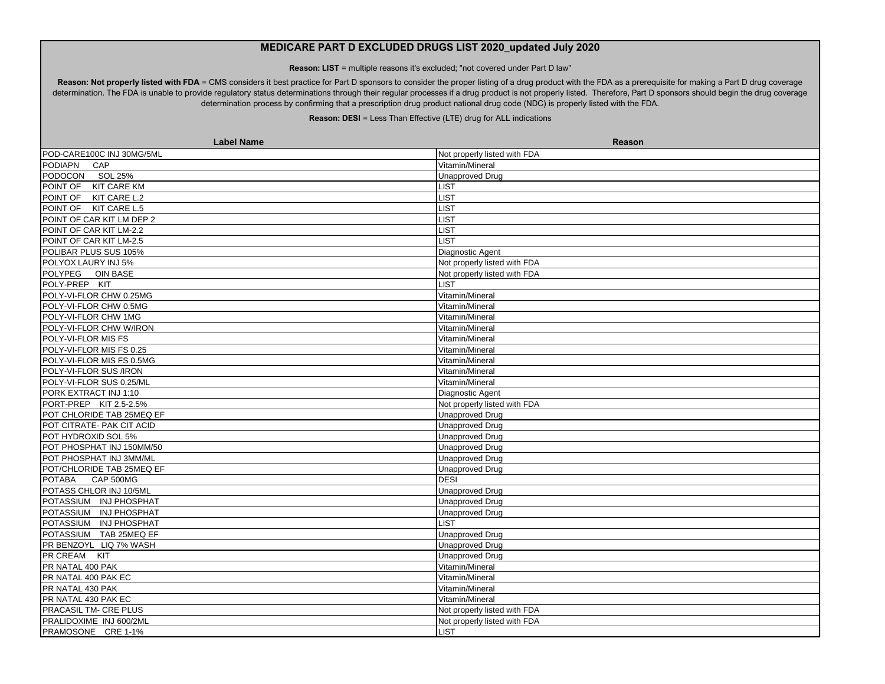**Reason: LIST** = multiple reasons it's excluded; "not covered under Part D law"

Reason: Not properly listed with FDA = CMS considers it best practice for Part D sponsors to consider the proper listing of a drug product with the FDA as a prerequisite for making a Part D drug coverage determination. The FDA is unable to provide regulatory status determinations through their regular processes if a drug product is not properly listed. Therefore, Part D sponsors should begin the drug coverage determination process by confirming that a prescription drug product national drug code (NDC) is properly listed with the FDA.

| <b>Label Name</b>         | Reason                       |
|---------------------------|------------------------------|
| POD-CARE100C INJ 30MG/5ML | Not properly listed with FDA |
| <b>PODIAPN</b><br>CAP     | Vitamin/Mineral              |
| PODOCON SOL 25%           | <b>Unapproved Drug</b>       |
| POINT OF KIT CARE KM      | LIST                         |
| POINT OF KIT CARE L.2     | <b>LIST</b>                  |
| POINT OF KIT CARE L.5     | LIST                         |
| POINT OF CAR KIT LM DEP 2 | <b>LIST</b>                  |
| POINT OF CAR KIT LM-2.2   | <b>LIST</b>                  |
| POINT OF CAR KIT LM-2.5   | LIST                         |
| POLIBAR PLUS SUS 105%     | Diagnostic Agent             |
| POLYOX LAURY INJ 5%       | Not properly listed with FDA |
| POLYPEG OIN BASE          | Not properly listed with FDA |
| POLY-PREP KIT             | LIST                         |
| POLY-VI-FLOR CHW 0.25MG   | Vitamin/Mineral              |
| POLY-VI-FLOR CHW 0.5MG    | Vitamin/Mineral              |
| POLY-VI-FLOR CHW 1MG      | Vitamin/Mineral              |
| POLY-VI-FLOR CHW W/IRON   | Vitamin/Mineral              |
| POLY-VI-FLOR MIS FS       | Vitamin/Mineral              |
| POLY-VI-FLOR MIS FS 0.25  | Vitamin/Mineral              |
| POLY-VI-FLOR MIS FS 0.5MG | Vitamin/Mineral              |
| POLY-VI-FLOR SUS /IRON    | Vitamin/Mineral              |
| POLY-VI-FLOR SUS 0.25/ML  | Vitamin/Mineral              |
| PORK EXTRACT INJ 1:10     | Diagnostic Agent             |
| PORT-PREP KIT 2.5-2.5%    | Not properly listed with FDA |
| POT CHLORIDE TAB 25MEQ EF | <b>Unapproved Drug</b>       |
| POT CITRATE- PAK CIT ACID | <b>Unapproved Drug</b>       |
| POT HYDROXID SOL 5%       | <b>Unapproved Drug</b>       |
| POT PHOSPHAT INJ 150MM/50 | <b>Unapproved Drug</b>       |
| POT PHOSPHAT INJ 3MM/ML   | Unapproved Drug              |
| POT/CHLORIDE TAB 25MEQ EF | <b>Unapproved Drug</b>       |
| CAP 500MG<br>POTABA       | <b>DESI</b>                  |
| POTASS CHLOR INJ 10/5ML   | <b>Unapproved Drug</b>       |
| POTASSIUM INJ PHOSPHAT    | <b>Unapproved Drug</b>       |
| POTASSIUM INJ PHOSPHAT    | <b>Unapproved Drug</b>       |
| POTASSIUM INJ PHOSPHAT    | <b>LIST</b>                  |
| POTASSIUM TAB 25MEQ EF    | <b>Unapproved Drug</b>       |
| PR BENZOYL LIQ 7% WASH    | <b>Unapproved Drug</b>       |
| PR CREAM KIT              | <b>Unapproved Drug</b>       |
| PR NATAL 400 PAK          | Vitamin/Mineral              |
| PR NATAL 400 PAK EC       | Vitamin/Mineral              |
| PR NATAL 430 PAK          | Vitamin/Mineral              |
| PR NATAL 430 PAK EC       | Vitamin/Mineral              |
| PRACASIL TM- CRE PLUS     | Not properly listed with FDA |
| PRALIDOXIME INJ 600/2ML   | Not properly listed with FDA |
| PRAMOSONE CRE 1-1%        | LIST                         |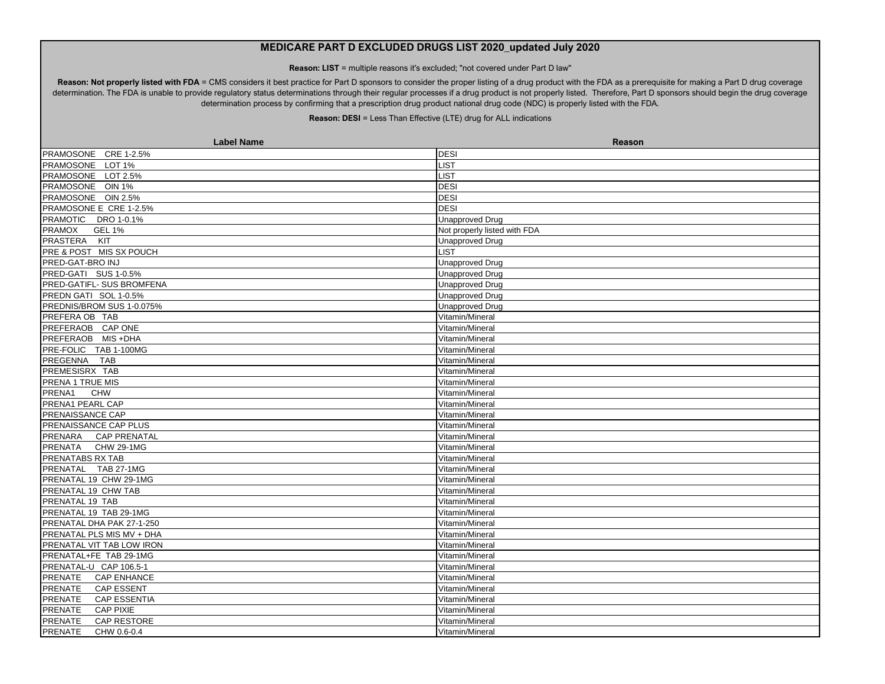**Reason: LIST** = multiple reasons it's excluded; "not covered under Part D law"

Reason: Not properly listed with FDA = CMS considers it best practice for Part D sponsors to consider the proper listing of a drug product with the FDA as a prerequisite for making a Part D drug coverage determination. The FDA is unable to provide regulatory status determinations through their regular processes if a drug product is not properly listed. Therefore, Part D sponsors should begin the drug coverage determination process by confirming that a prescription drug product national drug code (NDC) is properly listed with the FDA.

| <b>Label Name</b>                     | Reason                       |
|---------------------------------------|------------------------------|
| PRAMOSONE CRE 1-2.5%                  | <b>DESI</b>                  |
| PRAMOSONE LOT 1%                      | <b>LIST</b>                  |
| PRAMOSONE LOT 2.5%                    | LIST                         |
| PRAMOSONE OIN 1%                      | <b>DESI</b>                  |
| PRAMOSONE OIN 2.5%                    | <b>DESI</b>                  |
| PRAMOSONE E CRE 1-2.5%                | <b>DESI</b>                  |
| PRAMOTIC DRO 1-0.1%                   | <b>Unapproved Drug</b>       |
| <b>PRAMOX</b><br><b>GEL 1%</b>        | Not properly listed with FDA |
| <b>PRASTERA</b><br>KIT                | <b>Unapproved Drug</b>       |
| PRE & POST MIS SX POUCH               | <b>LIST</b>                  |
| PRED-GAT-BRO INJ                      | <b>Unapproved Drug</b>       |
| PRED-GATI SUS 1-0.5%                  | <b>Unapproved Drug</b>       |
| PRED-GATIFL- SUS BROMFENA             | <b>Unapproved Drug</b>       |
| PREDN GATI SOL 1-0.5%                 | <b>Unapproved Drug</b>       |
| PREDNIS/BROM SUS 1-0.075%             | <b>Unapproved Drug</b>       |
| PREFERA OB TAB                        | Vitamin/Mineral              |
| PREFERAOB CAP ONE                     | Vitamin/Mineral              |
| PREFERAOB MIS +DHA                    | Vitamin/Mineral              |
| PRE-FOLIC TAB 1-100MG                 | Vitamin/Mineral              |
| PREGENNA<br><b>TAB</b>                | Vitamin/Mineral              |
| PREMESISRX TAB                        | Vitamin/Mineral              |
| PRENA 1 TRUE MIS                      | Vitamin/Mineral              |
| PRENA1<br><b>CHW</b>                  | Vitamin/Mineral              |
| PRENA1 PEARL CAP                      | Vitamin/Mineral              |
| PRENAISSANCE CAP                      | Vitamin/Mineral              |
| PRENAISSANCE CAP PLUS                 | Vitamin/Mineral              |
| PRENARA CAP PRENATAL                  | Vitamin/Mineral              |
| PRENATA CHW 29-1MG                    | Vitamin/Mineral              |
| PRENATABS RX TAB                      | Vitamin/Mineral              |
| PRENATAL TAB 27-1MG                   | Vitamin/Mineral              |
| PRENATAL 19 CHW 29-1MG                | Vitamin/Mineral              |
| PRENATAL 19 CHW TAB                   | Vitamin/Mineral              |
| PRENATAL 19 TAB                       | Vitamin/Mineral              |
| PRENATAL 19 TAB 29-1MG                | Vitamin/Mineral              |
| PRENATAL DHA PAK 27-1-250             | Vitamin/Mineral              |
| PRENATAL PLS MIS MV + DHA             | Vitamin/Mineral              |
| PRENATAL VIT TAB LOW IRON             | Vitamin/Mineral              |
| PRENATAL+FE TAB 29-1MG                | Vitamin/Mineral              |
| PRENATAL-U CAP 106.5-1                | Vitamin/Mineral              |
| PRENATE<br><b>CAP ENHANCE</b>         | Vitamin/Mineral              |
| PRENATE<br><b>CAP ESSENT</b>          | Vitamin/Mineral              |
| <b>PRENATE</b><br><b>CAP ESSENTIA</b> | Vitamin/Mineral              |
| <b>CAP PIXIE</b><br><b>PRENATE</b>    | Vitamin/Mineral              |
| CAP RESTORE<br><b>PRENATE</b>         | Vitamin/Mineral              |
| PRENATE<br>CHW 0.6-0.4                | Vitamin/Mineral              |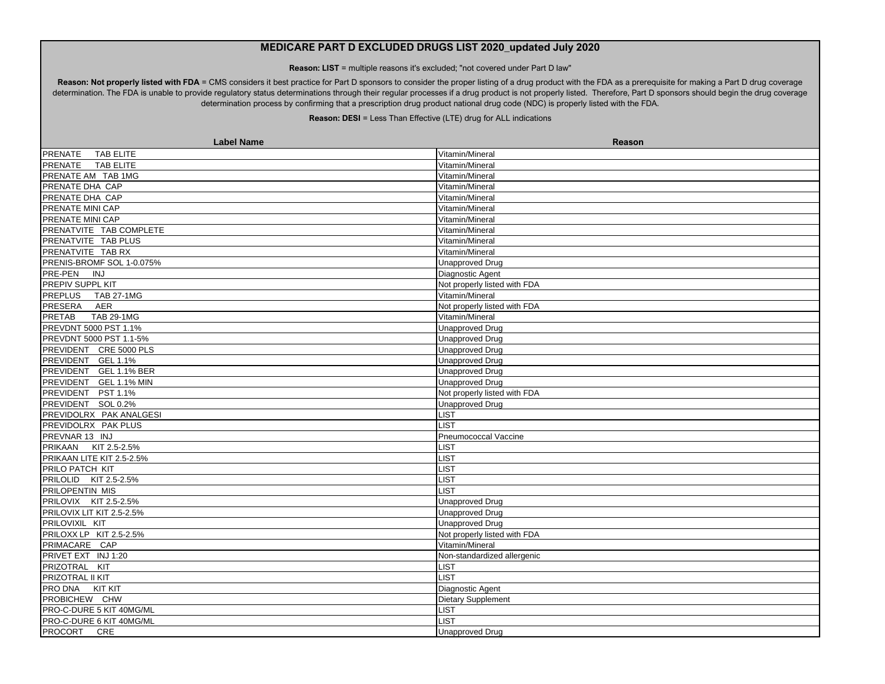**Reason: LIST** = multiple reasons it's excluded; "not covered under Part D law"

Reason: Not properly listed with FDA = CMS considers it best practice for Part D sponsors to consider the proper listing of a drug product with the FDA as a prerequisite for making a Part D drug coverage determination. The FDA is unable to provide regulatory status determinations through their regular processes if a drug product is not properly listed. Therefore, Part D sponsors should begin the drug coverage determination process by confirming that a prescription drug product national drug code (NDC) is properly listed with the FDA.

| <b>Label Name</b>                  | Reason                       |
|------------------------------------|------------------------------|
| PRENATE<br><b>TAB ELITE</b>        | Vitamin/Mineral              |
| PRENATE<br><b>TAB ELITE</b>        | Vitamin/Mineral              |
| PRENATE AM TAB 1MG                 | Vitamin/Mineral              |
| PRENATE DHA CAP                    | Vitamin/Mineral              |
| PRENATE DHA CAP                    | Vitamin/Mineral              |
| PRENATE MINI CAP                   | Vitamin/Mineral              |
| PRENATE MINI CAP                   | Vitamin/Mineral              |
| PRENATVITE TAB COMPLETE            | Vitamin/Mineral              |
| PRENATVITE TAB PLUS                | Vitamin/Mineral              |
| PRENATVITE TAB RX                  | Vitamin/Mineral              |
| PRENIS-BROMF SOL 1-0.075%          | <b>Unapproved Drug</b>       |
| <b>PRE-PEN</b><br><b>INJ</b>       | Diagnostic Agent             |
| PREPIV SUPPL KIT                   | Not properly listed with FDA |
| PREPLUS TAB 27-1MG                 | Vitamin/Mineral              |
| PRESERA<br>AER                     | Not properly listed with FDA |
| <b>PRETAB</b><br><b>TAB 29-1MG</b> | Vitamin/Mineral              |
| PREVDNT 5000 PST 1.1%              | <b>Unapproved Drug</b>       |
| PREVDNT 5000 PST 1.1-5%            | <b>Unapproved Drug</b>       |
| PREVIDENT CRE 5000 PLS             | <b>Unapproved Drug</b>       |
| PREVIDENT GEL 1.1%                 | <b>Unapproved Drug</b>       |
| PREVIDENT GEL 1.1% BER             | <b>Unapproved Drug</b>       |
| PREVIDENT GEL 1.1% MIN             | Unapproved Drug              |
| PREVIDENT PST 1.1%                 | Not properly listed with FDA |
| PREVIDENT SOL 0.2%                 | <b>Unapproved Drug</b>       |
| <b>PREVIDOLRX PAK ANALGESI</b>     | <b>LIST</b>                  |
| PREVIDOLRX PAK PLUS                | <b>LIST</b>                  |
| PREVNAR 13 INJ                     | Pneumococcal Vaccine         |
| PRIKAAN KIT 2.5-2.5%               | LIST                         |
| PRIKAAN LITE KIT 2.5-2.5%          | <b>LIST</b>                  |
| PRILO PATCH KIT                    | LIST                         |
| PRILOLID KIT 2.5-2.5%              | <b>LIST</b>                  |
| <b>PRILOPENTIN MIS</b>             | <b>LIST</b>                  |
| PRILOVIX KIT 2.5-2.5%              | <b>Unapproved Drug</b>       |
| PRILOVIX LIT KIT 2.5-2.5%          | <b>Unapproved Drug</b>       |
| PRILOVIXIL KIT                     | <b>Unapproved Drug</b>       |
| PRILOXX LP KIT 2.5-2.5%            | Not properly listed with FDA |
| PRIMACARE CAP                      | Vitamin/Mineral              |
| PRIVET EXT INJ 1:20                | Non-standardized allergenic  |
| PRIZOTRAL KIT                      | <b>LIST</b>                  |
| <b>PRIZOTRAL II KIT</b>            | <b>LIST</b>                  |
| PRO DNA KIT KIT                    | Diagnostic Agent             |
| PROBICHEW CHW                      | <b>Dietary Supplement</b>    |
| PRO-C-DURE 5 KIT 40MG/ML           | <b>LIST</b>                  |
| PRO-C-DURE 6 KIT 40MG/ML           | <b>LIST</b>                  |
| PROCORT CRE                        | <b>Unapproved Drug</b>       |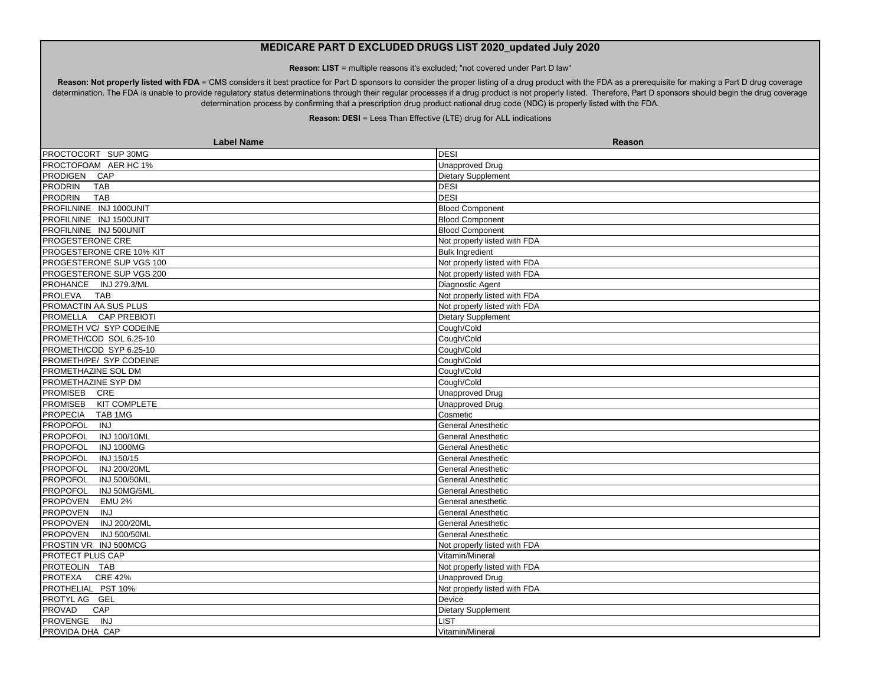**Reason: LIST** = multiple reasons it's excluded; "not covered under Part D law"

Reason: Not properly listed with FDA = CMS considers it best practice for Part D sponsors to consider the proper listing of a drug product with the FDA as a prerequisite for making a Part D drug coverage determination. The FDA is unable to provide regulatory status determinations through their regular processes if a drug product is not properly listed. Therefore, Part D sponsors should begin the drug coverage determination process by confirming that a prescription drug product national drug code (NDC) is properly listed with the FDA.

| <b>Label Name</b>                      | Reason                       |
|----------------------------------------|------------------------------|
| PROCTOCORT SUP 30MG                    | <b>DESI</b>                  |
| PROCTOFOAM AER HC 1%                   | <b>Unapproved Drug</b>       |
| PRODIGEN CAP                           | Dietary Supplement           |
| PRODRIN<br>TAB                         | <b>DESI</b>                  |
| <b>TAB</b><br><b>PRODRIN</b>           | <b>DESI</b>                  |
| PROFILNINE INJ 1000UNIT                | <b>Blood Component</b>       |
| PROFILNINE INJ 1500UNIT                | <b>Blood Component</b>       |
| PROFILNINE INJ 500UNIT                 | <b>Blood Component</b>       |
| <b>PROGESTERONE CRE</b>                | Not properly listed with FDA |
| PROGESTERONE CRE 10% KIT               | <b>Bulk Ingredient</b>       |
| <b>PROGESTERONE SUP VGS 100</b>        | Not properly listed with FDA |
| PROGESTERONE SUP VGS 200               | Not properly listed with FDA |
| PROHANCE INJ 279.3/ML                  | Diagnostic Agent             |
| PROLEVA TAB                            | Not properly listed with FDA |
| PROMACTIN AA SUS PLUS                  | Not properly listed with FDA |
| PROMELLA CAP PREBIOTI                  | Dietary Supplement           |
| PROMETH VC/ SYP CODEINE                | Cough/Cold                   |
| PROMETH/COD SOL 6.25-10                | Cough/Cold                   |
| PROMETH/COD SYP 6.25-10                | Cough/Cold                   |
| PROMETH/PE/ SYP CODEINE                | Cough/Cold                   |
| PROMETHAZINE SOL DM                    | Cough/Cold                   |
| PROMETHAZINE SYP DM                    | Cough/Cold                   |
| PROMISEB CRE                           | <b>Unapproved Drug</b>       |
| <b>PROMISEB</b><br>KIT COMPLETE        | <b>Unapproved Drug</b>       |
| PROPECIA TAB 1MG                       | Cosmetic                     |
| <b>PROPOFOL</b><br>INJ                 | General Anesthetic           |
| <b>PROPOFOL</b><br>INJ 100/10ML        | <b>General Anesthetic</b>    |
| PROPOFOL<br><b>INJ 1000MG</b>          | <b>General Anesthetic</b>    |
| INJ 150/15<br><b>PROPOFOL</b>          | General Anesthetic           |
| PROPOFOL<br>INJ 200/20ML               | <b>General Anesthetic</b>    |
| PROPOFOL<br><b>INJ 500/50ML</b>        | <b>General Anesthetic</b>    |
| PROPOFOL<br>INJ 50MG/5ML               | <b>General Anesthetic</b>    |
| PROPOVEN<br><b>EMU 2%</b>              | General anesthetic           |
| <b>PROPOVEN</b><br>INJ                 | <b>General Anesthetic</b>    |
| <b>PROPOVEN</b><br>INJ 200/20ML        | <b>General Anesthetic</b>    |
| <b>PROPOVEN</b><br><b>INJ 500/50ML</b> | General Anesthetic           |
| PROSTIN VR INJ 500MCG                  | Not properly listed with FDA |
| PROTECT PLUS CAP                       | Vitamin/Mineral              |
| PROTEOLIN TAB                          | Not properly listed with FDA |
| <b>CRE 42%</b><br>PROTEXA              | <b>Unapproved Drug</b>       |
| PROTHELIAL PST 10%                     | Not properly listed with FDA |
| PROTYL AG GEL                          | Device                       |
| CAP<br>PROVAD                          | Dietary Supplement           |
| PROVENGE INJ                           | LIST                         |
| PROVIDA DHA CAP                        | Vitamin/Mineral              |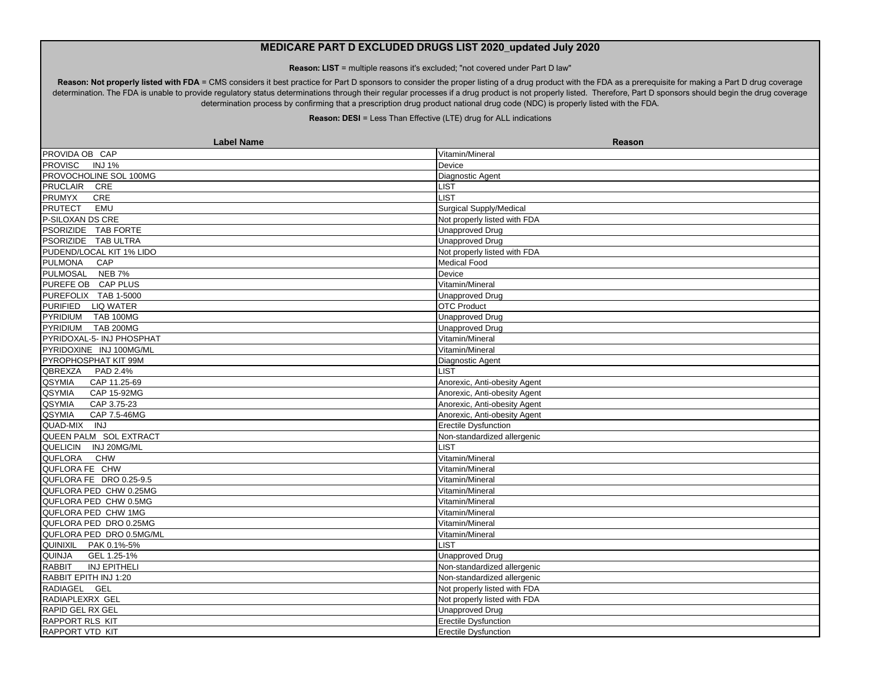**Reason: LIST** = multiple reasons it's excluded; "not covered under Part D law"

Reason: Not properly listed with FDA = CMS considers it best practice for Part D sponsors to consider the proper listing of a drug product with the FDA as a prerequisite for making a Part D drug coverage determination. The FDA is unable to provide regulatory status determinations through their regular processes if a drug product is not properly listed. Therefore, Part D sponsors should begin the drug coverage determination process by confirming that a prescription drug product national drug code (NDC) is properly listed with the FDA.

| <b>Label Name</b>               | Reason                       |
|---------------------------------|------------------------------|
| PROVIDA OB CAP                  | Vitamin/Mineral              |
| <b>PROVISC</b><br><b>INJ 1%</b> | Device                       |
| PROVOCHOLINE SOL 100MG          | Diagnostic Agent             |
| PRUCLAIR CRE                    | LIST                         |
| CRE<br><b>PRUMYX</b>            | <b>LIST</b>                  |
| PRUTECT EMU                     | Surgical Supply/Medical      |
| P-SILOXAN DS CRE                | Not properly listed with FDA |
| PSORIZIDE TAB FORTE             | <b>Unapproved Drug</b>       |
| PSORIZIDE TAB ULTRA             | <b>Unapproved Drug</b>       |
| PUDEND/LOCAL KIT 1% LIDO        | Not properly listed with FDA |
| PULMONA CAP                     | <b>Medical Food</b>          |
| PULMOSAL NEB 7%                 | Device                       |
| PUREFE OB CAP PLUS              | Vitamin/Mineral              |
| PUREFOLIX TAB 1-5000            | <b>Unapproved Drug</b>       |
| PURIFIED LIQ WATER              | <b>OTC Product</b>           |
| PYRIDIUM TAB 100MG              | <b>Unapproved Drug</b>       |
| PYRIDIUM TAB 200MG              | <b>Unapproved Drug</b>       |
| PYRIDOXAL-5- INJ PHOSPHAT       | Vitamin/Mineral              |
| PYRIDOXINE INJ 100MG/ML         | Vitamin/Mineral              |
| PYROPHOSPHAT KIT 99M            | Diagnostic Agent             |
| QBREXZA PAD 2.4%                | <b>LIST</b>                  |
| QSYMIA<br>CAP 11.25-69          | Anorexic, Anti-obesity Agent |
| QSYMIA<br>CAP 15-92MG           | Anorexic, Anti-obesity Agent |
| QSYMIA<br>CAP 3.75-23           | Anorexic, Anti-obesity Agent |
| <b>QSYMIA</b><br>CAP 7.5-46MG   | Anorexic, Anti-obesity Agent |
| QUAD-MIX<br><b>INJ</b>          | <b>Erectile Dysfunction</b>  |
| QUEEN PALM SOL EXTRACT          | Non-standardized allergenic  |
| QUELICIN INJ 20MG/ML            | <b>LIST</b>                  |
| <b>QUFLORA</b><br><b>CHW</b>    | Vitamin/Mineral              |
| QUFLORA FE CHW                  | Vitamin/Mineral              |
| QUFLORA FE DRO 0.25-9.5         | Vitamin/Mineral              |
| QUFLORA PED CHW 0.25MG          | Vitamin/Mineral              |
| QUFLORA PED CHW 0.5MG           | Vitamin/Mineral              |
| QUFLORA PED CHW 1MG             | Vitamin/Mineral              |
| QUFLORA PED DRO 0.25MG          | Vitamin/Mineral              |
| QUFLORA PED DRO 0.5MG/ML        | Vitamin/Mineral              |
| QUINIXIL PAK 0.1%-5%            | <b>LIST</b>                  |
| <b>QUINJA</b><br>GEL 1.25-1%    | <b>Unapproved Drug</b>       |
| <b>RABBIT</b><br>INJ EPITHELI   | Non-standardized allergenic  |
| RABBIT EPITH INJ 1:20           | Non-standardized allergenic  |
| RADIAGEL GEL                    | Not properly listed with FDA |
| RADIAPLEXRX GEL                 | Not properly listed with FDA |
| RAPID GEL RX GEL                | <b>Unapproved Drug</b>       |
| <b>RAPPORT RLS KIT</b>          | <b>Erectile Dysfunction</b>  |
| <b>RAPPORT VTD KIT</b>          | <b>Erectile Dysfunction</b>  |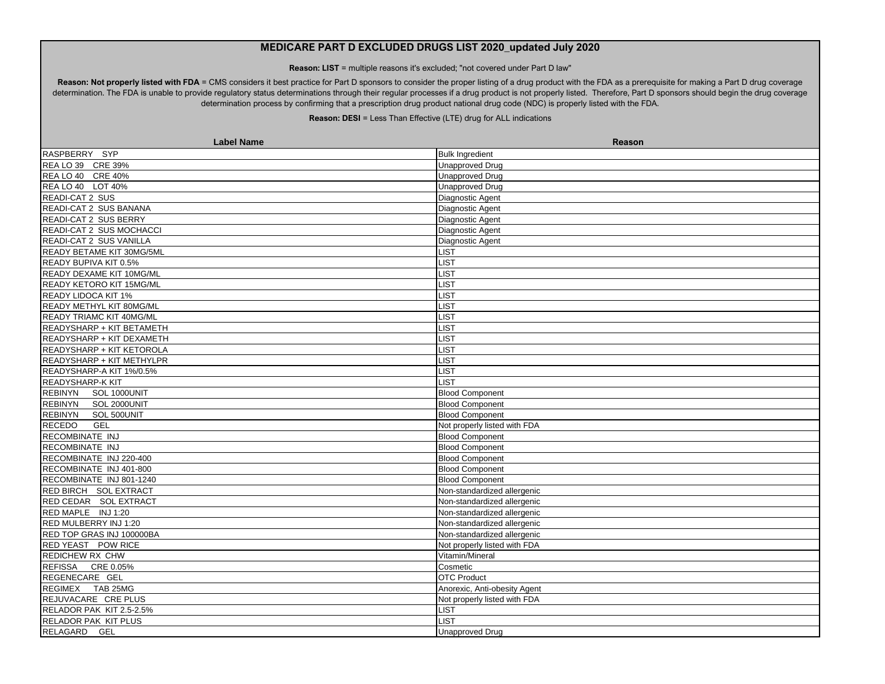**Reason: LIST** = multiple reasons it's excluded; "not covered under Part D law"

Reason: Not properly listed with FDA = CMS considers it best practice for Part D sponsors to consider the proper listing of a drug product with the FDA as a prerequisite for making a Part D drug coverage determination. The FDA is unable to provide regulatory status determinations through their regular processes if a drug product is not properly listed. Therefore, Part D sponsors should begin the drug coverage determination process by confirming that a prescription drug product national drug code (NDC) is properly listed with the FDA.

| <b>Label Name</b>               | <b>Reason</b>                |
|---------------------------------|------------------------------|
| RASPBERRY SYP                   | <b>Bulk Ingredient</b>       |
| REA LO 39 CRE 39%               | <b>Unapproved Drug</b>       |
| REA LO 40 CRE 40%               | Unapproved Drug              |
| REA LO 40 LOT 40%               | <b>Unapproved Drug</b>       |
| READI-CAT 2 SUS                 | Diagnostic Agent             |
| READI-CAT 2 SUS BANANA          | Diagnostic Agent             |
| READI-CAT 2 SUS BERRY           | Diagnostic Agent             |
| READI-CAT 2 SUS MOCHACCI        | Diagnostic Agent             |
| READI-CAT 2 SUS VANILLA         | Diagnostic Agent             |
| READY BETAME KIT 30MG/5ML       | LIST                         |
| READY BUPIVA KIT 0.5%           | <b>LIST</b>                  |
| READY DEXAME KIT 10MG/ML        | <b>LIST</b>                  |
| READY KETORO KIT 15MG/ML        | <b>LIST</b>                  |
| READY LIDOCA KIT 1%             | <b>LIST</b>                  |
| READY METHYL KIT 80MG/ML        | <b>LIST</b>                  |
| <b>READY TRIAMC KIT 40MG/ML</b> | <b>LIST</b>                  |
| READYSHARP + KIT BETAMETH       | <b>LIST</b>                  |
| READYSHARP + KIT DEXAMETH       | LIST                         |
| READYSHARP + KIT KETOROLA       | LIST                         |
| READYSHARP + KIT METHYLPR       | LIST                         |
| READYSHARP-A KIT 1%/0.5%        | LIST                         |
| READYSHARP-K KIT                | LIST                         |
| <b>REBINYN</b><br>SOL 1000UNIT  | <b>Blood Component</b>       |
| REBINYN SOL 2000UNIT            | <b>Blood Component</b>       |
| <b>REBINYN</b><br>SOL 500UNIT   | <b>Blood Component</b>       |
| <b>RECEDO</b><br>GEL            | Not properly listed with FDA |
| RECOMBINATE INJ                 | <b>Blood Component</b>       |
| RECOMBINATE INJ                 | <b>Blood Component</b>       |
| RECOMBINATE INJ 220-400         | <b>Blood Component</b>       |
| RECOMBINATE INJ 401-800         | <b>Blood Component</b>       |
| RECOMBINATE INJ 801-1240        | <b>Blood Component</b>       |
| RED BIRCH SOL EXTRACT           | Non-standardized allergenic  |
| RED CEDAR SOL EXTRACT           | Non-standardized allergenic  |
| RED MAPLE INJ 1:20              | Non-standardized allergenic  |
| RED MULBERRY INJ 1:20           | Non-standardized allergenic  |
| RED TOP GRAS INJ 100000BA       | Non-standardized allergenic  |
| RED YEAST POW RICE              | Not properly listed with FDA |
| <b>REDICHEW RX CHW</b>          | Vitamin/Mineral              |
| REFISSA CRE 0.05%               | Cosmetic                     |
| REGENECARE GEL                  | <b>OTC Product</b>           |
| REGIMEX TAB 25MG                | Anorexic, Anti-obesity Agent |
| REJUVACARE CRE PLUS             | Not properly listed with FDA |
| RELADOR PAK KIT 2.5-2.5%        | <b>LIST</b>                  |
| RELADOR PAK KIT PLUS            | <b>LIST</b>                  |
| RELAGARD GEL                    | <b>Unapproved Drug</b>       |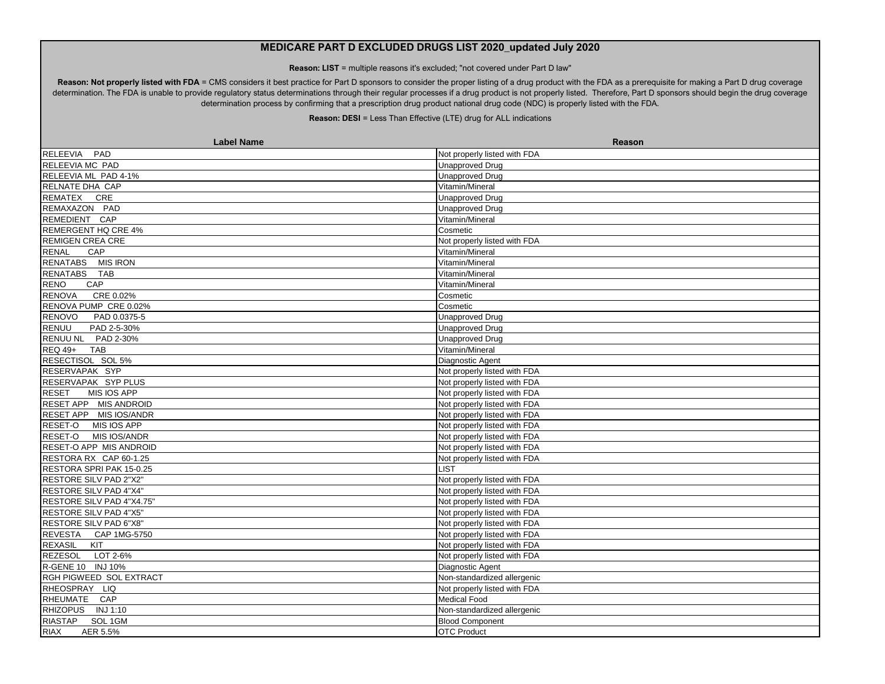**Reason: LIST** = multiple reasons it's excluded; "not covered under Part D law"

Reason: Not properly listed with FDA = CMS considers it best practice for Part D sponsors to consider the proper listing of a drug product with the FDA as a prerequisite for making a Part D drug coverage determination. The FDA is unable to provide regulatory status determinations through their regular processes if a drug product is not properly listed. Therefore, Part D sponsors should begin the drug coverage determination process by confirming that a prescription drug product national drug code (NDC) is properly listed with the FDA.

| <b>Label Name</b>             | Reason                       |
|-------------------------------|------------------------------|
| <b>RELEEVIA</b><br>PAD        | Not properly listed with FDA |
| RELEEVIA MC PAD               | <b>Unapproved Drug</b>       |
| RELEEVIA ML PAD 4-1%          | <b>Unapproved Drug</b>       |
| RELNATE DHA CAP               | Vitamin/Mineral              |
| REMATEX CRE                   | <b>Unapproved Drug</b>       |
| REMAXAZON PAD                 | <b>Unapproved Drug</b>       |
| REMEDIENT CAP                 | Vitamin/Mineral              |
| REMERGENT HQ CRE 4%           | Cosmetic                     |
| <b>REMIGEN CREA CRE</b>       | Not properly listed with FDA |
| <b>RENAL</b><br>CAP           | Vitamin/Mineral              |
| RENATABS MIS IRON             | Vitamin/Mineral              |
| RENATABS TAB                  | Vitamin/Mineral              |
| <b>RENO</b><br>CAP            | Vitamin/Mineral              |
| <b>RENOVA</b><br>CRE 0.02%    | Cosmetic                     |
| RENOVA PUMP CRE 0.02%         | Cosmetic                     |
| RENOVO PAD 0.0375-5           | <b>Unapproved Drug</b>       |
| <b>RENUU</b><br>PAD 2-5-30%   | <b>Unapproved Drug</b>       |
| RENUU NL PAD 2-30%            | <b>Unapproved Drug</b>       |
| <b>REQ 49+</b><br><b>TAB</b>  | Vitamin/Mineral              |
| RESECTISOL SOL 5%             | Diagnostic Agent             |
| RESERVAPAK SYP                | Not properly listed with FDA |
| RESERVAPAK SYP PLUS           | Not properly listed with FDA |
| <b>RESET</b><br>MIS IOS APP   | Not properly listed with FDA |
| RESET APP MIS ANDROID         | Not properly listed with FDA |
| RESET APP MIS IOS/ANDR        | Not properly listed with FDA |
| RESET-O MIS IOS APP           | Not properly listed with FDA |
| RESET-O MIS IOS/ANDR          | Not properly listed with FDA |
| RESET-O APP MIS ANDROID       | Not properly listed with FDA |
| RESTORA RX CAP 60-1.25        | Not properly listed with FDA |
| RESTORA SPRI PAK 15-0.25      | <b>LIST</b>                  |
| RESTORE SILV PAD 2"X2"        | Not properly listed with FDA |
| RESTORE SILV PAD 4"X4"        | Not properly listed with FDA |
| RESTORE SILV PAD 4"X4.75"     | Not properly listed with FDA |
| RESTORE SILV PAD 4"X5"        | Not properly listed with FDA |
| <b>RESTORE SILV PAD 6"X8"</b> | Not properly listed with FDA |
| REVESTA CAP 1MG-5750          | Not properly listed with FDA |
| KIT<br><b>REXASIL</b>         | Not properly listed with FDA |
| REZESOL LOT 2-6%              | Not properly listed with FDA |
| R-GENE 10 INJ 10%             | Diagnostic Agent             |
| RGH PIGWEED SOL EXTRACT       | Non-standardized allergenic  |
| RHEOSPRAY LIQ                 | Not properly listed with FDA |
| RHEUMATE CAP                  | Medical Food                 |
| RHIZOPUS INJ 1:10             | Non-standardized allergenic  |
| <b>RIASTAP</b><br>SOL 1GM     | <b>Blood Component</b>       |
| <b>RIAX</b><br>AER 5.5%       | <b>OTC Product</b>           |
|                               |                              |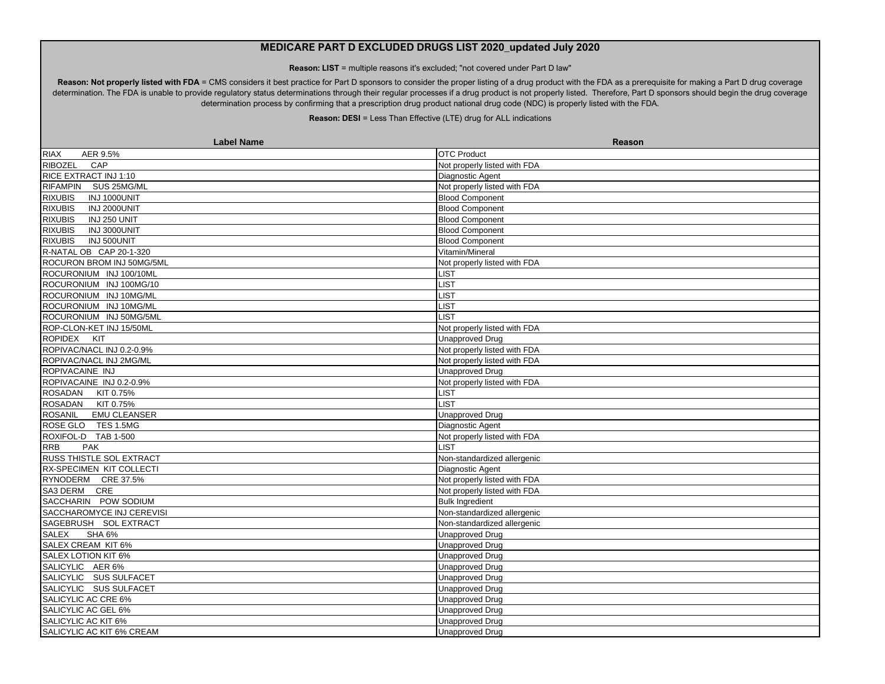**Reason: LIST** = multiple reasons it's excluded; "not covered under Part D law"

Reason: Not properly listed with FDA = CMS considers it best practice for Part D sponsors to consider the proper listing of a drug product with the FDA as a prerequisite for making a Part D drug coverage determination. The FDA is unable to provide regulatory status determinations through their regular processes if a drug product is not properly listed. Therefore, Part D sponsors should begin the drug coverage determination process by confirming that a prescription drug product national drug code (NDC) is properly listed with the FDA.

| <b>Label Name</b>                     | Reason                       |
|---------------------------------------|------------------------------|
| RIAX<br>AER 9.5%                      | <b>OTC Product</b>           |
| <b>RIBOZEL</b><br>CAP                 | Not properly listed with FDA |
| RICE EXTRACT INJ 1:10                 | Diagnostic Agent             |
| RIFAMPIN SUS 25MG/ML                  | Not properly listed with FDA |
| <b>RIXUBIS</b><br>INJ 1000UNIT        | <b>Blood Component</b>       |
| <b>RIXUBIS</b><br><b>INJ 2000UNIT</b> | <b>Blood Component</b>       |
| <b>RIXUBIS</b><br>INJ 250 UNIT        | <b>Blood Component</b>       |
| <b>RIXUBIS</b><br>INJ 3000UNIT        | <b>Blood Component</b>       |
| <b>RIXUBIS</b><br>INJ 500UNIT         | <b>Blood Component</b>       |
| R-NATAL OB CAP 20-1-320               | Vitamin/Mineral              |
| ROCURON BROM INJ 50MG/5ML             | Not properly listed with FDA |
| ROCURONIUM INJ 100/10ML               | <b>LIST</b>                  |
| ROCURONIUM INJ 100MG/10               | <b>IST</b>                   |
| ROCURONIUM INJ 10MG/ML                | <b>IST</b>                   |
| ROCURONIUM INJ 10MG/ML                | <b>LIST</b>                  |
| ROCURONIUM INJ 50MG/5ML               | <b>LIST</b>                  |
| ROP-CLON-KET INJ 15/50ML              | Not properly listed with FDA |
| ROPIDEX KIT                           | Unapproved Drug              |
| ROPIVAC/NACL INJ 0.2-0.9%             | Not properly listed with FDA |
| ROPIVAC/NACL INJ 2MG/ML               | Not properly listed with FDA |
| ROPIVACAINE INJ                       | <b>Unapproved Drug</b>       |
| ROPIVACAINE INJ 0.2-0.9%              | Not properly listed with FDA |
| ROSADAN KIT 0.75%                     | <b>IST</b>                   |
| ROSADAN KIT 0.75%                     | <b>IST</b>                   |
| <b>ROSANIL</b><br><b>EMU CLEANSER</b> | <b>Unapproved Drug</b>       |
| ROSE GLO TES 1.5MG                    | Diagnostic Agent             |
| ROXIFOL-D TAB 1-500                   | Not properly listed with FDA |
| <b>RRB</b><br><b>PAK</b>              | <b>IST</b>                   |
| RUSS THISTLE SOL EXTRACT              | Non-standardized allergenic  |
| RX-SPECIMEN KIT COLLECTI              | Diagnostic Agent             |
| RYNODERM CRE 37.5%                    | Not properly listed with FDA |
| SA3 DERM CRE                          | Not properly listed with FDA |
| SACCHARIN POW SODIUM                  | <b>Bulk Ingredient</b>       |
| SACCHAROMYCE INJ CEREVISI             | Non-standardized allergenic  |
| SAGEBRUSH SOL EXTRACT                 | Non-standardized allergenic  |
| <b>SALEX</b><br><b>SHA 6%</b>         | Unapproved Drug              |
| SALEX CREAM KIT 6%                    | Unapproved Drug              |
| SALEX LOTION KIT 6%                   | <b>Unapproved Drug</b>       |
| SALICYLIC AER 6%                      | <b>Unapproved Drug</b>       |
| SALICYLIC SUS SULFACET                | <b>Unapproved Drug</b>       |
| SALICYLIC SUS SULFACET                | <b>Unapproved Drug</b>       |
| SALICYLIC AC CRE 6%                   | Unapproved Drug              |
| SALICYLIC AC GEL 6%                   | <b>Unapproved Drug</b>       |
| SALICYLIC AC KIT 6%                   | <b>Unapproved Drug</b>       |
| SALICYLIC AC KIT 6% CREAM             | <b>Unapproved Drug</b>       |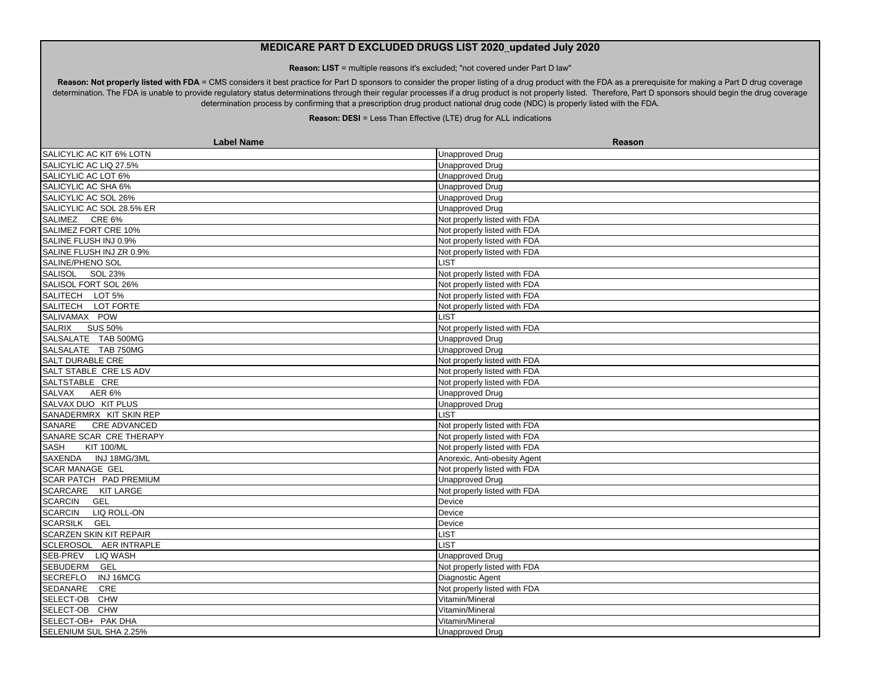**Reason: LIST** = multiple reasons it's excluded; "not covered under Part D law"

Reason: Not properly listed with FDA = CMS considers it best practice for Part D sponsors to consider the proper listing of a drug product with the FDA as a prerequisite for making a Part D drug coverage determination. The FDA is unable to provide regulatory status determinations through their regular processes if a drug product is not properly listed. Therefore, Part D sponsors should begin the drug coverage determination process by confirming that a prescription drug product national drug code (NDC) is properly listed with the FDA.

| <b>Label Name</b>                    | Reason                       |
|--------------------------------------|------------------------------|
| SALICYLIC AC KIT 6% LOTN             | <b>Unapproved Drug</b>       |
| SALICYLIC AC LIQ 27.5%               | <b>Unapproved Drug</b>       |
| SALICYLIC AC LOT 6%                  | <b>Unapproved Drug</b>       |
| SALICYLIC AC SHA 6%                  | <b>Unapproved Drug</b>       |
| SALICYLIC AC SOL 26%                 | <b>Unapproved Drug</b>       |
| SALICYLIC AC SOL 28.5% ER            | <b>Unapproved Drug</b>       |
| SALIMEZ CRE 6%                       | Not properly listed with FDA |
| SALIMEZ FORT CRE 10%                 | Not properly listed with FDA |
| SALINE FLUSH INJ 0.9%                | Not properly listed with FDA |
| SALINE FLUSH INJ ZR 0.9%             | Not properly listed with FDA |
| SALINE/PHENO SOL                     | <b>LIST</b>                  |
| SALISOL SOL 23%                      | Not properly listed with FDA |
| SALISOL FORT SOL 26%                 | Not properly listed with FDA |
| SALITECH LOT 5%                      | Not properly listed with FDA |
| SALITECH LOT FORTE                   | Not properly listed with FDA |
| SALIVAMAX POW                        | <b>LIST</b>                  |
| SALRIX SUS 50%                       | Not properly listed with FDA |
| SALSALATE TAB 500MG                  | <b>Unapproved Drug</b>       |
| SALSALATE TAB 750MG                  | <b>Unapproved Drug</b>       |
| SALT DURABLE CRE                     | Not properly listed with FDA |
| SALT STABLE CRE LS ADV               | Not properly listed with FDA |
| SALTSTABLE CRE                       | Not properly listed with FDA |
| SALVAX AER 6%                        | <b>Unapproved Drug</b>       |
| SALVAX DUO KIT PLUS                  | <b>Unapproved Drug</b>       |
| SANADERMRX KIT SKIN REP              | <b>LIST</b>                  |
| SANARE CRE ADVANCED                  | Not properly listed with FDA |
| SANARE SCAR CRE THERAPY              | Not properly listed with FDA |
| <b>SASH</b><br><b>KIT 100/ML</b>     | Not properly listed with FDA |
| SAXENDA INJ 18MG/3ML                 | Anorexic, Anti-obesity Agent |
| <b>SCAR MANAGE GEL</b>               | Not properly listed with FDA |
| SCAR PATCH PAD PREMIUM               | <b>Unapproved Drug</b>       |
| SCARCARE KIT LARGE                   | Not properly listed with FDA |
| SCARCIN GEL                          | Device                       |
| <b>SCARCIN</b><br><b>LIQ ROLL-ON</b> | Device                       |
| SCARSILK GEL                         | Device                       |
| <b>SCARZEN SKIN KIT REPAIR</b>       | <b>LIST</b>                  |
| SCLEROSOL AER INTRAPLE               | <b>LIST</b>                  |
| SEB-PREV LIQ WASH                    | <b>Unapproved Drug</b>       |
| SEBUDERM GEL                         | Not properly listed with FDA |
| <b>SECREFLO</b><br>INJ 16MCG         | Diagnostic Agent             |
| SEDANARE<br>CRE                      | Not properly listed with FDA |
| SELECT-OB CHW                        | Vitamin/Mineral              |
| SELECT-OB CHW                        | Vitamin/Mineral              |
| SELECT-OB+ PAK DHA                   | Vitamin/Mineral              |
| SELENIUM SUL SHA 2.25%               | <b>Unapproved Drug</b>       |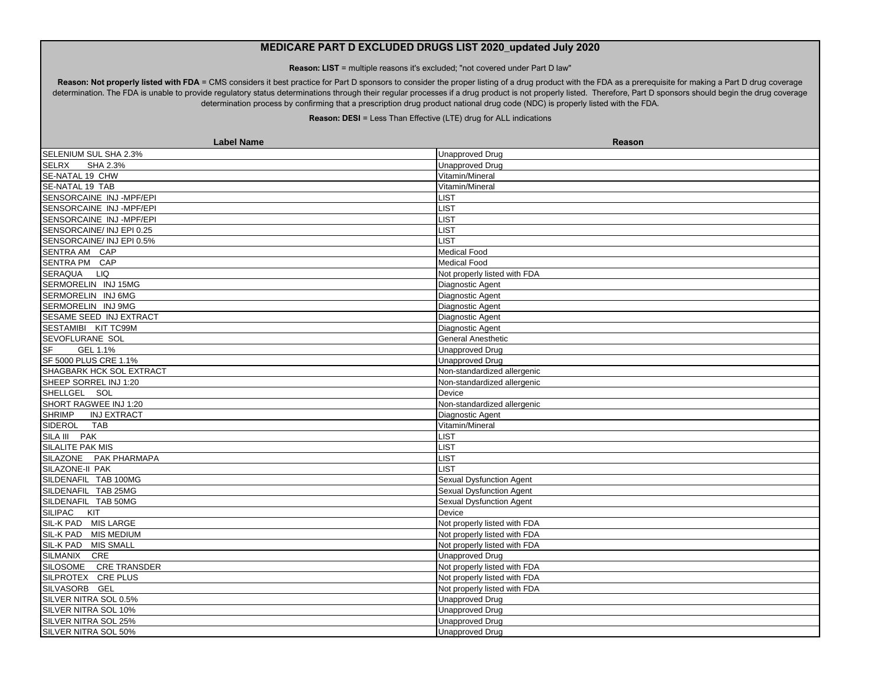**Reason: LIST** = multiple reasons it's excluded; "not covered under Part D law"

Reason: Not properly listed with FDA = CMS considers it best practice for Part D sponsors to consider the proper listing of a drug product with the FDA as a prerequisite for making a Part D drug coverage determination. The FDA is unable to provide regulatory status determinations through their regular processes if a drug product is not properly listed. Therefore, Part D sponsors should begin the drug coverage determination process by confirming that a prescription drug product national drug code (NDC) is properly listed with the FDA.

| <b>Label Name</b>                   | Reason                       |
|-------------------------------------|------------------------------|
| SELENIUM SUL SHA 2.3%               | <b>Unapproved Drug</b>       |
| <b>SELRX</b><br>SHA 2.3%            | <b>Unapproved Drug</b>       |
| SE-NATAL 19 CHW                     | Vitamin/Mineral              |
| SE-NATAL 19 TAB                     | Vitamin/Mineral              |
| SENSORCAINE INJ-MPF/EPI             | <b>LIST</b>                  |
| SENSORCAINE INJ-MPF/EPI             | LIST                         |
| SENSORCAINE INJ-MPF/EPI             | <b>LIST</b>                  |
| SENSORCAINE/ INJ EPI 0.25           | <b>LIST</b>                  |
| SENSORCAINE/ INJ EPI 0.5%           | <b>LIST</b>                  |
| SENTRA AM CAP                       | <b>Medical Food</b>          |
| SENTRA PM CAP                       | <b>Medical Food</b>          |
| SERAQUA LIQ                         | Not properly listed with FDA |
| SERMORELIN INJ 15MG                 | Diagnostic Agent             |
| SERMORELIN INJ 6MG                  | Diagnostic Agent             |
| SERMORELIN INJ 9MG                  | Diagnostic Agent             |
| SESAME SEED INJ EXTRACT             | Diagnostic Agent             |
| SESTAMIBI KIT TC99M                 | Diagnostic Agent             |
| SEVOFLURANE SOL                     | <b>General Anesthetic</b>    |
| <b>SF</b><br>GEL 1.1%               | <b>Unapproved Drug</b>       |
| SF 5000 PLUS CRE 1.1%               | <b>Unapproved Drug</b>       |
| SHAGBARK HCK SOL EXTRACT            | Non-standardized allergenic  |
| SHEEP SORREL INJ 1:20               | Non-standardized allergenic  |
| SHELLGEL SOL                        | Device                       |
| SHORT RAGWEE INJ 1:20               | Non-standardized allergenic  |
| <b>SHRIMP</b><br><b>INJ EXTRACT</b> | Diagnostic Agent             |
| SIDEROL<br>TAB                      | Vitamin/Mineral              |
| SILA III PAK                        | <b>LIST</b>                  |
| SILALITE PAK MIS                    | <b>LIST</b>                  |
| SILAZONE PAK PHARMAPA               | <b>LIST</b>                  |
| SILAZONE-II PAK                     | <b>LIST</b>                  |
| SILDENAFIL TAB 100MG                | Sexual Dysfunction Agent     |
| SILDENAFIL TAB 25MG                 | Sexual Dysfunction Agent     |
| SILDENAFIL TAB 50MG                 | Sexual Dysfunction Agent     |
| SILIPAC KIT                         | Device                       |
| SIL-K PAD MIS LARGE                 | Not properly listed with FDA |
| SIL-K PAD MIS MEDIUM                | Not properly listed with FDA |
| SIL-K PAD MIS SMALL                 | Not properly listed with FDA |
| SILMANIX CRE                        | <b>Unapproved Drug</b>       |
| SILOSOME CRE TRANSDER               | Not properly listed with FDA |
| SILPROTEX CREPLUS                   | Not properly listed with FDA |
| SILVASORB GEL                       | Not properly listed with FDA |
| SILVER NITRA SOL 0.5%               | <b>Unapproved Drug</b>       |
| SILVER NITRA SOL 10%                | <b>Unapproved Drug</b>       |
| SILVER NITRA SOL 25%                | <b>Unapproved Drug</b>       |
| SILVER NITRA SOL 50%                | <b>Unapproved Drug</b>       |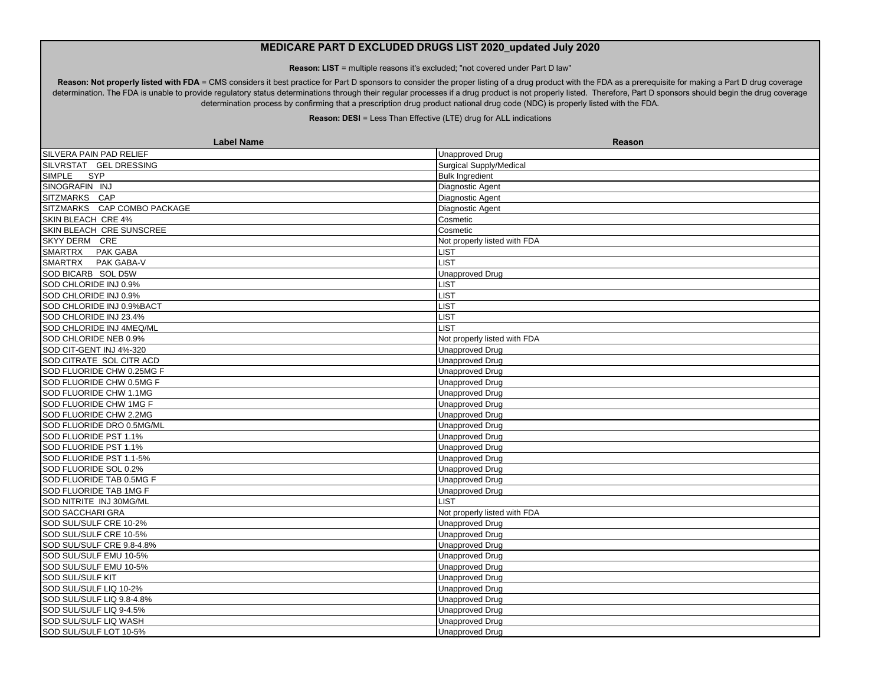**Reason: LIST** = multiple reasons it's excluded; "not covered under Part D law"

Reason: Not properly listed with FDA = CMS considers it best practice for Part D sponsors to consider the proper listing of a drug product with the FDA as a prerequisite for making a Part D drug coverage determination. The FDA is unable to provide regulatory status determinations through their regular processes if a drug product is not properly listed. Therefore, Part D sponsors should begin the drug coverage determination process by confirming that a prescription drug product national drug code (NDC) is properly listed with the FDA.

| <b>Label Name</b>            | Reason                         |
|------------------------------|--------------------------------|
| SILVERA PAIN PAD RELIEF      | <b>Unapproved Drug</b>         |
| SILVRSTAT GEL DRESSING       | <b>Surgical Supply/Medical</b> |
| <b>SIMPLE</b><br>SYP         | <b>Bulk Ingredient</b>         |
| SINOGRAFIN INJ               | Diagnostic Agent               |
| SITZMARKS CAP                | Diagnostic Agent               |
| SITZMARKS CAP COMBO PACKAGE  | Diagnostic Agent               |
| SKIN BLEACH CRE 4%           | Cosmetic                       |
| SKIN BLEACH CRE SUNSCREE     | Cosmetic                       |
| SKYY DERM CRE                | Not properly listed with FDA   |
| SMARTRX PAK GABA             | <b>LIST</b>                    |
| <b>SMARTRX</b><br>PAK GABA-V | <b>LIST</b>                    |
| SOD BICARB SOL D5W           | <b>Unapproved Drug</b>         |
| SOD CHLORIDE INJ 0.9%        | <b>LIST</b>                    |
| SOD CHLORIDE INJ 0.9%        | <b>LIST</b>                    |
| SOD CHLORIDE INJ 0.9%BACT    | <b>LIST</b>                    |
| SOD CHLORIDE INJ 23.4%       | <b>LIST</b>                    |
| SOD CHLORIDE INJ 4MEQ/ML     | LIST                           |
| SOD CHLORIDE NEB 0.9%        | Not properly listed with FDA   |
| SOD CIT-GENT INJ 4%-320      | <b>Unapproved Drug</b>         |
| SOD CITRATE SOL CITR ACD     | <b>Unapproved Drug</b>         |
| SOD FLUORIDE CHW 0.25MG F    | <b>Unapproved Drug</b>         |
| SOD FLUORIDE CHW 0.5MG F     | <b>Unapproved Drug</b>         |
| SOD FLUORIDE CHW 1.1MG       | <b>Unapproved Drug</b>         |
| SOD FLUORIDE CHW 1MG F       | <b>Unapproved Drug</b>         |
| SOD FLUORIDE CHW 2.2MG       | <b>Unapproved Drug</b>         |
| SOD FLUORIDE DRO 0.5MG/ML    | <b>Unapproved Drug</b>         |
| SOD FLUORIDE PST 1.1%        | <b>Unapproved Drug</b>         |
| SOD FLUORIDE PST 1.1%        | <b>Unapproved Drug</b>         |
| SOD FLUORIDE PST 1.1-5%      | <b>Unapproved Drug</b>         |
| SOD FLUORIDE SOL 0.2%        | <b>Unapproved Drug</b>         |
| SOD FLUORIDE TAB 0.5MG F     | <b>Unapproved Drug</b>         |
| SOD FLUORIDE TAB 1MG F       | <b>Unapproved Drug</b>         |
| SOD NITRITE INJ 30MG/ML      | <b>LIST</b>                    |
| <b>SOD SACCHARI GRA</b>      | Not properly listed with FDA   |
| SOD SUL/SULF CRE 10-2%       | <b>Unapproved Drug</b>         |
| SOD SUL/SULF CRE 10-5%       | <b>Unapproved Drug</b>         |
| SOD SUL/SULF CRE 9.8-4.8%    | Unapproved Drug                |
| SOD SUL/SULF EMU 10-5%       | <b>Unapproved Drug</b>         |
| SOD SUL/SULF EMU 10-5%       | <b>Unapproved Drug</b>         |
| <b>SOD SUL/SULF KIT</b>      | <b>Unapproved Drug</b>         |
| SOD SUL/SULF LIQ 10-2%       | <b>Unapproved Drug</b>         |
| SOD SUL/SULF LIQ 9.8-4.8%    | <b>Unapproved Drug</b>         |
| SOD SUL/SULF LIQ 9-4.5%      | <b>Unapproved Drug</b>         |
| SOD SUL/SULF LIQ WASH        | <b>Unapproved Drug</b>         |
| SOD SUL/SULF LOT 10-5%       | <b>Unapproved Drug</b>         |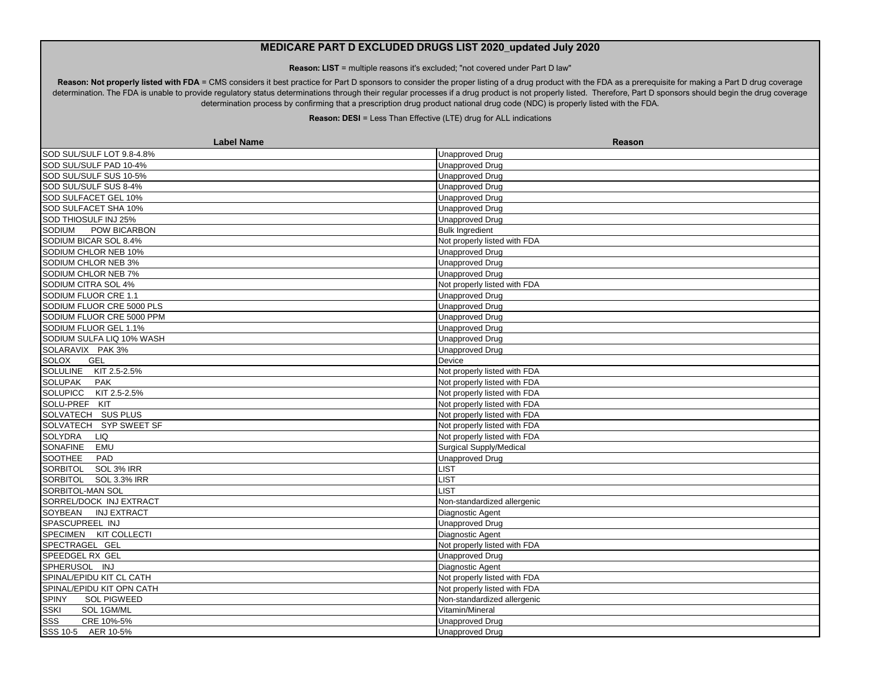**Reason: LIST** = multiple reasons it's excluded; "not covered under Part D law"

Reason: Not properly listed with FDA = CMS considers it best practice for Part D sponsors to consider the proper listing of a drug product with the FDA as a prerequisite for making a Part D drug coverage determination. The FDA is unable to provide regulatory status determinations through their regular processes if a drug product is not properly listed. Therefore, Part D sponsors should begin the drug coverage determination process by confirming that a prescription drug product national drug code (NDC) is properly listed with the FDA.

| <b>Label Name</b>                  | Reason                       |
|------------------------------------|------------------------------|
| SOD SUL/SULF LOT 9.8-4.8%          | <b>Unapproved Drug</b>       |
| SOD SUL/SULF PAD 10-4%             | <b>Unapproved Drug</b>       |
| SOD SUL/SULF SUS 10-5%             | <b>Unapproved Drug</b>       |
| SOD SUL/SULF SUS 8-4%              | <b>Unapproved Drug</b>       |
| SOD SULFACET GEL 10%               | <b>Unapproved Drug</b>       |
| SOD SULFACET SHA 10%               | <b>Unapproved Drug</b>       |
| SOD THIOSULF INJ 25%               | <b>Unapproved Drug</b>       |
| <b>POW BICARBON</b><br>SODIUM      | <b>Bulk Ingredient</b>       |
| SODIUM BICAR SOL 8.4%              | Not properly listed with FDA |
| SODIUM CHLOR NEB 10%               | <b>Unapproved Drug</b>       |
| SODIUM CHLOR NEB 3%                | <b>Unapproved Drug</b>       |
| SODIUM CHLOR NEB 7%                | <b>Unapproved Drug</b>       |
| SODIUM CITRA SOL 4%                | Not properly listed with FDA |
| SODIUM FLUOR CRE 1.1               | <b>Unapproved Drug</b>       |
| SODIUM FLUOR CRE 5000 PLS          | <b>Unapproved Drug</b>       |
| SODIUM FLUOR CRE 5000 PPM          | <b>Unapproved Drug</b>       |
| SODIUM FLUOR GEL 1.1%              | <b>Unapproved Drug</b>       |
| SODIUM SULFA LIQ 10% WASH          | <b>Unapproved Drug</b>       |
| SOLARAVIX PAK 3%                   | <b>Unapproved Drug</b>       |
| <b>SOLOX</b><br><b>GEL</b>         | Device                       |
| <b>SOLULINE</b><br>KIT 2.5-2.5%    | Not properly listed with FDA |
| <b>SOLUPAK</b><br><b>PAK</b>       | Not properly listed with FDA |
| SOLUPICC KIT 2.5-2.5%              | Not properly listed with FDA |
| SOLU-PREF KIT                      | Not properly listed with FDA |
| SOLVATECH SUS PLUS                 | Not properly listed with FDA |
| SOLVATECH SYP SWEET SF             | Not properly listed with FDA |
| <b>SOLYDRA</b><br><b>LIQ</b>       | Not properly listed with FDA |
| SONAFINE EMU                       | Surgical Supply/Medical      |
| SOOTHEE PAD                        | <b>Unapproved Drug</b>       |
| SORBITOL SOL 3% IRR                | <b>LIST</b>                  |
| SORBITOL SOL 3.3% IRR              | <b>LIST</b>                  |
| SORBITOL-MAN SOL                   | <b>LIST</b>                  |
| SORREL/DOCK INJ EXTRACT            | Non-standardized allergenic  |
| SOYBEAN INJ EXTRACT                | Diagnostic Agent             |
| SPASCUPREEL INJ                    | <b>Unapproved Drug</b>       |
| SPECIMEN KIT COLLECTI              | Diagnostic Agent             |
| SPECTRAGEL GEL                     | Not properly listed with FDA |
| SPEEDGEL RX GEL                    | Unapproved Drug              |
| SPHERUSOL INJ                      | Diagnostic Agent             |
| SPINAL/EPIDU KIT CL CATH           | Not properly listed with FDA |
| SPINAL/EPIDU KIT OPN CATH          | Not properly listed with FDA |
| <b>SPINY</b><br><b>SOL PIGWEED</b> | Non-standardized allergenic  |
| <b>SSKI</b><br>SOL 1GM/ML          | Vitamin/Mineral              |
| <b>SSS</b><br>CRE 10%-5%           | <b>Unapproved Drug</b>       |
| SSS 10-5 AER 10-5%                 | <b>Unapproved Drug</b>       |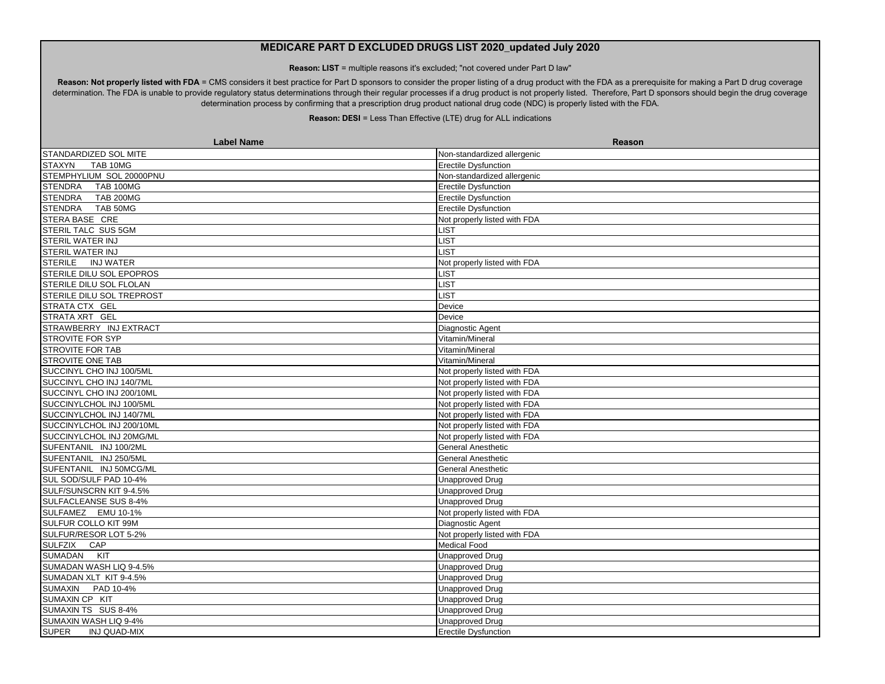**Reason: LIST** = multiple reasons it's excluded; "not covered under Part D law"

Reason: Not properly listed with FDA = CMS considers it best practice for Part D sponsors to consider the proper listing of a drug product with the FDA as a prerequisite for making a Part D drug coverage determination. The FDA is unable to provide regulatory status determinations through their regular processes if a drug product is not properly listed. Therefore, Part D sponsors should begin the drug coverage determination process by confirming that a prescription drug product national drug code (NDC) is properly listed with the FDA.

| <b>Label Name</b>                   | Reason                       |
|-------------------------------------|------------------------------|
| STANDARDIZED SOL MITE               | Non-standardized allergenic  |
| <b>STAXYN</b><br>TAB 10MG           | <b>Erectile Dysfunction</b>  |
| STEMPHYLIUM SOL 20000PNU            | Non-standardized allergenic  |
| STENDRA TAB 100MG                   | <b>Erectile Dysfunction</b>  |
| <b>STENDRA</b><br><b>TAB 200MG</b>  | <b>Erectile Dysfunction</b>  |
| STENDRA TAB 50MG                    | <b>Erectile Dysfunction</b>  |
| STERA BASE CRE                      | Not properly listed with FDA |
| STERIL TALC SUS 5GM                 | LIST                         |
| STERIL WATER INJ                    | <b>LIST</b>                  |
| <b>STERIL WATER INJ</b>             | <b>IST</b>                   |
| <b>STERILE</b><br><b>INJ WATER</b>  | Not properly listed with FDA |
| STERILE DILU SOL EPOPROS            | <b>IST</b>                   |
| STERILE DILU SOL FLOLAN             | <b>IST</b>                   |
| STERILE DILU SOL TREPROST           | <b>LIST</b>                  |
| STRATA CTX GEL                      | Device                       |
| STRATA XRT GEL                      | Device                       |
| STRAWBERRY INJ EXTRACT              | Diagnostic Agent             |
| <b>STROVITE FOR SYP</b>             | Vitamin/Mineral              |
| <b>STROVITE FOR TAB</b>             | Vitamin/Mineral              |
| STROVITE ONE TAB                    | Vitamin/Mineral              |
| SUCCINYL CHO INJ 100/5ML            | Not properly listed with FDA |
| SUCCINYL CHO INJ 140/7ML            | Not properly listed with FDA |
| SUCCINYL CHO INJ 200/10ML           | Not properly listed with FDA |
| SUCCINYLCHOL INJ 100/5ML            | Not properly listed with FDA |
| SUCCINYLCHOL INJ 140/7ML            | Not properly listed with FDA |
| SUCCINYLCHOL INJ 200/10ML           | Not properly listed with FDA |
| SUCCINYLCHOL INJ 20MG/ML            | Not properly listed with FDA |
| SUFENTANIL INJ 100/2ML              | <b>General Anesthetic</b>    |
| SUFENTANIL INJ 250/5ML              | <b>General Anesthetic</b>    |
| SUFENTANIL INJ 50MCG/ML             | <b>General Anesthetic</b>    |
| SUL SOD/SULF PAD 10-4%              | <b>Unapproved Drug</b>       |
| SULF/SUNSCRN KIT 9-4.5%             | <b>Unapproved Drug</b>       |
| SULFACLEANSE SUS 8-4%               | <b>Unapproved Drug</b>       |
| SULFAMEZ EMU 10-1%                  | Not properly listed with FDA |
| SULFUR COLLO KIT 99M                | Diagnostic Agent             |
| SULFUR/RESOR LOT 5-2%               | Not properly listed with FDA |
| <b>SULFZIX</b><br>CAP               | <b>Medical Food</b>          |
| SUMADAN KIT                         | <b>Unapproved Drug</b>       |
| SUMADAN WASH LIQ 9-4.5%             | <b>Unapproved Drug</b>       |
| SUMADAN XLT KIT 9-4.5%              | <b>Unapproved Drug</b>       |
| SUMAXIN PAD 10-4%                   | <b>Unapproved Drug</b>       |
| SUMAXIN CP KIT                      | <b>Unapproved Drug</b>       |
| SUMAXIN TS SUS 8-4%                 | <b>Unapproved Drug</b>       |
| SUMAXIN WASH LIQ 9-4%               | <b>Unapproved Drug</b>       |
| <b>SUPER</b><br><b>INJ QUAD-MIX</b> | <b>Erectile Dysfunction</b>  |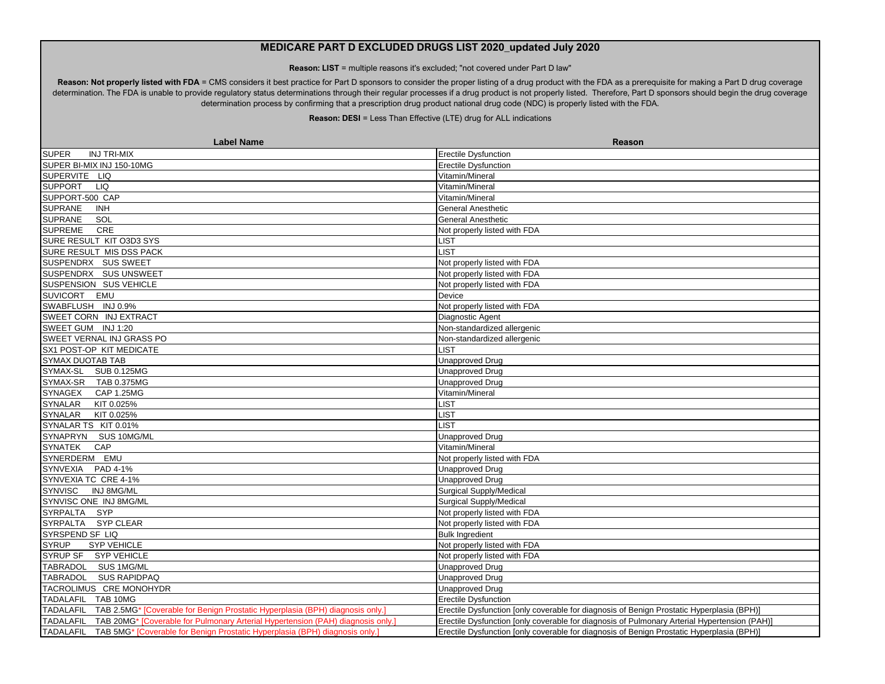**Reason: LIST** = multiple reasons it's excluded; "not covered under Part D law"

Reason: Not properly listed with FDA = CMS considers it best practice for Part D sponsors to consider the proper listing of a drug product with the FDA as a prerequisite for making a Part D drug coverage determination. The FDA is unable to provide regulatory status determinations through their regular processes if a drug product is not properly listed. Therefore, Part D sponsors should begin the drug coverage determination process by confirming that a prescription drug product national drug code (NDC) is properly listed with the FDA.

| <b>Label Name</b>                                                                                     | Reason                                                                                                                                                                                    |
|-------------------------------------------------------------------------------------------------------|-------------------------------------------------------------------------------------------------------------------------------------------------------------------------------------------|
| <b>INJ TRI-MIX</b><br><b>SUPER</b>                                                                    | <b>Erectile Dysfunction</b>                                                                                                                                                               |
| SUPER BI-MIX INJ 150-10MG                                                                             | <b>Erectile Dysfunction</b>                                                                                                                                                               |
| SUPERVITE LIQ                                                                                         | Vitamin/Mineral                                                                                                                                                                           |
| SUPPORT LIQ                                                                                           | Vitamin/Mineral                                                                                                                                                                           |
| SUPPORT-500 CAP                                                                                       | Vitamin/Mineral                                                                                                                                                                           |
| <b>SUPRANE</b><br><b>INH</b>                                                                          | <b>General Anesthetic</b>                                                                                                                                                                 |
| <b>SUPRANE</b><br>SOL                                                                                 | <b>General Anesthetic</b>                                                                                                                                                                 |
| <b>SUPREME</b><br>CRE                                                                                 | Not properly listed with FDA                                                                                                                                                              |
| SURE RESULT KIT O3D3 SYS                                                                              | <b>_IST</b>                                                                                                                                                                               |
| SURE RESULT MIS DSS PACK                                                                              | <b>IST</b>                                                                                                                                                                                |
| SUSPENDRX SUS SWEET                                                                                   | Not properly listed with FDA                                                                                                                                                              |
| SUSPENDRX SUS UNSWEET                                                                                 | Not properly listed with FDA                                                                                                                                                              |
| SUSPENSION SUS VEHICLE                                                                                | Not properly listed with FDA                                                                                                                                                              |
| SUVICORT EMU                                                                                          | Device                                                                                                                                                                                    |
| SWABFLUSH INJ 0.9%                                                                                    | Not properly listed with FDA                                                                                                                                                              |
| SWEET CORN INJ EXTRACT                                                                                | Diagnostic Agent                                                                                                                                                                          |
| SWEET GUM INJ 1:20                                                                                    | Non-standardized allergenic                                                                                                                                                               |
| SWEET VERNAL INJ GRASS PO                                                                             | Non-standardized allergenic                                                                                                                                                               |
| SX1 POST-OP KIT MEDICATE                                                                              | <b>IST</b>                                                                                                                                                                                |
| <b>SYMAX DUOTAB TAB</b>                                                                               | <b>Unapproved Drug</b>                                                                                                                                                                    |
| SYMAX-SL SUB 0.125MG                                                                                  | <b>Unapproved Drug</b>                                                                                                                                                                    |
| SYMAX-SR TAB 0.375MG                                                                                  | <b>Unapproved Drug</b>                                                                                                                                                                    |
| SYNAGEX CAP 1.25MG                                                                                    | Vitamin/Mineral                                                                                                                                                                           |
| SYNALAR<br>KIT 0.025%                                                                                 | _IST                                                                                                                                                                                      |
| SYNALAR KIT 0.025%                                                                                    | <b>IST</b>                                                                                                                                                                                |
| SYNALAR TS KIT 0.01%                                                                                  | <b>IST</b>                                                                                                                                                                                |
| SYNAPRYN SUS 10MG/ML                                                                                  | <b>Unapproved Drug</b>                                                                                                                                                                    |
| <b>SYNATEK</b><br>CAP                                                                                 | Vitamin/Mineral                                                                                                                                                                           |
| SYNERDERM EMU                                                                                         | Not properly listed with FDA                                                                                                                                                              |
| SYNVEXIA PAD 4-1%                                                                                     | <b>Unapproved Drug</b>                                                                                                                                                                    |
| SYNVEXIA TC CRE 4-1%                                                                                  | Unapproved Drug                                                                                                                                                                           |
| <b>SYNVISC</b><br><b>INJ 8MG/ML</b>                                                                   | Surgical Supply/Medical                                                                                                                                                                   |
| SYNVISC ONE INJ 8MG/ML                                                                                | <b>Surgical Supply/Medical</b>                                                                                                                                                            |
| SYRPALTA SYP                                                                                          | Not properly listed with FDA                                                                                                                                                              |
| SYRPALTA SYP CLEAR                                                                                    | Not properly listed with FDA                                                                                                                                                              |
| SYRSPEND SF LIQ                                                                                       | <b>Bulk Ingredient</b>                                                                                                                                                                    |
| <b>SYRUP</b><br><b>SYP VEHICLE</b>                                                                    | Not properly listed with FDA                                                                                                                                                              |
| SYRUP SF SYP VEHICLE                                                                                  | Not properly listed with FDA                                                                                                                                                              |
| TABRADOL SUS 1MG/ML                                                                                   | <b>Unapproved Drug</b>                                                                                                                                                                    |
| TABRADOL SUS RAPIDPAQ                                                                                 | <b>Unapproved Drug</b>                                                                                                                                                                    |
| TACROLIMUS CRE MONOHYDR                                                                               | <b>Unapproved Drug</b>                                                                                                                                                                    |
| TADALAFIL TAB 10MG                                                                                    | <b>Erectile Dysfunction</b>                                                                                                                                                               |
| TADALAFIL TAB 2.5MG* [Coverable for Benign Prostatic Hyperplasia (BPH) diagnosis only.                | Erectile Dysfunction [only coverable for diagnosis of Benign Prostatic Hyperplasia (BPH)]                                                                                                 |
| TADALAFIL TAB 20MG <sup>*</sup> [Coverable for Pulmonary Arterial Hypertension (PAH) diagnosis only.] |                                                                                                                                                                                           |
|                                                                                                       |                                                                                                                                                                                           |
| TADALAFIL TAB 5MG* [Coverable for Benign Prostatic Hyperplasia (BPH) diagnosis only.]                 | Erectile Dysfunction [only coverable for diagnosis of Pulmonary Arterial Hypertension (PAH)]<br>Erectile Dysfunction [only coverable for diagnosis of Benign Prostatic Hyperplasia (BPH)] |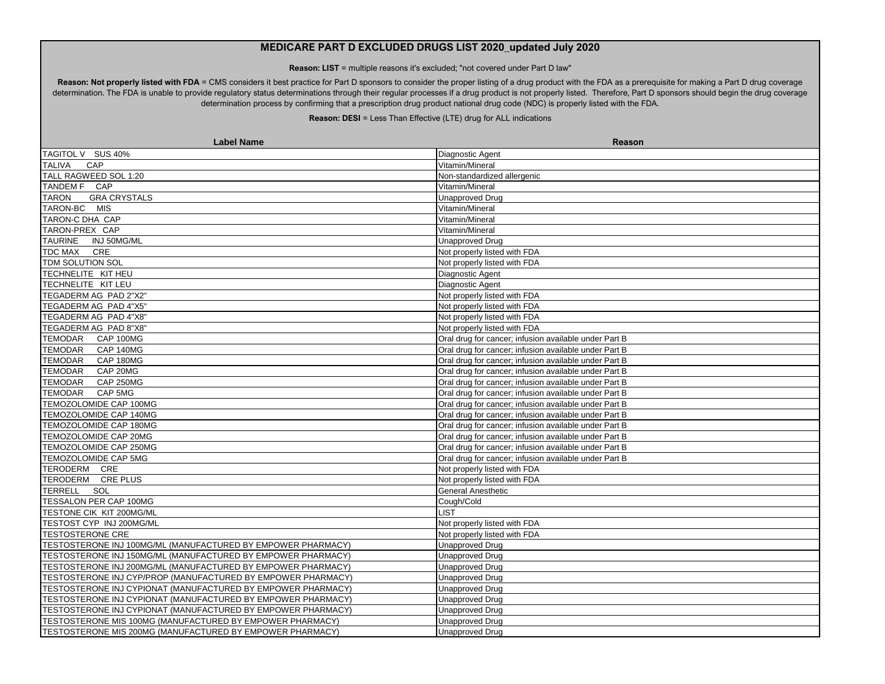**Reason: LIST** = multiple reasons it's excluded; "not covered under Part D law"

Reason: Not properly listed with FDA = CMS considers it best practice for Part D sponsors to consider the proper listing of a drug product with the FDA as a prerequisite for making a Part D drug coverage determination. The FDA is unable to provide regulatory status determinations through their regular processes if a drug product is not properly listed. Therefore, Part D sponsors should begin the drug coverage determination process by confirming that a prescription drug product national drug code (NDC) is properly listed with the FDA.

| <b>Label Name</b>                                            | Reason                                                |
|--------------------------------------------------------------|-------------------------------------------------------|
| TAGITOL V SUS 40%                                            | Diagnostic Agent                                      |
| <b>TALIVA</b><br>CAP                                         | Vitamin/Mineral                                       |
| TALL RAGWEED SOL 1:20                                        | Non-standardized allergenic                           |
| TANDEM F CAP                                                 | Vitamin/Mineral                                       |
| <b>TARON</b><br><b>GRA CRYSTALS</b>                          | Unapproved Drug                                       |
| TARON-BC MIS                                                 | Vitamin/Mineral                                       |
| TARON-C DHA CAP                                              | Vitamin/Mineral                                       |
| TARON-PREX CAP                                               | Vitamin/Mineral                                       |
| <b>TAURINE</b><br>INJ 50MG/ML                                | Unapproved Drug                                       |
| <b>TDC MAX</b><br>CRE                                        | Not properly listed with FDA                          |
| TDM SOLUTION SOL                                             | Not properly listed with FDA                          |
| TECHNELITE KIT HEU                                           | Diagnostic Agent                                      |
| TECHNELITE KIT LEU                                           | Diagnostic Agent                                      |
| TEGADERM AG PAD 2"X2"                                        | Not properly listed with FDA                          |
| TEGADERM AG PAD 4"X5"                                        | Not properly listed with FDA                          |
| TEGADERM AG PAD 4"X8"                                        | Not properly listed with FDA                          |
| TEGADERM AG PAD 8"X8"                                        | Not properly listed with FDA                          |
| TEMODAR CAP 100MG                                            | Oral drug for cancer; infusion available under Part B |
| TEMODAR CAP 140MG                                            | Oral drug for cancer; infusion available under Part B |
| TEMODAR CAP 180MG                                            | Oral drug for cancer; infusion available under Part B |
| <b>TEMODAR</b><br>CAP 20MG                                   | Oral drug for cancer; infusion available under Part B |
| TEMODAR CAP 250MG                                            | Oral drug for cancer; infusion available under Part B |
| TEMODAR CAP 5MG                                              | Oral drug for cancer; infusion available under Part B |
| TEMOZOLOMIDE CAP 100MG                                       | Oral drug for cancer; infusion available under Part B |
| TEMOZOLOMIDE CAP 140MG                                       | Oral drug for cancer; infusion available under Part B |
| TEMOZOLOMIDE CAP 180MG                                       | Oral drug for cancer; infusion available under Part B |
| TEMOZOLOMIDE CAP 20MG                                        | Oral drug for cancer; infusion available under Part B |
| TEMOZOLOMIDE CAP 250MG                                       | Oral drug for cancer; infusion available under Part B |
| TEMOZOLOMIDE CAP 5MG                                         | Oral drug for cancer; infusion available under Part B |
| TERODERM CRE                                                 | Not properly listed with FDA                          |
| TERODERM CRE PLUS                                            | Not properly listed with FDA                          |
| TERRELL SOL                                                  | General Anesthetic                                    |
| TESSALON PER CAP 100MG                                       | Cough/Cold                                            |
| TESTONE CIK KIT 200MG/ML                                     | LIST                                                  |
| TESTOST CYP INJ 200MG/ML                                     | Not properly listed with FDA                          |
| <b>TESTOSTERONE CRE</b>                                      | Not properly listed with FDA                          |
| TESTOSTERONE INJ 100MG/ML (MANUFACTURED BY EMPOWER PHARMACY) | <b>Unapproved Drug</b>                                |
| TESTOSTERONE INJ 150MG/ML (MANUFACTURED BY EMPOWER PHARMACY) | <b>Unapproved Drug</b>                                |
| TESTOSTERONE INJ 200MG/ML (MANUFACTURED BY EMPOWER PHARMACY) | <b>Unapproved Drug</b>                                |
| TESTOSTERONE INJ CYP/PROP (MANUFACTURED BY EMPOWER PHARMACY) | <b>Unapproved Drug</b>                                |
| TESTOSTERONE INJ CYPIONAT (MANUFACTURED BY EMPOWER PHARMACY) | Unapproved Drug                                       |
| TESTOSTERONE INJ CYPIONAT (MANUFACTURED BY EMPOWER PHARMACY) | <b>Unapproved Drug</b>                                |
| TESTOSTERONE INJ CYPIONAT (MANUFACTURED BY EMPOWER PHARMACY) | Unapproved Drug                                       |
| TESTOSTERONE MIS 100MG (MANUFACTURED BY EMPOWER PHARMACY)    | Unapproved Drug                                       |
| TESTOSTERONE MIS 200MG (MANUFACTURED BY EMPOWER PHARMACY)    | Unapproved Drug                                       |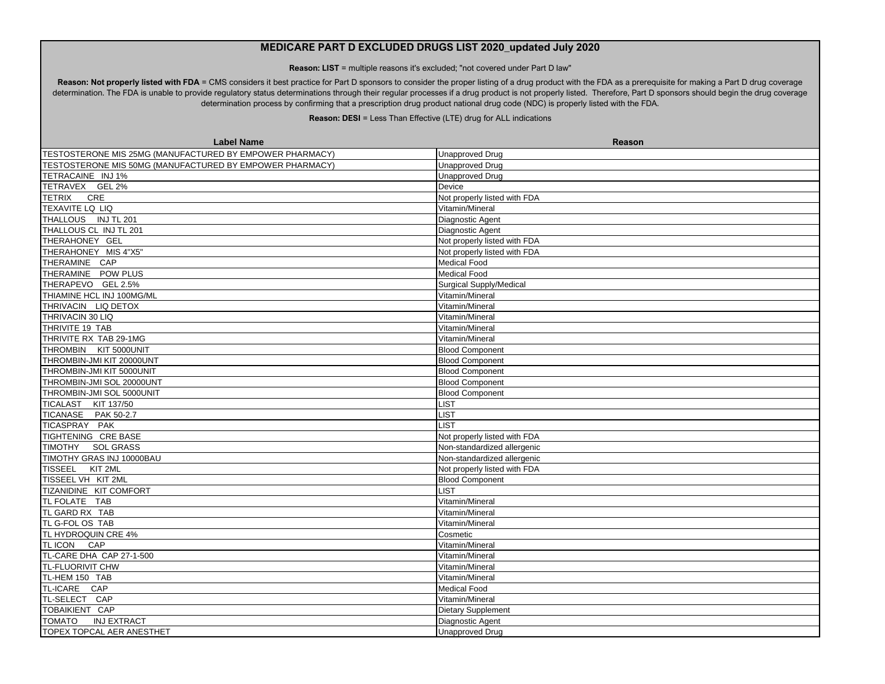**Reason: LIST** = multiple reasons it's excluded; "not covered under Part D law"

Reason: Not properly listed with FDA = CMS considers it best practice for Part D sponsors to consider the proper listing of a drug product with the FDA as a prerequisite for making a Part D drug coverage determination. The FDA is unable to provide regulatory status determinations through their regular processes if a drug product is not properly listed. Therefore, Part D sponsors should begin the drug coverage determination process by confirming that a prescription drug product national drug code (NDC) is properly listed with the FDA.

| <b>Label Name</b>                                        | Reason                         |
|----------------------------------------------------------|--------------------------------|
| TESTOSTERONE MIS 25MG (MANUFACTURED BY EMPOWER PHARMACY) | <b>Unapproved Drug</b>         |
| TESTOSTERONE MIS 50MG (MANUFACTURED BY EMPOWER PHARMACY) | <b>Unapproved Drug</b>         |
| TETRACAINE INJ 1%                                        | Unapproved Drug                |
| TETRAVEX GEL 2%                                          | Device                         |
| <b>TETRIX</b><br>CRE                                     | Not properly listed with FDA   |
| <b>TEXAVITE LQ LIQ</b>                                   | Vitamin/Mineral                |
| THALLOUS INJ TL 201                                      | Diagnostic Agent               |
| THALLOUS CL INJ TL 201                                   | Diagnostic Agent               |
| THERAHONEY GEL                                           | Not properly listed with FDA   |
| THERAHONEY MIS 4"X5"                                     | Not properly listed with FDA   |
| THERAMINE CAP                                            | <b>Medical Food</b>            |
| THERAMINE POW PLUS                                       | <b>Medical Food</b>            |
| THERAPEVO GEL 2.5%                                       | <b>Surgical Supply/Medical</b> |
| THIAMINE HCL INJ 100MG/ML                                | Vitamin/Mineral                |
| THRIVACIN LIQ DETOX                                      | Vitamin/Mineral                |
| THRIVACIN 30 LIQ                                         | Vitamin/Mineral                |
| THRIVITE 19 TAB                                          | Vitamin/Mineral                |
| THRIVITE RX TAB 29-1MG                                   | Vitamin/Mineral                |
| THROMBIN KIT 5000UNIT                                    | <b>Blood Component</b>         |
| THROMBIN-JMI KIT 20000UNT                                | <b>Blood Component</b>         |
| THROMBIN-JMI KIT 5000UNIT                                | <b>Blood Component</b>         |
| THROMBIN-JMI SOL 20000UNT                                | <b>Blood Component</b>         |
| THROMBIN-JMI SOL 5000UNIT                                | <b>Blood Component</b>         |
| TICALAST KIT 137/50                                      | <b>LIST</b>                    |
| TICANASE PAK 50-2.7                                      | <b>LIST</b>                    |
| TICASPRAY PAK                                            | LIST                           |
| TIGHTENING CRE BASE                                      | Not properly listed with FDA   |
| TIMOTHY SOL GRASS                                        | Non-standardized allergenic    |
| TIMOTHY GRAS INJ 10000BAU                                | Non-standardized allergenic    |
| TISSEEL KIT 2ML                                          | Not properly listed with FDA   |
| TISSEEL VH KIT 2ML                                       | <b>Blood Component</b>         |
| TIZANIDINE KIT COMFORT                                   | <b>LIST</b>                    |
| <b>TL FOLATE TAB</b>                                     | Vitamin/Mineral                |
| TL GARD RX TAB                                           | Vitamin/Mineral                |
| TL G-FOL OS TAB                                          | Vitamin/Mineral                |
| TL HYDROQUIN CRE 4%                                      | Cosmetic                       |
| TLICON CAP                                               | Vitamin/Mineral                |
| TL-CARE DHA CAP 27-1-500                                 | Vitamin/Mineral                |
| <b>TL-FLUORIVIT CHW</b>                                  | Vitamin/Mineral                |
| TL-HEM 150 TAB                                           | Vitamin/Mineral                |
| TL-ICARE CAP                                             | <b>Medical Food</b>            |
| TL-SELECT CAP                                            | Vitamin/Mineral                |
| TOBAIKIENT CAP                                           | Dietary Supplement             |
| <b>TOMATO</b><br><b>INJ EXTRACT</b>                      | Diagnostic Agent               |
| TOPEX TOPCAL AER ANESTHET                                | <b>Unapproved Drug</b>         |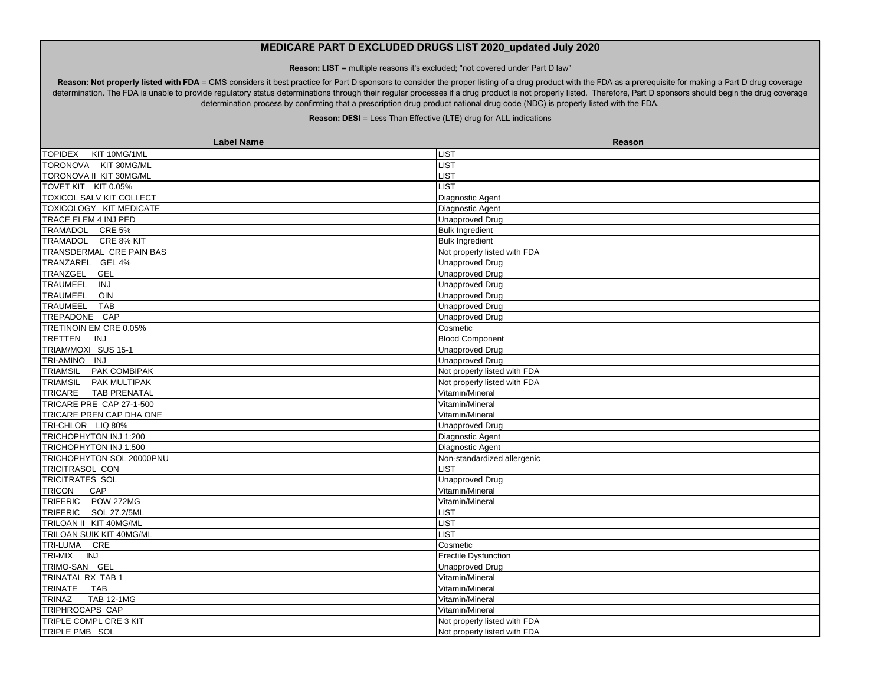**Reason: LIST** = multiple reasons it's excluded; "not covered under Part D law"

Reason: Not properly listed with FDA = CMS considers it best practice for Part D sponsors to consider the proper listing of a drug product with the FDA as a prerequisite for making a Part D drug coverage determination. The FDA is unable to provide regulatory status determinations through their regular processes if a drug product is not properly listed. Therefore, Part D sponsors should begin the drug coverage determination process by confirming that a prescription drug product national drug code (NDC) is properly listed with the FDA.

| <b>Label Name</b>                  | <b>Reason</b>                |
|------------------------------------|------------------------------|
| <b>TOPIDEX</b><br>KIT 10MG/1ML     | LIST                         |
| TORONOVA KIT 30MG/ML               | LIST                         |
| TORONOVA II KIT 30MG/ML            | <b>LIST</b>                  |
| TOVET KIT KIT 0.05%                | <b>LIST</b>                  |
| <b>TOXICOL SALV KIT COLLECT</b>    | Diagnostic Agent             |
| TOXICOLOGY KIT MEDICATE            | Diagnostic Agent             |
| TRACE ELEM 4 INJ PED               | <b>Unapproved Drug</b>       |
| TRAMADOL CRE 5%                    | <b>Bulk Ingredient</b>       |
| TRAMADOL CRE 8% KIT                | <b>Bulk Ingredient</b>       |
| TRANSDERMAL CRE PAIN BAS           | Not properly listed with FDA |
| TRANZAREL GEL 4%                   | <b>Unapproved Drug</b>       |
| TRANZGEL<br><b>GEL</b>             | <b>Unapproved Drug</b>       |
| TRAUMEEL<br><b>INJ</b>             | Unapproved Drug              |
| TRAUMEEL<br>OIN                    | <b>Unapproved Drug</b>       |
| <b>TRAUMEEL</b><br><b>TAB</b>      | <b>Unapproved Drug</b>       |
| TREPADONE CAP                      | <b>Unapproved Drug</b>       |
| TRETINOIN EM CRE 0.05%             | Cosmetic                     |
| <b>TRETTEN</b><br><b>INJ</b>       | <b>Blood Component</b>       |
| TRIAM/MOXI SUS 15-1                | Unapproved Drug              |
| TRI-AMINO INJ                      | <b>Unapproved Drug</b>       |
| TRIAMSIL PAK COMBIPAK              | Not properly listed with FDA |
| PAK MULTIPAK<br><b>TRIAMSIL</b>    | Not properly listed with FDA |
| TRICARE<br><b>TAB PRENATAL</b>     | Vitamin/Mineral              |
| TRICARE PRE CAP 27-1-500           | Vitamin/Mineral              |
| TRICARE PREN CAP DHA ONE           | Vitamin/Mineral              |
| TRI-CHLOR LIQ 80%                  | <b>Unapproved Drug</b>       |
| TRICHOPHYTON INJ 1:200             | Diagnostic Agent             |
| TRICHOPHYTON INJ 1:500             | Diagnostic Agent             |
| TRICHOPHYTON SOL 20000PNU          | Non-standardized allergenic  |
| <b>TRICITRASOL CON</b>             | <b>LIST</b>                  |
| <b>TRICITRATES SOL</b>             | <b>Unapproved Drug</b>       |
| <b>TRICON</b><br>CAP               | Vitamin/Mineral              |
| TRIFERIC POW 272MG                 | Vitamin/Mineral              |
| TRIFERIC SOL 27.2/5ML              | LIST                         |
| TRILOAN II KIT 40MG/ML             | <b>LIST</b>                  |
| TRILOAN SUIK KIT 40MG/ML           | <b>LIST</b>                  |
| TRI-LUMA CRE                       | Cosmetic                     |
| TRI-MIX<br><b>INJ</b>              | Erectile Dysfunction         |
| TRIMO-SAN GEL                      | <b>Unapproved Drug</b>       |
| TRINATAL RX TAB 1                  | Vitamin/Mineral              |
| <b>TRINATE</b><br><b>TAB</b>       | Vitamin/Mineral              |
| <b>TRINAZ</b><br><b>TAB 12-1MG</b> | Vitamin/Mineral              |
| <b>TRIPHROCAPS CAP</b>             | Vitamin/Mineral              |
| TRIPLE COMPL CRE 3 KIT             | Not properly listed with FDA |
| TRIPLE PMB SOL                     | Not properly listed with FDA |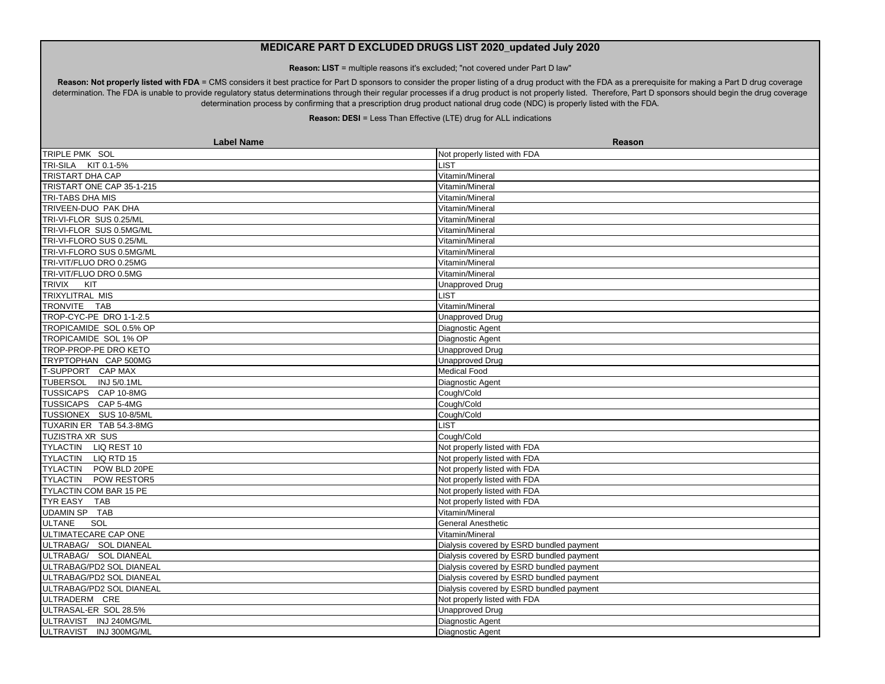**Reason: LIST** = multiple reasons it's excluded; "not covered under Part D law"

Reason: Not properly listed with FDA = CMS considers it best practice for Part D sponsors to consider the proper listing of a drug product with the FDA as a prerequisite for making a Part D drug coverage determination. The FDA is unable to provide regulatory status determinations through their regular processes if a drug product is not properly listed. Therefore, Part D sponsors should begin the drug coverage determination process by confirming that a prescription drug product national drug code (NDC) is properly listed with the FDA.

| <b>Label Name</b>         | <b>Reason</b>                            |
|---------------------------|------------------------------------------|
| TRIPLE PMK SOL            | Not properly listed with FDA             |
| TRI-SILA KIT 0.1-5%       | <b>LIST</b>                              |
| <b>TRISTART DHA CAP</b>   | Vitamin/Mineral                          |
| TRISTART ONE CAP 35-1-215 | Vitamin/Mineral                          |
| TRI-TABS DHA MIS          | Vitamin/Mineral                          |
| TRIVEEN-DUO PAK DHA       | Vitamin/Mineral                          |
| TRI-VI-FLOR SUS 0.25/ML   | Vitamin/Mineral                          |
| TRI-VI-FLOR SUS 0.5MG/ML  | Vitamin/Mineral                          |
| TRI-VI-FLORO SUS 0.25/ML  | Vitamin/Mineral                          |
| TRI-VI-FLORO SUS 0.5MG/ML | Vitamin/Mineral                          |
| TRI-VIT/FLUO DRO 0.25MG   | Vitamin/Mineral                          |
| TRI-VIT/FLUO DRO 0.5MG    | Vitamin/Mineral                          |
| TRIVIX KIT                | Unapproved Drug                          |
| <b>TRIXYLITRAL MIS</b>    | <b>LIST</b>                              |
| TRONVITE TAB              | Vitamin/Mineral                          |
| TROP-CYC-PE DRO 1-1-2.5   | <b>Unapproved Drug</b>                   |
| TROPICAMIDE SOL 0.5% OP   | Diagnostic Agent                         |
| TROPICAMIDE SOL 1% OP     | Diagnostic Agent                         |
| TROP-PROP-PE DRO KETO     | <b>Unapproved Drug</b>                   |
| TRYPTOPHAN CAP 500MG      | <b>Unapproved Drug</b>                   |
| T-SUPPORT CAP MAX         | <b>Medical Food</b>                      |
| TUBERSOL INJ 5/0.1ML      | Diagnostic Agent                         |
| TUSSICAPS CAP 10-8MG      | Cough/Cold                               |
| TUSSICAPS CAP 5-4MG       | Cough/Cold                               |
| TUSSIONEX SUS 10-8/5ML    | Cough/Cold                               |
| TUXARIN ER TAB 54.3-8MG   | <b>LIST</b>                              |
| <b>TUZISTRA XR SUS</b>    | Cough/Cold                               |
| TYLACTIN LIQ REST 10      | Not properly listed with FDA             |
| TYLACTIN LIQ RTD 15       | Not properly listed with FDA             |
| TYLACTIN POW BLD 20PE     | Not properly listed with FDA             |
| TYLACTIN POW RESTOR5      | Not properly listed with FDA             |
| TYLACTIN COM BAR 15 PE    | Not properly listed with FDA             |
| TYR EASY TAB              | Not properly listed with FDA             |
| <b>UDAMIN SP TAB</b>      | Vitamin/Mineral                          |
| <b>ULTANE</b><br>SOL      | <b>General Anesthetic</b>                |
| ULTIMATECARE CAP ONE      | Vitamin/Mineral                          |
| ULTRABAG/ SOL DIANEAL     | Dialysis covered by ESRD bundled payment |
| ULTRABAG/ SOL DIANEAL     | Dialysis covered by ESRD bundled payment |
| ULTRABAG/PD2 SOL DIANEAL  | Dialysis covered by ESRD bundled payment |
| ULTRABAG/PD2 SOL DIANEAL  | Dialysis covered by ESRD bundled payment |
| ULTRABAG/PD2 SOL DIANEAL  | Dialysis covered by ESRD bundled payment |
| ULTRADERM CRE             | Not properly listed with FDA             |
| ULTRASAL-ER SOL 28.5%     | <b>Unapproved Drug</b>                   |
| ULTRAVIST INJ 240MG/ML    | Diagnostic Agent                         |
| ULTRAVIST INJ 300MG/ML    | <b>Diagnostic Agent</b>                  |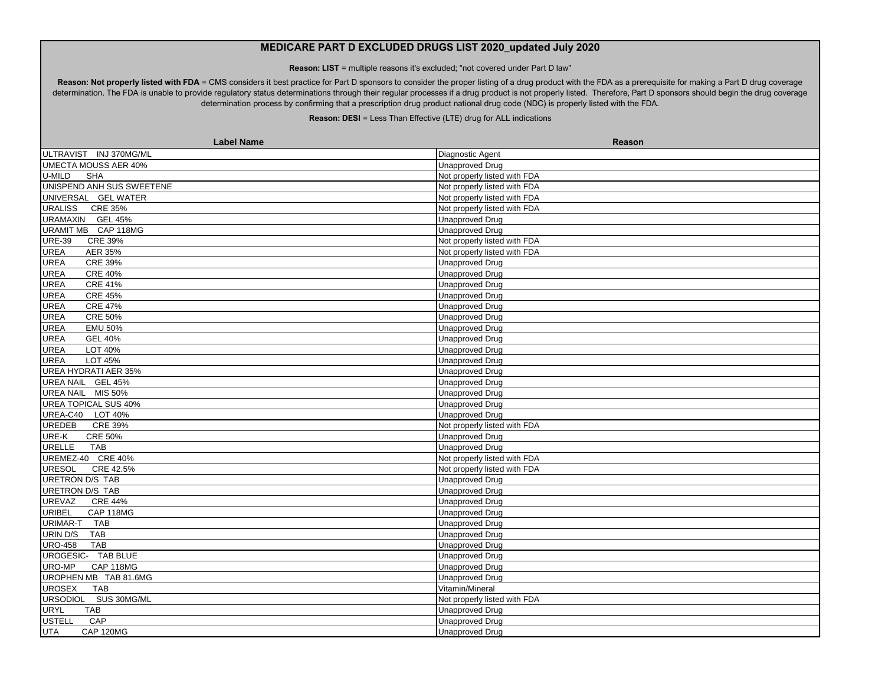**Reason: LIST** = multiple reasons it's excluded; "not covered under Part D law"

Reason: Not properly listed with FDA = CMS considers it best practice for Part D sponsors to consider the proper listing of a drug product with the FDA as a prerequisite for making a Part D drug coverage determination. The FDA is unable to provide regulatory status determinations through their regular processes if a drug product is not properly listed. Therefore, Part D sponsors should begin the drug coverage determination process by confirming that a prescription drug product national drug code (NDC) is properly listed with the FDA.

| <b>Label Name</b>                  | Reason                       |
|------------------------------------|------------------------------|
| ULTRAVIST INJ 370MG/ML             | Diagnostic Agent             |
| <b>UMECTA MOUSS AER 40%</b>        | <b>Unapproved Drug</b>       |
| U-MILD<br><b>SHA</b>               | Not properly listed with FDA |
| UNISPEND ANH SUS SWEETENE          | Not properly listed with FDA |
| UNIVERSAL GEL WATER                | Not properly listed with FDA |
| <b>URALISS</b><br><b>CRE 35%</b>   | Not properly listed with FDA |
| URAMAXIN GEL 45%                   | <b>Unapproved Drug</b>       |
| URAMIT MB CAP 118MG                | <b>Unapproved Drug</b>       |
| <b>URE-39</b><br>CRE 39%           | Not properly listed with FDA |
| <b>UREA</b><br>AER 35%             | Not properly listed with FDA |
| <b>UREA</b><br>CRE 39%             | <b>Unapproved Drug</b>       |
| <b>UREA</b><br><b>CRE 40%</b>      | <b>Unapproved Drug</b>       |
| <b>UREA</b><br><b>CRE 41%</b>      | <b>Unapproved Drug</b>       |
| <b>UREA</b><br><b>CRE 45%</b>      | <b>Unapproved Drug</b>       |
| <b>UREA</b><br><b>CRE 47%</b>      | <b>Unapproved Drug</b>       |
| <b>UREA</b><br><b>CRE 50%</b>      | Unapproved Drug              |
| <b>UREA</b><br><b>EMU 50%</b>      | <b>Unapproved Drug</b>       |
| <b>UREA</b><br>GEL 40%             | <b>Unapproved Drug</b>       |
| <b>UREA</b><br>LOT 40%             | <b>Unapproved Drug</b>       |
| <b>UREA</b><br>LOT 45%             | <b>Unapproved Drug</b>       |
| UREA HYDRATI AER 35%               | <b>Unapproved Drug</b>       |
| <b>UREA NAIL</b><br><b>GEL 45%</b> | <b>Unapproved Drug</b>       |
| UREA NAIL MIS 50%                  | <b>Unapproved Drug</b>       |
| <b>UREA TOPICAL SUS 40%</b>        | <b>Unapproved Drug</b>       |
| UREA-C40 LOT 40%                   | <b>Unapproved Drug</b>       |
| <b>UREDEB</b><br><b>CRE 39%</b>    | Not properly listed with FDA |
| URE-K<br><b>CRE 50%</b>            | <b>Unapproved Drug</b>       |
| <b>URELLE</b><br><b>TAB</b>        | <b>Unapproved Drug</b>       |
| UREMEZ-40 CRE 40%                  | Not properly listed with FDA |
| <b>URESOL</b><br>CRE 42.5%         | Not properly listed with FDA |
| <b>URETRON D/S TAB</b>             | <b>Unapproved Drug</b>       |
| <b>URETRON D/S TAB</b>             | <b>Unapproved Drug</b>       |
| <b>UREVAZ</b><br><b>CRE 44%</b>    | Unapproved Drug              |
| <b>URIBEL</b><br>CAP 118MG         | <b>Unapproved Drug</b>       |
| URIMAR-T<br><b>TAB</b>             | <b>Unapproved Drug</b>       |
| URIN D/S<br><b>TAB</b>             | <b>Unapproved Drug</b>       |
| <b>TAB</b><br><b>URO-458</b>       | Unapproved Drug              |
| UROGESIC- TAB BLUE                 | Unapproved Drug              |
| URO-MP<br>CAP 118MG                | <b>Unapproved Drug</b>       |
| UROPHEN MB TAB 81.6MG              | <b>Unapproved Drug</b>       |
| <b>UROSEX</b><br><b>TAB</b>        | Vitamin/Mineral              |
| URSODIOL SUS 30MG/ML               | Not properly listed with FDA |
| URYL<br><b>TAB</b>                 | <b>Unapproved Drug</b>       |
| <b>USTELL</b><br>CAP               | <b>Unapproved Drug</b>       |
| <b>UTA</b><br>CAP 120MG            | <b>Unapproved Drug</b>       |
|                                    |                              |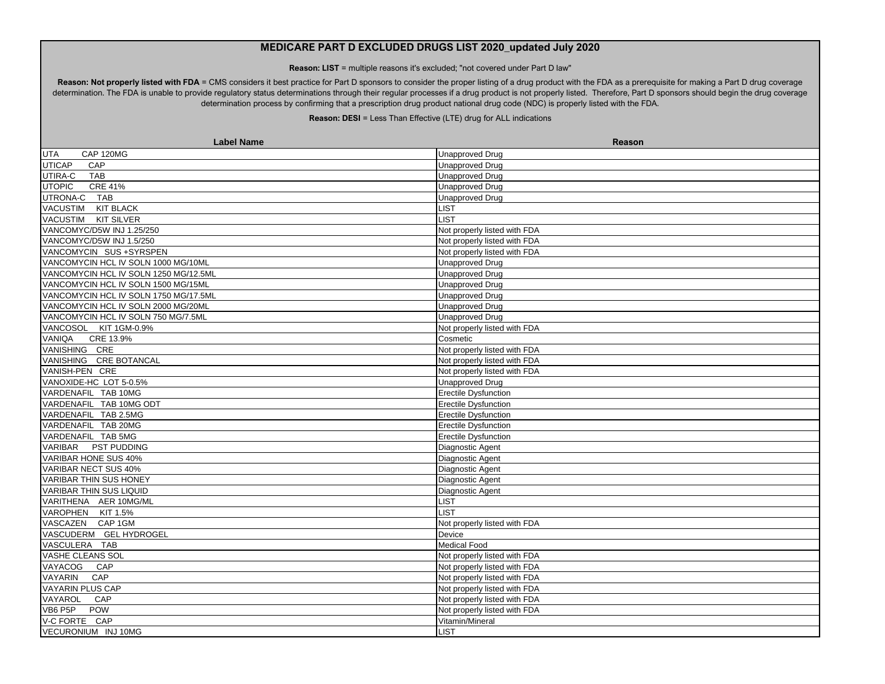**Reason: LIST** = multiple reasons it's excluded; "not covered under Part D law"

Reason: Not properly listed with FDA = CMS considers it best practice for Part D sponsors to consider the proper listing of a drug product with the FDA as a prerequisite for making a Part D drug coverage determination. The FDA is unable to provide regulatory status determinations through their regular processes if a drug product is not properly listed. Therefore, Part D sponsors should begin the drug coverage determination process by confirming that a prescription drug product national drug code (NDC) is properly listed with the FDA.

| <b>Label Name</b>                     | <b>Reason</b>                |
|---------------------------------------|------------------------------|
| CAP 120MG<br><b>UTA</b>               | Unapproved Drug              |
| <b>UTICAP</b><br>CAP                  | <b>Unapproved Drug</b>       |
| UTIRA-C<br><b>TAB</b>                 | <b>Unapproved Drug</b>       |
| <b>UTOPIC</b><br><b>CRE 41%</b>       | <b>Unapproved Drug</b>       |
| UTRONA-C TAB                          | <b>Unapproved Drug</b>       |
| VACUSTIM KIT BLACK                    | LIST                         |
| VACUSTIM KIT SILVER                   | <b>LIST</b>                  |
| VANCOMYC/D5W INJ 1.25/250             | Not properly listed with FDA |
| VANCOMYC/D5W INJ 1.5/250              | Not properly listed with FDA |
| VANCOMYCIN SUS +SYRSPEN               | Not properly listed with FDA |
| VANCOMYCIN HCL IV SOLN 1000 MG/10ML   | <b>Unapproved Drug</b>       |
| VANCOMYCIN HCL IV SOLN 1250 MG/12.5ML | Unapproved Drug              |
| VANCOMYCIN HCL IV SOLN 1500 MG/15ML   | Unapproved Drug              |
| VANCOMYCIN HCL IV SOLN 1750 MG/17.5ML | <b>Unapproved Drug</b>       |
| VANCOMYCIN HCL IV SOLN 2000 MG/20ML   | <b>Unapproved Drug</b>       |
| VANCOMYCIN HCL IV SOLN 750 MG/7.5ML   | <b>Unapproved Drug</b>       |
| VANCOSOL KIT 1GM-0.9%                 | Not properly listed with FDA |
| VANIQA<br>CRE 13.9%                   | Cosmetic                     |
| VANISHING CRE                         | Not properly listed with FDA |
| VANISHING CRE BOTANCAL                | Not properly listed with FDA |
| VANISH-PEN CRE                        | Not properly listed with FDA |
| VANOXIDE-HC LOT 5-0.5%                | <b>Unapproved Drug</b>       |
| VARDENAFIL TAB 10MG                   | <b>Erectile Dysfunction</b>  |
| VARDENAFIL TAB 10MG ODT               | <b>Erectile Dysfunction</b>  |
| VARDENAFIL TAB 2.5MG                  | Erectile Dysfunction         |
| VARDENAFIL TAB 20MG                   | <b>Erectile Dysfunction</b>  |
| VARDENAFIL TAB 5MG                    | Erectile Dysfunction         |
| VARIBAR PST PUDDING                   | Diagnostic Agent             |
| <b>VARIBAR HONE SUS 40%</b>           | Diagnostic Agent             |
| <b>VARIBAR NECT SUS 40%</b>           | Diagnostic Agent             |
| <b>VARIBAR THIN SUS HONEY</b>         | Diagnostic Agent             |
| <b>VARIBAR THIN SUS LIQUID</b>        | Diagnostic Agent             |
| VARITHENA AER 10MG/ML                 | <b>LIST</b>                  |
| VAROPHEN KIT 1.5%                     | <b>LIST</b>                  |
| VASCAZEN CAP 1GM                      | Not properly listed with FDA |
| VASCUDERM GEL HYDROGEL                | Device                       |
| VASCULERA TAB                         | <b>Medical Food</b>          |
| <b>VASHE CLEANS SOL</b>               | Not properly listed with FDA |
| VAYACOG CAP                           | Not properly listed with FDA |
| VAYARIN<br>CAP                        | Not properly listed with FDA |
| VAYARIN PLUS CAP                      | Not properly listed with FDA |
| VAYAROL<br>CAP                        | Not properly listed with FDA |
| POW<br>VB6 P5P                        | Not properly listed with FDA |
| V-C FORTE CAP                         | Vitamin/Mineral              |
| VECURONIUM INJ 10MG                   | <b>IST</b>                   |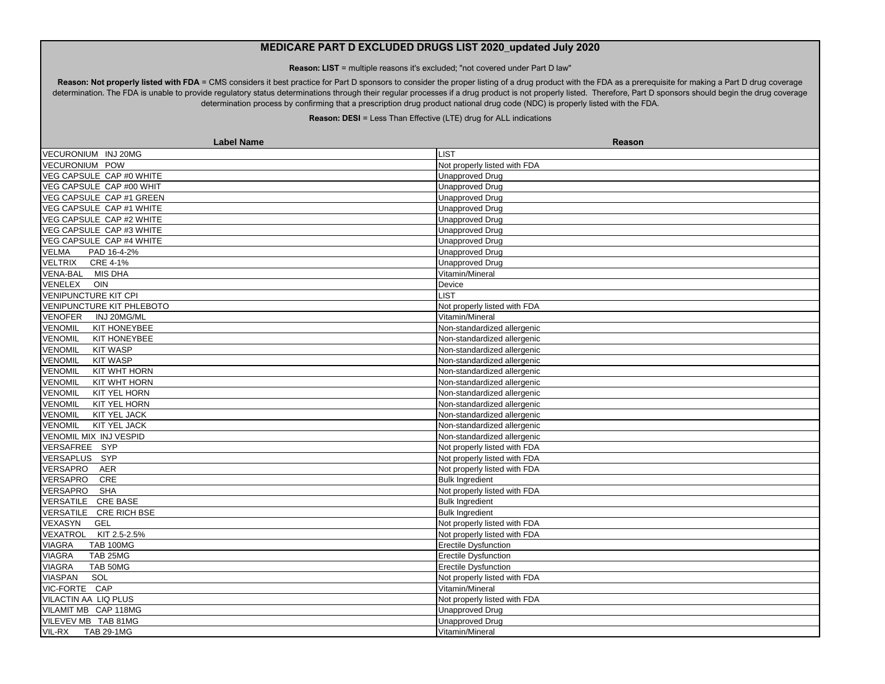**Reason: LIST** = multiple reasons it's excluded; "not covered under Part D law"

Reason: Not properly listed with FDA = CMS considers it best practice for Part D sponsors to consider the proper listing of a drug product with the FDA as a prerequisite for making a Part D drug coverage determination. The FDA is unable to provide regulatory status determinations through their regular processes if a drug product is not properly listed. Therefore, Part D sponsors should begin the drug coverage determination process by confirming that a prescription drug product national drug code (NDC) is properly listed with the FDA.

| VECURONIUM INJ 20MG<br><b>_IST</b><br>Not properly listed with FDA<br>VECURONIUM POW<br>VEG CAPSULE CAP #0 WHITE<br><b>Unapproved Drug</b><br>VEG CAPSULE CAP #00 WHIT<br><b>Unapproved Drug</b><br>VEG CAPSULE CAP #1 GREEN<br><b>Unapproved Drug</b><br>VEG CAPSULE CAP #1 WHITE<br><b>Unapproved Drug</b><br>VEG CAPSULE CAP #2 WHITE<br><b>Unapproved Drug</b><br>VEG CAPSULE CAP #3 WHITE<br><b>Unapproved Drug</b><br>VEG CAPSULE CAP #4 WHITE<br><b>Unapproved Drug</b><br><b>VELMA</b><br><b>Unapproved Drug</b><br>PAD 16-4-2%<br><b>VELTRIX</b><br>CRE 4-1%<br><b>Unapproved Drug</b><br>VENA-BAL MIS DHA<br>Vitamin/Mineral<br>VENELEX<br>OIN<br>Device<br><b>VENIPUNCTURE KIT CPI</b><br><b>LIST</b><br><b>VENIPUNCTURE KIT PHLEBOTO</b><br>Not properly listed with FDA<br><b>VENOFER</b><br>Vitamin/Mineral<br>INJ 20MG/ML<br><b>VENOMIL</b><br>KIT HONEYBEE<br>Non-standardized allergenic<br><b>VENOMIL</b><br>KIT HONEYBEE<br>Non-standardized allergenic<br><b>KIT WASP</b><br><b>VENOMIL</b><br>Non-standardized allergenic<br><b>VENOMIL</b><br><b>KIT WASP</b><br>Non-standardized allergenic<br>KIT WHT HORN<br><b>VENOMIL</b><br>Non-standardized allergenic<br><b>VENOMIL</b><br>KIT WHT HORN<br>Non-standardized allergenic<br><b>VENOMIL</b><br><b>KIT YEL HORN</b><br>Non-standardized allergenic<br><b>VENOMIL</b><br>KIT YEL HORN<br>Non-standardized allergenic<br>KIT YEL JACK<br>Non-standardized allergenic<br>KIT YEL JACK<br><b>VENOMIL</b><br>Non-standardized allergenic<br>VENOMIL MIX INJ VESPID<br>Non-standardized allergenic<br>VERSAFREE SYP<br>Not properly listed with FDA<br><b>VERSAPLUS</b><br>SYP<br>Not properly listed with FDA<br>VERSAPRO<br>Not properly listed with FDA<br><b>AER</b><br><b>VERSAPRO</b><br>CRE<br><b>Bulk Ingredient</b><br>VERSAPRO<br><b>SHA</b><br>Not properly listed with FDA<br>VERSATILE CRE BASE<br><b>Bulk Ingredient</b><br>VERSATILE CRE RICH BSE<br><b>Bulk Ingredient</b><br>VEXASYN<br>GEL<br>Not properly listed with FDA<br>VEXATROL<br>KIT 2.5-2.5%<br>Not properly listed with FDA<br>VIAGRA<br><b>TAB 100MG</b><br><b>Erectile Dysfunction</b><br><b>VIAGRA</b><br>TAB 25MG<br><b>Erectile Dysfunction</b><br>TAB 50MG<br><b>VIAGRA</b><br><b>Erectile Dysfunction</b><br><b>VIASPAN</b><br>SOL<br>Not properly listed with FDA<br>VIC-FORTE CAP<br>Vitamin/Mineral<br>VILACTIN AA LIQ PLUS<br>Not properly listed with FDA<br>VILAMIT MB CAP 118MG<br><b>Unapproved Drug</b><br>VILEVEV MB TAB 81MG<br><b>Unapproved Drug</b> | <b>Label Name</b>           | Reason          |
|---------------------------------------------------------------------------------------------------------------------------------------------------------------------------------------------------------------------------------------------------------------------------------------------------------------------------------------------------------------------------------------------------------------------------------------------------------------------------------------------------------------------------------------------------------------------------------------------------------------------------------------------------------------------------------------------------------------------------------------------------------------------------------------------------------------------------------------------------------------------------------------------------------------------------------------------------------------------------------------------------------------------------------------------------------------------------------------------------------------------------------------------------------------------------------------------------------------------------------------------------------------------------------------------------------------------------------------------------------------------------------------------------------------------------------------------------------------------------------------------------------------------------------------------------------------------------------------------------------------------------------------------------------------------------------------------------------------------------------------------------------------------------------------------------------------------------------------------------------------------------------------------------------------------------------------------------------------------------------------------------------------------------------------------------------------------------------------------------------------------------------------------------------------------------------------------------------------------------------------------------------------------------------------------------------------------------------------------------------------------------------------------------------------------------------------------------------------------------------------------------------------------------|-----------------------------|-----------------|
| <b>VENOMIL</b>                                                                                                                                                                                                                                                                                                                                                                                                                                                                                                                                                                                                                                                                                                                                                                                                                                                                                                                                                                                                                                                                                                                                                                                                                                                                                                                                                                                                                                                                                                                                                                                                                                                                                                                                                                                                                                                                                                                                                                                                                                                                                                                                                                                                                                                                                                                                                                                                                                                                                                            |                             |                 |
|                                                                                                                                                                                                                                                                                                                                                                                                                                                                                                                                                                                                                                                                                                                                                                                                                                                                                                                                                                                                                                                                                                                                                                                                                                                                                                                                                                                                                                                                                                                                                                                                                                                                                                                                                                                                                                                                                                                                                                                                                                                                                                                                                                                                                                                                                                                                                                                                                                                                                                                           |                             |                 |
|                                                                                                                                                                                                                                                                                                                                                                                                                                                                                                                                                                                                                                                                                                                                                                                                                                                                                                                                                                                                                                                                                                                                                                                                                                                                                                                                                                                                                                                                                                                                                                                                                                                                                                                                                                                                                                                                                                                                                                                                                                                                                                                                                                                                                                                                                                                                                                                                                                                                                                                           |                             |                 |
|                                                                                                                                                                                                                                                                                                                                                                                                                                                                                                                                                                                                                                                                                                                                                                                                                                                                                                                                                                                                                                                                                                                                                                                                                                                                                                                                                                                                                                                                                                                                                                                                                                                                                                                                                                                                                                                                                                                                                                                                                                                                                                                                                                                                                                                                                                                                                                                                                                                                                                                           |                             |                 |
|                                                                                                                                                                                                                                                                                                                                                                                                                                                                                                                                                                                                                                                                                                                                                                                                                                                                                                                                                                                                                                                                                                                                                                                                                                                                                                                                                                                                                                                                                                                                                                                                                                                                                                                                                                                                                                                                                                                                                                                                                                                                                                                                                                                                                                                                                                                                                                                                                                                                                                                           |                             |                 |
|                                                                                                                                                                                                                                                                                                                                                                                                                                                                                                                                                                                                                                                                                                                                                                                                                                                                                                                                                                                                                                                                                                                                                                                                                                                                                                                                                                                                                                                                                                                                                                                                                                                                                                                                                                                                                                                                                                                                                                                                                                                                                                                                                                                                                                                                                                                                                                                                                                                                                                                           |                             |                 |
|                                                                                                                                                                                                                                                                                                                                                                                                                                                                                                                                                                                                                                                                                                                                                                                                                                                                                                                                                                                                                                                                                                                                                                                                                                                                                                                                                                                                                                                                                                                                                                                                                                                                                                                                                                                                                                                                                                                                                                                                                                                                                                                                                                                                                                                                                                                                                                                                                                                                                                                           |                             |                 |
|                                                                                                                                                                                                                                                                                                                                                                                                                                                                                                                                                                                                                                                                                                                                                                                                                                                                                                                                                                                                                                                                                                                                                                                                                                                                                                                                                                                                                                                                                                                                                                                                                                                                                                                                                                                                                                                                                                                                                                                                                                                                                                                                                                                                                                                                                                                                                                                                                                                                                                                           |                             |                 |
|                                                                                                                                                                                                                                                                                                                                                                                                                                                                                                                                                                                                                                                                                                                                                                                                                                                                                                                                                                                                                                                                                                                                                                                                                                                                                                                                                                                                                                                                                                                                                                                                                                                                                                                                                                                                                                                                                                                                                                                                                                                                                                                                                                                                                                                                                                                                                                                                                                                                                                                           |                             |                 |
|                                                                                                                                                                                                                                                                                                                                                                                                                                                                                                                                                                                                                                                                                                                                                                                                                                                                                                                                                                                                                                                                                                                                                                                                                                                                                                                                                                                                                                                                                                                                                                                                                                                                                                                                                                                                                                                                                                                                                                                                                                                                                                                                                                                                                                                                                                                                                                                                                                                                                                                           |                             |                 |
|                                                                                                                                                                                                                                                                                                                                                                                                                                                                                                                                                                                                                                                                                                                                                                                                                                                                                                                                                                                                                                                                                                                                                                                                                                                                                                                                                                                                                                                                                                                                                                                                                                                                                                                                                                                                                                                                                                                                                                                                                                                                                                                                                                                                                                                                                                                                                                                                                                                                                                                           |                             |                 |
|                                                                                                                                                                                                                                                                                                                                                                                                                                                                                                                                                                                                                                                                                                                                                                                                                                                                                                                                                                                                                                                                                                                                                                                                                                                                                                                                                                                                                                                                                                                                                                                                                                                                                                                                                                                                                                                                                                                                                                                                                                                                                                                                                                                                                                                                                                                                                                                                                                                                                                                           |                             |                 |
|                                                                                                                                                                                                                                                                                                                                                                                                                                                                                                                                                                                                                                                                                                                                                                                                                                                                                                                                                                                                                                                                                                                                                                                                                                                                                                                                                                                                                                                                                                                                                                                                                                                                                                                                                                                                                                                                                                                                                                                                                                                                                                                                                                                                                                                                                                                                                                                                                                                                                                                           |                             |                 |
|                                                                                                                                                                                                                                                                                                                                                                                                                                                                                                                                                                                                                                                                                                                                                                                                                                                                                                                                                                                                                                                                                                                                                                                                                                                                                                                                                                                                                                                                                                                                                                                                                                                                                                                                                                                                                                                                                                                                                                                                                                                                                                                                                                                                                                                                                                                                                                                                                                                                                                                           |                             |                 |
|                                                                                                                                                                                                                                                                                                                                                                                                                                                                                                                                                                                                                                                                                                                                                                                                                                                                                                                                                                                                                                                                                                                                                                                                                                                                                                                                                                                                                                                                                                                                                                                                                                                                                                                                                                                                                                                                                                                                                                                                                                                                                                                                                                                                                                                                                                                                                                                                                                                                                                                           |                             |                 |
|                                                                                                                                                                                                                                                                                                                                                                                                                                                                                                                                                                                                                                                                                                                                                                                                                                                                                                                                                                                                                                                                                                                                                                                                                                                                                                                                                                                                                                                                                                                                                                                                                                                                                                                                                                                                                                                                                                                                                                                                                                                                                                                                                                                                                                                                                                                                                                                                                                                                                                                           |                             |                 |
|                                                                                                                                                                                                                                                                                                                                                                                                                                                                                                                                                                                                                                                                                                                                                                                                                                                                                                                                                                                                                                                                                                                                                                                                                                                                                                                                                                                                                                                                                                                                                                                                                                                                                                                                                                                                                                                                                                                                                                                                                                                                                                                                                                                                                                                                                                                                                                                                                                                                                                                           |                             |                 |
|                                                                                                                                                                                                                                                                                                                                                                                                                                                                                                                                                                                                                                                                                                                                                                                                                                                                                                                                                                                                                                                                                                                                                                                                                                                                                                                                                                                                                                                                                                                                                                                                                                                                                                                                                                                                                                                                                                                                                                                                                                                                                                                                                                                                                                                                                                                                                                                                                                                                                                                           |                             |                 |
|                                                                                                                                                                                                                                                                                                                                                                                                                                                                                                                                                                                                                                                                                                                                                                                                                                                                                                                                                                                                                                                                                                                                                                                                                                                                                                                                                                                                                                                                                                                                                                                                                                                                                                                                                                                                                                                                                                                                                                                                                                                                                                                                                                                                                                                                                                                                                                                                                                                                                                                           |                             |                 |
|                                                                                                                                                                                                                                                                                                                                                                                                                                                                                                                                                                                                                                                                                                                                                                                                                                                                                                                                                                                                                                                                                                                                                                                                                                                                                                                                                                                                                                                                                                                                                                                                                                                                                                                                                                                                                                                                                                                                                                                                                                                                                                                                                                                                                                                                                                                                                                                                                                                                                                                           |                             |                 |
|                                                                                                                                                                                                                                                                                                                                                                                                                                                                                                                                                                                                                                                                                                                                                                                                                                                                                                                                                                                                                                                                                                                                                                                                                                                                                                                                                                                                                                                                                                                                                                                                                                                                                                                                                                                                                                                                                                                                                                                                                                                                                                                                                                                                                                                                                                                                                                                                                                                                                                                           |                             |                 |
|                                                                                                                                                                                                                                                                                                                                                                                                                                                                                                                                                                                                                                                                                                                                                                                                                                                                                                                                                                                                                                                                                                                                                                                                                                                                                                                                                                                                                                                                                                                                                                                                                                                                                                                                                                                                                                                                                                                                                                                                                                                                                                                                                                                                                                                                                                                                                                                                                                                                                                                           |                             |                 |
|                                                                                                                                                                                                                                                                                                                                                                                                                                                                                                                                                                                                                                                                                                                                                                                                                                                                                                                                                                                                                                                                                                                                                                                                                                                                                                                                                                                                                                                                                                                                                                                                                                                                                                                                                                                                                                                                                                                                                                                                                                                                                                                                                                                                                                                                                                                                                                                                                                                                                                                           |                             |                 |
|                                                                                                                                                                                                                                                                                                                                                                                                                                                                                                                                                                                                                                                                                                                                                                                                                                                                                                                                                                                                                                                                                                                                                                                                                                                                                                                                                                                                                                                                                                                                                                                                                                                                                                                                                                                                                                                                                                                                                                                                                                                                                                                                                                                                                                                                                                                                                                                                                                                                                                                           |                             |                 |
|                                                                                                                                                                                                                                                                                                                                                                                                                                                                                                                                                                                                                                                                                                                                                                                                                                                                                                                                                                                                                                                                                                                                                                                                                                                                                                                                                                                                                                                                                                                                                                                                                                                                                                                                                                                                                                                                                                                                                                                                                                                                                                                                                                                                                                                                                                                                                                                                                                                                                                                           |                             |                 |
|                                                                                                                                                                                                                                                                                                                                                                                                                                                                                                                                                                                                                                                                                                                                                                                                                                                                                                                                                                                                                                                                                                                                                                                                                                                                                                                                                                                                                                                                                                                                                                                                                                                                                                                                                                                                                                                                                                                                                                                                                                                                                                                                                                                                                                                                                                                                                                                                                                                                                                                           |                             |                 |
|                                                                                                                                                                                                                                                                                                                                                                                                                                                                                                                                                                                                                                                                                                                                                                                                                                                                                                                                                                                                                                                                                                                                                                                                                                                                                                                                                                                                                                                                                                                                                                                                                                                                                                                                                                                                                                                                                                                                                                                                                                                                                                                                                                                                                                                                                                                                                                                                                                                                                                                           |                             |                 |
|                                                                                                                                                                                                                                                                                                                                                                                                                                                                                                                                                                                                                                                                                                                                                                                                                                                                                                                                                                                                                                                                                                                                                                                                                                                                                                                                                                                                                                                                                                                                                                                                                                                                                                                                                                                                                                                                                                                                                                                                                                                                                                                                                                                                                                                                                                                                                                                                                                                                                                                           |                             |                 |
|                                                                                                                                                                                                                                                                                                                                                                                                                                                                                                                                                                                                                                                                                                                                                                                                                                                                                                                                                                                                                                                                                                                                                                                                                                                                                                                                                                                                                                                                                                                                                                                                                                                                                                                                                                                                                                                                                                                                                                                                                                                                                                                                                                                                                                                                                                                                                                                                                                                                                                                           |                             |                 |
|                                                                                                                                                                                                                                                                                                                                                                                                                                                                                                                                                                                                                                                                                                                                                                                                                                                                                                                                                                                                                                                                                                                                                                                                                                                                                                                                                                                                                                                                                                                                                                                                                                                                                                                                                                                                                                                                                                                                                                                                                                                                                                                                                                                                                                                                                                                                                                                                                                                                                                                           |                             |                 |
|                                                                                                                                                                                                                                                                                                                                                                                                                                                                                                                                                                                                                                                                                                                                                                                                                                                                                                                                                                                                                                                                                                                                                                                                                                                                                                                                                                                                                                                                                                                                                                                                                                                                                                                                                                                                                                                                                                                                                                                                                                                                                                                                                                                                                                                                                                                                                                                                                                                                                                                           |                             |                 |
|                                                                                                                                                                                                                                                                                                                                                                                                                                                                                                                                                                                                                                                                                                                                                                                                                                                                                                                                                                                                                                                                                                                                                                                                                                                                                                                                                                                                                                                                                                                                                                                                                                                                                                                                                                                                                                                                                                                                                                                                                                                                                                                                                                                                                                                                                                                                                                                                                                                                                                                           |                             |                 |
|                                                                                                                                                                                                                                                                                                                                                                                                                                                                                                                                                                                                                                                                                                                                                                                                                                                                                                                                                                                                                                                                                                                                                                                                                                                                                                                                                                                                                                                                                                                                                                                                                                                                                                                                                                                                                                                                                                                                                                                                                                                                                                                                                                                                                                                                                                                                                                                                                                                                                                                           |                             |                 |
|                                                                                                                                                                                                                                                                                                                                                                                                                                                                                                                                                                                                                                                                                                                                                                                                                                                                                                                                                                                                                                                                                                                                                                                                                                                                                                                                                                                                                                                                                                                                                                                                                                                                                                                                                                                                                                                                                                                                                                                                                                                                                                                                                                                                                                                                                                                                                                                                                                                                                                                           |                             |                 |
|                                                                                                                                                                                                                                                                                                                                                                                                                                                                                                                                                                                                                                                                                                                                                                                                                                                                                                                                                                                                                                                                                                                                                                                                                                                                                                                                                                                                                                                                                                                                                                                                                                                                                                                                                                                                                                                                                                                                                                                                                                                                                                                                                                                                                                                                                                                                                                                                                                                                                                                           |                             |                 |
|                                                                                                                                                                                                                                                                                                                                                                                                                                                                                                                                                                                                                                                                                                                                                                                                                                                                                                                                                                                                                                                                                                                                                                                                                                                                                                                                                                                                                                                                                                                                                                                                                                                                                                                                                                                                                                                                                                                                                                                                                                                                                                                                                                                                                                                                                                                                                                                                                                                                                                                           |                             |                 |
|                                                                                                                                                                                                                                                                                                                                                                                                                                                                                                                                                                                                                                                                                                                                                                                                                                                                                                                                                                                                                                                                                                                                                                                                                                                                                                                                                                                                                                                                                                                                                                                                                                                                                                                                                                                                                                                                                                                                                                                                                                                                                                                                                                                                                                                                                                                                                                                                                                                                                                                           |                             |                 |
|                                                                                                                                                                                                                                                                                                                                                                                                                                                                                                                                                                                                                                                                                                                                                                                                                                                                                                                                                                                                                                                                                                                                                                                                                                                                                                                                                                                                                                                                                                                                                                                                                                                                                                                                                                                                                                                                                                                                                                                                                                                                                                                                                                                                                                                                                                                                                                                                                                                                                                                           |                             |                 |
|                                                                                                                                                                                                                                                                                                                                                                                                                                                                                                                                                                                                                                                                                                                                                                                                                                                                                                                                                                                                                                                                                                                                                                                                                                                                                                                                                                                                                                                                                                                                                                                                                                                                                                                                                                                                                                                                                                                                                                                                                                                                                                                                                                                                                                                                                                                                                                                                                                                                                                                           |                             |                 |
|                                                                                                                                                                                                                                                                                                                                                                                                                                                                                                                                                                                                                                                                                                                                                                                                                                                                                                                                                                                                                                                                                                                                                                                                                                                                                                                                                                                                                                                                                                                                                                                                                                                                                                                                                                                                                                                                                                                                                                                                                                                                                                                                                                                                                                                                                                                                                                                                                                                                                                                           |                             |                 |
|                                                                                                                                                                                                                                                                                                                                                                                                                                                                                                                                                                                                                                                                                                                                                                                                                                                                                                                                                                                                                                                                                                                                                                                                                                                                                                                                                                                                                                                                                                                                                                                                                                                                                                                                                                                                                                                                                                                                                                                                                                                                                                                                                                                                                                                                                                                                                                                                                                                                                                                           |                             |                 |
|                                                                                                                                                                                                                                                                                                                                                                                                                                                                                                                                                                                                                                                                                                                                                                                                                                                                                                                                                                                                                                                                                                                                                                                                                                                                                                                                                                                                                                                                                                                                                                                                                                                                                                                                                                                                                                                                                                                                                                                                                                                                                                                                                                                                                                                                                                                                                                                                                                                                                                                           |                             |                 |
|                                                                                                                                                                                                                                                                                                                                                                                                                                                                                                                                                                                                                                                                                                                                                                                                                                                                                                                                                                                                                                                                                                                                                                                                                                                                                                                                                                                                                                                                                                                                                                                                                                                                                                                                                                                                                                                                                                                                                                                                                                                                                                                                                                                                                                                                                                                                                                                                                                                                                                                           |                             |                 |
|                                                                                                                                                                                                                                                                                                                                                                                                                                                                                                                                                                                                                                                                                                                                                                                                                                                                                                                                                                                                                                                                                                                                                                                                                                                                                                                                                                                                                                                                                                                                                                                                                                                                                                                                                                                                                                                                                                                                                                                                                                                                                                                                                                                                                                                                                                                                                                                                                                                                                                                           |                             |                 |
|                                                                                                                                                                                                                                                                                                                                                                                                                                                                                                                                                                                                                                                                                                                                                                                                                                                                                                                                                                                                                                                                                                                                                                                                                                                                                                                                                                                                                                                                                                                                                                                                                                                                                                                                                                                                                                                                                                                                                                                                                                                                                                                                                                                                                                                                                                                                                                                                                                                                                                                           | VIL-RX<br><b>TAB 29-1MG</b> | Vitamin/Mineral |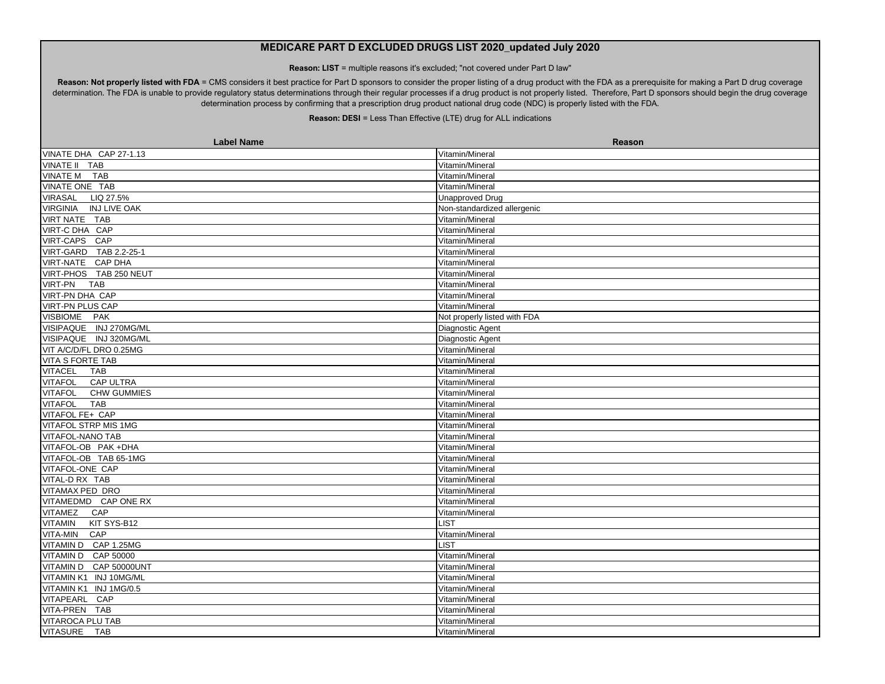**Reason: LIST** = multiple reasons it's excluded; "not covered under Part D law"

Reason: Not properly listed with FDA = CMS considers it best practice for Part D sponsors to consider the proper listing of a drug product with the FDA as a prerequisite for making a Part D drug coverage determination. The FDA is unable to provide regulatory status determinations through their regular processes if a drug product is not properly listed. Therefore, Part D sponsors should begin the drug coverage determination process by confirming that a prescription drug product national drug code (NDC) is properly listed with the FDA.

| <b>Label Name</b>                      | <b>Reason</b>                |
|----------------------------------------|------------------------------|
| VINATE DHA CAP 27-1.13                 | Vitamin/Mineral              |
| VINATE II TAB                          | Vitamin/Mineral              |
| VINATE M TAB                           | Vitamin/Mineral              |
| VINATE ONE TAB                         | Vitamin/Mineral              |
| VIRASAL<br>LIQ 27.5%                   | <b>Unapproved Drug</b>       |
| <b>INJ LIVE OAK</b><br><b>VIRGINIA</b> | Non-standardized allergenic  |
| VIRT NATE TAB                          | Vitamin/Mineral              |
| VIRT-C DHA CAP                         | Vitamin/Mineral              |
| VIRT-CAPS CAP                          | Vitamin/Mineral              |
| VIRT-GARD TAB 2.2-25-1                 | Vitamin/Mineral              |
| VIRT-NATE CAP DHA                      | Vitamin/Mineral              |
| VIRT-PHOS TAB 250 NEUT                 | Vitamin/Mineral              |
| <b>VIRT-PN</b><br><b>TAB</b>           | Vitamin/Mineral              |
| <b>VIRT-PN DHA CAP</b>                 | Vitamin/Mineral              |
| <b>VIRT-PN PLUS CAP</b>                | Vitamin/Mineral              |
| VISBIOME PAK                           | Not properly listed with FDA |
| VISIPAQUE INJ 270MG/ML                 | Diagnostic Agent             |
| VISIPAQUE INJ 320MG/ML                 | <b>Diagnostic Agent</b>      |
| VIT A/C/D/FL DRO 0.25MG                | Vitamin/Mineral              |
| <b>VITA S FORTE TAB</b>                | Vitamin/Mineral              |
| <b>VITACEL</b><br><b>TAB</b>           | Vitamin/Mineral              |
| CAP ULTRA<br><b>VITAFOL</b>            | Vitamin/Mineral              |
| <b>VITAFOL</b><br><b>CHW GUMMIES</b>   | Vitamin/Mineral              |
| <b>VITAFOL</b><br>TAB                  | Vitamin/Mineral              |
| VITAFOL FE+ CAP                        | Vitamin/Mineral              |
| <b>VITAFOL STRP MIS 1MG</b>            | Vitamin/Mineral              |
| VITAFOL-NANO TAB                       | Vitamin/Mineral              |
| VITAFOL-OB PAK+DHA                     | Vitamin/Mineral              |
| VITAFOL-OB TAB 65-1MG                  | Vitamin/Mineral              |
| VITAFOL-ONE CAP                        | Vitamin/Mineral              |
| VITAL-D RX TAB                         | Vitamin/Mineral              |
| <b>VITAMAX PED DRO</b>                 | Vitamin/Mineral              |
| VITAMEDMD CAP ONE RX                   | Vitamin/Mineral              |
| <b>VITAMEZ</b><br>CAP                  | Vitamin/Mineral              |
| <b>VITAMIN</b><br>KIT SYS-B12          | LIST                         |
| VITA-MIN<br>CAP                        | Vitamin/Mineral              |
| VITAMIN D CAP 1.25MG                   | LIST                         |
| VITAMIN D CAP 50000                    | Vitamin/Mineral              |
| VITAMIN D CAP 50000UNT                 | Vitamin/Mineral              |
| VITAMIN K1 INJ 10MG/ML                 | Vitamin/Mineral              |
| VITAMIN K1 INJ 1MG/0.5                 | Vitamin/Mineral              |
| <b>VITAPEARL</b><br>CAP                | Vitamin/Mineral              |
| VITA-PREN TAB                          | Vitamin/Mineral              |
| VITAROCA PLU TAB                       | Vitamin/Mineral              |
| VITASURE TAB                           | Vitamin/Mineral              |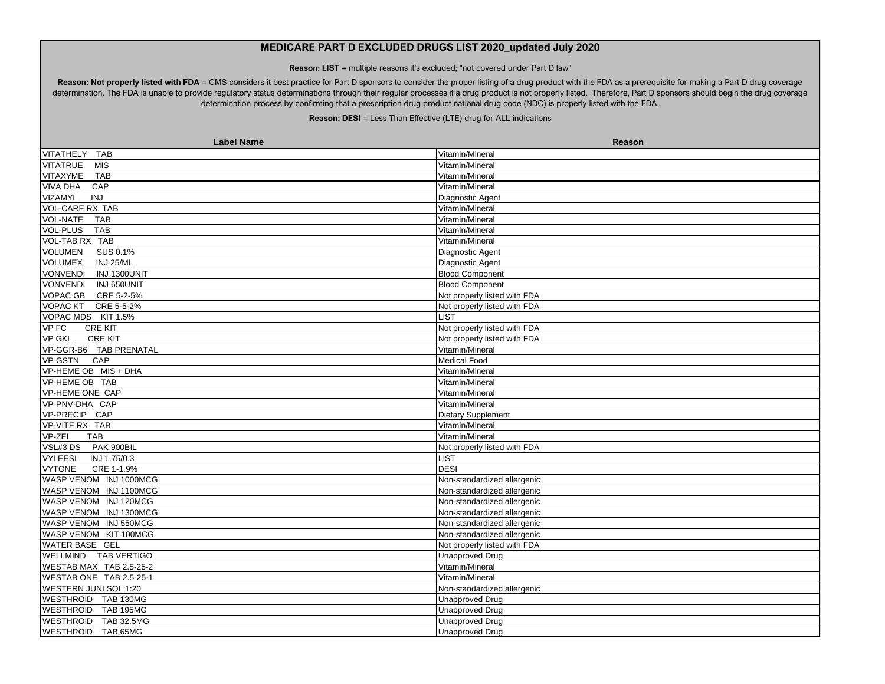**Reason: LIST** = multiple reasons it's excluded; "not covered under Part D law"

Reason: Not properly listed with FDA = CMS considers it best practice for Part D sponsors to consider the proper listing of a drug product with the FDA as a prerequisite for making a Part D drug coverage determination. The FDA is unable to provide regulatory status determinations through their regular processes if a drug product is not properly listed. Therefore, Part D sponsors should begin the drug coverage determination process by confirming that a prescription drug product national drug code (NDC) is properly listed with the FDA.

| <b>Label Name</b>               | Reason                       |
|---------------------------------|------------------------------|
| VITATHELY TAB                   | Vitamin/Mineral              |
| <b>VITATRUE</b><br><b>MIS</b>   | Vitamin/Mineral              |
| VITAXYME<br>TAB                 | Vitamin/Mineral              |
| <b>VIVA DHA</b><br>CAP          | Vitamin/Mineral              |
| <b>VIZAMYL</b><br>INJ           | Diagnostic Agent             |
| <b>VOL-CARE RX TAB</b>          | Vitamin/Mineral              |
| <b>VOL-NATE</b><br><b>TAB</b>   | Vitamin/Mineral              |
| <b>VOL-PLUS</b><br><b>TAB</b>   | Vitamin/Mineral              |
| VOL-TAB RX TAB                  | Vitamin/Mineral              |
| <b>VOLUMEN</b><br>SUS 0.1%      | Diagnostic Agent             |
| <b>VOLUMEX</b><br>INJ 25/ML     | Diagnostic Agent             |
| VONVENDI INJ 1300UNIT           | <b>Blood Component</b>       |
| VONVENDI INJ 650UNIT            | <b>Blood Component</b>       |
| VOPAC GB CRE 5-2-5%             | Not properly listed with FDA |
| VOPAC KT CRE 5-5-2%             | Not properly listed with FDA |
| VOPAC MDS KIT 1.5%              | <b>LIST</b>                  |
| VP FC<br><b>CRE KIT</b>         | Not properly listed with FDA |
| <b>VP GKL</b><br><b>CRE KIT</b> | Not properly listed with FDA |
| VP-GGR-B6 TAB PRENATAL          | Vitamin/Mineral              |
| VP-GSTN<br>CAP                  | Medical Food                 |
| VP-HEME OB MIS + DHA            | Vitamin/Mineral              |
| VP-HEME OB TAB                  | Vitamin/Mineral              |
| VP-HEME ONE CAP                 | Vitamin/Mineral              |
| VP-PNV-DHA CAP                  | Vitamin/Mineral              |
| VP-PRECIP CAP                   | Dietary Supplement           |
| VP-VITE RX TAB                  | Vitamin/Mineral              |
| VP-ZEL<br><b>TAB</b>            | Vitamin/Mineral              |
| VSL#3 DS PAK 900BIL             | Not properly listed with FDA |
| INJ 1.75/0.3<br><b>VYLEESI</b>  | <b>LIST</b>                  |
| <b>VYTONE</b><br>CRE 1-1.9%     | <b>DESI</b>                  |
| WASP VENOM INJ 1000MCG          | Non-standardized allergenic  |
| WASP VENOM INJ 1100MCG          | Non-standardized allergenic  |
| WASP VENOM INJ 120MCG           | Non-standardized allergenic  |
| WASP VENOM INJ 1300MCG          | Non-standardized allergenic  |
| WASP VENOM INJ 550MCG           | Non-standardized allergenic  |
| WASP VENOM KIT 100MCG           | Non-standardized allergenic  |
| <b>WATER BASE GEL</b>           | Not properly listed with FDA |
| WELLMIND TAB VERTIGO            | <b>Unapproved Drug</b>       |
| WESTAB MAX TAB 2.5-25-2         | Vitamin/Mineral              |
| WESTAB ONE TAB 2.5-25-1         | Vitamin/Mineral              |
| WESTERN JUNI SOL 1:20           | Non-standardized allergenic  |
| WESTHROID TAB 130MG             | <b>Unapproved Drug</b>       |
| WESTHROID TAB 195MG             | <b>Unapproved Drug</b>       |
| WESTHROID TAB 32.5MG            | <b>Unapproved Drug</b>       |
| WESTHROID TAB 65MG              | Unapproved Drug              |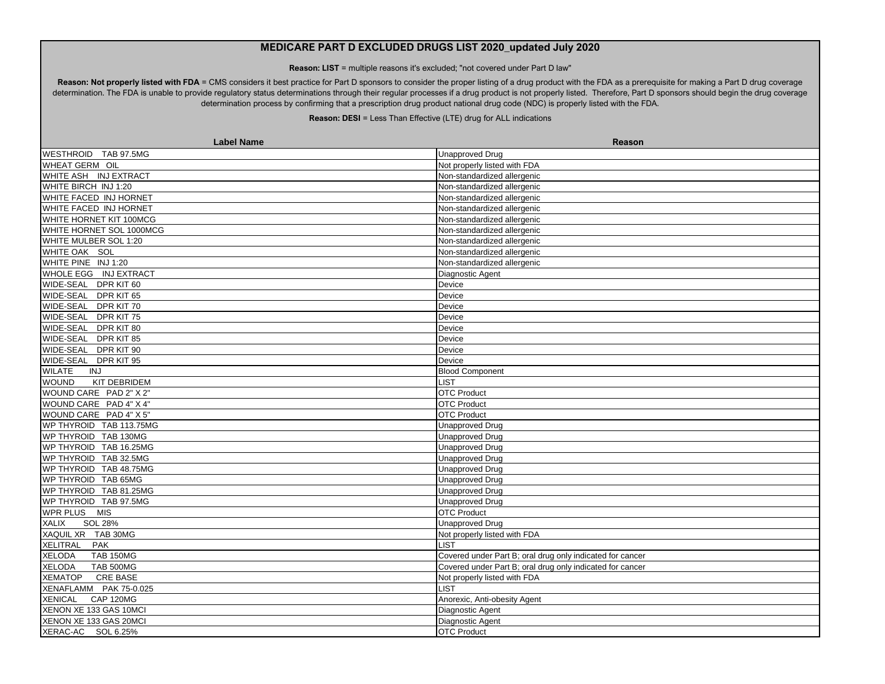**Reason: LIST** = multiple reasons it's excluded; "not covered under Part D law"

Reason: Not properly listed with FDA = CMS considers it best practice for Part D sponsors to consider the proper listing of a drug product with the FDA as a prerequisite for making a Part D drug coverage determination. The FDA is unable to provide regulatory status determinations through their regular processes if a drug product is not properly listed. Therefore, Part D sponsors should begin the drug coverage determination process by confirming that a prescription drug product national drug code (NDC) is properly listed with the FDA.

| <b>Label Name</b>                 | Reason                                                    |
|-----------------------------------|-----------------------------------------------------------|
| WESTHROID TAB 97.5MG              | <b>Unapproved Drug</b>                                    |
| WHEAT GERM OIL                    | Not properly listed with FDA                              |
| WHITE ASH INJ EXTRACT             | Non-standardized allergenic                               |
| WHITE BIRCH INJ 1:20              | Non-standardized allergenic                               |
| WHITE FACED INJ HORNET            | Non-standardized allergenic                               |
| WHITE FACED INJ HORNET            | Non-standardized allergenic                               |
| WHITE HORNET KIT 100MCG           | Non-standardized allergenic                               |
| WHITE HORNET SOL 1000MCG          | Non-standardized allergenic                               |
| WHITE MULBER SOL 1:20             | Non-standardized allergenic                               |
| WHITE OAK SOL                     | Non-standardized allergenic                               |
| WHITE PINE INJ 1:20               | Non-standardized allergenic                               |
| WHOLE EGG INJ EXTRACT             | Diagnostic Agent                                          |
| WIDE-SEAL DPR KIT 60              | Device                                                    |
| WIDE-SEAL DPR KIT 65              | Device                                                    |
| WIDE-SEAL DPR KIT 70              | Device                                                    |
| WIDE-SEAL DPR KIT 75              | Device                                                    |
| WIDE-SEAL DPR KIT 80              | Device                                                    |
| WIDE-SEAL DPR KIT 85              | Device                                                    |
| WIDE-SEAL DPR KIT 90              | Device                                                    |
| WIDE-SEAL DPR KIT 95              | Device                                                    |
| <b>WILATE</b><br>INJ              | <b>Blood Component</b>                                    |
| KIT DEBRIDEM<br><b>WOUND</b>      | <b>LIST</b>                                               |
| WOUND CARE PAD 2" X 2"            | <b>OTC Product</b>                                        |
| WOUND CARE PAD 4" X 4"            | <b>OTC Product</b>                                        |
| WOUND CARE PAD 4" X 5"            | <b>OTC Product</b>                                        |
| WP THYROID TAB 113.75MG           | <b>Unapproved Drug</b>                                    |
| WP THYROID TAB 130MG              | <b>Unapproved Drug</b>                                    |
| WP THYROID TAB 16.25MG            | <b>Unapproved Drug</b>                                    |
| WP THYROID TAB 32.5MG             | <b>Unapproved Drug</b>                                    |
| WP THYROID TAB 48.75MG            | <b>Unapproved Drug</b>                                    |
| WP THYROID TAB 65MG               | <b>Unapproved Drug</b>                                    |
| WP THYROID TAB 81.25MG            | <b>Unapproved Drug</b>                                    |
| WP THYROID TAB 97.5MG             | Unapproved Drug                                           |
| WPR PLUS MIS                      | <b>OTC Product</b>                                        |
| <b>SOL 28%</b><br><b>XALIX</b>    | <b>Unapproved Drug</b>                                    |
| XAQUIL XR TAB 30MG                | Not properly listed with FDA                              |
| XELITRAL PAK                      | <b>LIST</b>                                               |
| <b>XELODA</b><br><b>TAB 150MG</b> | Covered under Part B; oral drug only indicated for cancer |
| <b>XELODA</b><br><b>TAB 500MG</b> | Covered under Part B; oral drug only indicated for cancer |
| <b>CRE BASE</b><br><b>XEMATOP</b> | Not properly listed with FDA                              |
| XENAFLAMM PAK 75-0.025            | <b>LIST</b>                                               |
| XENICAL CAP 120MG                 | Anorexic, Anti-obesity Agent                              |
| XENON XE 133 GAS 10MCI            | Diagnostic Agent                                          |
| XENON XE 133 GAS 20MCI            | Diagnostic Agent                                          |
| XERAC-AC SOL 6.25%                | <b>OTC Product</b>                                        |